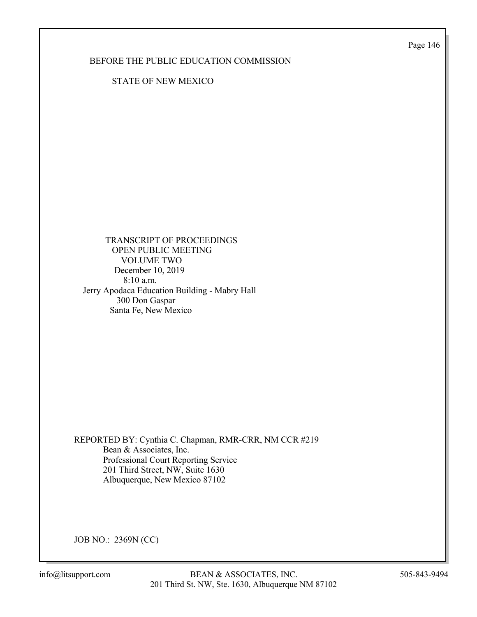Page 146

### BEFORE THE PUBLIC EDUCATION COMMISSION

STATE OF NEW MEXICO

 TRANSCRIPT OF PROCEEDINGS OPEN PUBLIC MEETING VOLUME TWO December 10, 2019 8:10 a.m. Jerry Apodaca Education Building - Mabry Hall 300 Don Gaspar Santa Fe, New Mexico

REPORTED BY: Cynthia C. Chapman, RMR-CRR, NM CCR #219 Bean & Associates, Inc. Professional Court Reporting Service 201 Third Street, NW, Suite 1630 Albuquerque, New Mexico 87102

JOB NO.: 2369N (CC)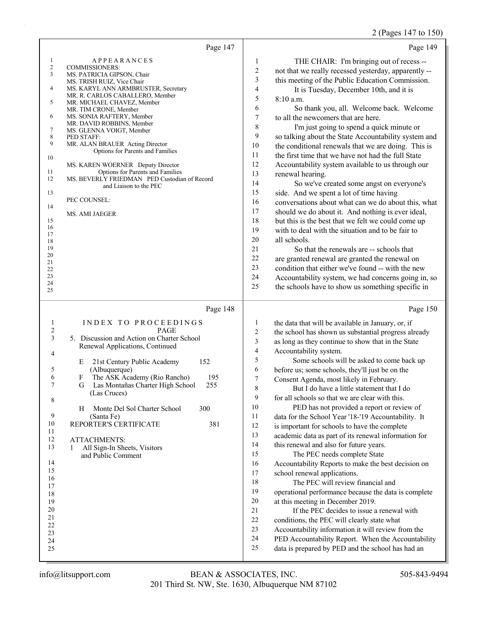# 2 (Pages 147 to 150)

|                                                                                                                                                                     | Page 147                                                                                                                                                                                                                                                                                                                                                                                                                                                                                                                                                                                                        | Page 149                                                                                                                                                                                                                                                                                                                                                                                                                                                                                                                                                                                                                                                                                                                                                                                                                                                                                                                                                                                                                                                                                                                                                                                                                                                                                                                                                                                                    |
|---------------------------------------------------------------------------------------------------------------------------------------------------------------------|-----------------------------------------------------------------------------------------------------------------------------------------------------------------------------------------------------------------------------------------------------------------------------------------------------------------------------------------------------------------------------------------------------------------------------------------------------------------------------------------------------------------------------------------------------------------------------------------------------------------|-------------------------------------------------------------------------------------------------------------------------------------------------------------------------------------------------------------------------------------------------------------------------------------------------------------------------------------------------------------------------------------------------------------------------------------------------------------------------------------------------------------------------------------------------------------------------------------------------------------------------------------------------------------------------------------------------------------------------------------------------------------------------------------------------------------------------------------------------------------------------------------------------------------------------------------------------------------------------------------------------------------------------------------------------------------------------------------------------------------------------------------------------------------------------------------------------------------------------------------------------------------------------------------------------------------------------------------------------------------------------------------------------------------|
| $\mathbf{1}$<br>$\sqrt{2}$<br>3<br>4<br>5<br>6<br>7<br>$\,8\,$<br>9<br>10<br>11<br>12<br>13<br>14<br>15<br>16<br>17<br>18<br>19<br>20<br>21<br>22<br>23<br>24<br>25 | <b>APPEARANCES</b><br><b>COMMISSIONERS:</b><br>MS. PATRICIA GIPSON, Chair<br>MS. TRISH RUIZ, Vice Chair<br>MS. KARYL ANN ARMBRUSTER, Secretary<br>MR. R. CARLOS CABALLERO, Member<br>MR. MICHAEL CHAVEZ, Member<br>MR. TIM CRONE, Member<br>MS. SONIA RAFTERY, Member<br>MR. DAVID ROBBINS, Member<br>MS. GLENNA VOIGT, Member<br>PED STAFF:<br>MR. ALAN BRAUER Acting Director<br>Options for Parents and Families<br>MS. KAREN WOERNER Deputy Director<br>Options for Parents and Families<br>MS. BEVERLY FRIEDMAN PED Custodian of Record<br>and Liaison to the PEC<br>PEC COUNSEL:<br><b>MS. AMI JAEGER</b> | 1<br>THE CHAIR: I'm bringing out of recess --<br>$\mathbf{2}$<br>not that we really recessed yesterday, apparently --<br>$\mathfrak{Z}$<br>this meeting of the Public Education Commission.<br>$\overline{\mathcal{L}}$<br>It is Tuesday, December 10th, and it is<br>5<br>8:10 a.m.<br>6<br>So thank you, all. Welcome back. Welcome<br>$\tau$<br>to all the newcomers that are here.<br>$\,$ $\,$<br>I'm just going to spend a quick minute or<br>9<br>so talking about the State Accountability system and<br>10<br>the conditional renewals that we are doing. This is<br>11<br>the first time that we have not had the full State<br>12<br>Accountability system available to us through our<br>13<br>renewal hearing.<br>14<br>So we've created some angst on everyone's<br>15<br>side. And we spent a lot of time having<br>16<br>conversations about what can we do about this, what<br>17<br>should we do about it. And nothing is ever ideal,<br>18<br>but this is the best that we felt we could come up<br>19<br>with to deal with the situation and to be fair to<br>20<br>all schools.<br>21<br>So that the renewals are -- schools that<br>22<br>are granted renewal are granted the renewal on<br>23<br>condition that either we've found -- with the new<br>24<br>Accountability system, we had concerns going in, so<br>25<br>the schools have to show us something specific in           |
|                                                                                                                                                                     | Page 148                                                                                                                                                                                                                                                                                                                                                                                                                                                                                                                                                                                                        | Page 150                                                                                                                                                                                                                                                                                                                                                                                                                                                                                                                                                                                                                                                                                                                                                                                                                                                                                                                                                                                                                                                                                                                                                                                                                                                                                                                                                                                                    |
| $\mathbf{1}$<br>$\overline{c}$<br>3<br>4<br>5<br>6<br>7<br>8<br>9<br>10<br>11<br>12<br>13<br>14<br>15<br>16<br>17<br>18<br>19<br>20<br>21<br>22<br>23<br>24<br>25   | INDEX TO PROCEEDINGS<br>PAGE<br>5. Discussion and Action on Charter School<br>Renewal Applications, Continued<br>152<br>21st Century Public Academy<br>Ε<br>(Albuquerque)<br>The ASK Academy (Rio Rancho)<br>195<br>F<br>255<br>G<br>Las Montañas Charter High School<br>(Las Cruces)<br>300<br>Monte Del Sol Charter School<br>H<br>(Santa Fe)<br>REPORTER'S CERTIFICATE<br>381<br><b>ATTACHMENTS:</b><br>All Sign-In Sheets, Visitors<br>1<br>and Public Comment                                                                                                                                              | the data that will be available in January, or, if<br>1<br>$\boldsymbol{2}$<br>the school has shown us substantial progress already<br>3<br>as long as they continue to show that in the State<br>$\overline{\mathcal{A}}$<br>Accountability system.<br>5<br>Some schools will be asked to come back up<br>6<br>before us; some schools, they'll just be on the<br>7<br>Consent Agenda, most likely in February.<br>8<br>But I do have a little statement that I do<br>9<br>for all schools so that we are clear with this.<br>10<br>PED has not provided a report or review of<br>11<br>data for the School Year '18-'19 Accountability. It<br>12<br>is important for schools to have the complete<br>13<br>academic data as part of its renewal information for<br>14<br>this renewal and also for future years.<br>15<br>The PEC needs complete State<br>16<br>Accountability Reports to make the best decision on<br>17<br>school renewal applications.<br>18<br>The PEC will review financial and<br>19<br>operational performance because the data is complete<br>20<br>at this meeting in December 2019.<br>21<br>If the PEC decides to issue a renewal with<br>22<br>conditions, the PEC will clearly state what<br>23<br>Accountability information it will review from the<br>24<br>PED Accountability Report. When the Accountability<br>25<br>data is prepared by PED and the school has had an |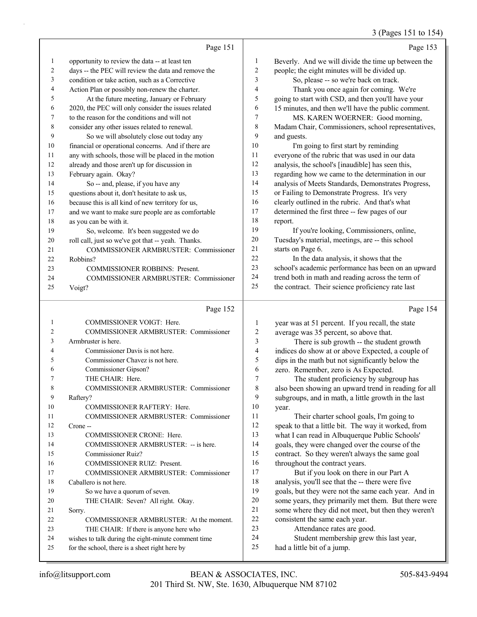#### 3 (Pages 151 to 154)

|    |                                                      |                | $\beta$ (Pages 151 to 154                           |
|----|------------------------------------------------------|----------------|-----------------------------------------------------|
|    | Page 151                                             |                | Page 153                                            |
| 1  | opportunity to review the data -- at least ten       | 1              | Beverly. And we will divide the time up between the |
| 2  | days -- the PEC will review the data and remove the  | 2              | people; the eight minutes will be divided up.       |
| 3  | condition or take action, such as a Corrective       | 3              | So, please -- so we're back on track.               |
| 4  | Action Plan or possibly non-renew the charter.       | 4              | Thank you once again for coming. We're              |
| 5  | At the future meeting, January or February           | 5              | going to start with CSD, and then you'll have your  |
| 6  | 2020, the PEC will only consider the issues related  | 6              | 15 minutes, and then we'll have the public comment. |
| 7  | to the reason for the conditions and will not        | 7              | MS. KAREN WOERNER: Good morning,                    |
| 8  | consider any other issues related to renewal.        | 8              | Madam Chair, Commissioners, school representatives, |
| 9  | So we will absolutely close out today any            | 9              | and guests.                                         |
| 10 | financial or operational concerns. And if there are  | 10             | I'm going to first start by reminding               |
| 11 | any with schools, those will be placed in the motion | 11             | everyone of the rubric that was used in our data    |
| 12 | already and those aren't up for discussion in        | 12             | analysis, the school's [inaudible] has seen this,   |
| 13 | February again. Okay?                                | 13             | regarding how we came to the determination in our   |
| 14 | So -- and, please, if you have any                   | 14             | analysis of Meets Standards, Demonstrates Progress, |
| 15 | questions about it, don't hesitate to ask us,        | 15             | or Failing to Demonstrate Progress. It's very       |
| 16 | because this is all kind of new territory for us,    | 16             | clearly outlined in the rubric. And that's what     |
| 17 | and we want to make sure people are as comfortable   | 17             | determined the first three -- few pages of our      |
| 18 | as you can be with it.                               | 18             | report.                                             |
| 19 | So, welcome. It's been suggested we do               | 19             | If you're looking, Commissioners, online,           |
| 20 | roll call, just so we've got that -- yeah. Thanks.   | 20             | Tuesday's material, meetings, are -- this school    |
| 21 | COMMISSIONER ARMBRUSTER: Commissioner                | 21             | starts on Page 6.                                   |
| 22 | Robbins?                                             | 22             | In the data analysis, it shows that the             |
| 23 | <b>COMMISSIONER ROBBINS: Present.</b>                | 23             | school's academic performance has been on an upward |
| 24 | COMMISSIONER ARMBRUSTER: Commissioner                | 24             | trend both in math and reading across the term of   |
| 25 | Voigt?                                               | 25             | the contract. Their science proficiency rate last   |
|    | Page 152                                             |                | Page 154                                            |
| 1  | <b>COMMISSIONER VOIGT: Here.</b>                     | 1              | year was at 51 percent. If you recall, the state    |
| 2  | COMMISSIONER ARMBRUSTER: Commissioner                | $\overline{c}$ | average was 35 percent, so above that.              |
| 3  | Armbruster is here.                                  | 3              | There is sub growth -- the student growth           |

| ∠  | COMMISSIONER ARMBRUSTER: Commissioner               | ∠  | average was 35 percent, so above that.               |
|----|-----------------------------------------------------|----|------------------------------------------------------|
| 3  | Armbruster is here.                                 | 3  | There is sub growth -- the student growth            |
| 4  | Commissioner Davis is not here.                     | 4  | indices do show at or above Expected, a couple of    |
| 5  | Commissioner Chavez is not here.                    | 5  | dips in the math but not significantly below the     |
| 6  | Commissioner Gipson?                                | 6  | zero. Remember, zero is As Expected.                 |
|    | THE CHAIR: Here.                                    | 7  | The student proficiency by subgroup has              |
| 8  | COMMISSIONER ARMBRUSTER: Commissioner               | 8  | also been showing an upward trend in reading for all |
| 9  | Raftery?                                            | 9  | subgroups, and in math, a little growth in the last  |
| 10 | COMMISSIONER RAFTERY: Here.                         | 10 | year.                                                |
| 11 | COMMISSIONER ARMBRUSTER: Commissioner               | 11 | Their charter school goals, I'm going to             |
| 12 | Crone-                                              | 12 | speak to that a little bit. The way it worked, from  |
| 13 | <b>COMMISSIONER CRONE: Here.</b>                    | 13 | what I can read in Albuquerque Public Schools'       |
| 14 | COMMISSIONER ARMBRUSTER: -- is here.                | 14 | goals, they were changed over the course of the      |
| 15 | Commissioner Ruiz?                                  | 15 | contract. So they weren't always the same goal       |
| 16 | <b>COMMISSIONER RUIZ: Present.</b>                  | 16 | throughout the contract years.                       |
| 17 | COMMISSIONER ARMBRUSTER: Commissioner               | 17 | But if you look on there in our Part A               |
| 18 | Caballero is not here.                              | 18 | analysis, you'll see that the -- there were five     |
| 19 | So we have a quorum of seven.                       | 19 | goals, but they were not the same each year. And in  |
| 20 | THE CHAIR: Seven? All right. Okay.                  | 20 | some years, they primarily met them. But there were  |
| 21 | Sorry.                                              | 21 | some where they did not meet, but then they weren't  |
| 22 | COMMISSIONER ARMBRUSTER: At the moment.             | 22 | consistent the same each year.                       |
| 23 | THE CHAIR: If there is anyone here who              | 23 | Attendance rates are good.                           |
| 24 | wishes to talk during the eight-minute comment time | 24 | Student membership grew this last year,              |
| 25 | for the school, there is a sheet right here by      | 25 | had a little bit of a jump.                          |
|    |                                                     |    |                                                      |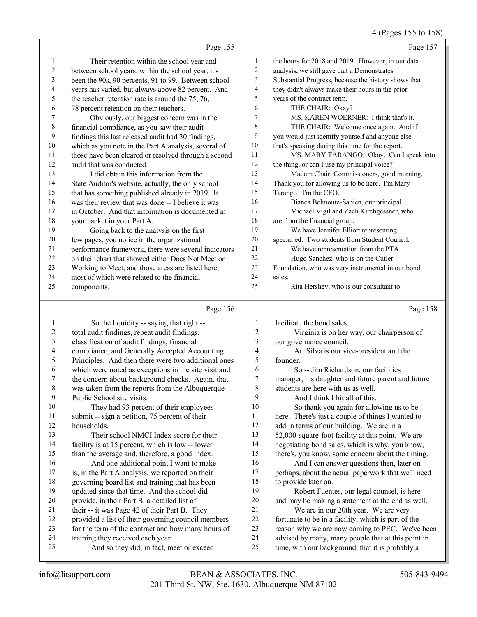### 4 (Pages 155 to 158)

|                          |                                                      |                  | $(1 \text{ u} \cdot \text{s}) \cdot (1 \cdot \text{s}) \cdot (0 \cdot 1 \cdot 0)$ |
|--------------------------|------------------------------------------------------|------------------|-----------------------------------------------------------------------------------|
|                          | Page 155                                             |                  | Page 157                                                                          |
| 1                        | Their retention within the school year and           | 1                | the hours for 2018 and 2019. However, in our data                                 |
| $\boldsymbol{2}$         | between school years, within the school year, it's   | $\overline{2}$   | analysis, we still gave that a Demonstrates                                       |
| 3                        | been the 90s, 90 percents, 91 to 99. Between school  | 3                | Substantial Progress, because the history shows that                              |
| $\overline{\mathcal{L}}$ | years has varied, but always above 82 percent. And   | 4                | they didn't always make their hours in the prior                                  |
| 5                        | the teacher retention rate is around the 75, 76,     | 5                | years of the contract term.                                                       |
| 6                        | 78 percent retention on their teachers.              | 6                | THE CHAIR: Okay?                                                                  |
| 7                        | Obviously, our biggest concern was in the            | $\tau$           | MS. KAREN WOERNER: I think that's it.                                             |
| $\,$ $\,$                | financial compliance, as you saw their audit         | 8                | THE CHAIR: Welcome once again. And if                                             |
| 9                        | findings this last released audit had 30 findings,   | 9                | you would just identify yourself and anyone else                                  |
| 10                       | which as you note in the Part A analysis, several of | 10               | that's speaking during this time for the report.                                  |
| 11                       | those have been cleared or resolved through a second | 11               | MS. MARY TARANGO: Okay. Can I speak into                                          |
| 12                       | audit that was conducted.                            | 12               | the thing, or can I use my principal voice?                                       |
| 13                       | I did obtain this information from the               | 13               | Madam Chair, Commissioners, good morning.                                         |
| 14                       | State Auditor's website, actually, the only school   | 14               | Thank you for allowing us to be here. I'm Mary                                    |
| 15                       | that has something published already in 2019. It     | 15               | Tarango. I'm the CEO.                                                             |
| 16                       | was their review that was done -- I believe it was   | 16               | Bianca Belmonte-Sapien, our principal.                                            |
| 17                       | in October. And that information is documented in    | 17               | Michael Vigil and Zach Kirchgessner, who                                          |
| 18                       | your packet in your Part A.                          | 18               | are from the financial group.                                                     |
| 19                       | Going back to the analysis on the first              | 19               | We have Jennifer Elliott representing                                             |
| $20\,$                   | few pages, you notice in the organizational          | 20               | special ed. Two students from Student Council.                                    |
| 21                       | performance framework, there were several indicators | 21               | We have representation from the PTA.                                              |
| $22\,$                   | on their chart that showed either Does Not Meet or   | 22               | Hugo Sanchez, who is on the Cutler                                                |
| 23                       | Working to Meet, and those areas are listed here,    | 23               | Foundation, who was very instrumental in our bond                                 |
| 24                       | most of which were related to the financial          | 24               | sales.                                                                            |
| 25                       | components.                                          | 25               | Rita Hershey, who is our consultant to                                            |
|                          | Page 156                                             |                  | Page 158                                                                          |
| $\mathbf{1}$             | So the liquidity -- saying that right --             | 1                | facilitate the bond sales.                                                        |
| $\boldsymbol{2}$         | total audit findings, repeat audit findings,         | $\boldsymbol{2}$ | Virginia is on her way, our chairperson of                                        |
| $\mathfrak{Z}$           | classification of audit findings, financial          | 3                | our governance council.                                                           |
| 4                        | compliance, and Generally Accepted Accounting        | 4                | Art Silva is our vice-president and the                                           |
| 5                        | Principles. And then there were two additional ones  | 5                | founder.                                                                          |
| 6                        | which were noted as exceptions in the site visit and | 6                | So -- Jim Richardson, our facilities                                              |
| 7                        | the concern about background checks. Again, that     | 7                | manager, his daughter and future parent and future                                |
| 8                        | was taken from the reports from the Albuquerque      | 8                | students are here with us as well.                                                |
| 9                        | Public School site visits.                           | 9                | And I think I hit all of this.                                                    |
| 10                       | They had 93 percent of their employees               | 10               | So thank you again for allowing us to be                                          |
| 11                       | submit -- sign a petition, 75 percent of their       | 11               | here. There's just a couple of things I wanted to                                 |
| 12                       | households.                                          | 12               | add in terms of our building. We are in a                                         |
| 13                       | Their school NMCI Index score for their              | 13               | 52,000-square-foot facility at this point. We are                                 |
| 14                       | facility is at 15 percent, which is low -- lower     | 14               | negotiating bond sales, which is why, you know,                                   |
| 15                       | than the average and, therefore, a good index.       | 15               | there's, you know, some concern about the timing.                                 |

 training they received each year. 25 And so they did, in fact, meet or exceed

16 And one additional point I want to make is, in the Part A analysis, we reported on their governing board list and training that has been updated since that time. And the school did provide, in their Part B, a detailed list of 21 their -- it was Page 42 of their Part B. They provided a list of their governing council members for the term of the contract and how many hours of 16 And I can answer questions then, later on

 perhaps, about the actual paperwork that we'll need to provide later on.

19 Robert Fuentes, our legal counsel, is here and may be making a statement at the end as well. 21 We are in our 20th year. We are very

fortunate to be in a facility, which is part of the

reason why we are now coming to PEC. We've been

advised by many, many people that at this point in

time, with our background, that it is probably a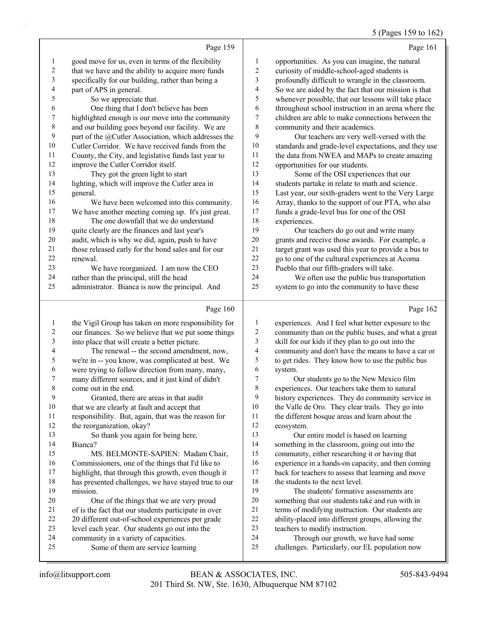5 (Pages 159 to 162)

|                | Page 159                                             |        | Page 161                                             |
|----------------|------------------------------------------------------|--------|------------------------------------------------------|
| 1              | good move for us, even in terms of the flexibility   | 1      | opportunities. As you can imagine, the natural       |
| 2              | that we have and the ability to acquire more funds   | 2      | curiosity of middle-school-aged students is          |
| $\mathfrak{Z}$ | specifically for our building, rather than being a   | 3      | profoundly difficult to wrangle in the classroom.    |
| 4              | part of APS in general.                              | 4      | So we are aided by the fact that our mission is that |
| 5              | So we appreciate that.                               | 5      | whenever possible, that our lessons will take place  |
| 6              | One thing that I don't believe has been              | 6      | throughout school instruction in an arena where the  |
| 7              | highlighted enough is our move into the community    | $\tau$ | children are able to make connections between the    |
| 8              | and our building goes beyond our facility. We are    | 8      | community and their academics.                       |
| 9              | part of the @Cutler Association, which addresses the | 9      | Our teachers are very well-versed with the           |
| 10             | Cutler Corridor. We have received funds from the     | 10     | standards and grade-level expectations, and they use |
| 11             | County, the City, and legislative funds last year to | 11     | the data from NWEA and MAPs to create amazing        |
| 12             | improve the Cutler Corridor itself.                  | 12     | opportunities for our students.                      |
| 13             | They got the green light to start                    | 13     | Some of the OSI experiences that our                 |
| 14             | lighting, which will improve the Cutler area in      | 14     | students partake in relate to math and science.      |
| 15             | general.                                             | 15     | Last year, our sixth-graders went to the Very Large  |
| 16             | We have been welcomed into this community.           | 16     | Array, thanks to the support of our PTA, who also    |
| 17             | We have another meeting coming up. It's just great.  | 17     | funds a grade-level bus for one of the OSI           |
| 18             | The one downfall that we do understand               | 18     | experiences.                                         |
| 19             | quite clearly are the finances and last year's       | 19     | Our teachers do go out and write many                |
| 20             | audit, which is why we did, again, push to have      | 20     | grants and receive those awards. For example, a      |
| 21             | those released early for the bond sales and for our  | 21     | target grant was used this year to provide a bus to  |
| 22             | renewal.                                             | 22     | go to one of the cultural experiences at Acoma       |
| 23             | We have reorganized. I am now the CEO                | 23     | Pueblo that our fifth-graders will take.             |
| 24             | rather than the principal, still the head            | 24     | We often use the public bus transportation           |
| 25             | administrator. Bianca is now the principal. And      | 25     | system to go into the community to have these        |
|                | Page $160$                                           |        | Page 162                                             |

|    | Page 160                                             |    | Page 162                                             |
|----|------------------------------------------------------|----|------------------------------------------------------|
| 1  | the Vigil Group has taken on more responsibility for | 1  | experiences. And I feel what better exposure to the  |
| 2  | our finances. So we believe that we put some things  | 2  | community than on the public buses, and what a great |
| 3  | into place that will create a better picture.        | 3  | skill for our kids if they plan to go out into the   |
| 4  | The renewal -- the second amendment, now,            | 4  | community and don't have the means to have a car or  |
| 5  | we're in -- you know, was complicated at best. We    | 5  | to get rides. They know how to use the public bus    |
| 6  | were trying to follow direction from many, many,     | 6  | system.                                              |
|    | many different sources, and it just kind of didn't   | 7  | Our students go to the New Mexico film               |
| 8  | come out in the end.                                 | 8  | experiences. Our teachers take them to natural       |
| 9  | Granted, there are areas in that audit               | 9  | history experiences. They do community service in    |
| 10 | that we are clearly at fault and accept that         | 10 | the Valle de Oro. They clear trails. They go into    |
| 11 | responsibility. But, again, that was the reason for  | 11 | the different bosque areas and learn about the       |
| 12 | the reorganization, okay?                            | 12 | ecosystem.                                           |
| 13 | So thank you again for being here.                   | 13 | Our entire model is based on learning                |
| 14 | Bianca?                                              | 14 | something in the classroom, going out into the       |
| 15 | MS. BELMONTE-SAPIEN: Madam Chair,                    | 15 | community, either researching it or having that      |
| 16 | Commissioners, one of the things that I'd like to    | 16 | experience in a hands-on capacity, and then coming   |
| 17 | highlight, that through this growth, even though it  | 17 | back for teachers to assess that learning and move   |
| 18 | has presented challenges, we have stayed true to our | 18 | the students to the next level.                      |
| 19 | mission.                                             | 19 | The students' formative assessments are              |
| 20 | One of the things that we are very proud             | 20 | something that our students take and run with in     |
| 21 | of is the fact that our students participate in over | 21 | terms of modifying instruction. Our students are     |
| 22 | 20 different out-of-school experiences per grade     | 22 | ability-placed into different groups, allowing the   |
| 23 | level each year. Our students go out into the        | 23 | teachers to modify instruction.                      |
| 24 | community in a variety of capacities.                | 24 | Through our growth, we have had some                 |
| 25 | Some of them are service learning                    | 25 | challenges. Particularly, our EL population now      |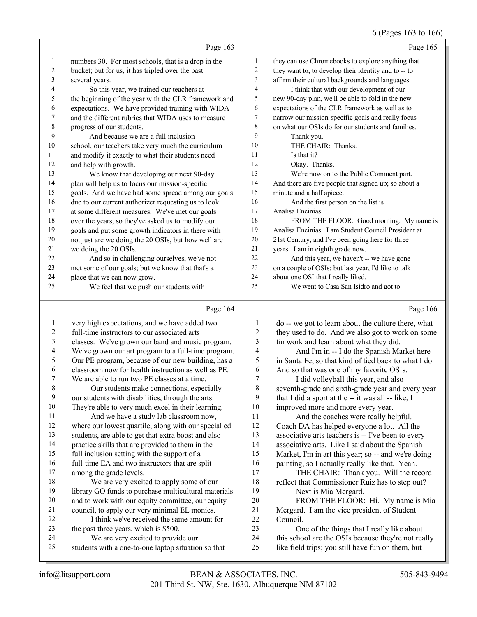### 6 (Pages 163 to 166)

|              |                                                      |                | $0$ (1 ages 100 to 100                               |
|--------------|------------------------------------------------------|----------------|------------------------------------------------------|
|              | Page 163                                             |                | Page 165                                             |
| $\mathbf{1}$ | numbers 30. For most schools, that is a drop in the  | 1              | they can use Chromebooks to explore anything that    |
| 2            | bucket; but for us, it has tripled over the past     | $\overline{c}$ | they want to, to develop their identity and to -- to |
| 3            | several years.                                       | 3              | affirm their cultural backgrounds and languages.     |
| 4            | So this year, we trained our teachers at             | $\overline{4}$ | I think that with our development of our             |
| 5            | the beginning of the year with the CLR framework and | 5              | new 90-day plan, we'll be able to fold in the new    |
| 6            | expectations. We have provided training with WIDA    | 6              | expectations of the CLR framework as well as to      |
| 7            | and the different rubrics that WIDA uses to measure  | 7              | narrow our mission-specific goals and really focus   |
| 8            | progress of our students.                            | 8              | on what our OSIs do for our students and families.   |
| 9            | And because we are a full inclusion                  | 9              | Thank you.                                           |
| 10           | school, our teachers take very much the curriculum   | 10             | THE CHAIR: Thanks.                                   |
| 11           | and modify it exactly to what their students need    | 11             | Is that it?                                          |
| 12           | and help with growth.                                | 12             | Okay. Thanks.                                        |
| 13           | We know that developing our next 90-day              | 13             | We're now on to the Public Comment part.             |
| 14           | plan will help us to focus our mission-specific      | 14             | And there are five people that signed up; so about a |
| 15           | goals. And we have had some spread among our goals   | 15             | minute and a half apiece.                            |
| 16           | due to our current authorizer requesting us to look  | 16             | And the first person on the list is                  |
| 17           | at some different measures. We've met our goals      | 17             | Analisa Encinias.                                    |
| 18           | over the years, so they've asked us to modify our    | 18             | FROM THE FLOOR: Good morning. My name is             |
| 19           | goals and put some growth indicators in there with   | 19             | Analisa Encinias. I am Student Council President at  |
| 20           | not just are we doing the 20 OSIs, but how well are  | 20             | 21st Century, and I've been going here for three     |
| 21           | we doing the 20 OSIs.                                | 21             | years. I am in eighth grade now.                     |
| 22           | And so in challenging ourselves, we've not           | 22             | And this year, we haven't -- we have gone            |
| 23           | met some of our goals; but we know that that's a     | 23             | on a couple of OSIs; but last year, I'd like to talk |
| 24           | place that we can now grow.                          | 24             | about one OSI that I really liked.                   |
| 25           | We feel that we push our students with               | 25             | We went to Casa San Isidro and got to                |
|              | Page 164                                             |                | Page 166                                             |
|              | very high expectations, and we have added two        |                | do -- we got to learn about the culture there, what  |

| 1  | very high expectations, and we have added two        | 1  | do -- we got to learn about the culture there, what  |
|----|------------------------------------------------------|----|------------------------------------------------------|
| 2  | full-time instructors to our associated arts         | 2  | they used to do. And we also got to work on some     |
| 3  | classes. We've grown our band and music program.     | 3  | tin work and learn about what they did.              |
| 4  | We've grown our art program to a full-time program.  | 4  | And I'm in -- I do the Spanish Market here           |
| 5  | Our PE program, because of our new building, has a   | 5  | in Santa Fe, so that kind of tied back to what I do. |
| 6  | classroom now for health instruction as well as PE.  | 6  | And so that was one of my favorite OSIs.             |
| 7  | We are able to run two PE classes at a time.         | 7  | I did volleyball this year, and also                 |
| 8  | Our students make connections, especially            | 8  | seventh-grade and sixth-grade year and every year    |
| 9  | our students with disabilities, through the arts.    | 9  | that I did a sport at the -- it was all -- like, I   |
| 10 | They're able to very much excel in their learning.   | 10 | improved more and more every year.                   |
| 11 | And we have a study lab classroom now,               | 11 | And the coaches were really helpful.                 |
| 12 | where our lowest quartile, along with our special ed | 12 | Coach DA has helped everyone a lot. All the          |
| 13 | students, are able to get that extra boost and also  | 13 | associative arts teachers is -- I've been to every   |
| 14 | practice skills that are provided to them in the     | 14 | associative arts. Like I said about the Spanish      |
| 15 | full inclusion setting with the support of a         | 15 | Market, I'm in art this year; so -- and we're doing  |
| 16 | full-time EA and two instructors that are split      | 16 | painting, so I actually really like that. Yeah.      |
| 17 | among the grade levels.                              | 17 | THE CHAIR: Thank you. Will the record                |
| 18 | We are very excited to apply some of our             | 18 | reflect that Commissioner Ruiz has to step out?      |
| 19 | library GO funds to purchase multicultural materials | 19 | Next is Mia Mergard.                                 |
| 20 | and to work with our equity committee, our equity    | 20 | FROM THE FLOOR: Hi. My name is Mia                   |
| 21 | council, to apply our very minimal EL monies.        | 21 | Mergard. I am the vice president of Student          |
| 22 | I think we've received the same amount for           | 22 | Council.                                             |
| 23 | the past three years, which is \$500.                | 23 | One of the things that I really like about           |
| 24 | We are very excited to provide our                   | 24 | this school are the OSIs because they're not really  |
| 25 | students with a one-to-one laptop situation so that  | 25 | like field trips; you still have fun on them, but    |
|    |                                                      |    |                                                      |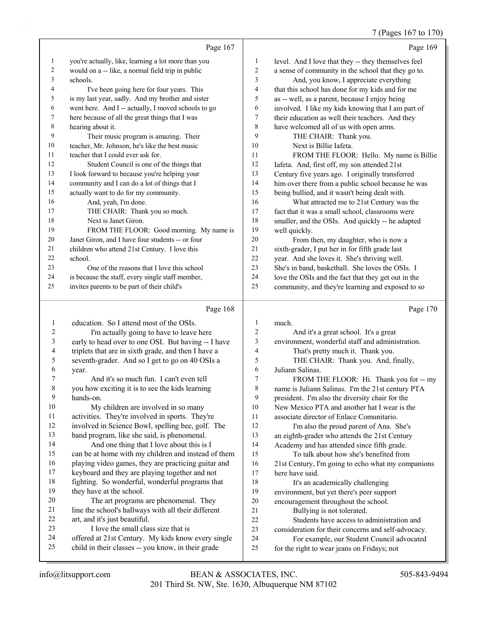7 (Pages 167 to 170)

|                | Page 167                                            |    | Page 169                                            |
|----------------|-----------------------------------------------------|----|-----------------------------------------------------|
| 1              | you're actually, like, learning a lot more than you | 1  | level. And I love that they -- they themselves feel |
| 2              | would on a -- like, a normal field trip in public   | 2  | a sense of community in the school that they go to. |
| 3              | schools.                                            | 3  | And, you know, I appreciate everything              |
| 4              | I've been going here for four years. This           | 4  | that this school has done for my kids and for me    |
| 5              | is my last year, sadly. And my brother and sister   | 5  | as -- well, as a parent, because I enjoy being      |
| 6              | went here. And I -- actually, I moved schools to go | 6  | involved. I like my kids knowing that I am part of  |
| $\overline{7}$ | here because of all the great things that I was     | 7  | their education as well their teachers. And they    |
| 8              | hearing about it.                                   | 8  | have welcomed all of us with open arms.             |
| 9              | Their music program is amazing. Their               | 9  | THE CHAIR: Thank you.                               |
| 10             | teacher, Mr. Johnson, he's like the best music      | 10 | Next is Billie Jafeta.                              |
| 11             | teacher that I could ever ask for.                  | 11 | FROM THE FLOOR: Hello. My name is Billie            |
| 12             | Student Council is one of the things that           | 12 | Iafeta. And, first off, my son attended 21st        |
| 13             | I look forward to because you're helping your       | 13 | Century five years ago. I originally transferred    |
| 14             | community and I can do a lot of things that I       | 14 | him over there from a public school because he was  |
| 15             | actually want to do for my community.               | 15 | being bullied, and it wasn't being dealt with.      |
| 16             | And, yeah, I'm done.                                | 16 | What attracted me to 21st Century was the           |
| 17             | THE CHAIR: Thank you so much.                       | 17 | fact that it was a small school, classrooms were    |
| 18             | Next is Janet Giron.                                | 18 | smaller, and the OSIs. And quickly -- he adapted    |
| 19             | FROM THE FLOOR: Good morning. My name is            | 19 | well quickly.                                       |
| 20             | Janet Giron, and I have four students -- or four    | 20 | From then, my daughter, who is now a                |
| 21             | children who attend 21st Century. I love this       | 21 | sixth-grader, I put her in for fifth grade last     |
| 22             | school.                                             | 22 | year. And she loves it. She's thriving well.        |
| 23             | One of the reasons that I love this school          | 23 | She's in band, basketball. She loves the OSIs. I    |
| 24             | is because the staff, every single staff member,    | 24 | love the OSIs and the fact that they get out in the |
| 25             | invites parents to be part of their child's         | 25 | community, and they're learning and exposed to so   |
|                |                                                     |    |                                                     |

# Page 168

| 1  | education. So I attend most of the OSIs.            | 1              | much.                                               |
|----|-----------------------------------------------------|----------------|-----------------------------------------------------|
| 2  | I'm actually going to have to leave here            | $\overline{c}$ | And it's a great school. It's a great               |
| 3  | early to head over to one OSI. But having -- I have | 3              | environment, wonderful staff and administration.    |
| 4  | triplets that are in sixth grade, and then I have a | 4              | That's pretty much it. Thank you.                   |
| 5  | seventh-grader. And so I get to go on 40 OSIs a     | 5              | THE CHAIR: Thank you. And, finally,                 |
| 6  | year.                                               | 6              | Juliann Salinas.                                    |
| 7  | And it's so much fun. I can't even tell             | 7              | FROM THE FLOOR: Hi. Thank you for -- my             |
| 8  | you how exciting it is to see the kids learning     | 8              | name is Juliann Salinas. I'm the 21st century PTA   |
| 9  | hands-on.                                           | 9              | president. I'm also the diversity chair for the     |
| 10 | My children are involved in so many                 | 10             | New Mexico PTA and another hat I wear is the        |
| 11 | activities. They're involved in sports. They're     | 11             | associate director of Enlace Comunitario.           |
| 12 | involved in Science Bowl, spelling bee, golf. The   | 12             | I'm also the proud parent of Ana. She's             |
| 13 | band program, like she said, is phenomenal.         | 13             | an eighth-grader who attends the 21st Century       |
| 14 | And one thing that I love about this is I           | 14             | Academy and has attended since fifth grade.         |
| 15 | can be at home with my children and instead of them | 15             | To talk about how she's benefited from              |
| 16 | playing video games, they are practicing guitar and | 16             | 21st Century, I'm going to echo what my companions  |
| 17 | keyboard and they are playing together and not      | 17             | here have said.                                     |
| 18 | fighting. So wonderful, wonderful programs that     | 18             | It's an academically challenging                    |
| 19 | they have at the school.                            | 19             | environment, but yet there's peer support           |
| 20 | The art programs are phenomenal. They               | 20             | encouragement throughout the school.                |
| 21 | line the school's hallways with all their different | 21             | Bullying is not tolerated.                          |
| 22 | art, and it's just beautiful.                       | 22             | Students have access to administration and          |
| 23 | I love the small class size that is                 | 23             | consideration for their concerns and self-advocacy. |
| 24 | offered at 21st Century. My kids know every single  | 24             | For example, our Student Council advocated          |
| 25 | child in their classes -- you know, in their grade  | 25             | for the right to wear jeans on Fridays; not         |
|    |                                                     |                |                                                     |

Page 170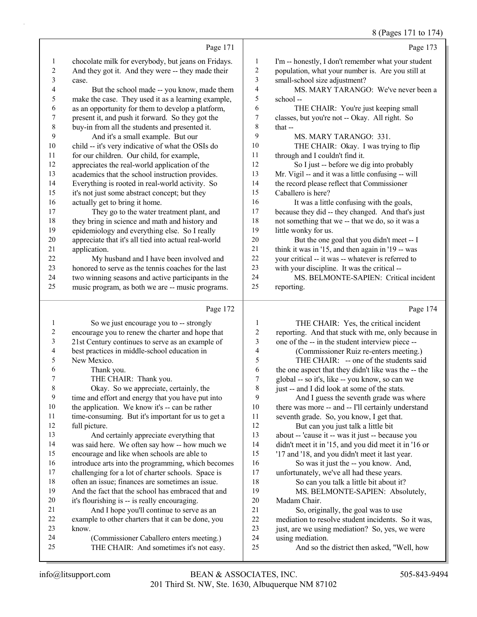#### 8 (Pages 171 to 174)

Page 171 chocolate milk for everybody, but jeans on Fridays. And they got it. And they were -- they made their 4 But the school made -- you know, made them make the case. They used it as a learning example, as an opportunity for them to develop a platform, present it, and push it forward. So they got the buy-in from all the students and presented it. 9 And it's a small example. But our child -- it's very indicative of what the OSIs do for our children. Our child, for example, appreciates the real-world application of the academics that the school instruction provides. 14 Everything is rooted in real-world activity. So<br>15 it's not just some abstract concent: but they it's not just some abstract concept; but they actually get to bring it home. 17 They go to the water treatment plant, and they bring in science and math and history and epidemiology and everything else. So I really appreciate that it's all tied into actual real-world 22 My husband and I have been involved and honored to serve as the tennis coaches for the last two winning seasons and active participants in the music program, as both we are -- music programs. Page 172 1 So we just encourage you to -- strongly encourage you to renew the charter and hope that 21st Century continues to serve as an example of best practices in middle-school education in Page 173 I'm -- honestly, I don't remember what your student population, what your number is. Are you still at small-school size adjustment? 4 MS. MARY TARANGO: We've never been a school -- 6 THE CHAIR: You're just keeping small classes, but you're not -- Okay. All right. So 8 that -- 9 MS. MARY TARANGO: 331. 10 THE CHAIR: Okay. I was trying to flip through and I couldn't find it. 12 So I just -- before we dig into probably Mr. Vigil -- and it was a little confusing -- will the record please reflect that Commissioner Caballero is here? 16 It was a little confusing with the goals, because they did -- they changed. And that's just not something that we -- that we do, so it was a little wonky for us. 20 But the one goal that you didn't meet -- I think it was in '15, and then again in '19 -- was your critical -- it was -- whatever is referred to with your discipline. It was the critical -- 24 MS. BELMONTE-SAPIEN: Critical incident reporting. Page 174 1 THE CHAIR: Yes, the critical incident reporting. And that stuck with me, only because in one of the -- in the student interview piece -- 4 (Commissioner Ruiz re-enters meeting.) 5 THE CHAIR: -- one of the students said

> 6 the one aspect that they didn't like was the -- the 7 global -- so it's, like -- you know, so can we 8 just -- and I did look at some of the stats.

9 time and effort and energy that you have put into 10 the application. We know it's -- can be rather 11 time-consuming. But it's important for us to get a 12 full picture. 13 And certainly appreciate everything that 14 was said here. We often say how -- how much we 15 encourage and like when schools are able to 16 introduce arts into the programming, which becomes 17 challenging for a lot of charter schools. Space is 18 often an issue; finances are sometimes an issue. 19 And the fact that the school has embraced that and 20 it's flourishing is -- is really encouraging. 21 And I hope you'll continue to serve as an 22 example to other charters that it can be done, you 23 know. 24 (Commissioner Caballero enters meeting.) 25 THE CHAIR: And sometimes it's not easy. 9 And I guess the seventh grade was where<br>10 there was more -- and -- I'll certainly understand there was more -- and -- I'll certainly understand 11 seventh grade. So, you know, I get that. 12 But can you just talk a little bit 13 about -- 'cause it -- was it just -- because you 14 didn't meet it in '15, and you did meet it in '16 or 15 '17 and '18, and you didn't meet it last year. 16 So was it just the -- you know. And, 17 unfortunately, we've all had these years. 18 So can you talk a little bit about it? 19 MS. BELMONTE-SAPIEN: Absolutely, 20 Madam Chair. 21 So, originally, the goal was to use 22 mediation to resolve student incidents. So it was, 23 just, are we using mediation? So, yes, we were 24 using mediation. 25 And so the district then asked, "Well, how

3 case.

21 application.

5 New Mexico. 6 Thank you.

7 THE CHAIR: Thank you.

8 Okay. So we appreciate, certainly, the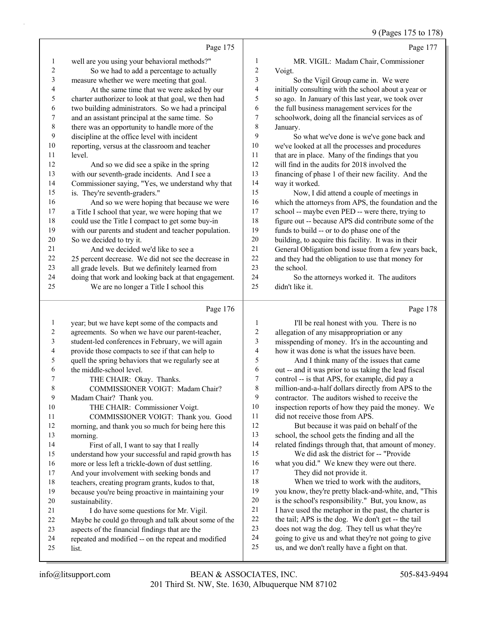9 (Pages 175 to 178)

| Page 175<br>MR. VIGIL: Madam Chair, Commissioner<br>well are you using your behavioral methods?"<br>1<br>1<br>$\sqrt{2}$<br>$\boldsymbol{2}$<br>So we had to add a percentage to actually<br>Voigt.<br>measure whether we were meeting that goal.<br>3<br>3<br>So the Vigil Group came in. We were<br>4<br>4<br>At the same time that we were asked by our<br>initially consulting with the school about a year or<br>5<br>charter authorizer to look at that goal, we then had<br>so ago. In January of this last year, we took over<br>5<br>6<br>two building administrators. So we had a principal<br>the full business management services for the<br>6<br>7<br>and an assistant principal at the same time. So<br>7<br>schoolwork, doing all the financial services as of<br>$\,$ $\,$<br>8<br>there was an opportunity to handle more of the<br>January.<br>9<br>discipline at the office level with incident<br>9<br>So what we've done is we've gone back and<br>10<br>10<br>reporting, versus at the classroom and teacher<br>we've looked at all the processes and procedures<br>11<br>that are in place. Many of the findings that you<br>11<br>level.<br>12<br>12<br>will find in the audits for 2018 involved the<br>And so we did see a spike in the spring<br>13<br>13<br>financing of phase 1 of their new facility. And the<br>with our seventh-grade incidents. And I see a<br>14<br>14<br>Commissioner saying, "Yes, we understand why that<br>way it worked.<br>15<br>15<br>is. They're seventh-graders."<br>Now, I did attend a couple of meetings in<br>16<br>16<br>And so we were hoping that because we were<br>17<br>17<br>a Title I school that year, we were hoping that we<br>school -- maybe even PED -- were there, trying to<br>18<br>18<br>could use the Title I compact to get some buy-in<br>figure out -- because APS did contribute some of the<br>19<br>19<br>with our parents and student and teacher population.<br>funds to build -- or to do phase one of the<br>$20\,$<br>20<br>So we decided to try it.<br>building, to acquire this facility. It was in their<br>21<br>21<br>And we decided we'd like to see a<br>$22\,$<br>22<br>25 percent decrease. We did not see the decrease in<br>and they had the obligation to use that money for<br>23<br>23<br>the school.<br>all grade levels. But we definitely learned from<br>24<br>24<br>doing that work and looking back at that engagement.<br>So the attorneys worked it. The auditors<br>25<br>didn't like it.<br>25<br>We are no longer a Title I school this<br>Page 176<br>Page 178<br>year; but we have kept some of the compacts and<br>1<br>I'll be real honest with you. There is no<br>$\mathbf{1}$<br>$\sqrt{2}$<br>$\overline{\mathbf{c}}$<br>agreements. So when we have our parent-teacher,<br>allegation of any misappropriation or any<br>3<br>student-led conferences in February, we will again<br>3<br>misspending of money. It's in the accounting and<br>$\overline{4}$<br>4<br>provide those compacts to see if that can help to<br>how it was done is what the issues have been.<br>5<br>5<br>And I think many of the issues that came<br>quell the spring behaviors that we regularly see at<br>6<br>the middle-school level.<br>out -- and it was prior to us taking the lead fiscal<br>6<br>7<br>7<br>control -- is that APS, for example, did pay a<br>THE CHAIR: Okay. Thanks.<br>8<br>million-and-a-half dollars directly from APS to the<br>8<br>COMMISSIONER VOIGT: Madam Chair?<br>9<br>9<br>contractor. The auditors wished to receive the<br>Madam Chair? Thank you.<br>10<br>inspection reports of how they paid the money. We<br>10<br>THE CHAIR: Commissioner Voigt.<br>11<br>did not receive those from APS.<br>11<br>COMMISSIONER VOIGT: Thank you. Good<br>12<br>But because it was paid on behalf of the<br>12<br>morning, and thank you so much for being here this<br>13<br>school, the school gets the finding and all the<br>13<br>morning.<br>14<br>related findings through that, that amount of money.<br>14<br>First of all, I want to say that I really<br>15<br>We did ask the district for -- "Provide<br>15<br>understand how your successful and rapid growth has<br>16<br>what you did." We knew they were out there.<br>16<br>more or less left a trickle-down of dust settling.<br>17<br>They did not provide it.<br>17<br>And your involvement with seeking bonds and<br>18<br>When we tried to work with the auditors,<br>18<br>teachers, creating program grants, kudos to that,<br>19<br>you know, they're pretty black-and-white, and, "This<br>19<br>because you're being proactive in maintaining your<br>$20\,$<br>is the school's responsibility." But, you know, as<br>20<br>sustainability.<br>21<br>I have used the metaphor in the past, the charter is<br>21<br>I do have some questions for Mr. Vigil.<br>$22\,$<br>the tail; APS is the dog. We don't get -- the tail<br>22<br>Maybe he could go through and talk about some of the |  |    | $(1.450 \times 1.500 \times 1.0)$                    |
|------------------------------------------------------------------------------------------------------------------------------------------------------------------------------------------------------------------------------------------------------------------------------------------------------------------------------------------------------------------------------------------------------------------------------------------------------------------------------------------------------------------------------------------------------------------------------------------------------------------------------------------------------------------------------------------------------------------------------------------------------------------------------------------------------------------------------------------------------------------------------------------------------------------------------------------------------------------------------------------------------------------------------------------------------------------------------------------------------------------------------------------------------------------------------------------------------------------------------------------------------------------------------------------------------------------------------------------------------------------------------------------------------------------------------------------------------------------------------------------------------------------------------------------------------------------------------------------------------------------------------------------------------------------------------------------------------------------------------------------------------------------------------------------------------------------------------------------------------------------------------------------------------------------------------------------------------------------------------------------------------------------------------------------------------------------------------------------------------------------------------------------------------------------------------------------------------------------------------------------------------------------------------------------------------------------------------------------------------------------------------------------------------------------------------------------------------------------------------------------------------------------------------------------------------------------------------------------------------------------------------------------------------------------------------------------------------------------------------------------------------------------------------------------------------------------------------------------------------------------------------------------------------------------------------------------------------------------------------------------------------------------------------------------------------------------------------------------------------------------------------------------------------------------------------------------------------------------------------------------------------------------------------------------------------------------------------------------------------------------------------------------------------------------------------------------------------------------------------------------------------------------------------------------------------------------------------------------------------------------------------------------------------------------------------------------------------------------------------------------------------------------------------------------------------------------------------------------------------------------------------------------------------------------------------------------------------------------------------------------------------------------------------------------------------------------------------------------------------------------------------------------------------------------------------------------------------------------------------------------------------------------------------------------------------------------------------------------------------------------------------------------------------------------------------------------------------------------------------------------------------------------------------------------------------------------------------------------------------------------------------------------------------------------------------------------------------------------------------------------------------------------------------------------------------------------------------------------------------------------------------------------------------------------------------------------------------------------------------------------------------------|--|----|------------------------------------------------------|
|                                                                                                                                                                                                                                                                                                                                                                                                                                                                                                                                                                                                                                                                                                                                                                                                                                                                                                                                                                                                                                                                                                                                                                                                                                                                                                                                                                                                                                                                                                                                                                                                                                                                                                                                                                                                                                                                                                                                                                                                                                                                                                                                                                                                                                                                                                                                                                                                                                                                                                                                                                                                                                                                                                                                                                                                                                                                                                                                                                                                                                                                                                                                                                                                                                                                                                                                                                                                                                                                                                                                                                                                                                                                                                                                                                                                                                                                                                                                                                                                                                                                                                                                                                                                                                                                                                                                                                                                                                                                                                                                                                                                                                                                                                                                                                                                                                                                                                                                                                                                            |  |    | Page 177                                             |
|                                                                                                                                                                                                                                                                                                                                                                                                                                                                                                                                                                                                                                                                                                                                                                                                                                                                                                                                                                                                                                                                                                                                                                                                                                                                                                                                                                                                                                                                                                                                                                                                                                                                                                                                                                                                                                                                                                                                                                                                                                                                                                                                                                                                                                                                                                                                                                                                                                                                                                                                                                                                                                                                                                                                                                                                                                                                                                                                                                                                                                                                                                                                                                                                                                                                                                                                                                                                                                                                                                                                                                                                                                                                                                                                                                                                                                                                                                                                                                                                                                                                                                                                                                                                                                                                                                                                                                                                                                                                                                                                                                                                                                                                                                                                                                                                                                                                                                                                                                                                            |  |    |                                                      |
|                                                                                                                                                                                                                                                                                                                                                                                                                                                                                                                                                                                                                                                                                                                                                                                                                                                                                                                                                                                                                                                                                                                                                                                                                                                                                                                                                                                                                                                                                                                                                                                                                                                                                                                                                                                                                                                                                                                                                                                                                                                                                                                                                                                                                                                                                                                                                                                                                                                                                                                                                                                                                                                                                                                                                                                                                                                                                                                                                                                                                                                                                                                                                                                                                                                                                                                                                                                                                                                                                                                                                                                                                                                                                                                                                                                                                                                                                                                                                                                                                                                                                                                                                                                                                                                                                                                                                                                                                                                                                                                                                                                                                                                                                                                                                                                                                                                                                                                                                                                                            |  |    |                                                      |
|                                                                                                                                                                                                                                                                                                                                                                                                                                                                                                                                                                                                                                                                                                                                                                                                                                                                                                                                                                                                                                                                                                                                                                                                                                                                                                                                                                                                                                                                                                                                                                                                                                                                                                                                                                                                                                                                                                                                                                                                                                                                                                                                                                                                                                                                                                                                                                                                                                                                                                                                                                                                                                                                                                                                                                                                                                                                                                                                                                                                                                                                                                                                                                                                                                                                                                                                                                                                                                                                                                                                                                                                                                                                                                                                                                                                                                                                                                                                                                                                                                                                                                                                                                                                                                                                                                                                                                                                                                                                                                                                                                                                                                                                                                                                                                                                                                                                                                                                                                                                            |  |    |                                                      |
|                                                                                                                                                                                                                                                                                                                                                                                                                                                                                                                                                                                                                                                                                                                                                                                                                                                                                                                                                                                                                                                                                                                                                                                                                                                                                                                                                                                                                                                                                                                                                                                                                                                                                                                                                                                                                                                                                                                                                                                                                                                                                                                                                                                                                                                                                                                                                                                                                                                                                                                                                                                                                                                                                                                                                                                                                                                                                                                                                                                                                                                                                                                                                                                                                                                                                                                                                                                                                                                                                                                                                                                                                                                                                                                                                                                                                                                                                                                                                                                                                                                                                                                                                                                                                                                                                                                                                                                                                                                                                                                                                                                                                                                                                                                                                                                                                                                                                                                                                                                                            |  |    |                                                      |
|                                                                                                                                                                                                                                                                                                                                                                                                                                                                                                                                                                                                                                                                                                                                                                                                                                                                                                                                                                                                                                                                                                                                                                                                                                                                                                                                                                                                                                                                                                                                                                                                                                                                                                                                                                                                                                                                                                                                                                                                                                                                                                                                                                                                                                                                                                                                                                                                                                                                                                                                                                                                                                                                                                                                                                                                                                                                                                                                                                                                                                                                                                                                                                                                                                                                                                                                                                                                                                                                                                                                                                                                                                                                                                                                                                                                                                                                                                                                                                                                                                                                                                                                                                                                                                                                                                                                                                                                                                                                                                                                                                                                                                                                                                                                                                                                                                                                                                                                                                                                            |  |    |                                                      |
|                                                                                                                                                                                                                                                                                                                                                                                                                                                                                                                                                                                                                                                                                                                                                                                                                                                                                                                                                                                                                                                                                                                                                                                                                                                                                                                                                                                                                                                                                                                                                                                                                                                                                                                                                                                                                                                                                                                                                                                                                                                                                                                                                                                                                                                                                                                                                                                                                                                                                                                                                                                                                                                                                                                                                                                                                                                                                                                                                                                                                                                                                                                                                                                                                                                                                                                                                                                                                                                                                                                                                                                                                                                                                                                                                                                                                                                                                                                                                                                                                                                                                                                                                                                                                                                                                                                                                                                                                                                                                                                                                                                                                                                                                                                                                                                                                                                                                                                                                                                                            |  |    |                                                      |
|                                                                                                                                                                                                                                                                                                                                                                                                                                                                                                                                                                                                                                                                                                                                                                                                                                                                                                                                                                                                                                                                                                                                                                                                                                                                                                                                                                                                                                                                                                                                                                                                                                                                                                                                                                                                                                                                                                                                                                                                                                                                                                                                                                                                                                                                                                                                                                                                                                                                                                                                                                                                                                                                                                                                                                                                                                                                                                                                                                                                                                                                                                                                                                                                                                                                                                                                                                                                                                                                                                                                                                                                                                                                                                                                                                                                                                                                                                                                                                                                                                                                                                                                                                                                                                                                                                                                                                                                                                                                                                                                                                                                                                                                                                                                                                                                                                                                                                                                                                                                            |  |    |                                                      |
|                                                                                                                                                                                                                                                                                                                                                                                                                                                                                                                                                                                                                                                                                                                                                                                                                                                                                                                                                                                                                                                                                                                                                                                                                                                                                                                                                                                                                                                                                                                                                                                                                                                                                                                                                                                                                                                                                                                                                                                                                                                                                                                                                                                                                                                                                                                                                                                                                                                                                                                                                                                                                                                                                                                                                                                                                                                                                                                                                                                                                                                                                                                                                                                                                                                                                                                                                                                                                                                                                                                                                                                                                                                                                                                                                                                                                                                                                                                                                                                                                                                                                                                                                                                                                                                                                                                                                                                                                                                                                                                                                                                                                                                                                                                                                                                                                                                                                                                                                                                                            |  |    |                                                      |
|                                                                                                                                                                                                                                                                                                                                                                                                                                                                                                                                                                                                                                                                                                                                                                                                                                                                                                                                                                                                                                                                                                                                                                                                                                                                                                                                                                                                                                                                                                                                                                                                                                                                                                                                                                                                                                                                                                                                                                                                                                                                                                                                                                                                                                                                                                                                                                                                                                                                                                                                                                                                                                                                                                                                                                                                                                                                                                                                                                                                                                                                                                                                                                                                                                                                                                                                                                                                                                                                                                                                                                                                                                                                                                                                                                                                                                                                                                                                                                                                                                                                                                                                                                                                                                                                                                                                                                                                                                                                                                                                                                                                                                                                                                                                                                                                                                                                                                                                                                                                            |  |    |                                                      |
|                                                                                                                                                                                                                                                                                                                                                                                                                                                                                                                                                                                                                                                                                                                                                                                                                                                                                                                                                                                                                                                                                                                                                                                                                                                                                                                                                                                                                                                                                                                                                                                                                                                                                                                                                                                                                                                                                                                                                                                                                                                                                                                                                                                                                                                                                                                                                                                                                                                                                                                                                                                                                                                                                                                                                                                                                                                                                                                                                                                                                                                                                                                                                                                                                                                                                                                                                                                                                                                                                                                                                                                                                                                                                                                                                                                                                                                                                                                                                                                                                                                                                                                                                                                                                                                                                                                                                                                                                                                                                                                                                                                                                                                                                                                                                                                                                                                                                                                                                                                                            |  |    |                                                      |
|                                                                                                                                                                                                                                                                                                                                                                                                                                                                                                                                                                                                                                                                                                                                                                                                                                                                                                                                                                                                                                                                                                                                                                                                                                                                                                                                                                                                                                                                                                                                                                                                                                                                                                                                                                                                                                                                                                                                                                                                                                                                                                                                                                                                                                                                                                                                                                                                                                                                                                                                                                                                                                                                                                                                                                                                                                                                                                                                                                                                                                                                                                                                                                                                                                                                                                                                                                                                                                                                                                                                                                                                                                                                                                                                                                                                                                                                                                                                                                                                                                                                                                                                                                                                                                                                                                                                                                                                                                                                                                                                                                                                                                                                                                                                                                                                                                                                                                                                                                                                            |  |    |                                                      |
|                                                                                                                                                                                                                                                                                                                                                                                                                                                                                                                                                                                                                                                                                                                                                                                                                                                                                                                                                                                                                                                                                                                                                                                                                                                                                                                                                                                                                                                                                                                                                                                                                                                                                                                                                                                                                                                                                                                                                                                                                                                                                                                                                                                                                                                                                                                                                                                                                                                                                                                                                                                                                                                                                                                                                                                                                                                                                                                                                                                                                                                                                                                                                                                                                                                                                                                                                                                                                                                                                                                                                                                                                                                                                                                                                                                                                                                                                                                                                                                                                                                                                                                                                                                                                                                                                                                                                                                                                                                                                                                                                                                                                                                                                                                                                                                                                                                                                                                                                                                                            |  |    |                                                      |
|                                                                                                                                                                                                                                                                                                                                                                                                                                                                                                                                                                                                                                                                                                                                                                                                                                                                                                                                                                                                                                                                                                                                                                                                                                                                                                                                                                                                                                                                                                                                                                                                                                                                                                                                                                                                                                                                                                                                                                                                                                                                                                                                                                                                                                                                                                                                                                                                                                                                                                                                                                                                                                                                                                                                                                                                                                                                                                                                                                                                                                                                                                                                                                                                                                                                                                                                                                                                                                                                                                                                                                                                                                                                                                                                                                                                                                                                                                                                                                                                                                                                                                                                                                                                                                                                                                                                                                                                                                                                                                                                                                                                                                                                                                                                                                                                                                                                                                                                                                                                            |  |    |                                                      |
|                                                                                                                                                                                                                                                                                                                                                                                                                                                                                                                                                                                                                                                                                                                                                                                                                                                                                                                                                                                                                                                                                                                                                                                                                                                                                                                                                                                                                                                                                                                                                                                                                                                                                                                                                                                                                                                                                                                                                                                                                                                                                                                                                                                                                                                                                                                                                                                                                                                                                                                                                                                                                                                                                                                                                                                                                                                                                                                                                                                                                                                                                                                                                                                                                                                                                                                                                                                                                                                                                                                                                                                                                                                                                                                                                                                                                                                                                                                                                                                                                                                                                                                                                                                                                                                                                                                                                                                                                                                                                                                                                                                                                                                                                                                                                                                                                                                                                                                                                                                                            |  |    |                                                      |
|                                                                                                                                                                                                                                                                                                                                                                                                                                                                                                                                                                                                                                                                                                                                                                                                                                                                                                                                                                                                                                                                                                                                                                                                                                                                                                                                                                                                                                                                                                                                                                                                                                                                                                                                                                                                                                                                                                                                                                                                                                                                                                                                                                                                                                                                                                                                                                                                                                                                                                                                                                                                                                                                                                                                                                                                                                                                                                                                                                                                                                                                                                                                                                                                                                                                                                                                                                                                                                                                                                                                                                                                                                                                                                                                                                                                                                                                                                                                                                                                                                                                                                                                                                                                                                                                                                                                                                                                                                                                                                                                                                                                                                                                                                                                                                                                                                                                                                                                                                                                            |  |    |                                                      |
|                                                                                                                                                                                                                                                                                                                                                                                                                                                                                                                                                                                                                                                                                                                                                                                                                                                                                                                                                                                                                                                                                                                                                                                                                                                                                                                                                                                                                                                                                                                                                                                                                                                                                                                                                                                                                                                                                                                                                                                                                                                                                                                                                                                                                                                                                                                                                                                                                                                                                                                                                                                                                                                                                                                                                                                                                                                                                                                                                                                                                                                                                                                                                                                                                                                                                                                                                                                                                                                                                                                                                                                                                                                                                                                                                                                                                                                                                                                                                                                                                                                                                                                                                                                                                                                                                                                                                                                                                                                                                                                                                                                                                                                                                                                                                                                                                                                                                                                                                                                                            |  |    | which the attorneys from APS, the foundation and the |
|                                                                                                                                                                                                                                                                                                                                                                                                                                                                                                                                                                                                                                                                                                                                                                                                                                                                                                                                                                                                                                                                                                                                                                                                                                                                                                                                                                                                                                                                                                                                                                                                                                                                                                                                                                                                                                                                                                                                                                                                                                                                                                                                                                                                                                                                                                                                                                                                                                                                                                                                                                                                                                                                                                                                                                                                                                                                                                                                                                                                                                                                                                                                                                                                                                                                                                                                                                                                                                                                                                                                                                                                                                                                                                                                                                                                                                                                                                                                                                                                                                                                                                                                                                                                                                                                                                                                                                                                                                                                                                                                                                                                                                                                                                                                                                                                                                                                                                                                                                                                            |  |    |                                                      |
|                                                                                                                                                                                                                                                                                                                                                                                                                                                                                                                                                                                                                                                                                                                                                                                                                                                                                                                                                                                                                                                                                                                                                                                                                                                                                                                                                                                                                                                                                                                                                                                                                                                                                                                                                                                                                                                                                                                                                                                                                                                                                                                                                                                                                                                                                                                                                                                                                                                                                                                                                                                                                                                                                                                                                                                                                                                                                                                                                                                                                                                                                                                                                                                                                                                                                                                                                                                                                                                                                                                                                                                                                                                                                                                                                                                                                                                                                                                                                                                                                                                                                                                                                                                                                                                                                                                                                                                                                                                                                                                                                                                                                                                                                                                                                                                                                                                                                                                                                                                                            |  |    |                                                      |
|                                                                                                                                                                                                                                                                                                                                                                                                                                                                                                                                                                                                                                                                                                                                                                                                                                                                                                                                                                                                                                                                                                                                                                                                                                                                                                                                                                                                                                                                                                                                                                                                                                                                                                                                                                                                                                                                                                                                                                                                                                                                                                                                                                                                                                                                                                                                                                                                                                                                                                                                                                                                                                                                                                                                                                                                                                                                                                                                                                                                                                                                                                                                                                                                                                                                                                                                                                                                                                                                                                                                                                                                                                                                                                                                                                                                                                                                                                                                                                                                                                                                                                                                                                                                                                                                                                                                                                                                                                                                                                                                                                                                                                                                                                                                                                                                                                                                                                                                                                                                            |  |    |                                                      |
|                                                                                                                                                                                                                                                                                                                                                                                                                                                                                                                                                                                                                                                                                                                                                                                                                                                                                                                                                                                                                                                                                                                                                                                                                                                                                                                                                                                                                                                                                                                                                                                                                                                                                                                                                                                                                                                                                                                                                                                                                                                                                                                                                                                                                                                                                                                                                                                                                                                                                                                                                                                                                                                                                                                                                                                                                                                                                                                                                                                                                                                                                                                                                                                                                                                                                                                                                                                                                                                                                                                                                                                                                                                                                                                                                                                                                                                                                                                                                                                                                                                                                                                                                                                                                                                                                                                                                                                                                                                                                                                                                                                                                                                                                                                                                                                                                                                                                                                                                                                                            |  |    |                                                      |
|                                                                                                                                                                                                                                                                                                                                                                                                                                                                                                                                                                                                                                                                                                                                                                                                                                                                                                                                                                                                                                                                                                                                                                                                                                                                                                                                                                                                                                                                                                                                                                                                                                                                                                                                                                                                                                                                                                                                                                                                                                                                                                                                                                                                                                                                                                                                                                                                                                                                                                                                                                                                                                                                                                                                                                                                                                                                                                                                                                                                                                                                                                                                                                                                                                                                                                                                                                                                                                                                                                                                                                                                                                                                                                                                                                                                                                                                                                                                                                                                                                                                                                                                                                                                                                                                                                                                                                                                                                                                                                                                                                                                                                                                                                                                                                                                                                                                                                                                                                                                            |  |    | General Obligation bond issue from a few years back, |
|                                                                                                                                                                                                                                                                                                                                                                                                                                                                                                                                                                                                                                                                                                                                                                                                                                                                                                                                                                                                                                                                                                                                                                                                                                                                                                                                                                                                                                                                                                                                                                                                                                                                                                                                                                                                                                                                                                                                                                                                                                                                                                                                                                                                                                                                                                                                                                                                                                                                                                                                                                                                                                                                                                                                                                                                                                                                                                                                                                                                                                                                                                                                                                                                                                                                                                                                                                                                                                                                                                                                                                                                                                                                                                                                                                                                                                                                                                                                                                                                                                                                                                                                                                                                                                                                                                                                                                                                                                                                                                                                                                                                                                                                                                                                                                                                                                                                                                                                                                                                            |  |    |                                                      |
|                                                                                                                                                                                                                                                                                                                                                                                                                                                                                                                                                                                                                                                                                                                                                                                                                                                                                                                                                                                                                                                                                                                                                                                                                                                                                                                                                                                                                                                                                                                                                                                                                                                                                                                                                                                                                                                                                                                                                                                                                                                                                                                                                                                                                                                                                                                                                                                                                                                                                                                                                                                                                                                                                                                                                                                                                                                                                                                                                                                                                                                                                                                                                                                                                                                                                                                                                                                                                                                                                                                                                                                                                                                                                                                                                                                                                                                                                                                                                                                                                                                                                                                                                                                                                                                                                                                                                                                                                                                                                                                                                                                                                                                                                                                                                                                                                                                                                                                                                                                                            |  |    |                                                      |
|                                                                                                                                                                                                                                                                                                                                                                                                                                                                                                                                                                                                                                                                                                                                                                                                                                                                                                                                                                                                                                                                                                                                                                                                                                                                                                                                                                                                                                                                                                                                                                                                                                                                                                                                                                                                                                                                                                                                                                                                                                                                                                                                                                                                                                                                                                                                                                                                                                                                                                                                                                                                                                                                                                                                                                                                                                                                                                                                                                                                                                                                                                                                                                                                                                                                                                                                                                                                                                                                                                                                                                                                                                                                                                                                                                                                                                                                                                                                                                                                                                                                                                                                                                                                                                                                                                                                                                                                                                                                                                                                                                                                                                                                                                                                                                                                                                                                                                                                                                                                            |  |    |                                                      |
|                                                                                                                                                                                                                                                                                                                                                                                                                                                                                                                                                                                                                                                                                                                                                                                                                                                                                                                                                                                                                                                                                                                                                                                                                                                                                                                                                                                                                                                                                                                                                                                                                                                                                                                                                                                                                                                                                                                                                                                                                                                                                                                                                                                                                                                                                                                                                                                                                                                                                                                                                                                                                                                                                                                                                                                                                                                                                                                                                                                                                                                                                                                                                                                                                                                                                                                                                                                                                                                                                                                                                                                                                                                                                                                                                                                                                                                                                                                                                                                                                                                                                                                                                                                                                                                                                                                                                                                                                                                                                                                                                                                                                                                                                                                                                                                                                                                                                                                                                                                                            |  |    |                                                      |
|                                                                                                                                                                                                                                                                                                                                                                                                                                                                                                                                                                                                                                                                                                                                                                                                                                                                                                                                                                                                                                                                                                                                                                                                                                                                                                                                                                                                                                                                                                                                                                                                                                                                                                                                                                                                                                                                                                                                                                                                                                                                                                                                                                                                                                                                                                                                                                                                                                                                                                                                                                                                                                                                                                                                                                                                                                                                                                                                                                                                                                                                                                                                                                                                                                                                                                                                                                                                                                                                                                                                                                                                                                                                                                                                                                                                                                                                                                                                                                                                                                                                                                                                                                                                                                                                                                                                                                                                                                                                                                                                                                                                                                                                                                                                                                                                                                                                                                                                                                                                            |  |    |                                                      |
|                                                                                                                                                                                                                                                                                                                                                                                                                                                                                                                                                                                                                                                                                                                                                                                                                                                                                                                                                                                                                                                                                                                                                                                                                                                                                                                                                                                                                                                                                                                                                                                                                                                                                                                                                                                                                                                                                                                                                                                                                                                                                                                                                                                                                                                                                                                                                                                                                                                                                                                                                                                                                                                                                                                                                                                                                                                                                                                                                                                                                                                                                                                                                                                                                                                                                                                                                                                                                                                                                                                                                                                                                                                                                                                                                                                                                                                                                                                                                                                                                                                                                                                                                                                                                                                                                                                                                                                                                                                                                                                                                                                                                                                                                                                                                                                                                                                                                                                                                                                                            |  |    |                                                      |
|                                                                                                                                                                                                                                                                                                                                                                                                                                                                                                                                                                                                                                                                                                                                                                                                                                                                                                                                                                                                                                                                                                                                                                                                                                                                                                                                                                                                                                                                                                                                                                                                                                                                                                                                                                                                                                                                                                                                                                                                                                                                                                                                                                                                                                                                                                                                                                                                                                                                                                                                                                                                                                                                                                                                                                                                                                                                                                                                                                                                                                                                                                                                                                                                                                                                                                                                                                                                                                                                                                                                                                                                                                                                                                                                                                                                                                                                                                                                                                                                                                                                                                                                                                                                                                                                                                                                                                                                                                                                                                                                                                                                                                                                                                                                                                                                                                                                                                                                                                                                            |  |    |                                                      |
|                                                                                                                                                                                                                                                                                                                                                                                                                                                                                                                                                                                                                                                                                                                                                                                                                                                                                                                                                                                                                                                                                                                                                                                                                                                                                                                                                                                                                                                                                                                                                                                                                                                                                                                                                                                                                                                                                                                                                                                                                                                                                                                                                                                                                                                                                                                                                                                                                                                                                                                                                                                                                                                                                                                                                                                                                                                                                                                                                                                                                                                                                                                                                                                                                                                                                                                                                                                                                                                                                                                                                                                                                                                                                                                                                                                                                                                                                                                                                                                                                                                                                                                                                                                                                                                                                                                                                                                                                                                                                                                                                                                                                                                                                                                                                                                                                                                                                                                                                                                                            |  |    |                                                      |
|                                                                                                                                                                                                                                                                                                                                                                                                                                                                                                                                                                                                                                                                                                                                                                                                                                                                                                                                                                                                                                                                                                                                                                                                                                                                                                                                                                                                                                                                                                                                                                                                                                                                                                                                                                                                                                                                                                                                                                                                                                                                                                                                                                                                                                                                                                                                                                                                                                                                                                                                                                                                                                                                                                                                                                                                                                                                                                                                                                                                                                                                                                                                                                                                                                                                                                                                                                                                                                                                                                                                                                                                                                                                                                                                                                                                                                                                                                                                                                                                                                                                                                                                                                                                                                                                                                                                                                                                                                                                                                                                                                                                                                                                                                                                                                                                                                                                                                                                                                                                            |  |    |                                                      |
|                                                                                                                                                                                                                                                                                                                                                                                                                                                                                                                                                                                                                                                                                                                                                                                                                                                                                                                                                                                                                                                                                                                                                                                                                                                                                                                                                                                                                                                                                                                                                                                                                                                                                                                                                                                                                                                                                                                                                                                                                                                                                                                                                                                                                                                                                                                                                                                                                                                                                                                                                                                                                                                                                                                                                                                                                                                                                                                                                                                                                                                                                                                                                                                                                                                                                                                                                                                                                                                                                                                                                                                                                                                                                                                                                                                                                                                                                                                                                                                                                                                                                                                                                                                                                                                                                                                                                                                                                                                                                                                                                                                                                                                                                                                                                                                                                                                                                                                                                                                                            |  |    |                                                      |
|                                                                                                                                                                                                                                                                                                                                                                                                                                                                                                                                                                                                                                                                                                                                                                                                                                                                                                                                                                                                                                                                                                                                                                                                                                                                                                                                                                                                                                                                                                                                                                                                                                                                                                                                                                                                                                                                                                                                                                                                                                                                                                                                                                                                                                                                                                                                                                                                                                                                                                                                                                                                                                                                                                                                                                                                                                                                                                                                                                                                                                                                                                                                                                                                                                                                                                                                                                                                                                                                                                                                                                                                                                                                                                                                                                                                                                                                                                                                                                                                                                                                                                                                                                                                                                                                                                                                                                                                                                                                                                                                                                                                                                                                                                                                                                                                                                                                                                                                                                                                            |  |    |                                                      |
|                                                                                                                                                                                                                                                                                                                                                                                                                                                                                                                                                                                                                                                                                                                                                                                                                                                                                                                                                                                                                                                                                                                                                                                                                                                                                                                                                                                                                                                                                                                                                                                                                                                                                                                                                                                                                                                                                                                                                                                                                                                                                                                                                                                                                                                                                                                                                                                                                                                                                                                                                                                                                                                                                                                                                                                                                                                                                                                                                                                                                                                                                                                                                                                                                                                                                                                                                                                                                                                                                                                                                                                                                                                                                                                                                                                                                                                                                                                                                                                                                                                                                                                                                                                                                                                                                                                                                                                                                                                                                                                                                                                                                                                                                                                                                                                                                                                                                                                                                                                                            |  |    |                                                      |
|                                                                                                                                                                                                                                                                                                                                                                                                                                                                                                                                                                                                                                                                                                                                                                                                                                                                                                                                                                                                                                                                                                                                                                                                                                                                                                                                                                                                                                                                                                                                                                                                                                                                                                                                                                                                                                                                                                                                                                                                                                                                                                                                                                                                                                                                                                                                                                                                                                                                                                                                                                                                                                                                                                                                                                                                                                                                                                                                                                                                                                                                                                                                                                                                                                                                                                                                                                                                                                                                                                                                                                                                                                                                                                                                                                                                                                                                                                                                                                                                                                                                                                                                                                                                                                                                                                                                                                                                                                                                                                                                                                                                                                                                                                                                                                                                                                                                                                                                                                                                            |  |    |                                                      |
|                                                                                                                                                                                                                                                                                                                                                                                                                                                                                                                                                                                                                                                                                                                                                                                                                                                                                                                                                                                                                                                                                                                                                                                                                                                                                                                                                                                                                                                                                                                                                                                                                                                                                                                                                                                                                                                                                                                                                                                                                                                                                                                                                                                                                                                                                                                                                                                                                                                                                                                                                                                                                                                                                                                                                                                                                                                                                                                                                                                                                                                                                                                                                                                                                                                                                                                                                                                                                                                                                                                                                                                                                                                                                                                                                                                                                                                                                                                                                                                                                                                                                                                                                                                                                                                                                                                                                                                                                                                                                                                                                                                                                                                                                                                                                                                                                                                                                                                                                                                                            |  |    |                                                      |
|                                                                                                                                                                                                                                                                                                                                                                                                                                                                                                                                                                                                                                                                                                                                                                                                                                                                                                                                                                                                                                                                                                                                                                                                                                                                                                                                                                                                                                                                                                                                                                                                                                                                                                                                                                                                                                                                                                                                                                                                                                                                                                                                                                                                                                                                                                                                                                                                                                                                                                                                                                                                                                                                                                                                                                                                                                                                                                                                                                                                                                                                                                                                                                                                                                                                                                                                                                                                                                                                                                                                                                                                                                                                                                                                                                                                                                                                                                                                                                                                                                                                                                                                                                                                                                                                                                                                                                                                                                                                                                                                                                                                                                                                                                                                                                                                                                                                                                                                                                                                            |  |    |                                                      |
|                                                                                                                                                                                                                                                                                                                                                                                                                                                                                                                                                                                                                                                                                                                                                                                                                                                                                                                                                                                                                                                                                                                                                                                                                                                                                                                                                                                                                                                                                                                                                                                                                                                                                                                                                                                                                                                                                                                                                                                                                                                                                                                                                                                                                                                                                                                                                                                                                                                                                                                                                                                                                                                                                                                                                                                                                                                                                                                                                                                                                                                                                                                                                                                                                                                                                                                                                                                                                                                                                                                                                                                                                                                                                                                                                                                                                                                                                                                                                                                                                                                                                                                                                                                                                                                                                                                                                                                                                                                                                                                                                                                                                                                                                                                                                                                                                                                                                                                                                                                                            |  |    |                                                      |
|                                                                                                                                                                                                                                                                                                                                                                                                                                                                                                                                                                                                                                                                                                                                                                                                                                                                                                                                                                                                                                                                                                                                                                                                                                                                                                                                                                                                                                                                                                                                                                                                                                                                                                                                                                                                                                                                                                                                                                                                                                                                                                                                                                                                                                                                                                                                                                                                                                                                                                                                                                                                                                                                                                                                                                                                                                                                                                                                                                                                                                                                                                                                                                                                                                                                                                                                                                                                                                                                                                                                                                                                                                                                                                                                                                                                                                                                                                                                                                                                                                                                                                                                                                                                                                                                                                                                                                                                                                                                                                                                                                                                                                                                                                                                                                                                                                                                                                                                                                                                            |  |    |                                                      |
|                                                                                                                                                                                                                                                                                                                                                                                                                                                                                                                                                                                                                                                                                                                                                                                                                                                                                                                                                                                                                                                                                                                                                                                                                                                                                                                                                                                                                                                                                                                                                                                                                                                                                                                                                                                                                                                                                                                                                                                                                                                                                                                                                                                                                                                                                                                                                                                                                                                                                                                                                                                                                                                                                                                                                                                                                                                                                                                                                                                                                                                                                                                                                                                                                                                                                                                                                                                                                                                                                                                                                                                                                                                                                                                                                                                                                                                                                                                                                                                                                                                                                                                                                                                                                                                                                                                                                                                                                                                                                                                                                                                                                                                                                                                                                                                                                                                                                                                                                                                                            |  |    |                                                      |
|                                                                                                                                                                                                                                                                                                                                                                                                                                                                                                                                                                                                                                                                                                                                                                                                                                                                                                                                                                                                                                                                                                                                                                                                                                                                                                                                                                                                                                                                                                                                                                                                                                                                                                                                                                                                                                                                                                                                                                                                                                                                                                                                                                                                                                                                                                                                                                                                                                                                                                                                                                                                                                                                                                                                                                                                                                                                                                                                                                                                                                                                                                                                                                                                                                                                                                                                                                                                                                                                                                                                                                                                                                                                                                                                                                                                                                                                                                                                                                                                                                                                                                                                                                                                                                                                                                                                                                                                                                                                                                                                                                                                                                                                                                                                                                                                                                                                                                                                                                                                            |  |    |                                                      |
|                                                                                                                                                                                                                                                                                                                                                                                                                                                                                                                                                                                                                                                                                                                                                                                                                                                                                                                                                                                                                                                                                                                                                                                                                                                                                                                                                                                                                                                                                                                                                                                                                                                                                                                                                                                                                                                                                                                                                                                                                                                                                                                                                                                                                                                                                                                                                                                                                                                                                                                                                                                                                                                                                                                                                                                                                                                                                                                                                                                                                                                                                                                                                                                                                                                                                                                                                                                                                                                                                                                                                                                                                                                                                                                                                                                                                                                                                                                                                                                                                                                                                                                                                                                                                                                                                                                                                                                                                                                                                                                                                                                                                                                                                                                                                                                                                                                                                                                                                                                                            |  |    |                                                      |
|                                                                                                                                                                                                                                                                                                                                                                                                                                                                                                                                                                                                                                                                                                                                                                                                                                                                                                                                                                                                                                                                                                                                                                                                                                                                                                                                                                                                                                                                                                                                                                                                                                                                                                                                                                                                                                                                                                                                                                                                                                                                                                                                                                                                                                                                                                                                                                                                                                                                                                                                                                                                                                                                                                                                                                                                                                                                                                                                                                                                                                                                                                                                                                                                                                                                                                                                                                                                                                                                                                                                                                                                                                                                                                                                                                                                                                                                                                                                                                                                                                                                                                                                                                                                                                                                                                                                                                                                                                                                                                                                                                                                                                                                                                                                                                                                                                                                                                                                                                                                            |  |    |                                                      |
|                                                                                                                                                                                                                                                                                                                                                                                                                                                                                                                                                                                                                                                                                                                                                                                                                                                                                                                                                                                                                                                                                                                                                                                                                                                                                                                                                                                                                                                                                                                                                                                                                                                                                                                                                                                                                                                                                                                                                                                                                                                                                                                                                                                                                                                                                                                                                                                                                                                                                                                                                                                                                                                                                                                                                                                                                                                                                                                                                                                                                                                                                                                                                                                                                                                                                                                                                                                                                                                                                                                                                                                                                                                                                                                                                                                                                                                                                                                                                                                                                                                                                                                                                                                                                                                                                                                                                                                                                                                                                                                                                                                                                                                                                                                                                                                                                                                                                                                                                                                                            |  |    |                                                      |
|                                                                                                                                                                                                                                                                                                                                                                                                                                                                                                                                                                                                                                                                                                                                                                                                                                                                                                                                                                                                                                                                                                                                                                                                                                                                                                                                                                                                                                                                                                                                                                                                                                                                                                                                                                                                                                                                                                                                                                                                                                                                                                                                                                                                                                                                                                                                                                                                                                                                                                                                                                                                                                                                                                                                                                                                                                                                                                                                                                                                                                                                                                                                                                                                                                                                                                                                                                                                                                                                                                                                                                                                                                                                                                                                                                                                                                                                                                                                                                                                                                                                                                                                                                                                                                                                                                                                                                                                                                                                                                                                                                                                                                                                                                                                                                                                                                                                                                                                                                                                            |  |    |                                                      |
|                                                                                                                                                                                                                                                                                                                                                                                                                                                                                                                                                                                                                                                                                                                                                                                                                                                                                                                                                                                                                                                                                                                                                                                                                                                                                                                                                                                                                                                                                                                                                                                                                                                                                                                                                                                                                                                                                                                                                                                                                                                                                                                                                                                                                                                                                                                                                                                                                                                                                                                                                                                                                                                                                                                                                                                                                                                                                                                                                                                                                                                                                                                                                                                                                                                                                                                                                                                                                                                                                                                                                                                                                                                                                                                                                                                                                                                                                                                                                                                                                                                                                                                                                                                                                                                                                                                                                                                                                                                                                                                                                                                                                                                                                                                                                                                                                                                                                                                                                                                                            |  |    |                                                      |
|                                                                                                                                                                                                                                                                                                                                                                                                                                                                                                                                                                                                                                                                                                                                                                                                                                                                                                                                                                                                                                                                                                                                                                                                                                                                                                                                                                                                                                                                                                                                                                                                                                                                                                                                                                                                                                                                                                                                                                                                                                                                                                                                                                                                                                                                                                                                                                                                                                                                                                                                                                                                                                                                                                                                                                                                                                                                                                                                                                                                                                                                                                                                                                                                                                                                                                                                                                                                                                                                                                                                                                                                                                                                                                                                                                                                                                                                                                                                                                                                                                                                                                                                                                                                                                                                                                                                                                                                                                                                                                                                                                                                                                                                                                                                                                                                                                                                                                                                                                                                            |  |    |                                                      |
|                                                                                                                                                                                                                                                                                                                                                                                                                                                                                                                                                                                                                                                                                                                                                                                                                                                                                                                                                                                                                                                                                                                                                                                                                                                                                                                                                                                                                                                                                                                                                                                                                                                                                                                                                                                                                                                                                                                                                                                                                                                                                                                                                                                                                                                                                                                                                                                                                                                                                                                                                                                                                                                                                                                                                                                                                                                                                                                                                                                                                                                                                                                                                                                                                                                                                                                                                                                                                                                                                                                                                                                                                                                                                                                                                                                                                                                                                                                                                                                                                                                                                                                                                                                                                                                                                                                                                                                                                                                                                                                                                                                                                                                                                                                                                                                                                                                                                                                                                                                                            |  |    |                                                      |
|                                                                                                                                                                                                                                                                                                                                                                                                                                                                                                                                                                                                                                                                                                                                                                                                                                                                                                                                                                                                                                                                                                                                                                                                                                                                                                                                                                                                                                                                                                                                                                                                                                                                                                                                                                                                                                                                                                                                                                                                                                                                                                                                                                                                                                                                                                                                                                                                                                                                                                                                                                                                                                                                                                                                                                                                                                                                                                                                                                                                                                                                                                                                                                                                                                                                                                                                                                                                                                                                                                                                                                                                                                                                                                                                                                                                                                                                                                                                                                                                                                                                                                                                                                                                                                                                                                                                                                                                                                                                                                                                                                                                                                                                                                                                                                                                                                                                                                                                                                                                            |  |    |                                                      |
| does not wag the dog. They tell us what they're<br>23<br>aspects of the financial findings that are the                                                                                                                                                                                                                                                                                                                                                                                                                                                                                                                                                                                                                                                                                                                                                                                                                                                                                                                                                                                                                                                                                                                                                                                                                                                                                                                                                                                                                                                                                                                                                                                                                                                                                                                                                                                                                                                                                                                                                                                                                                                                                                                                                                                                                                                                                                                                                                                                                                                                                                                                                                                                                                                                                                                                                                                                                                                                                                                                                                                                                                                                                                                                                                                                                                                                                                                                                                                                                                                                                                                                                                                                                                                                                                                                                                                                                                                                                                                                                                                                                                                                                                                                                                                                                                                                                                                                                                                                                                                                                                                                                                                                                                                                                                                                                                                                                                                                                                    |  | 23 |                                                      |

- aspects of the financial findings that are the
- repeated and modified -- on the repeat and modified
- list.

24 going to give us and what they're not going to give<br>25 us, and we don't really have a fight on that. us, and we don't really have a fight on that.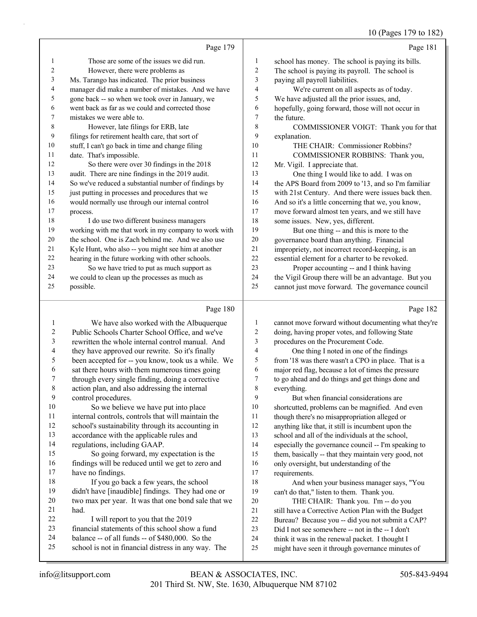10 (Pages 179 to 182)

|    |                                                      |                | - - - - - -                                         |
|----|------------------------------------------------------|----------------|-----------------------------------------------------|
|    | Page 179                                             |                | Page 181                                            |
| 1  | Those are some of the issues we did run.             | 1              | school has money. The school is paying its bills.   |
| 2  | However, there were problems as                      | $\overline{2}$ | The school is paying its payroll. The school is     |
| 3  | Ms. Tarango has indicated. The prior business        | 3              | paying all payroll liabilities.                     |
| 4  | manager did make a number of mistakes. And we have   | $\overline{4}$ | We're current on all aspects as of today.           |
| 5  | gone back -- so when we took over in January, we     | 5              | We have adjusted all the prior issues, and,         |
| 6  | went back as far as we could and corrected those     | 6              | hopefully, going forward, those will not occur in   |
| 7  | mistakes we were able to.                            | 7              | the future.                                         |
| 8  | However, late filings for ERB, late                  | 8              | COMMISSIONER VOIGT: Thank you for that              |
| 9  | filings for retirement health care, that sort of     | 9              | explanation.                                        |
| 10 | stuff, I can't go back in time and change filing     | 10             | THE CHAIR: Commissioner Robbins?                    |
| 11 | date. That's impossible.                             | 11             | COMMISSIONER ROBBINS: Thank you,                    |
| 12 | So there were over 30 findings in the 2018           | 12             | Mr. Vigil. I appreciate that.                       |
| 13 | audit. There are nine findings in the 2019 audit.    | 13             | One thing I would like to add. I was on             |
| 14 | So we've reduced a substantial number of findings by | 14             | the APS Board from 2009 to '13, and so I'm familiar |
| 15 | just putting in processes and procedures that we     | 15             | with 21st Century. And there were issues back then. |
| 16 | would normally use through our internal control      | 16             | And so it's a little concerning that we, you know,  |
| 17 | process.                                             | 17             | move forward almost ten years, and we still have    |
| 18 | I do use two different business managers             | 18             | some issues. New, yes, different.                   |
| 19 | working with me that work in my company to work with | 19             | But one thing -- and this is more to the            |
| 20 | the school. One is Zach behind me. And we also use   | 20             | governance board than anything. Financial           |
| 21 | Kyle Hunt, who also -- you might see him at another  | 21             | impropriety, not incorrect record-keeping, is an    |
| 22 | hearing in the future working with other schools.    | 22             | essential element for a charter to be revoked.      |
| 23 | So we have tried to put as much support as           | 23             | Proper accounting -- and I think having             |
| 24 | we could to clean up the processes as much as        | 24             | the Vigil Group there will be an advantage. But you |
| 25 | possible.                                            | 25             | cannot just move forward. The governance council    |
|    |                                                      |                |                                                     |
|    | Page 180                                             |                | Page 182                                            |

#### Page 180 |

|    | We have also worked with the Albuquerque            | 1  | cannot move forward without documenting what they're |
|----|-----------------------------------------------------|----|------------------------------------------------------|
| 2  | Public Schools Charter School Office, and we've     | 2  | doing, having proper votes, and following State      |
| 3  | rewritten the whole internal control manual. And    | 3  | procedures on the Procurement Code.                  |
| 4  | they have approved our rewrite. So it's finally     | 4  | One thing I noted in one of the findings             |
| 5  | been accepted for -- you know, took us a while. We  | 5  | from '18 was there wasn't a CPO in place. That is a  |
| 6  | sat there hours with them numerous times going      | 6  | major red flag, because a lot of times the pressure  |
| 7  | through every single finding, doing a corrective    | 7  | to go ahead and do things and get things done and    |
| 8  | action plan, and also addressing the internal       | 8  | everything.                                          |
| 9  | control procedures.                                 | 9  | But when financial considerations are                |
| 10 | So we believe we have put into place                | 10 | shortcutted, problems can be magnified. And even     |
| 11 | internal controls, controls that will maintain the  | 11 | though there's no misappropriation alleged or        |
| 12 | school's sustainability through its accounting in   | 12 | anything like that, it still is incumbent upon the   |
| 13 | accordance with the applicable rules and            | 13 | school and all of the individuals at the school,     |
| 14 | regulations, including GAAP.                        | 14 | especially the governance council -- I'm speaking to |
| 15 | So going forward, my expectation is the             | 15 | them, basically -- that they maintain very good, not |
| 16 | findings will be reduced until we get to zero and   | 16 | only oversight, but understanding of the             |
| 17 | have no findings.                                   | 17 | requirements.                                        |
| 18 | If you go back a few years, the school              | 18 | And when your business manager says, "You            |
| 19 | didn't have [inaudible] findings. They had one or   | 19 | can't do that," listen to them. Thank you.           |
| 20 | two max per year. It was that one bond sale that we | 20 | THE CHAIR: Thank you. I'm -- do you                  |
| 21 | had.                                                | 21 | still have a Corrective Action Plan with the Budget  |
| 22 | I will report to you that the 2019                  | 22 | Bureau? Because you -- did you not submit a CAP?     |
| 23 | financial statements of this school show a fund     | 23 | Did I not see somewhere -- not in the -- I don't     |
| 24 | balance -- of all funds -- of \$480,000. So the     | 24 | think it was in the renewal packet. I thought I      |
| 25 | school is not in financial distress in any way. The | 25 | might have seen it through governance minutes of     |
|    |                                                     |    |                                                      |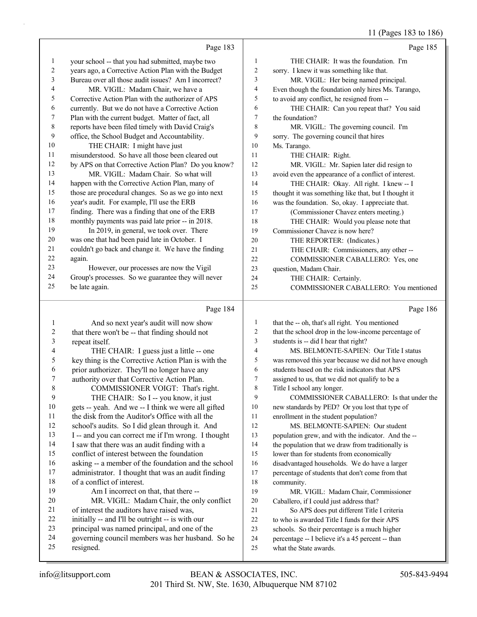11 (Pages 183 to 186)

|                | Page 183                                                                                          |                | Page 185                                                                                               |
|----------------|---------------------------------------------------------------------------------------------------|----------------|--------------------------------------------------------------------------------------------------------|
| 1              | your school -- that you had submitted, maybe two                                                  | 1              | THE CHAIR: It was the foundation. I'm                                                                  |
| 2              | years ago, a Corrective Action Plan with the Budget                                               | $\overline{c}$ | sorry. I knew it was something like that.                                                              |
| 3              | Bureau over all those audit issues? Am I incorrect?                                               | 3              | MR. VIGIL: Her being named principal.                                                                  |
| 4              | MR. VIGIL: Madam Chair, we have a                                                                 | 4              | Even though the foundation only hires Ms. Tarango,                                                     |
| 5              | Corrective Action Plan with the authorizer of APS                                                 | 5              | to avoid any conflict, he resigned from --                                                             |
| 6              | currently. But we do not have a Corrective Action                                                 | 6              | THE CHAIR: Can you repeat that? You said                                                               |
| 7              | Plan with the current budget. Matter of fact, all                                                 | 7              | the foundation?                                                                                        |
| 8              | reports have been filed timely with David Craig's                                                 | 8              | MR. VIGIL: The governing council. I'm                                                                  |
| 9              | office, the School Budget and Accountability.                                                     | 9              | sorry. The governing council that hires                                                                |
| 10             | THE CHAIR: I might have just                                                                      | 10             | Ms. Tarango.                                                                                           |
| 11             | misunderstood. So have all those been cleared out                                                 | 11             | THE CHAIR: Right.                                                                                      |
| 12             | by APS on that Corrective Action Plan? Do you know?                                               | 12             | MR. VIGIL: Mr. Sapien later did resign to                                                              |
| 13             | MR. VIGIL: Madam Chair. So what will                                                              | 13             | avoid even the appearance of a conflict of interest.                                                   |
| 14             | happen with the Corrective Action Plan, many of                                                   | 14             | THE CHAIR: Okay. All right. I knew -- I                                                                |
| 15             | those are procedural changes. So as we go into next                                               | 15             | thought it was something like that, but I thought it                                                   |
| 16             | year's audit. For example, I'll use the ERB                                                       | 16             | was the foundation. So, okay. I appreciate that.                                                       |
| 17             | finding. There was a finding that one of the ERB                                                  | 17             | (Commissioner Chavez enters meeting.)                                                                  |
| 18             | monthly payments was paid late prior -- in 2018.                                                  | 18             | THE CHAIR: Would you please note that                                                                  |
| 19             | In 2019, in general, we took over. There                                                          | 19             | Commissioner Chavez is now here?                                                                       |
| 20             | was one that had been paid late in October. I                                                     | 20             | THE REPORTER: (Indicates.)                                                                             |
| 21             | couldn't go back and change it. We have the finding                                               | 21             | THE CHAIR: Commissioners, any other --                                                                 |
| 22             | again.                                                                                            | 22             | COMMISSIONER CABALLERO: Yes, one                                                                       |
| 23             | However, our processes are now the Vigil                                                          | 23             | question, Madam Chair.                                                                                 |
| 24             | Group's processes. So we guarantee they will never                                                | 24             | THE CHAIR: Certainly.                                                                                  |
| 25             | be late again.                                                                                    | 25             | COMMISSIONER CABALLERO: You mentioned                                                                  |
|                |                                                                                                   |                |                                                                                                        |
|                |                                                                                                   |                |                                                                                                        |
|                | Page 184                                                                                          |                | Page 186                                                                                               |
|                |                                                                                                   | $\mathbf{1}$   |                                                                                                        |
| 1              | And so next year's audit will now show                                                            | 2              | that the -- oh, that's all right. You mentioned                                                        |
| $\overline{c}$ | that there won't be -- that finding should not                                                    | 3              | that the school drop in the low-income percentage of                                                   |
| 3<br>4         | repeat itself.                                                                                    | 4              | students is -- did I hear that right?<br>MS. BELMONTE-SAPIEN: Our Title I status                       |
| 5              | THE CHAIR: I guess just a little -- one                                                           | 5              |                                                                                                        |
| 6              | key thing is the Corrective Action Plan is with the                                               | 6              | was removed this year because we did not have enough<br>students based on the risk indicators that APS |
| 7              | prior authorizer. They'll no longer have any                                                      | 7              |                                                                                                        |
|                | authority over that Corrective Action Plan.                                                       |                | assigned to us, that we did not qualify to be a                                                        |
| 8<br>9         | COMMISSIONER VOIGT: That's right.                                                                 | 8<br>9         | Title I school any longer.                                                                             |
| 10             | THE CHAIR: So I -- you know, it just                                                              | 10             | COMMISSIONER CABALLERO: Is that under the                                                              |
| 11             | gets -- yeah. And we -- I think we were all gifted                                                | 11             | new standards by PED? Or you lost that type of                                                         |
|                | the disk from the Auditor's Office with all the                                                   | 12             | enrollment in the student population?<br>MS. BELMONTE-SAPIEN: Our student                              |
| 12<br>13       | school's audits. So I did glean through it. And                                                   | 13             |                                                                                                        |
| 14             | I -- and you can correct me if I'm wrong. I thought                                               | 14             | population grew, and with the indicator. And the --                                                    |
| 15             | I saw that there was an audit finding with a                                                      | 15             | the population that we draw from traditionally is                                                      |
| 16             | conflict of interest between the foundation                                                       | 16             | lower than for students from economically                                                              |
| 17             | asking -- a member of the foundation and the school                                               | 17             | disadvantaged households. We do have a larger                                                          |
| 18             | administrator. I thought that was an audit finding<br>of a conflict of interest.                  | 18             | percentage of students that don't come from that                                                       |
| 19             | Am I incorrect on that, that there --                                                             | 19             | community.                                                                                             |
| 20             |                                                                                                   | 20             | MR. VIGIL: Madam Chair, Commissioner                                                                   |
| 21             | MR. VIGIL: Madam Chair, the only conflict<br>of interest the auditors have raised was,            | 21             | Caballero, if I could just address that?                                                               |
| 22             |                                                                                                   | 22             | So APS does put different Title I criteria                                                             |
| 23             | initially -- and I'll be outright -- is with our                                                  | 23             | to who is awarded Title I funds for their APS                                                          |
| 24             | principal was named principal, and one of the<br>governing council members was her husband. So he | 24             | schools. So their percentage is a much higher                                                          |
| 25             | resigned.                                                                                         | 25             | percentage -- I believe it's a 45 percent -- than<br>what the State awards.                            |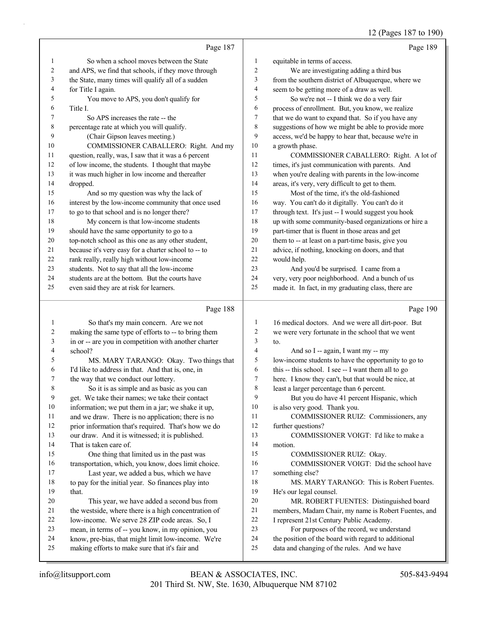12 (Pages 187 to 190)

|          | Page 187                                                                                                |                | Page 189                                                                                                |
|----------|---------------------------------------------------------------------------------------------------------|----------------|---------------------------------------------------------------------------------------------------------|
| 1        | So when a school moves between the State                                                                | 1              | equitable in terms of access.                                                                           |
| 2        | and APS, we find that schools, if they move through                                                     | $\overline{c}$ | We are investigating adding a third bus                                                                 |
| 3        | the State, many times will qualify all of a sudden                                                      | 3              | from the southern district of Albuquerque, where we                                                     |
| 4        | for Title I again.                                                                                      | $\overline{4}$ | seem to be getting more of a draw as well.                                                              |
| 5        | You move to APS, you don't qualify for                                                                  | 5              | So we're not -- I think we do a very fair                                                               |
| 6        | Title I.                                                                                                | 6              | process of enrollment. But, you know, we realize                                                        |
| 7        | So APS increases the rate -- the                                                                        | 7              | that we do want to expand that. So if you have any                                                      |
| 8        | percentage rate at which you will qualify.                                                              | $\,$ 8 $\,$    | suggestions of how we might be able to provide more                                                     |
| 9        | (Chair Gipson leaves meeting.)                                                                          | 9              | access, we'd be happy to hear that, because we're in                                                    |
| 10       | COMMISSIONER CABALLERO: Right. And my                                                                   | 10             | a growth phase.                                                                                         |
| 11       | question, really, was, I saw that it was a 6 percent                                                    | 11             | COMMISSIONER CABALLERO: Right. A lot of                                                                 |
| 12       | of low income, the students. I thought that maybe                                                       | 12             | times, it's just communication with parents. And                                                        |
| 13       | it was much higher in low income and thereafter                                                         | 13             | when you're dealing with parents in the low-income                                                      |
| 14       | dropped.                                                                                                | 14             | areas, it's very, very difficult to get to them.                                                        |
| 15       | And so my question was why the lack of                                                                  | 15             | Most of the time, it's the old-fashioned                                                                |
| 16       | interest by the low-income community that once used                                                     | 16             | way. You can't do it digitally. You can't do it                                                         |
| 17       | to go to that school and is no longer there?                                                            | 17             | through text. It's just -- I would suggest you hook                                                     |
| 18       | My concern is that low-income students                                                                  | 18             | up with some community-based organizations or hire a                                                    |
| 19       | should have the same opportunity to go to a                                                             | 19             | part-timer that is fluent in those areas and get                                                        |
| 20       | top-notch school as this one as any other student,                                                      | 20             | them to -- at least on a part-time basis, give you                                                      |
| 21       | because it's very easy for a charter school to -- to                                                    | 21             | advice, if nothing, knocking on doors, and that                                                         |
| 22       | rank really, really high without low-income                                                             | 22             | would help.                                                                                             |
| 23       | students. Not to say that all the low-income                                                            | 23             | And you'd be surprised. I came from a                                                                   |
| 24       | students are at the bottom. But the courts have                                                         | 24             | very, very poor neighborhood. And a bunch of us                                                         |
| 25       | even said they are at risk for learners.                                                                | 25             | made it. In fact, in my graduating class, there are                                                     |
|          |                                                                                                         |                |                                                                                                         |
|          | Page 188                                                                                                |                | Page 190                                                                                                |
| 1        |                                                                                                         | 1              |                                                                                                         |
| 2        | So that's my main concern. Are we not<br>making the same type of efforts to -- to bring them            | $\overline{c}$ | 16 medical doctors. And we were all dirt-poor. But<br>we were very fortunate in the school that we went |
| 3        | in or -- are you in competition with another charter                                                    | 3              | to.                                                                                                     |
| 4        | school?                                                                                                 | $\overline{4}$ | And so I -- again, I want my -- my                                                                      |
| 5        | MS. MARY TARANGO: Okay. Two things that                                                                 | 5              | low-income students to have the opportunity to go to                                                    |
| 6        | I'd like to address in that. And that is, one, in                                                       | 6              | this -- this school. I see -- I want them all to go                                                     |
| 7        | the way that we conduct our lottery.                                                                    | 7              | here. I know they can't, but that would be nice, at                                                     |
| 8        | So it is as simple and as basic as you can                                                              | $\,$ 8 $\,$    | least a larger percentage than 6 percent.                                                               |
| 9        | get. We take their names; we take their contact                                                         | 9              | But you do have 41 percent Hispanic, which                                                              |
| 10       | information; we put them in a jar; we shake it up,                                                      | 10             | is also very good. Thank you.                                                                           |
| 11       | and we draw. There is no application; there is no                                                       | 11             | COMMISSIONER RUIZ: Commissioners, any                                                                   |
| 12       | prior information that's required. That's how we do                                                     | 12             | further questions?                                                                                      |
| 13       | our draw. And it is witnessed; it is published.                                                         | 13             | COMMISSIONER VOIGT: I'd like to make a                                                                  |
| 14       | That is taken care of.                                                                                  | 14             | motion.                                                                                                 |
| 15       | One thing that limited us in the past was                                                               | 15             | COMMISSIONER RUIZ: Okay.                                                                                |
| 16       | transportation, which, you know, does limit choice.                                                     | 16             | COMMISSIONER VOIGT: Did the school have                                                                 |
| 17       | Last year, we added a bus, which we have                                                                | 17             | something else?                                                                                         |
| 18       | to pay for the initial year. So finances play into                                                      | 18             | MS. MARY TARANGO: This is Robert Fuentes.                                                               |
| 19       | that.                                                                                                   | 19             | He's our legal counsel.                                                                                 |
| 20       | This year, we have added a second bus from                                                              | $20\,$         | MR. ROBERT FUENTES: Distinguished board                                                                 |
| 21       | the westside, where there is a high concentration of                                                    | $21\,$         | members, Madam Chair, my name is Robert Fuentes, and                                                    |
| 22       | low-income. We serve 28 ZIP code areas. So, I                                                           | $22\,$         | I represent 21st Century Public Academy.                                                                |
| 23<br>24 | mean, in terms of -- you know, in my opinion, you<br>know, pre-bias, that might limit low-income. We're | 23<br>24       | For purposes of the record, we understand<br>the position of the board with regard to additional        |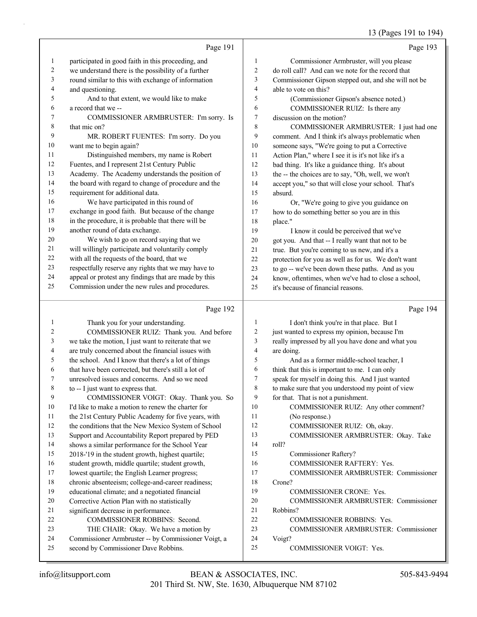### 13 (Pages 191 to 194)

|              |                                                      |                | $15^{12}$ $(1 \text{ m})^{15}$ $10^{17}$ $(0 \text{ m})$ |
|--------------|------------------------------------------------------|----------------|----------------------------------------------------------|
|              | Page 191                                             |                | Page 193                                                 |
| $\mathbf{1}$ | participated in good faith in this proceeding, and   | 1              | Commissioner Armbruster, will you please                 |
| 2            | we understand there is the possibility of a further  | $\overline{c}$ | do roll call? And can we note for the record that        |
| 3            | round similar to this with exchange of information   | 3              | Commissioner Gipson stepped out, and she will not be     |
| 4            | and questioning.                                     | 4              | able to vote on this?                                    |
| 5            | And to that extent, we would like to make            | 5              | (Commissioner Gipson's absence noted.)                   |
| 6            | a record that we --                                  | 6              | COMMISSIONER RUIZ: Is there any                          |
| 7            | COMMISSIONER ARMBRUSTER: I'm sorry. Is               | 7              | discussion on the motion?                                |
| $\,$ $\,$    | that mic on?                                         | 8              | COMMISSIONER ARMBRUSTER: I just had one                  |
| 9            | MR. ROBERT FUENTES: I'm sorry. Do you                | 9              | comment. And I think it's always problematic when        |
| 10           | want me to begin again?                              | 10             | someone says, "We're going to put a Corrective           |
| 11           | Distinguished members, my name is Robert             | 11             | Action Plan," where I see it is it's not like it's a     |
| 12           | Fuentes, and I represent 21st Century Public         | 12             | bad thing. It's like a guidance thing. It's about        |
| 13           | Academy. The Academy understands the position of     | 13             | the -- the choices are to say, "Oh, well, we won't       |
| 14           | the board with regard to change of procedure and the | 14             | accept you," so that will close your school. That's      |
| 15           | requirement for additional data.                     | 15             | absurd.                                                  |
| 16           | We have participated in this round of                | 16             | Or, "We're going to give you guidance on                 |
| 17           | exchange in good faith. But because of the change    | 17             | how to do something better so you are in this            |
| 18           | in the procedure, it is probable that there will be  | 18             | place."                                                  |
| 19           | another round of data exchange.                      | 19             | I know it could be perceived that we've                  |
| 20           | We wish to go on record saying that we               | 20             | got you. And that -- I really want that not to be        |
| 21           | will willingly participate and voluntarily comply    | 21             | true. But you're coming to us new, and it's a            |
| 22           | with all the requests of the board, that we          | 22             | protection for you as well as for us. We don't want      |
| 23           | respectfully reserve any rights that we may have to  | 23             | to go -- we've been down these paths. And as you         |
| 24           | appeal or protest any findings that are made by this | 24             | know, oftentimes, when we've had to close a school,      |
| 25           | Commission under the new rules and procedures.       | 25             | it's because of financial reasons.                       |
|              | Page 192                                             |                | Page 194                                                 |

# Page 192 |

| -1 | Thank you for your understanding.                    | 1              | I don't think you're in that place. But I          |
|----|------------------------------------------------------|----------------|----------------------------------------------------|
| 2  | COMMISSIONER RUIZ: Thank you. And before             | $\overline{c}$ | just wanted to express my opinion, because I'm     |
| 3  | we take the motion, I just want to reiterate that we | 3              | really impressed by all you have done and what you |
| 4  | are truly concerned about the financial issues with  | 4              | are doing.                                         |
| 5  | the school. And I know that there's a lot of things  | 5              | And as a former middle-school teacher, I           |
| 6  | that have been corrected, but there's still a lot of | 6              | think that this is important to me. I can only     |
| 7  | unresolved issues and concerns. And so we need       | 7              | speak for myself in doing this. And I just wanted  |
| 8  | to -- I just want to express that.                   | 8              | to make sure that you understood my point of view  |
| 9  | COMMISSIONER VOIGT: Okay. Thank you. So              | 9              | for that. That is not a punishment.                |
| 10 | I'd like to make a motion to renew the charter for   | 10             | COMMISSIONER RUIZ: Any other comment?              |
| 11 | the 21st Century Public Academy for five years, with | 11             | (No response.)                                     |
| 12 | the conditions that the New Mexico System of School  | 12             | COMMISSIONER RUIZ: Oh, okay.                       |
| 13 | Support and Accountability Report prepared by PED    | 13             | COMMISSIONER ARMBRUSTER: Okay. Take                |
| 14 | shows a similar performance for the School Year      | 14             | roll?                                              |
| 15 | 2018-'19 in the student growth, highest quartile;    | 15             | Commissioner Raftery?                              |
| 16 | student growth, middle quartile; student growth,     | 16             | <b>COMMISSIONER RAFTERY: Yes.</b>                  |
| 17 | lowest quartile; the English Learner progress;       | 17             | <b>COMMISSIONER ARMBRUSTER: Commissioner</b>       |
| 18 | chronic absenteeism; college-and-career readiness;   | 18             | Crone?                                             |
| 19 | educational climate; and a negotiated financial      | 19             | <b>COMMISSIONER CRONE: Yes.</b>                    |
| 20 | Corrective Action Plan with no statistically         | 20             | COMMISSIONER ARMBRUSTER: Commissioner              |
| 21 | significant decrease in performance.                 | 21             | Robbins?                                           |
| 22 | <b>COMMISSIONER ROBBINS: Second.</b>                 | 22             | <b>COMMISSIONER ROBBINS: Yes.</b>                  |
| 23 | THE CHAIR: Okay. We have a motion by                 | 23             | <b>COMMISSIONER ARMBRUSTER: Commissioner</b>       |
| 24 | Commissioner Armbruster -- by Commissioner Voigt, a  | 24             | Voigt?                                             |
| 25 | second by Commissioner Dave Robbins.                 | 25             | <b>COMMISSIONER VOIGT: Yes.</b>                    |
|    |                                                      |                |                                                    |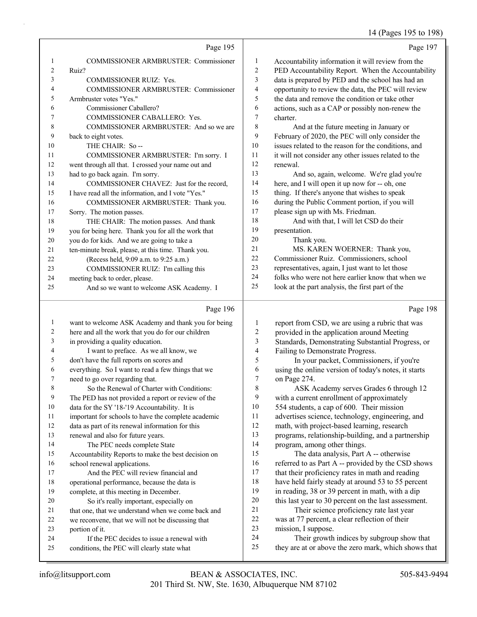# 14 (Pages 195 to 198)

|                | Page 195                                            |                | Page 197                                             |
|----------------|-----------------------------------------------------|----------------|------------------------------------------------------|
| 1              | <b>COMMISSIONER ARMBRUSTER: Commissioner</b>        | 1              | Accountability information it will review from the   |
| $\overline{2}$ | Ruiz?                                               | 2              | PED Accountability Report. When the Accountability   |
| 3              | <b>COMMISSIONER RUIZ: Yes.</b>                      | 3              | data is prepared by PED and the school has had an    |
| $\overline{4}$ | <b>COMMISSIONER ARMBRUSTER: Commissioner</b>        | $\overline{4}$ | opportunity to review the data, the PEC will review  |
| 5              | Armbruster votes "Yes."                             | 5              | the data and remove the condition or take other      |
| 6              | Commissioner Caballero?                             | 6              | actions, such as a CAP or possibly non-renew the     |
| $\overline{7}$ | <b>COMMISSIONER CABALLERO: Yes.</b>                 | 7              | charter.                                             |
| 8              | COMMISSIONER ARMBRUSTER: And so we are              | 8              | And at the future meeting in January or              |
| 9              | back to eight votes.                                | 9              | February of 2020, the PEC will only consider the     |
| 10             | THE CHAIR: So--                                     | 10             | issues related to the reason for the conditions, and |
| 11             | COMMISSIONER ARMBRUSTER: I'm sorry. I               | 11             | it will not consider any other issues related to the |
| 12             | went through all that. I crossed your name out and  | 12             | renewal.                                             |
| 13             | had to go back again. I'm sorry.                    | 13             | And so, again, welcome. We're glad you're            |
| 14             | COMMISSIONER CHAVEZ: Just for the record.           | 14             | here, and I will open it up now for -- oh, one       |
| 15             | I have read all the information, and I vote "Yes."  | 15             | thing. If there's anyone that wishes to speak        |
| 16             | COMMISSIONER ARMBRUSTER: Thank you.                 | 16             | during the Public Comment portion, if you will       |
| 17             | Sorry. The motion passes.                           | 17             | please sign up with Ms. Friedman.                    |
| 18             | THE CHAIR: The motion passes. And thank             | 18             | And with that, I will let CSD do their               |
| 19             | you for being here. Thank you for all the work that | 19             | presentation.                                        |
| 20             | you do for kids. And we are going to take a         | 20             | Thank you.                                           |
| 21             | ten-minute break, please, at this time. Thank you.  | 21             | MS. KAREN WOERNER: Thank you,                        |
| 22             | (Recess held, 9:09 a.m. to 9:25 a.m.)               | 22             | Commissioner Ruiz. Commissioners, school             |
| 23             | COMMISSIONER RUIZ: I'm calling this                 | 23             | representatives, again, I just want to let those     |
| 24             | meeting back to order, please.                      | 24             | folks who were not here earlier know that when we    |
| 25             | And so we want to welcome ASK Academy. I            | 25             | look at the part analysis, the first part of the     |
|                | Page 196                                            |                | Page 198                                             |

#### Page 196 |

| 1  | want to welcome ASK Academy and thank you for being | 1              | report from CSD, we are using a rubric that was      |
|----|-----------------------------------------------------|----------------|------------------------------------------------------|
| 2  | here and all the work that you do for our children  | $\overline{c}$ | provided in the application around Meeting           |
| 3  | in providing a quality education.                   | 3              | Standards, Demonstrating Substantial Progress, or    |
| 4  | I want to preface. As we all know, we               | $\overline{4}$ | Failing to Demonstrate Progress.                     |
| 5  | don't have the full reports on scores and           | 5              | In your packet, Commissioners, if you're             |
| 6  | everything. So I want to read a few things that we  | 6              | using the online version of today's notes, it starts |
| 7  | need to go over regarding that.                     | 7              | on Page 274.                                         |
| 8  | So the Renewal of Charter with Conditions:          | 8              | ASK Academy serves Grades 6 through 12               |
| 9  | The PED has not provided a report or review of the  | 9              | with a current enrollment of approximately           |
| 10 | data for the SY '18-'19 Accountability. It is       | 10             | 554 students, a cap of 600. Their mission            |
| 11 | important for schools to have the complete academic | 11             | advertises science, technology, engineering, and     |
| 12 | data as part of its renewal information for this    | 12             | math, with project-based learning, research          |
| 13 | renewal and also for future years.                  | 13             | programs, relationship-building, and a partnership   |
| 14 | The PEC needs complete State                        | 14             | program, among other things.                         |
| 15 | Accountability Reports to make the best decision on | 15             | The data analysis, Part A -- otherwise               |
| 16 | school renewal applications.                        | 16             | referred to as Part A -- provided by the CSD shows   |
| 17 | And the PEC will review financial and               | 17             | that their proficiency rates in math and reading     |
| 18 | operational performance, because the data is        | 18             | have held fairly steady at around 53 to 55 percent   |
| 19 | complete, at this meeting in December.              | 19             | in reading, 38 or 39 percent in math, with a dip     |
| 20 | So it's really important, especially on             | 20             | this last year to 30 percent on the last assessment. |
| 21 | that one, that we understand when we come back and  | 21             | Their science proficiency rate last year             |
| 22 | we reconvene, that we will not be discussing that   | 22             | was at 77 percent, a clear reflection of their       |
| 23 | portion of it.                                      | 23             | mission, I suppose.                                  |
| 24 | If the PEC decides to issue a renewal with          | 24             | Their growth indices by subgroup show that           |
| 25 | conditions, the PEC will clearly state what         | 25             | they are at or above the zero mark, which shows that |
|    |                                                     |                |                                                      |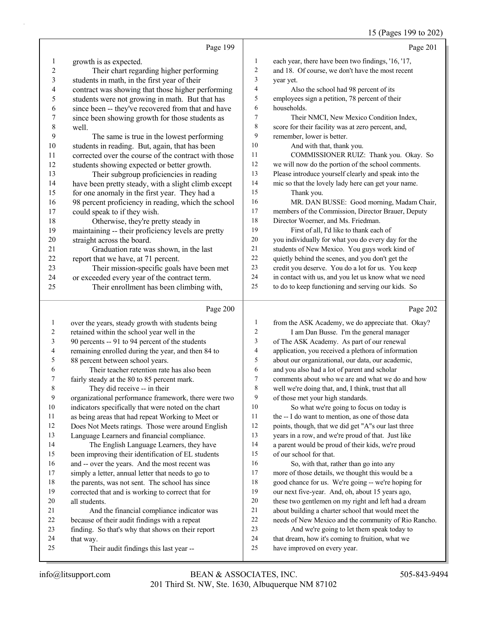# 15 (Pages 199 to 202)

| Page 201                                             |                | Page 199                                             |                |
|------------------------------------------------------|----------------|------------------------------------------------------|----------------|
| each year, there have been two findings, '16, '17,   | $\mathbf{1}$   | growth is as expected.                               | 1              |
| and 18. Of course, we don't have the most recent     | $\overline{c}$ | Their chart regarding higher performing              | $\overline{2}$ |
| year yet.                                            | 3              | students in math, in the first year of their         | 3              |
| Also the school had 98 percent of its                | 4              | contract was showing that those higher performing    | 4              |
| employees sign a petition, 78 percent of their       | 5              | students were not growing in math. But that has      | 5              |
| households.                                          | 6              | since been -- they've recovered from that and have   | 6              |
| Their NMCI, New Mexico Condition Index,              | 7              | since been showing growth for those students as      | 7              |
| score for their facility was at zero percent, and,   | $\,$ 8 $\,$    | well.                                                | 8              |
| remember, lower is better.                           | 9              | The same is true in the lowest performing            | 9              |
| And with that, thank you.                            | 10             | students in reading. But, again, that has been       | 10             |
| COMMISSIONER RUIZ: Thank you. Okay. So               | 11             | corrected over the course of the contract with those | 11             |
| we will now do the portion of the school comments.   | 12             | students showing expected or better growth.          | 12             |
| Please introduce yourself clearly and speak into the | 13             | Their subgroup proficiencies in reading              | 13             |
| mic so that the lovely lady here can get your name.  | 14             | have been pretty steady, with a slight climb except  | 14             |
| Thank you.                                           | 15             | for one anomaly in the first year. They had a        | 15             |
| MR. DAN BUSSE: Good morning, Madam Chair,            | 16             | 98 percent proficiency in reading, which the school  | 16             |
| members of the Commission, Director Brauer, Deputy   | 17             | could speak to if they wish.                         | 17             |
| Director Woerner, and Ms. Friedman.                  | 18             | Otherwise, they're pretty steady in                  | 18             |
| First of all, I'd like to thank each of              | 19             | maintaining -- their proficiency levels are pretty   | 19             |
| you individually for what you do every day for the   | 20             | straight across the board.                           | 20             |
| students of New Mexico. You guys work kind of        | 21             | Graduation rate was shown, in the last               | 21             |
| quietly behind the scenes, and you don't get the     | 22             | report that we have, at 71 percent.                  | 22             |
| credit you deserve. You do a lot for us. You keep    | 23             | Their mission-specific goals have been met           | 23             |
| in contact with us, and you let us know what we need | 24             | or exceeded every year of the contract term.         | 24             |
| to do to keep functioning and serving our kids. So   | 25             | Their enrollment has been climbing with,             | 25             |
| Page 202                                             |                | Page 200                                             |                |

#### Page 200

|    | over the years, steady growth with students being    | 1  | from the ASK Academy, we do appreciate that. Okay?   |
|----|------------------------------------------------------|----|------------------------------------------------------|
| 2  | retained within the school year well in the          | 2  | I am Dan Busse. I'm the general manager              |
| 3  | 90 percents -- 91 to 94 percent of the students      | 3  | of The ASK Academy. As part of our renewal           |
| 4  | remaining enrolled during the year, and then 84 to   | 4  | application, you received a plethora of information  |
| 5  | 88 percent between school years.                     | 5  | about our organizational, our data, our academic,    |
| 6  | Their teacher retention rate has also been           | 6  | and you also had a lot of parent and scholar         |
| 7  | fairly steady at the 80 to 85 percent mark.          | 7  | comments about who we are and what we do and how     |
| 8  | They did receive -- in their                         | 8  | well we're doing that, and, I think, trust that all  |
| 9  | organizational performance framework, there were two | 9  | of those met your high standards.                    |
| 10 | indicators specifically that were noted on the chart | 10 | So what we're going to focus on today is             |
| 11 | as being areas that had repeat Working to Meet or    | 11 | the -- I do want to mention, as one of those data    |
| 12 | Does Not Meets ratings. Those were around English    | 12 | points, though, that we did get "A"s our last three  |
| 13 | Language Learners and financial compliance.          | 13 | years in a row, and we're proud of that. Just like   |
| 14 | The English Language Learners, they have             | 14 | a parent would be proud of their kids, we're proud   |
| 15 | been improving their identification of EL students   | 15 | of our school for that.                              |
| 16 | and -- over the years. And the most recent was       | 16 | So, with that, rather than go into any               |
| 17 | simply a letter, annual letter that needs to go to   | 17 | more of those details, we thought this would be a    |
| 18 | the parents, was not sent. The school has since      | 18 | good chance for us. We're going -- we're hoping for  |
| 19 | corrected that and is working to correct that for    | 19 | our next five-year. And, oh, about 15 years ago,     |
| 20 | all students.                                        | 20 | these two gentlemen on my right and left had a dream |
| 21 | And the financial compliance indicator was           | 21 | about building a charter school that would meet the  |
| 22 | because of their audit findings with a repeat        | 22 | needs of New Mexico and the community of Rio Rancho. |
| 23 | finding. So that's why that shows on their report    | 23 | And we're going to let them speak today to           |
| 24 | that way.                                            | 24 | that dream, how it's coming to fruition, what we     |
| 25 | Their audit findings this last year --               | 25 | have improved on every year.                         |
|    |                                                      |    |                                                      |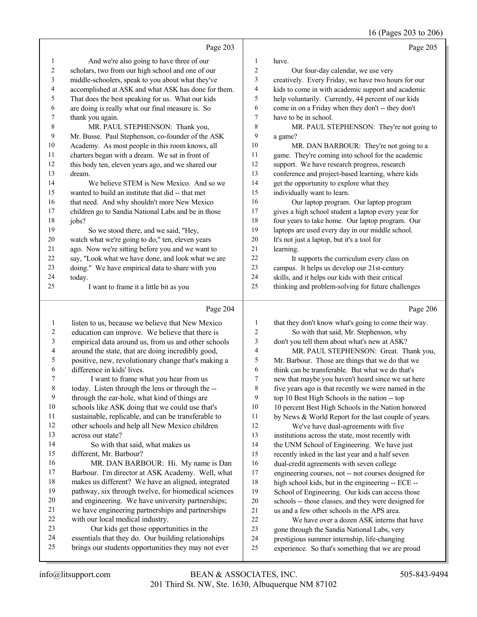16 (Pages 203 to 206)

|                          | Page 203                                            |                | Page 205                                             |
|--------------------------|-----------------------------------------------------|----------------|------------------------------------------------------|
| 1                        | And we're also going to have three of our           | 1              | have.                                                |
| 2                        | scholars, two from our high school and one of our   | 2              | Our four-day calendar, we use very                   |
| 3                        | middle-schoolers, speak to you about what they've   | 3              | creatively. Every Friday, we have two hours for our  |
| 4                        | accomplished at ASK and what ASK has done for them. | 4              | kids to come in with academic support and academic   |
| 5                        | That does the best speaking for us. What our kids   | 5              | help voluntarily. Currently, 44 percent of our kids  |
| 6                        | are doing is really what our final measure is. So   | 6              | come in on a Friday when they don't -- they don't    |
| 7                        | thank you again.                                    | 7              | have to be in school.                                |
| $\,8\,$                  | MR. PAUL STEPHENSON: Thank you,                     | 8              | MR. PAUL STEPHENSON: They're not going to            |
| 9                        | Mr. Busse. Paul Stephenson, co-founder of the ASK   | 9              | a game?                                              |
| 10                       | Academy. As most people in this room knows, all     | 10             | MR. DAN BARBOUR: They're not going to a              |
| 11                       | charters began with a dream. We sat in front of     | 11             | game. They're coming into school for the academic    |
| 12                       | this body ten, eleven years ago, and we shared our  | 12             | support. We have research progress, research         |
| 13                       | dream.                                              | 13             | conference and project-based learning, where kids    |
| 14                       | We believe STEM is New Mexico. And so we            | 14             | get the opportunity to explore what they             |
| 15                       | wanted to build an institute that did -- that met   | 15             | individually want to learn.                          |
| 16                       | that need. And why shouldn't more New Mexico        | 16             | Our laptop program. Our laptop program               |
| 17                       | children go to Sandia National Labs and be in those | 17             | gives a high school student a laptop every year for  |
| 18                       | jobs?                                               | 18             | four years to take home. Our laptop program. Our     |
| 19                       | So we stood there, and we said, "Hey,               | 19             | laptops are used every day in our middle school.     |
| 20                       | watch what we're going to do," ten, eleven years    | $20\,$         | It's not just a laptop, but it's a tool for          |
| 21                       | ago. Now we're sitting before you and we want to    | 21             | learning.                                            |
| 22                       | say, "Look what we have done, and look what we are  | 22             | It supports the curriculum every class on            |
| 23                       | doing." We have empirical data to share with you    | 23             | campus. It helps us develop our 21st-century         |
| 24                       | today.                                              | 24             | skills, and it helps our kids with their critical    |
| 25                       | I want to frame it a little bit as you              | 25             | thinking and problem-solving for future challenges   |
|                          |                                                     |                |                                                      |
|                          | Page 204                                            |                | Page 206                                             |
| 1                        | listen to us, because we believe that New Mexico    | $\mathbf{1}$   | that they don't know what's going to come their way. |
| 2                        | education can improve. We believe that there is     | $\overline{c}$ | So with that said, Mr. Stephenson, why               |
| 3                        | empirical data around us, from us and other schools | 3              | don't you tell them about what's new at ASK?         |
| $\overline{\mathcal{L}}$ | around the state, that are doing incredibly good,   | 4              | MR. PAUL STEPHENSON: Great. Thank you,               |
| 5                        | positive, new, revolutionary change that's making a | 5              | Mr. Barbour. Those are things that we do that we     |
| 6                        | difference in kids' lives.                          | 6              | think can be transferable. But what we do that's     |
| 7                        | I want to frame what you hear from us               | 7              | new that maybe you haven't heard since we sat here   |
| 8                        | today. Listen through the lens or through the --    | 8              | five years ago is that recently we were named in the |
| 9                        | through the ear-hole, what kind of things are       | 9              | top 10 Best High Schools in the nation -- top        |
| 10                       | schools like ASK doing that we could use that's     | 10             | 10 percent Best High Schools in the Nation honored   |
| 11                       | sustainable, replicable, and can be transferable to | 11             | by News & World Report for the last couple of years. |
| 12                       | other schools and help all New Mexico children      | 12             | We've have dual-agreements with five                 |
| 13                       | across our state?                                   | 13             | institutions across the state, most recently with    |
| 14                       | So with that said, what makes us                    | 14             | the UNM School of Engineering. We have just          |

different, Mr. Barbour?

16 MR. DAN BARBOUR: Hi. My name is Dan Barbour. I'm director at ASK Academy. Well, what makes us different? We have an aligned, integrated pathway, six through twelve, for biomedical sciences and engineering. We have university partnerships; we have engineering partnerships and partnerships with our local medical industry. 23 Our kids get those opportunities in the

essentials that they do. Our building relationships

brings our students opportunities they may not ever

14 the UNM School of Engineering. We have just recently inked in the last year and a half seven

- dual-credit agreements with seven college
- engineering courses, not -- not courses designed for
- high school kids, but in the engineering -- ECE --
- School of Engineering. Our kids can access those
- schools -- those classes, and they were designed for
- us and a few other schools in the APS area.
- 22 We have over a dozen ASK interns that have
- gone through the Sandia National Labs, very
- prestigious summer internship, life-changing
- experience. So that's something that we are proud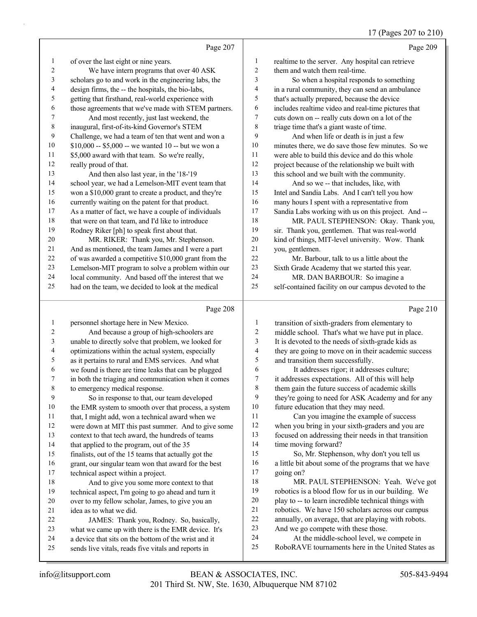# 17 (Pages 207 to 210)

|                          |                                                                                                             |                         | $17$ (rages 207 to 21)                                                                         |
|--------------------------|-------------------------------------------------------------------------------------------------------------|-------------------------|------------------------------------------------------------------------------------------------|
|                          | Page 207                                                                                                    |                         | Page 209                                                                                       |
| $\mathbf{1}$             | of over the last eight or nine years.                                                                       | $\mathbf{1}$            | realtime to the server. Any hospital can retrieve                                              |
| $\overline{c}$           | We have intern programs that over 40 ASK                                                                    | $\overline{c}$          | them and watch them real-time.                                                                 |
| $\mathfrak{Z}$           | scholars go to and work in the engineering labs, the                                                        | 3                       | So when a hospital responds to something                                                       |
| $\overline{\mathcal{A}}$ | design firms, the -- the hospitals, the bio-labs,                                                           | $\overline{4}$          | in a rural community, they can send an ambulance                                               |
| 5                        | getting that firsthand, real-world experience with                                                          | 5                       | that's actually prepared, because the device                                                   |
| 6                        | those agreements that we've made with STEM partners.                                                        | 6                       | includes realtime video and real-time pictures that                                            |
| 7                        | And most recently, just last weekend, the                                                                   | $\tau$                  | cuts down on -- really cuts down on a lot of the                                               |
| $\,$ $\,$                | inaugural, first-of-its-kind Governor's STEM                                                                | $\,$ 8 $\,$             | triage time that's a giant waste of time.                                                      |
| $\mathbf{9}$             | Challenge, we had a team of ten that went and won a                                                         | 9                       | And when life or death is in just a few                                                        |
| 10                       | \$10,000 -- \$5,000 -- we wanted 10 -- but we won a                                                         | $10\,$                  | minutes there, we do save those few minutes. So we                                             |
| 11                       | \$5,000 award with that team. So we're really,                                                              | 11                      | were able to build this device and do this whole                                               |
| 12                       | really proud of that.                                                                                       | 12                      | project because of the relationship we built with                                              |
| 13                       | And then also last year, in the '18-'19                                                                     | 13                      | this school and we built with the community.                                                   |
| 14                       | school year, we had a Lemelson-MIT event team that                                                          | 14                      | And so we -- that includes, like, with                                                         |
| 15                       | won a \$10,000 grant to create a product, and they're                                                       | 15                      | Intel and Sandia Labs. And I can't tell you how                                                |
| 16                       | currently waiting on the patent for that product.                                                           | 16                      | many hours I spent with a representative from                                                  |
| 17                       | As a matter of fact, we have a couple of individuals                                                        | 17                      | Sandia Labs working with us on this project. And --                                            |
| $18\,$                   | that were on that team, and I'd like to introduce                                                           | 18                      | MR. PAUL STEPHENSON: Okay. Thank you,                                                          |
| 19                       | Rodney Riker [ph] to speak first about that.                                                                | 19                      | sir. Thank you, gentlemen. That was real-world                                                 |
| 20                       | MR. RIKER: Thank you, Mr. Stephenson.                                                                       | $20\,$                  | kind of things, MIT-level university. Wow. Thank                                               |
| 21                       | And as mentioned, the team James and I were a part                                                          | 21                      | you, gentlemen.                                                                                |
| 22                       | of was awarded a competitive \$10,000 grant from the                                                        | 22                      | Mr. Barbour, talk to us a little about the                                                     |
| 23                       | Lemelson-MIT program to solve a problem within our                                                          | 23                      | Sixth Grade Academy that we started this year.                                                 |
| 24                       | local community. And based off the interest that we                                                         | 24                      | MR. DAN BARBOUR: So imagine a                                                                  |
| 25                       | had on the team, we decided to look at the medical                                                          | 25                      | self-contained facility on our campus devoted to the                                           |
|                          | Page 208                                                                                                    |                         | Page 210                                                                                       |
| $\mathbf{1}$             | personnel shortage here in New Mexico.                                                                      | $\mathbf{1}$            | transition of sixth-graders from elementary to                                                 |
| $\boldsymbol{2}$         | And because a group of high-schoolers are                                                                   | $\overline{\mathbf{c}}$ | middle school. That's what we have put in place.                                               |
| $\mathfrak{Z}$           | unable to directly solve that problem, we looked for                                                        | 3                       | It is devoted to the needs of sixth-grade kids as                                              |
| $\overline{\mathcal{A}}$ | optimizations within the actual system, especially                                                          | $\overline{4}$          | they are going to move on in their academic success                                            |
| 5                        | as it pertains to rural and EMS services. And what                                                          | 5                       | and transition them successfully.                                                              |
| 6                        | we found is there are time leaks that can be plugged                                                        | 6                       | It addresses rigor; it addresses culture;                                                      |
| 7                        | in both the triaging and communication when it comes                                                        | $\boldsymbol{7}$        | it addresses expectations. All of this will help                                               |
| $\,$ 8 $\,$              | to emergency medical response.                                                                              | $\,8\,$                 | them gain the future success of academic skills                                                |
| $\mathbf{9}$             | So in response to that, our team developed                                                                  | 9                       | they're going to need for ASK Academy and for any                                              |
| $10\,$                   | the EMR system to smooth over that process, a system                                                        | $10\,$                  | future education that they may need.                                                           |
| 11                       | that, I might add, won a technical award when we                                                            | 11                      | Can you imagine the example of success                                                         |
| 12                       | were down at MIT this past summer. And to give some                                                         | 12                      | when you bring in your sixth-graders and you are                                               |
| 13                       | context to that tech award, the hundreds of teams                                                           | 13                      | focused on addressing their needs in that transition                                           |
| 14                       | that applied to the program, out of the 35                                                                  | 14                      | time moving forward?                                                                           |
| 15                       | finalists, out of the 15 teams that actually got the                                                        | 15                      | So, Mr. Stephenson, why don't you tell us                                                      |
| 16                       | grant, our singular team won that award for the best                                                        | 16                      | a little bit about some of the programs that we have                                           |
| 17                       | technical aspect within a project.                                                                          | $17\,$                  | going on?                                                                                      |
| $18\,$                   | And to give you some more context to that                                                                   | 18                      | MR. PAUL STEPHENSON: Yeah. We've got                                                           |
| 19                       | technical aspect, I'm going to go ahead and turn it                                                         | 19                      | robotics is a blood flow for us in our building. We                                            |
| $20\,$                   | over to my fellow scholar, James, to give you an                                                            | $20\,$                  | play to -- to learn incredible technical things with                                           |
| 21                       | idea as to what we did.                                                                                     | 21                      | robotics. We have 150 scholars across our campus                                               |
| 22                       | JAMES: Thank you, Rodney. So, basically,                                                                    | 22                      | annually, on average, that are playing with robots.                                            |
| 23                       | what we came up with there is the EMR device. It's                                                          | 23                      | And we go compete with these those.                                                            |
|                          |                                                                                                             |                         |                                                                                                |
| 24<br>25                 | a device that sits on the bottom of the wrist and it<br>sends live vitals, reads five vitals and reports in | 24<br>25                | At the middle-school level, we compete in<br>RoboRAVE tournaments here in the United States as |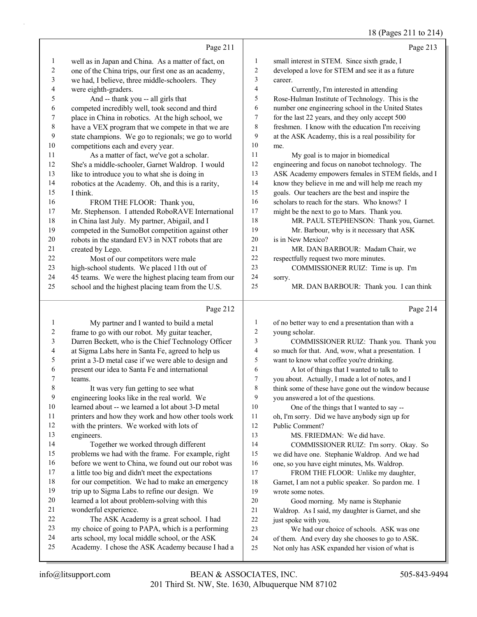#### 18 (Pages 211 to 214)

|                |                                                                   |                         | 18 (Pages 211 to 214)                                             |
|----------------|-------------------------------------------------------------------|-------------------------|-------------------------------------------------------------------|
|                | Page 211                                                          |                         | Page 213                                                          |
| 1              | well as in Japan and China. As a matter of fact, on               | $\mathbf{1}$            | small interest in STEM. Since sixth grade, I                      |
| $\overline{c}$ | one of the China trips, our first one as an academy,              | $\overline{\mathbf{c}}$ | developed a love for STEM and see it as a future                  |
| 3              | we had, I believe, three middle-schoolers. They                   | 3                       | career.                                                           |
| 4              | were eighth-graders.                                              | 4                       | Currently, I'm interested in attending                            |
| 5              | And -- thank you -- all girls that                                | 5                       | Rose-Hulman Institute of Technology. This is the                  |
| 6              | competed incredibly well, took second and third                   | 6                       | number one engineering school in the United States                |
| 7              | place in China in robotics. At the high school, we                | 7                       | for the last 22 years, and they only accept 500                   |
| $\,$ 8 $\,$    | have a VEX program that we compete in that we are                 | $8\phantom{1}$          | freshmen. I know with the education I'm receiving                 |
| 9              | state champions. We go to regionals; we go to world               | 9                       | at the ASK Academy, this is a real possibility for                |
| 10             | competitions each and every year.                                 | 10                      | me.                                                               |
| 11             | As a matter of fact, we've got a scholar.                         | 11                      | My goal is to major in biomedical                                 |
| 12             | She's a middle-schooler, Garnet Waldrop. I would                  | 12                      | engineering and focus on nanobot technology. The                  |
| 13             | like to introduce you to what she is doing in                     | 13                      | ASK Academy empowers females in STEM fields, and I                |
| 14             | robotics at the Academy. Oh, and this is a rarity,                | 14                      | know they believe in me and will help me reach my                 |
| 15             | I think.                                                          | 15                      | goals. Our teachers are the best and inspire the                  |
| 16             | FROM THE FLOOR: Thank you,                                        | 16                      | scholars to reach for the stars. Who knows? I                     |
| 17             | Mr. Stephenson. I attended RoboRAVE International                 | $17\,$                  | might be the next to go to Mars. Thank you.                       |
| 18             | in China last July. My partner, Abigail, and I                    | 18                      | MR. PAUL STEPHENSON: Thank you, Garnet.                           |
| 19             | competed in the SumoBot competition against other                 | 19                      | Mr. Barbour, why is it necessary that ASK                         |
| $20\,$         | robots in the standard EV3 in NXT robots that are                 | 20                      | is in New Mexico?                                                 |
| 21             | created by Lego.                                                  | 21                      | MR. DAN BARBOUR: Madam Chair, we                                  |
| 22             | Most of our competitors were male                                 | 22                      | respectfully request two more minutes.                            |
| 23             | high-school students. We placed 11th out of                       | 23                      | COMMISSIONER RUIZ: Time is up. I'm                                |
| 24             | 45 teams. We were the highest placing team from our               | 24                      | sorry.                                                            |
| 25             | school and the highest placing team from the U.S.                 | 25                      | MR. DAN BARBOUR: Thank you. I can think                           |
|                | Page 212                                                          |                         | Page 214                                                          |
| 1              | My partner and I wanted to build a metal                          | $\mathbf{1}$            | of no better way to end a presentation than with a                |
| 2              | frame to go with our robot. My guitar teacher,                    | $\overline{c}$          | young scholar.                                                    |
| 3              | Darren Beckett, who is the Chief Technology Officer               | 3                       | COMMISSIONER RUIZ: Thank you. Thank you                           |
| 4              | at Sigma Labs here in Santa Fe, agreed to help us                 | 4                       | so much for that. And, wow, what a presentation. I                |
| 5              | print a 3-D metal case if we were able to design and              | 5                       | want to know what coffee you're drinking.                         |
| 6              | present our idea to Santa Fe and international                    | 6                       | A lot of things that I wanted to talk to                          |
| 7              | teams.                                                            | $\overline{7}$          | you about. Actually, I made a lot of notes, and I                 |
| 8              | It was very fun getting to see what                               | 8                       | think some of these have gone out the window because              |
| 9              | engineering looks like in the real world. We                      | 9                       | you answered a lot of the questions.                              |
| 10             | learned about -- we learned a lot about 3-D metal                 | 10                      | One of the things that I wanted to say --                         |
| 11             | printers and how they work and how other tools work               | 11                      | oh, I'm sorry. Did we have anybody sign up for                    |
| 12             | with the printers. We worked with lots of                         | 12                      | Public Comment?                                                   |
| 13             | engineers.                                                        | 13                      | MS. FRIEDMAN: We did have.                                        |
| 14             | Together we worked through different                              | 14                      | COMMISSIONER RUIZ: I'm sorry. Okay. So                            |
| 15             | problems we had with the frame. For example, right                | 15                      | we did have one. Stephanie Waldrop. And we had                    |
| 16             | before we went to China, we found out our robot was               | 16                      | one, so you have eight minutes, Ms. Waldrop.                      |
| 17             | a little too big and didn't meet the expectations                 | 17                      | FROM THE FLOOR: Unlike my daughter,                               |
| 18             | for our competition. We had to make an emergency                  | 18                      | Garnet, I am not a public speaker. So pardon me. I                |
| 19             | trip up to Sigma Labs to refine our design. We                    | 19                      | wrote some notes.                                                 |
| 20<br>21       | learned a lot about problem-solving with this                     | 20                      | Good morning. My name is Stephanie                                |
| 22             | wonderful experience.<br>The ASK Academy is a great school. I had | 21                      | Waldrop. As I said, my daughter is Garnet, and she                |
| 23             | my choice of going to PAPA, which is a performing                 | 22<br>23                | just spoke with you.<br>We had our choice of schools. ASK was one |
|                |                                                                   |                         |                                                                   |

- arts school, my local middle school, or the ASK
- Academy. I chose the ASK Academy because I had a
- of them. And every day she chooses to go to ASK.
- Not only has ASK expanded her vision of what is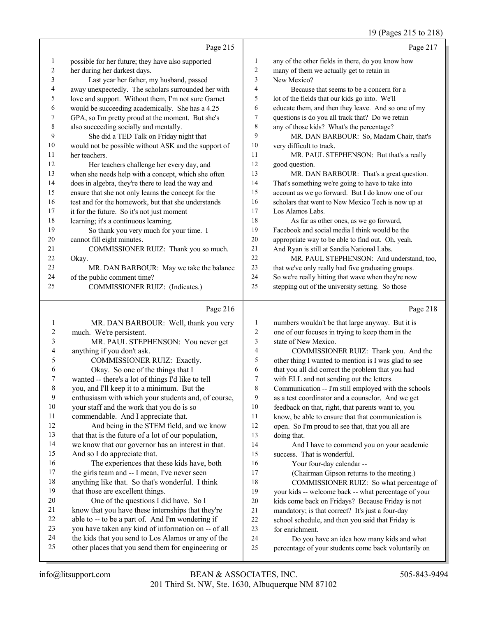#### 19 (Pages 215 to 218)

|              | Page 215                                             |    | Page 217                                            |
|--------------|------------------------------------------------------|----|-----------------------------------------------------|
| $\mathbf{I}$ | possible for her future; they have also supported    | 1  | any of the other fields in there, do you know how   |
| 2            | her during her darkest days.                         | 2  | many of them we actually get to retain in           |
| 3            | Last year her father, my husband, passed             | 3  | New Mexico?                                         |
| 4            | away unexpectedly. The scholars surrounded her with  | 4  | Because that seems to be a concern for a            |
| 5            | love and support. Without them, I'm not sure Garnet  | 5  | lot of the fields that our kids go into. We'll      |
| 6            | would be succeeding academically. She has a 4.25     | 6  | educate them, and then they leave. And so one of my |
| 7            | GPA, so I'm pretty proud at the moment. But she's    | 7  | questions is do you all track that? Do we retain    |
| 8            | also succeeding socially and mentally.               | 8  | any of those kids? What's the percentage?           |
| 9            | She did a TED Talk on Friday night that              | 9  | MR. DAN BARBOUR: So, Madam Chair, that's            |
| 10           | would not be possible without ASK and the support of | 10 | very difficult to track.                            |
| 11           | her teachers.                                        | 11 | MR. PAUL STEPHENSON: But that's a really            |
| 12           | Her teachers challenge her every day, and            | 12 | good question.                                      |
| 13           | when she needs help with a concept, which she often  | 13 | MR. DAN BARBOUR: That's a great question.           |
| 14           | does in algebra, they're there to lead the way and   | 14 | That's something we're going to have to take into   |
| 15           | ensure that she not only learns the concept for the  | 15 | account as we go forward. But I do know one of our  |
| 16           | test and for the homework, but that she understands  | 16 | scholars that went to New Mexico Tech is now up at  |
| 17           | it for the future. So it's not just moment           | 17 | Los Alamos Labs.                                    |
| 18           | learning; it's a continuous learning.                | 18 | As far as other ones, as we go forward,             |
| 19           | So thank you very much for your time. I              | 19 | Facebook and social media I think would be the      |
| 20           | cannot fill eight minutes.                           | 20 | appropriate way to be able to find out. Oh, yeah.   |
| 21           | COMMISSIONER RUIZ: Thank you so much.                | 21 | And Ryan is still at Sandia National Labs.          |
| 22           | Okay.                                                | 22 | MR. PAUL STEPHENSON: And understand, too,           |
| 23           | MR. DAN BARBOUR: May we take the balance             | 23 | that we've only really had five graduating groups.  |
| 24           | of the public comment time?                          | 24 | So we're really hitting that wave when they're now  |
| 25           | COMMISSIONER RUIZ: (Indicates.)                      | 25 | stepping out of the university setting. So those    |
|              | Page 216                                             |    | Page 218                                            |

#### 1 MR. DAN BARBOUR: Well, thank you very much. We're persistent. 3 MR. PAUL STEPHENSON: You never get anything if you don't ask. 5 COMMISSIONER RUIZ: Exactly. 6 Okay. So one of the things that I wanted -- there's a lot of things I'd like to tell you, and I'll keep it to a minimum. But the enthusiasm with which your students and, of course, your staff and the work that you do is so commendable. And I appreciate that. 12 And being in the STEM field, and we know that that is the future of a lot of our population, we know that our governor has an interest in that. And so I do appreciate that. 16 The experiences that these kids have, both the girls team and -- I mean, I've never seen anything like that. So that's wonderful. I think that those are excellent things. 20 One of the questions I did have. So I know that you have these internships that they're able to -- to be a part of. And I'm wondering if you have taken any kind of information on -- of all the kids that you send to Los Alamos or any of the other places that you send them for engineering or numbers wouldn't be that large anyway. But it is one of our focuses in trying to keep them in the state of New Mexico. 4 COMMISSIONER RUIZ: Thank you. And the other thing I wanted to mention is I was glad to see that you all did correct the problem that you had with ELL and not sending out the letters. Communication -- I'm still employed with the schools as a test coordinator and a counselor. And we get feedback on that, right, that parents want to, you know, be able to ensure that that communication is open. So I'm proud to see that, that you all are doing that. 14 And I have to commend you on your academic success. That is wonderful. 16 Your four-day calendar -- 17 (Chairman Gipson returns to the meeting.) 18 COMMISSIONER RUIZ: So what percentage of your kids -- welcome back -- what percentage of your kids come back on Fridays? Because Friday is not mandatory; is that correct? It's just a four-day school schedule, and then you said that Friday is for enrichment. 24 Do you have an idea how many kids and what percentage of your students come back voluntarily on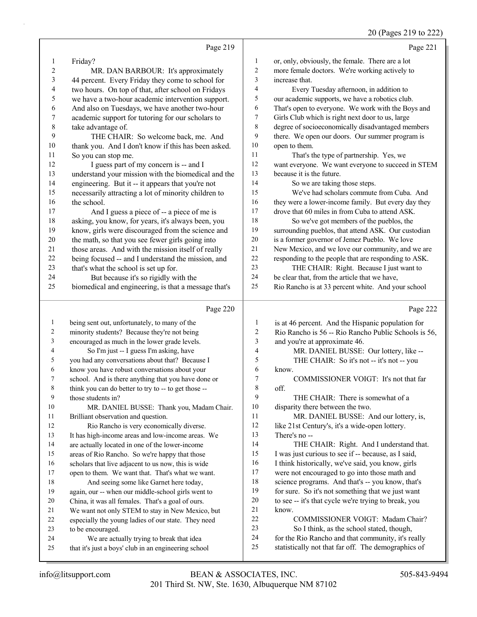### 20 (Pages 219 to 222)

|                |                                                      |                | $20$ (1 agus 21) to 222                              |
|----------------|------------------------------------------------------|----------------|------------------------------------------------------|
|                | Page 219                                             |                | Page 221                                             |
| 1              | Friday?                                              | 1              | or, only, obviously, the female. There are a lot     |
| 2              | MR. DAN BARBOUR: It's approximately                  | $\overline{2}$ | more female doctors. We're working actively to       |
| 3              | 44 percent. Every Friday they come to school for     | 3              | increase that.                                       |
| 4              | two hours. On top of that, after school on Fridays   | 4              | Every Tuesday afternoon, in addition to              |
| 5              | we have a two-hour academic intervention support.    | 5              | our academic supports, we have a robotics club.      |
| 6              | And also on Tuesdays, we have another two-hour       | 6              | That's open to everyone. We work with the Boys and   |
| 7              | academic support for tutoring for our scholars to    | 7              | Girls Club which is right next door to us, large     |
| $8\phantom{1}$ | take advantage of.                                   | $\,8\,$        | degree of socioeconomically disadvantaged members    |
| 9              | THE CHAIR: So welcome back, me. And                  | 9              | there. We open our doors. Our summer program is      |
| 10             | thank you. And I don't know if this has been asked.  | 10             | open to them.                                        |
| 11             | So you can stop me.                                  | 11             | That's the type of partnership. Yes, we              |
| 12             | I guess part of my concern is -- and I               | 12             | want everyone. We want everyone to succeed in STEM   |
| 13             | understand your mission with the biomedical and the  | 13             | because it is the future.                            |
| 14             | engineering. But it -- it appears that you're not    | 14             | So we are taking those steps.                        |
| 15             | necessarily attracting a lot of minority children to | 15             | We've had scholars commute from Cuba. And            |
| 16             | the school.                                          | 16             | they were a lower-income family. But every day they  |
| 17             | And I guess a piece of -- a piece of me is           | 17             | drove that 60 miles in from Cuba to attend ASK.      |
| 18             | asking, you know, for years, it's always been, you   | 18             | So we've got members of the pueblos, the             |
| 19             | know, girls were discouraged from the science and    | 19             | surrounding pueblos, that attend ASK. Our custodian  |
| 20             | the math, so that you see fewer girls going into     | $20\,$         | is a former governor of Jemez Pueblo. We love        |
| 21             | those areas. And with the mission itself of really   | $21$           | New Mexico, and we love our community, and we are    |
| 22             | being focused -- and I understand the mission, and   | $22\,$         | responding to the people that are responding to ASK. |
| 23             | that's what the school is set up for.                | 23             | THE CHAIR: Right. Because I just want to             |
| 24             | But because it's so rigidly with the                 | 24             | be clear that, from the article that we have,        |
| 25             | biomedical and engineering, is that a message that's | 25             | Rio Rancho is at 33 percent white. And your school   |
|                | Page 220                                             |                | Page 222                                             |
| 1              | being sent out, unfortunately, to many of the        | $\mathbf{1}$   | is at 46 percent. And the Hispanic population for    |
| 2              | minority students? Because they're not being         | $\overline{c}$ | Rio Rancho is 56 -- Rio Rancho Public Schools is 56, |
| 3              | encouraged as much in the lower grade levels.        | 3              | and you're at approximate 46.                        |
| 4              | So I'm just -- I guess I'm asking, have              | 4              | MR. DANIEL BUSSE: Our lottery, like --               |
| 5              | you had any conversations about that? Because I      | 5              | THE CHAIR: So it's not -- it's not -- you            |
| 6              | know you have robust conversations about your        | 6              | know.                                                |
| 7              | school. And is there anything that you have done or  | 7              | COMMISSIONER VOIGT: It's not that far                |
| 8              | think you can do better to try to -- to get those -- | $\,$ 8 $\,$    | off.                                                 |
| 9              | those students in?                                   | 9              | THE CHAIR: There is somewhat of a                    |
| 10             | MR. DANIEL BUSSE: Thank you, Madam Chair.            | 10             | disparity there between the two.                     |
| 11             | Brilliant observation and question.                  | 11             | MR. DANIEL BUSSE: And our lottery, is,               |
| 12             | Rio Rancho is very economically diverse.             | 12             | like 21st Century's, it's a wide-open lottery.       |
| 13             | It has high-income areas and low-income areas. We    | 13             | There's no --                                        |
| 14             | are actually located in one of the lower-income      | 14             | THE CHAIR: Right. And I understand that.             |
| 15             | areas of Rio Rancho. So we're happy that those       | 15             | I was just curious to see if -- because, as I said,  |
| 16             | scholars that live adjacent to us now, this is wide  | 16             | I think historically, we've said, you know, girls    |
| 17             | open to them. We want that. That's what we want.     | 17             | were not encouraged to go into those math and        |

to be encouraged.

18 And seeing some like Garnet here today, again, our -- when our middle-school girls went to China, it was all females. That's a goal of ours. We want not only STEM to stay in New Mexico, but especially the young ladies of our state. They need

24 We are actually trying to break that idea that it's just a boys' club in an engineering school know.

 science programs. And that's -- you know, that's for sure. So it's not something that we just want to see -- it's that cycle we're trying to break, you

22 COMMISSIONER VOIGT: Madam Chair? 23 So I think, as the school stated, though, for the Rio Rancho and that community, it's really statistically not that far off. The demographics of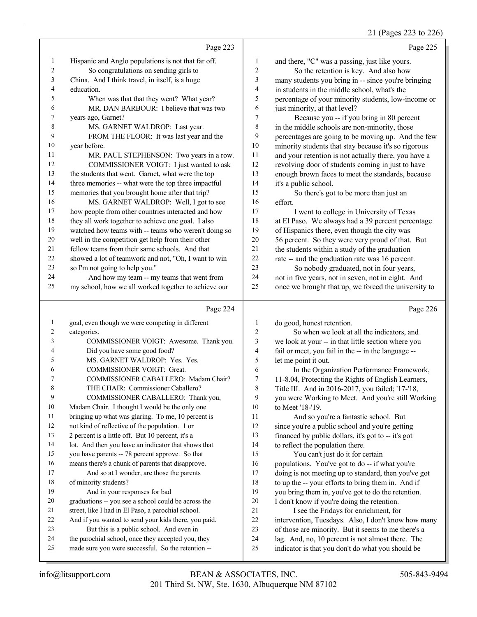21 (Pages 223 to 226)

| Page 223                                                                                                                      | Page 225 |
|-------------------------------------------------------------------------------------------------------------------------------|----------|
| Hispanic and Anglo populations is not that far off.<br>1<br>1<br>and there, "C" was a passing, just like yours.               |          |
| So congratulations on sending girls to<br>$\overline{c}$<br>2<br>So the retention is key. And also how                        |          |
| $\mathfrak{Z}$<br>3<br>China. And I think travel, in itself, is a huge<br>many students you bring in -- since you're bringing |          |
| 4<br>4<br>education.<br>in students in the middle school, what's the                                                          |          |
| 5<br>5<br>When was that that they went? What year?<br>percentage of your minority students, low-income or                     |          |
| 6<br>MR. DAN BARBOUR: I believe that was two<br>6<br>just minority, at that level?                                            |          |
| 7<br>7<br>years ago, Garnet?<br>Because you -- if you bring in 80 percent                                                     |          |
| 8<br>8<br>in the middle schools are non-minority, those<br>MS. GARNET WALDROP: Last year.                                     |          |
| 9<br>FROM THE FLOOR: It was last year and the<br>9<br>percentages are going to be moving up. And the few                      |          |
| 10<br>10<br>minority students that stay because it's so rigorous<br>year before.                                              |          |
| 11<br>11<br>and your retention is not actually there, you have a<br>MR. PAUL STEPHENSON: Two years in a row.                  |          |
| 12<br>12<br>COMMISSIONER VOIGT: I just wanted to ask<br>revolving door of students coming in just to have                     |          |
| 13<br>13<br>the students that went. Garnet, what were the top<br>enough brown faces to meet the standards, because            |          |
| 14<br>14<br>three memories -- what were the top three impactful<br>it's a public school.                                      |          |
| 15<br>memories that you brought home after that trip?<br>15<br>So there's got to be more than just an                         |          |
| 16<br>MS. GARNET WALDROP: Well, I got to see<br>16<br>effort.                                                                 |          |
| 17<br>how people from other countries interacted and how<br>17<br>I went to college in University of Texas                    |          |
| 18<br>they all work together to achieve one goal. I also<br>18<br>at El Paso. We always had a 39 percent percentage           |          |
| 19<br>watched how teams with -- teams who weren't doing so<br>19<br>of Hispanics there, even though the city was              |          |
| 20<br>20<br>well in the competition get help from their other<br>56 percent. So they were very proud of that. But             |          |
| $21\,$<br>21<br>fellow teams from their same schools. And that<br>the students within a study of the graduation               |          |
| 22<br>22<br>showed a lot of teamwork and not, "Oh, I want to win<br>rate -- and the graduation rate was 16 percent.           |          |
| 23<br>23<br>so I'm not going to help you."<br>So nobody graduated, not in four years,                                         |          |
| And how my team -- my teams that went from<br>24<br>24<br>not in five years, not in seven, not in eight. And                  |          |
| 25<br>my school, how we all worked together to achieve our<br>25<br>once we brought that up, we forced the university to      |          |
| Page 224                                                                                                                      | Page 226 |
| goal, even though we were competing in different<br>1<br>$\mathbf{1}$<br>do good, honest retention.                           |          |
| $\overline{c}$<br>2<br>So when we look at all the indicators, and<br>categories.                                              |          |
| 3<br>3<br>COMMISSIONER VOIGT: Awesome. Thank you.<br>we look at your -- in that little section where you                      |          |
| Did you have some good food?<br>4<br>fail or meet, you fail in the -- in the language --<br>4                                 |          |
| MS. GARNET WALDROP: Yes. Yes.<br>5<br>let me point it out.<br>5                                                               |          |
| COMMISSIONER VOIGT: Great.<br>6<br>In the Organization Performance Framework,<br>6                                            |          |
| COMMISSIONER CABALLERO: Madam Chair?<br>7<br>7<br>11-8.04, Protecting the Rights of English Learners,                         |          |
| 8<br>THE CHAIR: Commissioner Caballero?<br>8<br>Title III. And in 2016-2017, you failed; '17-'18,                             |          |
| 9<br>9<br>you were Working to Meet. And you're still Working<br>COMMISSIONER CABALLERO: Thank you,                            |          |
| 10<br>Madam Chair. I thought I would be the only one<br>10<br>to Meet '18-'19.                                                |          |
| 11<br>bringing up what was glaring. To me, 10 percent is<br>11<br>And so you're a fantastic school. But                       |          |
| not kind of reflective of the population. 1 or<br>12<br>12<br>since you're a public school and you're getting                 |          |
| 2 percent is a little off. But 10 percent, it's a<br>13<br>13<br>financed by public dollars, it's got to -- it's got          |          |
| 14<br>lot. And then you have an indicator that shows that<br>14<br>to reflect the population there.                           |          |
| you have parents -- 78 percent approve. So that<br>15<br>15<br>You can't just do it for certain                               |          |
| means there's a chunk of parents that disapprove.<br>16<br>populations. You've got to do -- if what you're<br>16              |          |
| 17<br>And so at I wonder, are those the parents<br>doing is not meeting up to standard, then you've got<br>17                 |          |
| 18<br>of minority students?<br>18<br>to up the -- your efforts to bring them in. And if                                       |          |
| 19<br>And in your responses for bad<br>19<br>you bring them in, you've got to do the retention.                               |          |
| 20<br>20<br>graduations -- you see a school could be across the<br>I don't know if you're doing the retention.                |          |
| 21<br>21<br>street, like I had in El Paso, a parochial school.<br>I see the Fridays for enrichment, for                       |          |
| 22<br>And if you wanted to send your kids there, you paid.<br>$22\,$<br>intervention, Tuesdays. Also, I don't know how many   |          |
| 23<br>But this is a public school. And even in<br>23<br>of those are minority. But it seems to me there's a                   |          |
| the parochial school, once they accepted you, they<br>24<br>lag. And, no, 10 percent is not almost there. The<br>24           |          |
| made sure you were successful. So the retention --<br>25<br>25<br>indicator is that you don't do what you should be           |          |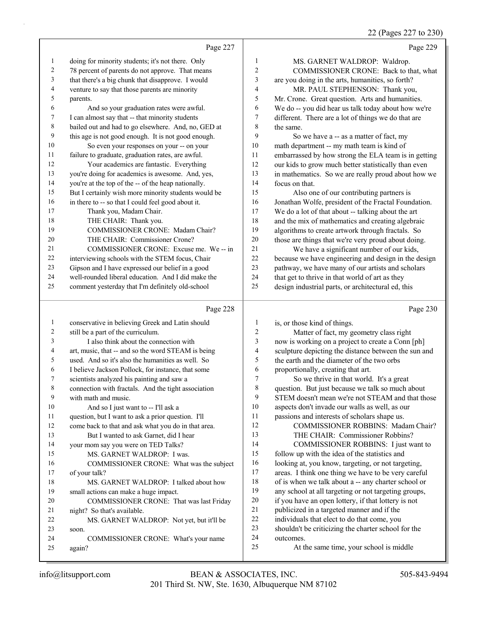# 22 (Pages 227 to 230)

|    | Page 227                                             |    | Page 229                                             |
|----|------------------------------------------------------|----|------------------------------------------------------|
| 1  | doing for minority students; it's not there. Only    | 1  | MS. GARNET WALDROP: Waldrop.                         |
| 2  | 78 percent of parents do not approve. That means     | 2  | COMMISSIONER CRONE: Back to that, what               |
| 3  | that there's a big chunk that disapprove. I would    | 3  | are you doing in the arts, humanities, so forth?     |
| 4  | venture to say that those parents are minority       | 4  | MR. PAUL STEPHENSON: Thank you,                      |
| 5  | parents.                                             | 5  | Mr. Crone. Great question. Arts and humanities.      |
| 6  | And so your graduation rates were awful.             | 6  | We do -- you did hear us talk today about how we're  |
| 7  | I can almost say that -- that minority students      | 7  | different. There are a lot of things we do that are  |
| 8  | bailed out and had to go elsewhere. And, no, GED at  | 8  | the same.                                            |
| 9  | this age is not good enough. It is not good enough.  | 9  | So we have a -- as a matter of fact, my              |
| 10 | So even your responses on your -- on your            | 10 | math department -- my math team is kind of           |
| 11 | failure to graduate, graduation rates, are awful.    | 11 | embarrassed by how strong the ELA team is in getting |
| 12 | Your academics are fantastic. Everything             | 12 | our kids to grow much better statistically than even |
| 13 | you're doing for academics is awesome. And, yes,     | 13 | in mathematics. So we are really proud about how we  |
| 14 | you're at the top of the -- of the heap nationally.  | 14 | focus on that.                                       |
| 15 | But I certainly wish more minority students would be | 15 | Also one of our contributing partners is             |
| 16 | in there to -- so that I could feel good about it.   | 16 | Jonathan Wolfe, president of the Fractal Foundation. |
| 17 | Thank you, Madam Chair.                              | 17 | We do a lot of that about -- talking about the art   |
| 18 | THE CHAIR: Thank you.                                | 18 | and the mix of mathematics and creating algebraic    |
| 19 | COMMISSIONER CRONE: Madam Chair?                     | 19 | algorithms to create artwork through fractals. So    |
| 20 | THE CHAIR: Commissioner Crone?                       | 20 | those are things that we're very proud about doing.  |
| 21 | COMMISSIONER CRONE: Excuse me. We -- in              | 21 | We have a significant number of our kids,            |
| 22 | interviewing schools with the STEM focus, Chair      | 22 | because we have engineering and design in the design |
| 23 | Gipson and I have expressed our belief in a good     | 23 | pathway, we have many of our artists and scholars    |
| 24 | well-rounded liberal education. And I did make the   | 24 | that get to thrive in that world of art as they      |
| 25 | comment yesterday that I'm definitely old-school     | 25 | design industrial parts, or architectural ed, this   |
|    | Page 228                                             |    | Page 230                                             |
|    |                                                      |    | $11 \t11 \t11$                                       |

|    | $1 \frac{\mu}{5}$ $220$                             |    | $1 \mu \text{g}c$ 200                                |
|----|-----------------------------------------------------|----|------------------------------------------------------|
| 1  | conservative in believing Greek and Latin should    | 1  | is, or those kind of things.                         |
| 2  | still be a part of the curriculum.                  | 2  | Matter of fact, my geometry class right              |
| 3  | I also think about the connection with              | 3  | now is working on a project to create a Conn [ph]    |
| 4  | art, music, that -- and so the word STEAM is being  | 4  | sculpture depicting the distance between the sun and |
| 5  | used. And so it's also the humanities as well. So   | 5  | the earth and the diameter of the two orbs           |
| 6  | I believe Jackson Pollock, for instance, that some  | 6  | proportionally, creating that art.                   |
| 7  | scientists analyzed his painting and saw a          | 7  | So we thrive in that world. It's a great             |
| 8  | connection with fractals. And the tight association | 8  | question. But just because we talk so much about     |
| 9  | with math and music.                                | 9  | STEM doesn't mean we're not STEAM and that those     |
| 10 | And so I just want to -- I'll ask a                 | 10 | aspects don't invade our walls as well, as our       |
| 11 | question, but I want to ask a prior question. I'll  | 11 | passions and interests of scholars shape us.         |
| 12 | come back to that and ask what you do in that area. | 12 | <b>COMMISSIONER ROBBINS: Madam Chair?</b>            |
| 13 | But I wanted to ask Garnet, did I hear              | 13 | THE CHAIR: Commissioner Robbins?                     |
| 14 | your mom say you were on TED Talks?                 | 14 | COMMISSIONER ROBBINS: I just want to                 |
| 15 | MS. GARNET WALDROP: I was.                          | 15 | follow up with the idea of the statistics and        |
| 16 | COMMISSIONER CRONE: What was the subject            | 16 | looking at, you know, targeting, or not targeting,   |
| 17 | of your talk?                                       | 17 | areas. I think one thing we have to be very careful  |
| 18 | MS. GARNET WALDROP: I talked about how              | 18 | of is when we talk about a -- any charter school or  |
| 19 | small actions can make a huge impact.               | 19 | any school at all targeting or not targeting groups, |
| 20 | COMMISSIONER CRONE: That was last Friday            | 20 | if you have an open lottery, if that lottery is not  |
| 21 | night? So that's available.                         | 21 | publicized in a targeted manner and if the           |
| 22 | MS. GARNET WALDROP: Not yet, but it'll be           | 22 | individuals that elect to do that come, you          |
| 23 | soon.                                               | 23 | shouldn't be criticizing the charter school for the  |
| 24 | COMMISSIONER CRONE: What's your name                | 24 | outcomes.                                            |
| 25 | again?                                              | 25 | At the same time, your school is middle              |
|    |                                                     |    |                                                      |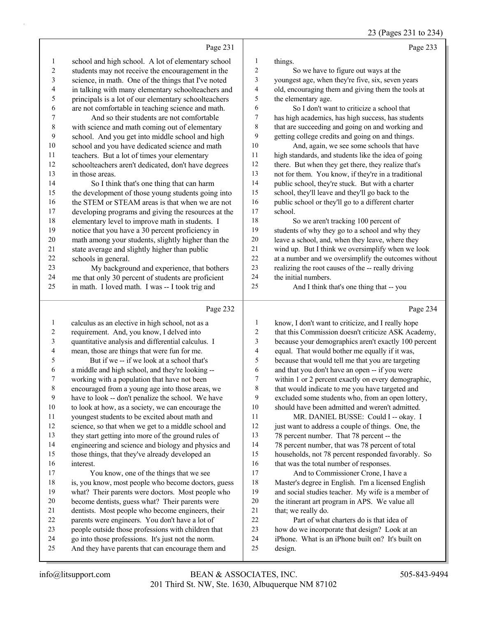23 (Pages 231 to 234)

|                          | Page 231                                             |                          | Page 233                                             |
|--------------------------|------------------------------------------------------|--------------------------|------------------------------------------------------|
| $\mathbf{1}$             | school and high school. A lot of elementary school   | $\mathbf{1}$             | things.                                              |
| 2                        | students may not receive the encouragement in the    | $\overline{c}$           | So we have to figure out ways at the                 |
| 3                        | science, in math. One of the things that I've noted  | 3                        | youngest age, when they're five, six, seven years    |
| $\overline{\mathcal{A}}$ | in talking with many elementary schoolteachers and   | $\overline{\mathcal{A}}$ | old, encouraging them and giving them the tools at   |
| 5                        | principals is a lot of our elementary schoolteachers | 5                        | the elementary age.                                  |
| 6                        | are not comfortable in teaching science and math.    | $\sqrt{6}$               | So I don't want to criticize a school that           |
| $\boldsymbol{7}$         | And so their students are not comfortable            | 7                        | has high academics, has high success, has students   |
| $\,$ $\,$                | with science and math coming out of elementary       | $\,$ 8 $\,$              | that are succeeding and going on and working and     |
| 9                        | school. And you get into middle school and high      | 9                        | getting college credits and going on and things.     |
| 10                       | school and you have dedicated science and math       | $10\,$                   | And, again, we see some schools that have            |
| 11                       | teachers. But a lot of times your elementary         | $1\,1$                   | high standards, and students like the idea of going  |
| 12                       | schoolteachers aren't dedicated, don't have degrees  | 12                       | there. But when they get there, they realize that's  |
| 13                       | in those areas.                                      | 13                       | not for them. You know, if they're in a traditional  |
| 14                       | So I think that's one thing that can harm            | 14                       | public school, they're stuck. But with a charter     |
| 15                       | the development of those young students going into   | 15                       | school, they'll leave and they'll go back to the     |
| 16                       | the STEM or STEAM areas is that when we are not      | 16                       | public school or they'll go to a different charter   |
| 17                       | developing programs and giving the resources at the  | 17                       | school.                                              |
| 18                       | elementary level to improve math in students. I      | $18\,$                   | So we aren't tracking 100 percent of                 |
| 19                       | notice that you have a 30 percent proficiency in     | 19                       | students of why they go to a school and why they     |
| 20                       | math among your students, slightly higher than the   | $20\,$                   | leave a school, and, when they leave, where they     |
| 21                       | state average and slightly higher than public        | 21                       | wind up. But I think we oversimplify when we look    |
| 22                       | schools in general.                                  | 22                       | at a number and we oversimplify the outcomes without |
| 23                       | My background and experience, that bothers           | 23                       | realizing the root causes of the -- really driving   |
| 24                       | me that only 30 percent of students are proficient   | 24                       | the initial numbers.                                 |
| 25                       | in math. I loved math. I was -- I took trig and      | 25                       | And I think that's one thing that -- you             |
|                          | Page 232                                             |                          | Page 234                                             |
| $\mathbf{1}$             | calculus as an elective in high school, not as a     | 1                        | know, I don't want to criticize, and I really hope   |
| $\overline{c}$           | requirement. And, you know, I delved into            | $\sqrt{2}$               | that this Commission doesn't criticize ASK Academy,  |
| $\mathfrak{Z}$           | quantitative analysis and differential calculus. I   | 3                        | because your demographics aren't exactly 100 percent |
| $\overline{\mathcal{A}}$ | mean, those are things that were fun for me.         | $\overline{\mathbf{4}}$  | equal. That would bother me equally if it was,       |
| 5                        | But if we -- if we look at a school that's           | 5                        | because that would tell me that you are targeting    |
| 6                        | a middle and high school, and they're looking --     | $\epsilon$               | and that you don't have an open -- if you were       |
| 7                        | working with a population that have not been         | $\boldsymbol{7}$         | within 1 or 2 percent exactly on every demographic,  |
| $\,$ $\,$                | encouraged from a young age into those areas, we     | $\,$ $\,$                | that would indicate to me you have targeted and      |
| $\boldsymbol{9}$         | have to look -- don't penalize the school. We have   | 9                        | excluded some students who, from an open lottery,    |
| $10\,$                   | to look at how, as a society, we can encourage the   | 10                       | should have been admitted and weren't admitted.      |
| 11                       | youngest students to be excited about math and       | 11                       | MR. DANIEL BUSSE: Could I -- okay. I                 |
| 12                       | science, so that when we get to a middle school and  | 12                       | just want to address a couple of things. One, the    |
| 13                       | they start getting into more of the ground rules of  | 13                       | 78 percent number. That 78 percent -- the            |
| 14                       | engineering and science and biology and physics and  | 14                       | 78 percent number, that was 78 percent of total      |
| 15                       | those things, that they've already developed an      | 15                       | households, not 78 percent responded favorably. So   |
| 16                       | interest.                                            | 16                       | that was the total number of responses.              |
| 17                       | You know, one of the things that we see              | 17                       | And to Commissioner Crone, I have a                  |
| 18                       | is, you know, most people who become doctors, guess  | 18                       | Master's degree in English. I'm a licensed English   |
| 19                       | what? Their parents were doctors. Most people who    | 19                       | and social studies teacher. My wife is a member of   |
| 20                       | become dentists, guess what? Their parents were      | $20\,$                   | the itinerant art program in APS. We value all       |
| 21                       | dentists. Most people who become engineers, their    | 21                       | that; we really do.                                  |
| 22                       | parents were engineers. You don't have a lot of      | 22                       | Part of what charters do is that idea of             |
| 23                       | people outside those professions with children that  | 23<br>24                 | how do we incorporate that design? Look at an        |
| 24<br>25                 | go into those professions. It's just not the norm.   | 25                       | iPhone. What is an iPhone built on? It's built on    |
|                          | And they have parents that can encourage them and    |                          | design.                                              |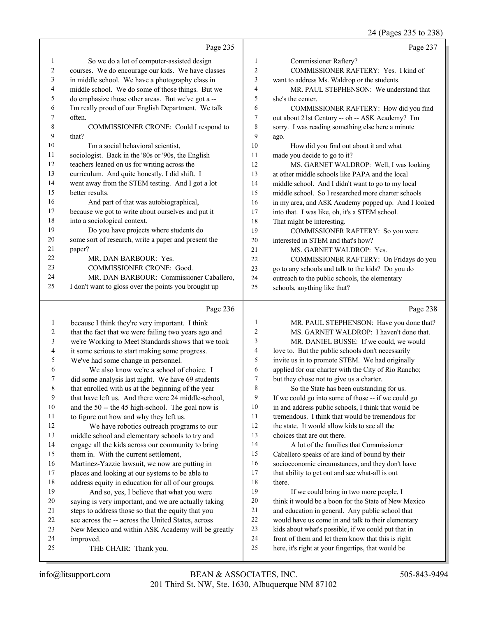#### 24 (Pages 235 to 238)

|    |                                                      |                  | $2 + 1$ (1 agos 233 to 230)                          |
|----|------------------------------------------------------|------------------|------------------------------------------------------|
|    | Page 235                                             |                  | Page 237                                             |
| 1  | So we do a lot of computer-assisted design           | 1                | Commissioner Raftery?                                |
| 2  | courses. We do encourage our kids. We have classes   | $\mathfrak{2}$   | COMMISSIONER RAFTERY: Yes. I kind of                 |
| 3  | in middle school. We have a photography class in     | 3                | want to address Ms. Waldrop or the students.         |
| 4  | middle school. We do some of those things. But we    | $\overline{4}$   | MR. PAUL STEPHENSON: We understand that              |
| 5  | do emphasize those other areas. But we've got a --   | 5                | she's the center.                                    |
| 6  | I'm really proud of our English Department. We talk  | 6                | COMMISSIONER RAFTERY: How did you find               |
| 7  | often.                                               | 7                | out about 21st Century -- oh -- ASK Academy? I'm     |
| 8  | COMMISSIONER CRONE: Could I respond to               | 8                | sorry. I was reading something else here a minute    |
| 9  | that?                                                | 9                | ago.                                                 |
| 10 | I'm a social behavioral scientist,                   | 10               | How did you find out about it and what               |
| 11 | sociologist. Back in the '80s or '90s, the English   | 11               | made you decide to go to it?                         |
| 12 | teachers leaned on us for writing across the         | 12               | MS. GARNET WALDROP: Well, I was looking              |
| 13 | curriculum. And quite honestly, I did shift. I       | 13               | at other middle schools like PAPA and the local      |
| 14 | went away from the STEM testing. And I got a lot     | 14               | middle school. And I didn't want to go to my local   |
| 15 | better results.                                      | 15               | middle school. So I researched more charter schools  |
| 16 | And part of that was autobiographical,               | 16               | in my area, and ASK Academy popped up. And I looked  |
| 17 | because we got to write about ourselves and put it   | 17               | into that. I was like, oh, it's a STEM school.       |
| 18 | into a sociological context.                         | 18               | That might be interesting.                           |
| 19 | Do you have projects where students do               | 19               | COMMISSIONER RAFTERY: So you were                    |
| 20 | some sort of research, write a paper and present the | 20               | interested in STEM and that's how?                   |
| 21 | paper?                                               | 21               | MS. GARNET WALDROP: Yes.                             |
| 22 | MR. DAN BARBOUR: Yes.                                | 22               | COMMISSIONER RAFTERY: On Fridays do you              |
| 23 | COMMISSIONER CRONE: Good.                            | 23               | go to any schools and talk to the kids? Do you do    |
| 24 | MR. DAN BARBOUR: Commissioner Caballero,             | 24               | outreach to the public schools, the elementary       |
| 25 | I don't want to gloss over the points you brought up | 25               | schools, anything like that?                         |
|    | Page 236                                             |                  | Page 238                                             |
| 1  | because I think they're very important. I think      | 1                | MR. PAUL STEPHENSON: Have you done that?             |
| 2  | that the fact that we were failing two years ago and | $\boldsymbol{2}$ | MS. GARNET WALDROP: I haven't done that.             |
| 3  | we're Working to Meet Standards shows that we took   | 3                | MR. DANIEL BUSSE: If we could, we would              |
| 4  | it some serious to start making some progress.       | 4                | love to. But the public schools don't necessarily    |
| 5  | We've had some change in personnel.                  | 5                | invite us in to promote STEM. We had originally      |
| 6  | We also know we're a school of choice. I             | 6                | applied for our charter with the City of Rio Rancho; |
| 7  | did some analysis last night. We have 69 students    | 7                | but they chose not to give us a charter.             |
|    |                                                      |                  |                                                      |

that enrolled with us at the beginning of the year

- that have left us. And there were 24 middle-school,
- and the 50 -- the 45 high-school. The goal now is
- to figure out how and why they left us.
- 12 We have robotics outreach programs to our middle school and elementary schools to try and
- engage all the kids across our community to bring them in. With the current settlement,
- Martinez-Yazzie lawsuit, we now are putting in
- places and looking at our systems to be able to address equity in education for all of our groups.
- 19 And so, yes, I believe that what you were
- saying is very important, and we are actually taking steps to address those so that the equity that you
- see across the -- across the United States, across
- New Mexico and within ASK Academy will be greatly
- improved.
- 25 THE CHAIR: Thank you.

 choices that are out there. 14 A lot of the families that Commissioner Caballero speaks of are kind of bound by their socioeconomic circumstances, and they don't have 17 that ability to get out and see what-all is out

8 So the State has been outstanding for us. If we could go into some of those -- if we could go in and address public schools, I think that would be tremendous. I think that would be tremendous for the state. It would allow kids to see all the

there.

19 If we could bring in two more people, I think it would be a boon for the State of New Mexico and education in general. Any public school that would have us come in and talk to their elementary kids about what's possible, if we could put that in front of them and let them know that this is right here, it's right at your fingertips, that would be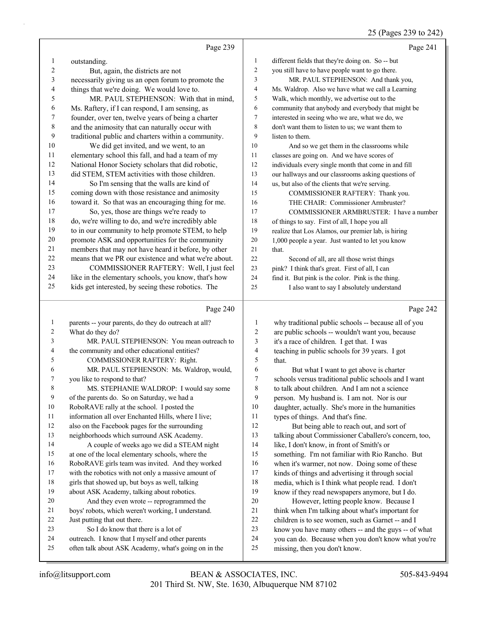# 25 (Pages 239 to 242)

|                         | Page 239                                                                                                 |                  | Page 241                                                                                                 |
|-------------------------|----------------------------------------------------------------------------------------------------------|------------------|----------------------------------------------------------------------------------------------------------|
| 1                       | outstanding.                                                                                             | 1                | different fields that they're doing on. So -- but                                                        |
| $\overline{\mathbf{c}}$ | But, again, the districts are not                                                                        | 2                | you still have to have people want to go there.                                                          |
| 3                       | necessarily giving us an open forum to promote the                                                       | 3                | MR. PAUL STEPHENSON: And thank you,                                                                      |
| 4                       | things that we're doing. We would love to.                                                               | 4                | Ms. Waldrop. Also we have what we call a Learning                                                        |
| 5                       | MR. PAUL STEPHENSON: With that in mind,                                                                  | 5                | Walk, which monthly, we advertise out to the                                                             |
| 6                       | Ms. Raftery, if I can respond, I am sensing, as                                                          | 6                | community that anybody and everybody that might be                                                       |
| 7                       | founder, over ten, twelve years of being a charter                                                       | 7                | interested in seeing who we are, what we do, we                                                          |
| $\,8\,$                 | and the animosity that can naturally occur with                                                          | 8                | don't want them to listen to us; we want them to                                                         |
| 9                       | traditional public and charters within a community.                                                      | 9                | listen to them.                                                                                          |
| 10                      | We did get invited, and we went, to an                                                                   | 10               | And so we get them in the classrooms while                                                               |
| 11                      | elementary school this fall, and had a team of my                                                        | 11               | classes are going on. And we have scores of                                                              |
| 12                      | National Honor Society scholars that did robotic,                                                        | 12               | individuals every single month that come in and fill                                                     |
| 13                      | did STEM, STEM activities with those children.                                                           | 13               | our hallways and our classrooms asking questions of                                                      |
| 14                      | So I'm sensing that the walls are kind of                                                                | 14               | us, but also of the clients that we're serving.                                                          |
| 15                      | coming down with those resistance and animosity                                                          | 15               | COMMISSIONER RAFTERY: Thank you.                                                                         |
| 16                      | toward it. So that was an encouraging thing for me.                                                      | 16               | THE CHAIR: Commissioner Armbruster?                                                                      |
| 17                      | So, yes, those are things we're ready to                                                                 | 17               | COMMISSIONER ARMBRUSTER: I have a number                                                                 |
| $18\,$                  | do, we're willing to do, and we're incredibly able                                                       | 18               | of things to say. First of all, I hope you all                                                           |
| 19                      | to in our community to help promote STEM, to help                                                        | 19               | realize that Los Alamos, our premier lab, is hiring                                                      |
| $20\,$                  | promote ASK and opportunities for the community                                                          | 20               | 1,000 people a year. Just wanted to let you know                                                         |
| 21                      | members that may not have heard it before, by other                                                      | 21               | that.                                                                                                    |
| $22\,$                  | means that we PR our existence and what we're about.                                                     | 22               | Second of all, are all those wrist things                                                                |
| 23                      | COMMISSIONER RAFTERY: Well, I just feel                                                                  | 23               | pink? I think that's great. First of all, I can                                                          |
| 24                      | like in the elementary schools, you know, that's how                                                     | 24               | find it. But pink is the color. Pink is the thing.                                                       |
| 25                      | kids get interested, by seeing these robotics. The                                                       | 25               | I also want to say I absolutely understand                                                               |
|                         |                                                                                                          |                  |                                                                                                          |
|                         | Page 240                                                                                                 |                  | Page 242                                                                                                 |
| $\mathbf{1}$            | parents -- your parents, do they do outreach at all?                                                     | $\mathbf{1}$     |                                                                                                          |
| 2                       | What do they do?                                                                                         | $\overline{2}$   | why traditional public schools -- because all of you<br>are public schools -- wouldn't want you, because |
| 3                       | MR. PAUL STEPHENSON: You mean outreach to                                                                | 3                | it's a race of children. I get that. I was                                                               |
| 4                       | the community and other educational entities?                                                            | $\overline{4}$   | teaching in public schools for 39 years. I got                                                           |
| 5                       | COMMISSIONER RAFTERY: Right.                                                                             | 5                | that.                                                                                                    |
| 6                       | MR. PAUL STEPHENSON: Ms. Waldrop, would,                                                                 | 6                | But what I want to get above is charter                                                                  |
| 7                       | you like to respond to that?                                                                             | $\boldsymbol{7}$ | schools versus traditional public schools and I want                                                     |
| 8                       | MS. STEPHANIE WALDROP: I would say some                                                                  | $\,$ 8 $\,$      | to talk about children. And I am not a science                                                           |
| $\boldsymbol{9}$        | of the parents do. So on Saturday, we had a                                                              | 9                | person. My husband is. I am not. Nor is our                                                              |
| 10                      | RoboRAVE rally at the school. I posted the                                                               | 10               | daughter, actually. She's more in the humanities                                                         |
| 11                      | information all over Enchanted Hills, where I live;                                                      | 11               | types of things. And that's fine.                                                                        |
| 12                      | also on the Facebook pages for the surrounding                                                           | $12\,$           | But being able to reach out, and sort of                                                                 |
| 13                      | neighborhoods which surround ASK Academy.                                                                | 13               | talking about Commissioner Caballero's concern, too,                                                     |
| 14                      | A couple of weeks ago we did a STEAM night                                                               | 14               | like, I don't know, in front of Smith's or                                                               |
| 15                      | at one of the local elementary schools, where the                                                        | 15               | something. I'm not familiar with Rio Rancho. But                                                         |
| 16                      | RoboRAVE girls team was invited. And they worked                                                         | 16               | when it's warmer, not now. Doing some of these                                                           |
| 17                      | with the robotics with not only a massive amount of                                                      | 17               | kinds of things and advertising it through social                                                        |
| 18                      | girls that showed up, but boys as well, talking                                                          | 18               | media, which is I think what people read. I don't                                                        |
| 19                      | about ASK Academy, talking about robotics.                                                               | 19               | know if they read newspapers anymore, but I do.                                                          |
| 20                      | And they even wrote -- reprogrammed the                                                                  | 20               | However, letting people know. Because I                                                                  |
| 21                      | boys' robots, which weren't working, I understand.                                                       | 21               | think when I'm talking about what's important for                                                        |
| 22                      | Just putting that out there.                                                                             | $22\,$           | children is to see women, such as Garnet -- and I                                                        |
| 23                      | So I do know that there is a lot of                                                                      | 23               | know you have many others -- and the guys -- of what                                                     |
| 24<br>25                | outreach. I know that I myself and other parents<br>often talk about ASK Academy, what's going on in the | 24<br>25         | you can do. Because when you don't know what you're<br>missing, then you don't know.                     |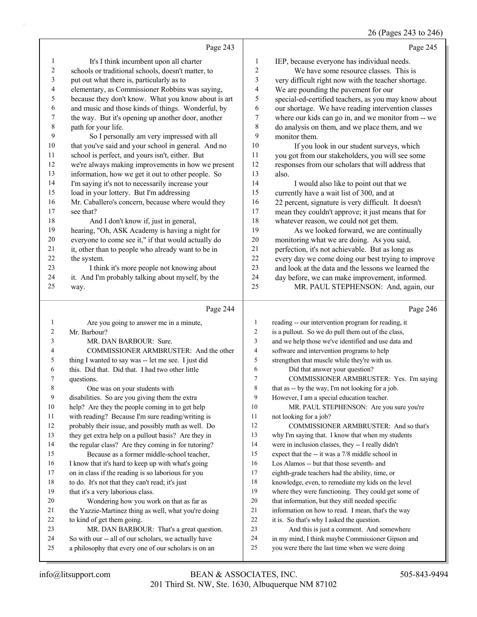#### 26 (Pages 243 to 246)

|              |                                                                                                  |                          | 26 (Pages 243 to 246                                                                                      |
|--------------|--------------------------------------------------------------------------------------------------|--------------------------|-----------------------------------------------------------------------------------------------------------|
|              | Page 243                                                                                         |                          | Page 245                                                                                                  |
| $\mathbf{1}$ | It's I think incumbent upon all charter                                                          | 1                        | IEP, because everyone has individual needs.                                                               |
| $\sqrt{2}$   | schools or traditional schools, doesn't matter, to                                               | $\boldsymbol{2}$         | We have some resource classes. This is                                                                    |
| 3            | put out what there is, particularly as to                                                        | 3                        | very difficult right now with the teacher shortage.                                                       |
| 4            | elementary, as Commissioner Robbins was saying,                                                  | $\overline{\mathcal{L}}$ | We are pounding the pavement for our                                                                      |
| 5            | because they don't know. What you know about is art                                              | 5                        | special-ed-certified teachers, as you may know about                                                      |
| 6            | and music and those kinds of things. Wonderful, by                                               | 6                        | our shortage. We have reading intervention classes                                                        |
| 7            | the way. But it's opening up another door, another                                               | $\boldsymbol{7}$         | where our kids can go in, and we monitor from -- we                                                       |
| $\,$ 8 $\,$  | path for your life.                                                                              | $\,$ $\,$                | do analysis on them, and we place them, and we                                                            |
| 9            | So I personally am very impressed with all                                                       | 9                        | monitor them.                                                                                             |
| 10           | that you've said and your school in general. And no                                              | 10                       | If you look in our student surveys, which                                                                 |
| 11           | school is perfect, and yours isn't, either. But                                                  | 11                       | you got from our stakeholders, you will see some                                                          |
| 12           | we're always making improvements in how we present                                               | 12                       | responses from our scholars that will address that                                                        |
| 13           | information, how we get it out to other people. So                                               | 13                       | also.                                                                                                     |
| 14           | I'm saying it's not to necessarily increase your                                                 | 14                       | I would also like to point out that we                                                                    |
| 15           | load in your lottery. But I'm addressing                                                         | 15                       | currently have a wait list of 300, and at                                                                 |
| 16           | Mr. Caballero's concern, because where would they                                                | 16                       | 22 percent, signature is very difficult. It doesn't                                                       |
| 17           | see that?                                                                                        | 17                       | mean they couldn't approve; it just means that for                                                        |
| 18           | And I don't know if, just in general,                                                            | $18\,$                   | whatever reason, we could not get them.                                                                   |
| 19           | hearing, "Oh, ASK Academy is having a night for                                                  | 19                       | As we looked forward, we are continually                                                                  |
| $20\,$       | everyone to come see it," if that would actually do                                              | 20                       | monitoring what we are doing. As you said,                                                                |
| 21<br>22     | it, other than to people who already want to be in                                               | 21<br>22                 | perfection, it's not achievable. But as long as                                                           |
| 23           | the system.                                                                                      | 23                       | every day we come doing our best trying to improve<br>and look at the data and the lessons we learned the |
| 24           | I think it's more people not knowing about<br>it. And I'm probably talking about myself, by the  | 24                       | day before, we can make improvement, informed.                                                            |
| 25           | way.                                                                                             | 25                       | MR. PAUL STEPHENSON: And, again, our                                                                      |
|              |                                                                                                  |                          |                                                                                                           |
|              | Page 244                                                                                         |                          | Page 246                                                                                                  |
| $\mathbf{1}$ | Are you going to answer me in a minute,                                                          | $\mathbf{1}$             | reading -- our intervention program for reading, it                                                       |
| 2            | Mr. Barbour?                                                                                     |                          |                                                                                                           |
| 3            |                                                                                                  | $\overline{c}$           | is a pullout. So we do pull them out of the class,                                                        |
|              | MR. DAN BARBOUR: Sure.                                                                           | 3                        | and we help those we've identified and use data and                                                       |
| 4            | COMMISSIONER ARMBRUSTER: And the other                                                           | 4                        | software and intervention programs to help                                                                |
| 5            | thing I wanted to say was -- let me see. I just did                                              | 5                        | strengthen that muscle while they're with us.                                                             |
| 6            | this. Did that. Did that. I had two other little                                                 | 6                        | Did that answer your question?                                                                            |
| 7            | questions.                                                                                       | 7                        | COMMISSIONER ARMBRUSTER: Yes. I'm saying                                                                  |
| 8            | One was on your students with                                                                    | 8                        | that as -- by the way, I'm not looking for a job.                                                         |
| 9            | disabilities. So are you giving them the extra                                                   | 9                        | However, I am a special education teacher.                                                                |
| 10           | help? Are they the people coming in to get help                                                  | 10                       | MR. PAUL STEPHENSON: Are you sure you're                                                                  |
| 11           | with reading? Because I'm sure reading/writing is                                                | 11                       | not looking for a job?                                                                                    |
| 12           | probably their issue, and possibly math as well. Do                                              | 12                       | COMMISSIONER ARMBRUSTER: And so that's                                                                    |
| 13           | they get extra help on a pullout basis? Are they in                                              | 13                       | why I'm saying that. I know that when my students                                                         |
| 14           | the regular class? Are they coming in for tutoring?                                              | 14                       | were in inclusion classes, they -- I really didn't                                                        |
| 15           | Because as a former middle-school teacher,                                                       | $15\,$                   | expect that the -- it was a 7/8 middle school in                                                          |
| 16           | I know that it's hard to keep up with what's going                                               | 16                       | Los Alamos -- but that those seventh- and                                                                 |
| 17           | on in class if the reading is so laborious for you                                               | 17                       | eighth-grade teachers had the ability, time, or                                                           |
| 18<br>19     | to do. It's not that they can't read; it's just                                                  | 18<br>19                 | knowledge, even, to remediate my kids on the level                                                        |
| 20           | that it's a very laborious class.                                                                | 20                       | where they were functioning. They could get some of                                                       |
| 21           | Wondering how you work on that as far as<br>the Yazzie-Martinez thing as well, what you're doing | 21                       | that information, but they still needed specific<br>information on how to read. I mean, that's the way    |
| 22           | to kind of get them going.                                                                       | 22                       | it is. So that's why I asked the question.                                                                |
| 23           | MR. DAN BARBOUR: That's a great question.                                                        | 23                       | And this is just a comment. And somewhere                                                                 |
| 24           | So with our -- all of our scholars, we actually have                                             | 24                       | in my mind, I think maybe Commissioner Gipson and                                                         |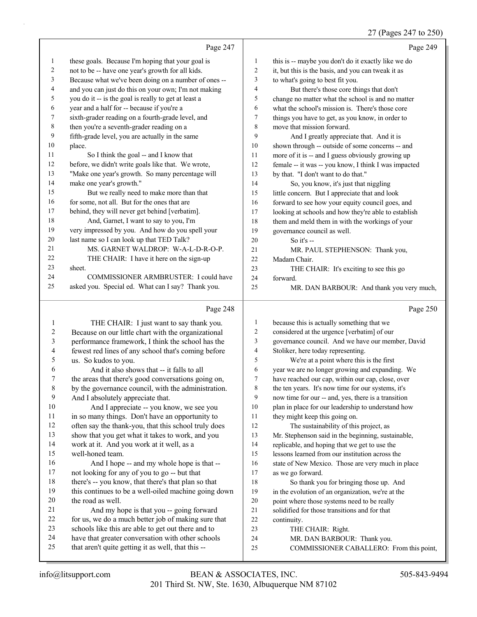### 27 (Pages 247 to 250)

|    | Page 247                                             |                | Page 249                                             |
|----|------------------------------------------------------|----------------|------------------------------------------------------|
| 1  | these goals. Because I'm hoping that your goal is    | 1              | this is -- maybe you don't do it exactly like we do  |
| 2  | not to be -- have one year's growth for all kids.    | 2              | it, but this is the basis, and you can tweak it as   |
| 3  | Because what we've been doing on a number of ones -- | 3              | to what's going to best fit you.                     |
| 4  | and you can just do this on your own; I'm not making | $\overline{4}$ | But there's those core things that don't             |
| 5  | you do it -- is the goal is really to get at least a | 5              | change no matter what the school is and no matter    |
| 6  | year and a half for -- because if you're a           | 6              | what the school's mission is. There's those core     |
| 7  | sixth-grader reading on a fourth-grade level, and    | $\tau$         | things you have to get, as you know, in order to     |
| 8  | then you're a seventh-grader reading on a            | 8              | move that mission forward.                           |
| 9  | fifth-grade level, you are actually in the same      | 9              | And I greatly appreciate that. And it is             |
| 10 | place.                                               | 10             | shown through -- outside of some concerns -- and     |
| 11 | So I think the goal -- and I know that               | 11             | more of it is -- and I guess obviously growing up    |
| 12 | before, we didn't write goals like that. We wrote,   | 12             | female -- it was -- you know, I think I was impacted |
| 13 | "Make one year's growth. So many percentage will     | 13             | by that. "I don't want to do that."                  |
| 14 | make one year's growth."                             | 14             | So, you know, it's just that niggling                |
| 15 | But we really need to make more than that            | 15             | little concern. But I appreciate that and look       |
| 16 | for some, not all. But for the ones that are         | 16             | forward to see how your equity council goes, and     |
| 17 | behind, they will never get behind [verbatim].       | 17             | looking at schools and how they're able to establish |
| 18 | And, Garnet, I want to say to you, I'm               | 18             | them and meld them in with the workings of your      |
| 19 | very impressed by you. And how do you spell your     | 19             | governance council as well.                          |
| 20 | last name so I can look up that TED Talk?            | 20             | So it's $-$                                          |
| 21 | MS. GARNET WALDROP: W-A-L-D-R-O-P.                   | 21             | MR. PAUL STEPHENSON: Thank you,                      |
| 22 | THE CHAIR: I have it here on the sign-up             | 22             | Madam Chair.                                         |
| 23 | sheet.                                               | 23             | THE CHAIR: It's exciting to see this go              |
| 24 | COMMISSIONER ARMBRUSTER: I could have                | 24             | forward.                                             |
| 25 | asked you. Special ed. What can I say? Thank you.    | 25             | MR. DAN BARBOUR: And thank you very much,            |
|    | Page 248                                             |                | Page 250                                             |
|    |                                                      |                |                                                      |

|    | THE CHAIR: I just want to say thank you.             | 1              | because this is actually something that we          |
|----|------------------------------------------------------|----------------|-----------------------------------------------------|
| 2  | Because on our little chart with the organizational  | $\overline{c}$ | considered at the urgence [verbatim] of our         |
| 3  | performance framework, I think the school has the    | 3              | governance council. And we have our member, David   |
| 4  | fewest red lines of any school that's coming before  | 4              | Stoliker, here today representing.                  |
| 5  | us. So kudos to you.                                 | 5              | We're at a point where this is the first            |
| 6  | And it also shows that -- it falls to all            | 6              | year we are no longer growing and expanding. We     |
| 7  | the areas that there's good conversations going on,  | $\tau$         | have reached our cap, within our cap, close, over   |
| 8  | by the governance council, with the administration.  | 8              | the ten years. It's now time for our systems, it's  |
| 9  | And I absolutely appreciate that.                    | 9              | now time for our -- and, yes, there is a transition |
| 10 | And I appreciate -- you know, we see you             | 10             | plan in place for our leadership to understand how  |
| 11 | in so many things. Don't have an opportunity to      | 11             | they might keep this going on.                      |
| 12 | often say the thank-you, that this school truly does | 12             | The sustainability of this project, as              |
| 13 | show that you get what it takes to work, and you     | 13             | Mr. Stephenson said in the beginning, sustainable,  |
| 14 | work at it. And you work at it well, as a            | 14             | replicable, and hoping that we get to use the       |
| 15 | well-honed team.                                     | 15             | lessons learned from our institution across the     |
| 16 | And I hope -- and my whole hope is that --           | 16             | state of New Mexico. Those are very much in place   |
| 17 | not looking for any of you to go -- but that         | 17             | as we go forward.                                   |
| 18 | there's -- you know, that there's that plan so that  | 18             | So thank you for bringing those up. And             |
| 19 | this continues to be a well-oiled machine going down | 19             | in the evolution of an organization, we're at the   |
| 20 | the road as well.                                    | 20             | point where those systems need to be really         |
| 21 | And my hope is that you -- going forward             | 21             | solidified for those transitions and for that       |
| 22 | for us, we do a much better job of making sure that  | 22             | continuity.                                         |
| 23 | schools like this are able to get out there and to   | 23             | THE CHAIR: Right.                                   |
| 24 | have that greater conversation with other schools    | 24             | MR. DAN BARBOUR: Thank you.                         |
| 25 | that aren't quite getting it as well, that this --   | 25             | COMMISSIONER CABALLERO: From this point,            |
|    |                                                      |                |                                                     |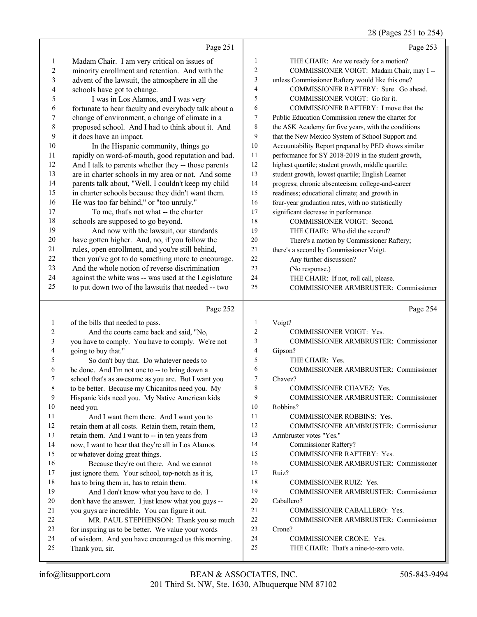# 28 (Pages 251 to 254)

|                         | Page 251                                                                     |                         | Page 253                                                           |
|-------------------------|------------------------------------------------------------------------------|-------------------------|--------------------------------------------------------------------|
| $\mathbf{1}$            | Madam Chair. I am very critical on issues of                                 | $\mathbf{1}$            | THE CHAIR: Are we ready for a motion?                              |
| $\overline{\mathbf{c}}$ | minority enrollment and retention. And with the                              | $\overline{\mathbf{c}}$ | COMMISSIONER VOIGT: Madam Chair, may I --                          |
| $\mathfrak{Z}$          | advent of the lawsuit, the atmosphere in all the                             | 3                       | unless Commissioner Raftery would like this one?                   |
| 4                       | schools have got to change.                                                  | 4                       | COMMISSIONER RAFTERY: Sure. Go ahead.                              |
| 5                       | I was in Los Alamos, and I was very                                          | 5                       | COMMISSIONER VOIGT: Go for it.                                     |
| 6                       | fortunate to hear faculty and everybody talk about a                         | 6                       | COMMISSIONER RAFTERY: I move that the                              |
| 7                       | change of environment, a change of climate in a                              | 7                       | Public Education Commission renew the charter for                  |
| $\,$ $\,$               | proposed school. And I had to think about it. And                            | 8                       | the ASK Academy for five years, with the conditions                |
| 9                       | it does have an impact.                                                      | 9                       | that the New Mexico System of School Support and                   |
| 10                      | In the Hispanic community, things go                                         | 10                      | Accountability Report prepared by PED shows similar                |
| 11                      | rapidly on word-of-mouth, good reputation and bad.                           | 11                      | performance for SY 2018-2019 in the student growth,                |
| 12                      | And I talk to parents whether they -- those parents                          | 12                      | highest quartile; student growth, middle quartile;                 |
| 13                      | are in charter schools in my area or not. And some                           | 13                      | student growth, lowest quartile; English Learner                   |
| 14                      | parents talk about, "Well, I couldn't keep my child                          | 14                      | progress; chronic absenteeism; college-and-career                  |
| 15                      | in charter schools because they didn't want them.                            | 15                      | readiness; educational climate; and growth in                      |
| 16                      | He was too far behind," or "too unruly."                                     | 16                      | four-year graduation rates, with no statistically                  |
| 17                      | To me, that's not what -- the charter                                        | 17                      | significant decrease in performance.                               |
| 18                      | schools are supposed to go beyond.                                           | 18                      | COMMISSIONER VOIGT: Second.                                        |
| 19                      | And now with the lawsuit, our standards                                      | 19                      | THE CHAIR: Who did the second?                                     |
| 20                      | have gotten higher. And, no, if you follow the                               | 20                      | There's a motion by Commissioner Raftery;                          |
| 21                      | rules, open enrollment, and you're still behind,                             | 21                      | there's a second by Commissioner Voigt.                            |
| 22                      | then you've got to do something more to encourage.                           | 22                      | Any further discussion?                                            |
| 23                      | And the whole notion of reverse discrimination                               | 23                      | (No response.)                                                     |
| 24                      | against the white was -- was used at the Legislature                         | 24                      | THE CHAIR: If not, roll call, please.                              |
| 25                      | to put down two of the lawsuits that needed -- two                           | 25                      | COMMISSIONER ARMBRUSTER: Commissioner                              |
|                         |                                                                              |                         |                                                                    |
|                         | Page 252                                                                     |                         | Page 254                                                           |
| $\mathbf{1}$            |                                                                              | 1                       | Voigt?                                                             |
| 2                       | of the bills that needed to pass.<br>And the courts came back and said, "No, | 2                       | COMMISSIONER VOIGT: Yes.                                           |
| 3                       | you have to comply. You have to comply. We're not                            | 3                       | COMMISSIONER ARMBRUSTER: Commissioner                              |
| 4                       | going to buy that."                                                          | 4                       | Gipson?                                                            |
| 5                       | So don't buy that. Do whatever needs to                                      | 5                       | THE CHAIR: Yes.                                                    |
| 6                       | be done. And I'm not one to -- to bring down a                               | 6                       | COMMISSIONER ARMBRUSTER: Commissioner                              |
| 7                       | school that's as awesome as you are. But I want you                          | 7                       | Chavez?                                                            |
| 8                       | to be better. Because my Chicanitos need you. My                             | 8                       | COMMISSIONER CHAVEZ: Yes.                                          |
| 9                       | Hispanic kids need you. My Native American kids                              | 9                       | <b>COMMISSIONER ARMBRUSTER: Commissioner</b>                       |
| 10                      | need you.                                                                    | 10                      | Robbins?                                                           |
| 11                      | And I want them there. And I want you to                                     | 11                      | <b>COMMISSIONER ROBBINS: Yes.</b>                                  |
| 12                      | retain them at all costs. Retain them, retain them,                          | 12                      | COMMISSIONER ARMBRUSTER: Commissioner                              |
| 13                      | retain them. And I want to -- in ten years from                              | 13                      | Armbruster votes "Yes."                                            |
| 14                      | now, I want to hear that they're all in Los Alamos                           | 14                      | Commissioner Raftery?                                              |
| 15                      | or whatever doing great things.                                              | 15                      | COMMISSIONER RAFTERY: Yes.                                         |
| 16                      | Because they're out there. And we cannot                                     | 16                      | COMMISSIONER ARMBRUSTER: Commissioner                              |
| 17                      | just ignore them. Your school, top-notch as it is,                           | 17                      | Ruiz?                                                              |
| 18                      | has to bring them in, has to retain them.                                    | 18                      | <b>COMMISSIONER RUIZ: Yes.</b>                                     |
| 19                      | And I don't know what you have to do. I                                      | 19                      | COMMISSIONER ARMBRUSTER: Commissioner                              |
| 20                      | don't have the answer. I just know what you guys --                          | 20                      | Caballero?                                                         |
| 21                      | you guys are incredible. You can figure it out.                              | 21                      | COMMISSIONER CABALLERO: Yes.                                       |
| 22                      | MR. PAUL STEPHENSON: Thank you so much                                       | 22                      | COMMISSIONER ARMBRUSTER: Commissioner                              |
| 23                      | for inspiring us to be better. We value your words                           | 23                      | Crone?                                                             |
| 24<br>25                | of wisdom. And you have encouraged us this morning.<br>Thank you, sir.       | 24<br>25                | COMMISSIONER CRONE: Yes.<br>THE CHAIR: That's a nine-to-zero vote. |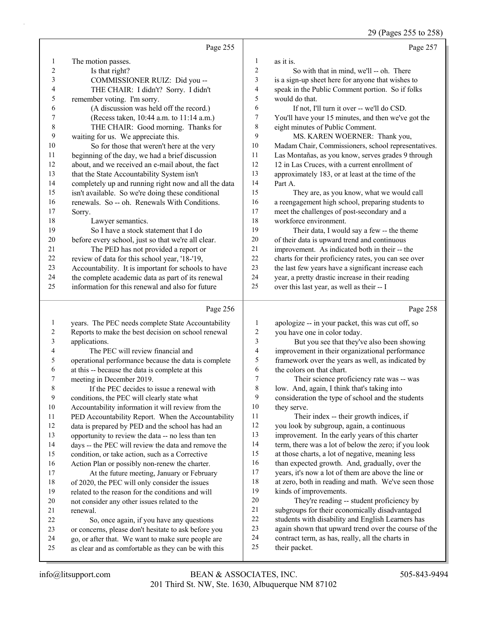29 (Pages 255 to 258)

Page 257

Page 255

| 1                       | The motion passes.                                                                                         | 1                        | as it is.                                                         |
|-------------------------|------------------------------------------------------------------------------------------------------------|--------------------------|-------------------------------------------------------------------|
| $\overline{\mathbf{c}}$ | Is that right?                                                                                             | $\overline{c}$           | So with that in mind, we'll -- oh. There                          |
| 3                       | COMMISSIONER RUIZ: Did you --                                                                              | 3                        | is a sign-up sheet here for anyone that wishes to                 |
| 4                       | THE CHAIR: I didn't? Sorry. I didn't                                                                       | 4                        | speak in the Public Comment portion. So if folks                  |
| 5                       | remember voting. I'm sorry.                                                                                | 5                        | would do that.                                                    |
| 6                       | (A discussion was held off the record.)                                                                    | 6                        | If not, I'll turn it over -- we'll do CSD.                        |
| 7                       | (Recess taken, 10:44 a.m. to 11:14 a.m.)                                                                   | 7                        | You'll have your 15 minutes, and then we've got the               |
| $\,$ $\,$               | THE CHAIR: Good morning. Thanks for                                                                        | 8                        | eight minutes of Public Comment.                                  |
| 9                       | waiting for us. We appreciate this.                                                                        | 9                        | MS. KAREN WOERNER: Thank you,                                     |
| 10                      | So for those that weren't here at the very                                                                 | 10                       | Madam Chair, Commissioners, school representatives.               |
| 11                      | beginning of the day, we had a brief discussion                                                            | 11                       | Las Montañas, as you know, serves grades 9 through                |
| 12                      | about, and we received an e-mail about, the fact                                                           | 12                       | 12 in Las Cruces, with a current enrollment of                    |
| 13                      | that the State Accountability System isn't                                                                 | 13                       | approximately 183, or at least at the time of the                 |
| 14                      | completely up and running right now and all the data                                                       | 14                       | Part A.                                                           |
| 15                      | isn't available. So we're doing these conditional                                                          | 15                       | They are, as you know, what we would call                         |
| 16                      | renewals. So -- oh. Renewals With Conditions.                                                              | 16                       | a reengagement high school, preparing students to                 |
| 17                      | Sorry.                                                                                                     | 17                       | meet the challenges of post-secondary and a                       |
| 18                      | Lawyer semantics.                                                                                          | 18                       | workforce environment.                                            |
| 19                      | So I have a stock statement that I do                                                                      | 19                       | Their data, I would say a few -- the theme                        |
| 20                      | before every school, just so that we're all clear.                                                         | $20\,$                   | of their data is upward trend and continuous                      |
| 21                      | The PED has not provided a report or                                                                       | 21                       | improvement. As indicated both in their -- the                    |
| $22\,$                  | review of data for this school year, '18-'19,                                                              | $22\,$                   | charts for their proficiency rates, you can see over              |
| 23                      | Accountability. It is important for schools to have                                                        | 23                       | the last few years have a significant increase each               |
| 24                      | the complete academic data as part of its renewal                                                          | 24                       | year, a pretty drastic increase in their reading                  |
| 25                      | information for this renewal and also for future                                                           | 25                       | over this last year, as well as their -- I                        |
|                         |                                                                                                            |                          |                                                                   |
|                         | Page 256                                                                                                   |                          | Page 258                                                          |
| $\mathbf{1}$            | years. The PEC needs complete State Accountability                                                         | $\mathbf{1}$             | apologize -- in your packet, this was cut off, so                 |
| 2                       | Reports to make the best decision on school renewal                                                        | $\overline{c}$           | you have one in color today.                                      |
| $\mathfrak{Z}$          | applications.                                                                                              | 3                        | But you see that they've also been showing                        |
| 4                       | The PEC will review financial and                                                                          | $\overline{\mathcal{L}}$ | improvement in their organizational performance                   |
| 5                       | operational performance because the data is complete                                                       | 5                        | framework over the years as well, as indicated by                 |
| 6                       | at this -- because the data is complete at this                                                            | 6                        | the colors on that chart.                                         |
| 7                       | meeting in December 2019.                                                                                  | $\tau$                   | Their science proficiency rate was -- was                         |
| 8                       | If the PEC decides to issue a renewal with                                                                 | $\,$ $\,$                | low. And, again, I think that's taking into                       |
| 9                       | conditions, the PEC will clearly state what                                                                | 9                        | consideration the type of school and the students                 |
| $10\,$                  | Accountability information it will review from the                                                         | 10                       | they serve.                                                       |
| 11                      | PED Accountability Report. When the Accountability                                                         | 11                       | Their index -- their growth indices, if                           |
| 12                      | data is prepared by PED and the school has had an                                                          | 12                       | you look by subgroup, again, a continuous                         |
| 13                      | opportunity to review the data -- no less than ten                                                         | 13                       | improvement. In the early years of this charter                   |
| 14                      | days -- the PEC will review the data and remove the                                                        | 14                       | term, there was a lot of below the zero; if you look              |
| 15                      | condition, or take action, such as a Corrective                                                            | 15                       | at those charts, a lot of negative, meaning less                  |
| 16                      | Action Plan or possibly non-renew the charter.                                                             | 16                       | than expected growth. And, gradually, over the                    |
| 17                      | At the future meeting, January or February                                                                 | 17                       | years, it's now a lot of them are above the line or               |
| 18                      | of 2020, the PEC will only consider the issues                                                             | 18                       | at zero, both in reading and math. We've seen those               |
| 19                      | related to the reason for the conditions and will                                                          | 19                       | kinds of improvements.                                            |
| 20                      | not consider any other issues related to the                                                               | $20\,$                   | They're reading -- student proficiency by                         |
| 21                      | renewal.                                                                                                   | $21\,$                   | subgroups for their economically disadvantaged                    |
| 22                      | So, once again, if you have any questions                                                                  | 22                       | students with disability and English Learners has                 |
| 23                      | or concerns, please don't hesitate to ask before you                                                       | 23                       | again shown that upward trend over the course of the              |
|                         |                                                                                                            |                          |                                                                   |
| 24<br>25                | go, or after that. We want to make sure people are<br>as clear and as comfortable as they can be with this | 24<br>25                 | contract term, as has, really, all the charts in<br>their packet. |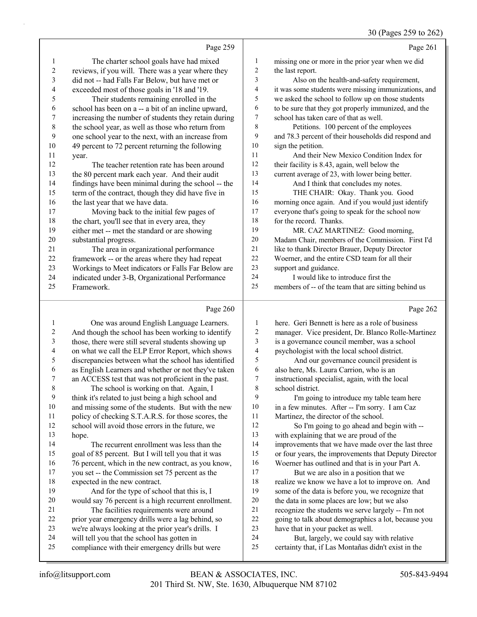|                          | Page 259                                                                                          |                         | Page 261                                                                             |
|--------------------------|---------------------------------------------------------------------------------------------------|-------------------------|--------------------------------------------------------------------------------------|
| 1                        | The charter school goals have had mixed                                                           | 1                       | missing one or more in the prior year when we did                                    |
| $\overline{c}$           | reviews, if you will. There was a year where they                                                 | $\overline{2}$          | the last report.                                                                     |
| 3                        | did not -- had Falls Far Below, but have met or                                                   | 3                       | Also on the health-and-safety requirement,                                           |
| 4                        | exceeded most of those goals in '18 and '19.                                                      | $\overline{4}$          | it was some students were missing immunizations, and                                 |
| 5                        | Their students remaining enrolled in the                                                          | 5                       | we asked the school to follow up on those students                                   |
| 6                        | school has been on a -- a bit of an incline upward,                                               | 6                       | to be sure that they got properly immunized, and the                                 |
| 7                        | increasing the number of students they retain during                                              | $\boldsymbol{7}$        | school has taken care of that as well.                                               |
| $\,8\,$                  | the school year, as well as those who return from                                                 | 8                       | Petitions. 100 percent of the employees                                              |
| 9                        | one school year to the next, with an increase from                                                | 9                       | and 78.3 percent of their households did respond and                                 |
| 10                       | 49 percent to 72 percent returning the following                                                  | 10                      | sign the petition.                                                                   |
| 11                       | year.                                                                                             | 11                      | And their New Mexico Condition Index for                                             |
| 12                       | The teacher retention rate has been around                                                        | 12                      | their facility is 8.43, again, well below the                                        |
| 13                       | the 80 percent mark each year. And their audit                                                    | 13                      | current average of 23, with lower being better.                                      |
| 14                       | findings have been minimal during the school -- the                                               | 14                      | And I think that concludes my notes.                                                 |
| 15                       |                                                                                                   | 15                      | THE CHAIR: Okay. Thank you. Good                                                     |
| 16                       | term of the contract, though they did have five in                                                | 16                      | morning once again. And if you would just identify                                   |
| 17                       | the last year that we have data.<br>Moving back to the initial few pages of                       | 17                      | everyone that's going to speak for the school now                                    |
| 18                       |                                                                                                   | 18                      | for the record. Thanks.                                                              |
|                          | the chart, you'll see that in every area, they                                                    | 19                      |                                                                                      |
| 19                       | either met -- met the standard or are showing                                                     | 20                      | MR. CAZ MARTINEZ: Good morning,<br>Madam Chair, members of the Commission. First I'd |
| 20<br>21                 | substantial progress.                                                                             | 21                      |                                                                                      |
| 22                       | The area in organizational performance                                                            | 22                      | like to thank Director Brauer, Deputy Director                                       |
|                          | framework -- or the areas where they had repeat                                                   | 23                      | Woerner, and the entire CSD team for all their                                       |
| 23                       | Workings to Meet indicators or Falls Far Below are                                                | 24                      | support and guidance.                                                                |
| 24                       | indicated under 3-B, Organizational Performance                                                   | 25                      | I would like to introduce first the                                                  |
| 25                       | Framework.                                                                                        |                         | members of -- of the team that are sitting behind us                                 |
|                          | Page 260                                                                                          |                         | Page 262                                                                             |
| 1                        | One was around English Language Learners.                                                         | 1                       | here. Geri Bennett is here as a role of business                                     |
| $\overline{c}$           | And though the school has been working to identify                                                | $\sqrt{2}$              | manager. Vice president, Dr. Blanco Rolle-Martinez                                   |
| 3                        | those, there were still several students showing up                                               | 3                       | is a governance council member, was a school                                         |
| $\overline{\mathcal{A}}$ | on what we call the ELP Error Report, which shows                                                 | $\overline{\mathbf{4}}$ | psychologist with the local school district.                                         |
| 5                        | discrepancies between what the school has identified                                              | 5                       | And our governance council president is                                              |
| 6                        | as English Learners and whether or not they've taken                                              | 6                       | also here, Ms. Laura Carrion, who is an                                              |
| 7                        | an ACCESS test that was not proficient in the past.                                               | 7                       | instructional specialist, again, with the local                                      |
| 8                        | The school is working on that. Again, I                                                           | 8                       | school district.                                                                     |
| $\boldsymbol{9}$         | think it's related to just being a high school and                                                | 9                       | I'm going to introduce my table team here                                            |
| $10\,$                   | and missing some of the students. But with the new                                                | $10\,$                  | in a few minutes. After -- I'm sorry. I am Caz                                       |
| 11                       | policy of checking S.T.A.R.S. for those scores, the                                               | 11                      | Martinez, the director of the school.                                                |
| 12                       | school will avoid those errors in the future, we                                                  | 12                      | So I'm going to go ahead and begin with --                                           |
| 13                       | hope.                                                                                             | 13                      | with explaining that we are proud of the                                             |
| 14                       |                                                                                                   |                         |                                                                                      |
| 15                       |                                                                                                   |                         |                                                                                      |
|                          | The recurrent enrollment was less than the                                                        | 14                      | improvements that we have made over the last three                                   |
|                          | goal of 85 percent. But I will tell you that it was                                               | 15                      | or four years, the improvements that Deputy Director                                 |
| 16                       | 76 percent, which in the new contract, as you know,                                               | 16                      | Woerner has outlined and that is in your Part A.                                     |
| 17                       | you set -- the Commission set 75 percent as the                                                   | 17                      | But we are also in a position that we                                                |
| 18                       | expected in the new contract.                                                                     | 18                      | realize we know we have a lot to improve on. And                                     |
| 19                       | And for the type of school that this is, I                                                        | 19                      | some of the data is before you, we recognize that                                    |
| 20                       | would say 76 percent is a high recurrent enrollment.                                              | $20\,$                  | the data in some places are low; but we also                                         |
| 21                       | The facilities requirements were around                                                           | 21                      | recognize the students we serve largely -- I'm not                                   |
| 22                       | prior year emergency drills were a lag behind, so                                                 | 22                      | going to talk about demographics a lot, because you                                  |
| 23<br>24                 | we're always looking at the prior year's drills. I<br>will tell you that the school has gotten in | 23<br>24                | have that in your packet as well.<br>But, largely, we could say with relative        |

certainty that, if Las Montañas didn't exist in the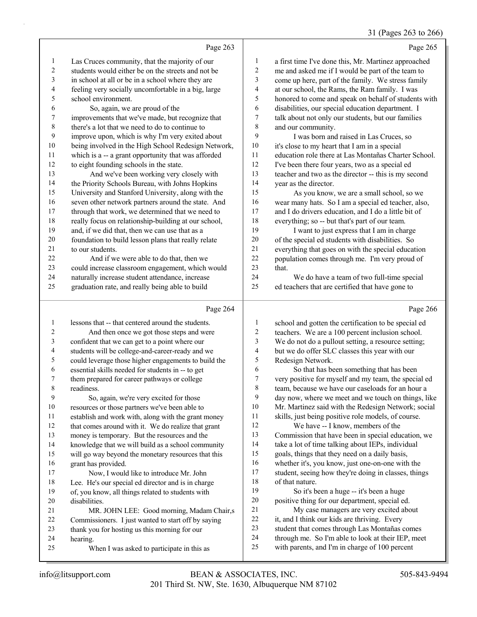#### 31 (Pages 263 to 266)

|                          |                                                      |                | $5 + 100$                                            |
|--------------------------|------------------------------------------------------|----------------|------------------------------------------------------|
|                          | Page 263                                             |                | Page 265                                             |
| 1                        | Las Cruces community, that the majority of our       | 1              | a first time I've done this, Mr. Martinez approached |
| $\overline{c}$           | students would either be on the streets and not be   | $\overline{c}$ | me and asked me if I would be part of the team to    |
| 3                        | in school at all or be in a school where they are    | 3              | come up here, part of the family. We stress family   |
| 4                        | feeling very socially uncomfortable in a big, large  | 4              | at our school, the Rams, the Ram family. I was       |
| 5                        | school environment.                                  | 5              | honored to come and speak on behalf of students with |
| 6                        | So, again, we are proud of the                       | 6              | disabilities, our special education department. I    |
| 7                        | improvements that we've made, but recognize that     | 7              | talk about not only our students, but our families   |
| 8                        | there's a lot that we need to do to continue to      | 8              | and our community.                                   |
| 9                        | improve upon, which is why I'm very exited about     | 9              | I was born and raised in Las Cruces, so              |
| 10                       | being involved in the High School Redesign Network,  | 10             | it's close to my heart that I am in a special        |
| 11                       | which is a -- a grant opportunity that was afforded  | 11             | education role there at Las Montañas Charter School. |
| 12                       | to eight founding schools in the state.              | 12             | I've been there four years, two as a special ed      |
| 13                       | And we've been working very closely with             | 13             | teacher and two as the director -- this is my second |
| 14                       | the Priority Schools Bureau, with Johns Hopkins      | 14             | year as the director.                                |
| 15                       | University and Stanford University, along with the   | 15             | As you know, we are a small school, so we            |
| 16                       | seven other network partners around the state. And   | 16             | wear many hats. So I am a special ed teacher, also,  |
| $17\,$                   | through that work, we determined that we need to     | 17             | and I do drivers education, and I do a little bit of |
| 18                       | really focus on relationship-building at our school, | 18             | everything; so -- but that's part of our team.       |
| 19                       | and, if we did that, then we can use that as a       | 19             | I want to just express that I am in charge           |
| 20                       | foundation to build lesson plans that really relate  | $20\,$         | of the special ed students with disabilities. So     |
| 21                       | to our students.                                     | 21             | everything that goes on with the special education   |
| 22                       | And if we were able to do that, then we              | 22             | population comes through me. I'm very proud of       |
| 23                       | could increase classroom engagement, which would     | 23             | that.                                                |
| 24                       | naturally increase student attendance, increase      | 24             | We do have a team of two full-time special           |
| 25                       | graduation rate, and really being able to build      | 25             | ed teachers that are certified that have gone to     |
|                          | Page 264                                             |                | Page 266                                             |
| 1                        | lessons that -- that centered around the students.   | 1              | school and gotten the certification to be special ed |
| 2                        | And then once we got those steps and were            | $\overline{c}$ | teachers. We are a 100 percent inclusion school.     |
| 3                        | confident that we can get to a point where our       | 3              | We do not do a pullout setting, a resource setting;  |
| $\overline{\mathcal{L}}$ | students will be college-and-career-ready and we     | 4              | but we do offer SLC classes this year with our       |
| 5                        | could leverage those higher engagements to build the | 5              | Redesign Network.                                    |
| 6                        | essential skills needed for students in -- to get    | 6              | So that has been something that has been             |
| 7                        | them prepared for career pathways or college         | $\tau$         | very positive for myself and my team, the special ed |
| $\,$ 8 $\,$              | readiness.                                           | $\,$ 8 $\,$    | team, because we have our caseloads for an hour a    |
| 9                        | So, again, we're very excited for those              | 9              | day now, where we meet and we touch on things, like  |
| $10\,$                   | resources or those partners we've been able to       | $10\,$         | Mr. Martinez said with the Redesign Network; social  |
| 11                       | establish and work with, along with the grant money  | 11             | skills, just being positive role models, of course.  |
| 12                       | that comes around with it. We do realize that grant  | 12             | We have -- I know, members of the                    |
| 13                       | money is temporary. But the resources and the        | 13             | Commission that have been in special education, we   |
| 14                       | knowledge that we will build as a school community   | 14             | take a lot of time talking about IEPs, individual    |
| 15                       | will go way beyond the monetary resources that this  | 15             | goals, things that they need on a daily basis,       |
| 16                       | grant has provided.                                  | 16             | whether it's, you know, just one-on-one with the     |
| 17                       | Now, I would like to introduce Mr. John              | $17$           | student, seeing how they're doing in classes, things |
| 18                       | Lee. He's our special ed director and is in charge   | 18             | of that nature.                                      |
| 19                       | of, you know, all things related to students with    | 19             | So it's been a huge -- it's been a huge              |

 of, you know, all things related to students with disabilities. 21 MR. JOHN LEE: Good morning, Madam Chair,s

- Commissioners. I just wanted to start off by saying
- thank you for hosting us this morning for our
- hearing.
- 25 When I was asked to participate in this as
- 201 Third St. NW, Ste. 1630, Albuquerque NM 87102 info@litsupport.com BEAN & ASSOCIATES, INC. 505-843-9494

 positive thing for our department, special ed. 21 My case managers are very excited about it, and I think our kids are thriving. Every student that comes through Las Montañas comes through me. So I'm able to look at their IEP, meet with parents, and I'm in charge of 100 percent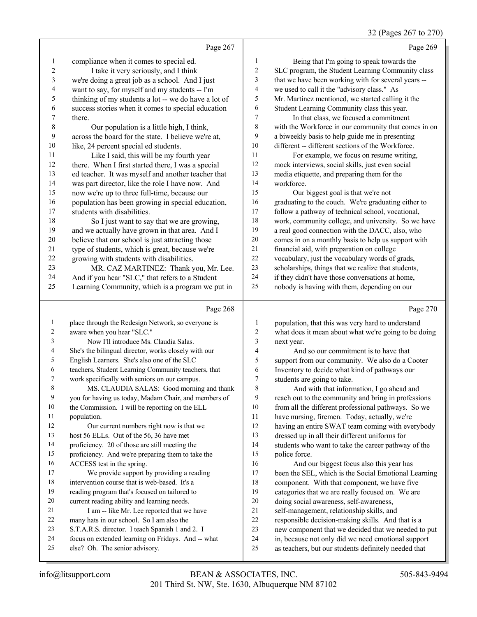# 32 (Pages 267 to 270)

|                  | Page 267                                                                             |                          | Page 269                                                                                                   |
|------------------|--------------------------------------------------------------------------------------|--------------------------|------------------------------------------------------------------------------------------------------------|
| $\mathbf{1}$     | compliance when it comes to special ed.                                              | 1                        | Being that I'm going to speak towards the                                                                  |
| $\sqrt{2}$       | I take it very seriously, and I think                                                | $\overline{c}$           | SLC program, the Student Learning Community class                                                          |
| $\mathfrak z$    | we're doing a great job as a school. And I just                                      | 3                        | that we have been working with for several years --                                                        |
| $\overline{4}$   | want to say, for myself and my students -- I'm                                       | $\overline{\mathcal{A}}$ | we used to call it the "advisory class." As                                                                |
| 5                | thinking of my students a lot -- we do have a lot of                                 | 5                        | Mr. Martinez mentioned, we started calling it the                                                          |
| $\sqrt{6}$       | success stories when it comes to special education                                   | 6                        | Student Learning Community class this year.                                                                |
| 7                | there.                                                                               | 7                        | In that class, we focused a commitment                                                                     |
| $\,$ 8 $\,$      | Our population is a little high, I think,                                            | 8                        | with the Workforce in our community that comes in on                                                       |
| 9                | across the board for the state. I believe we're at,                                  | 9                        | a biweekly basis to help guide me in presenting                                                            |
| $10\,$           | like, 24 percent special ed students.                                                | 10                       | different -- different sections of the Workforce.                                                          |
| 11               | Like I said, this will be my fourth year                                             | 11                       | For example, we focus on resume writing,                                                                   |
| 12               | there. When I first started there, I was a special                                   | 12                       | mock interviews, social skills, just even social                                                           |
| 13               | ed teacher. It was myself and another teacher that                                   | 13                       | media etiquette, and preparing them for the                                                                |
| 14               | was part director, like the role I have now. And                                     | 14                       | workforce.                                                                                                 |
| 15               | now we're up to three full-time, because our                                         | 15                       | Our biggest goal is that we're not                                                                         |
| 16               | population has been growing in special education,                                    | 16                       | graduating to the couch. We're graduating either to                                                        |
| 17               | students with disabilities.                                                          | 17                       | follow a pathway of technical school, vocational,                                                          |
| 18               | So I just want to say that we are growing,                                           | 18                       | work, community college, and university. So we have                                                        |
| 19               | and we actually have grown in that area. And I                                       | 19                       | a real good connection with the DACC, also, who                                                            |
| 20               | believe that our school is just attracting those                                     | $20\,$                   | comes in on a monthly basis to help us support with                                                        |
| 21               | type of students, which is great, because we're                                      | 21                       | financial aid, with preparation on college                                                                 |
| 22               | growing with students with disabilities.                                             | $22\,$                   | vocabulary, just the vocabulary words of grads,                                                            |
| 23               | MR. CAZ MARTINEZ: Thank you, Mr. Lee.                                                | 23                       | scholarships, things that we realize that students,                                                        |
| 24               | And if you hear "SLC," that refers to a Student                                      | 24                       | if they didn't have those conversations at home,                                                           |
| 25               | Learning Community, which is a program we put in                                     | 25                       | nobody is having with them, depending on our                                                               |
|                  | Page 268                                                                             |                          | Page 270                                                                                                   |
|                  |                                                                                      |                          |                                                                                                            |
| $\mathbf{1}$     |                                                                                      | $\mathbf{1}$             |                                                                                                            |
| $\boldsymbol{2}$ | place through the Redesign Network, so everyone is<br>aware when you hear "SLC."     | $\overline{c}$           | population, that this was very hard to understand                                                          |
| 3                | Now I'll introduce Ms. Claudia Salas.                                                | 3                        | what does it mean about what we're going to be doing<br>next year.                                         |
| 4                | She's the bilingual director, works closely with our                                 | $\overline{\mathbf{4}}$  | And so our commitment is to have that                                                                      |
| 5                | English Learners. She's also one of the SLC                                          | 5                        | support from our community. We also do a Cooter                                                            |
| 6                | teachers, Student Learning Community teachers, that                                  | 6                        | Inventory to decide what kind of pathways our                                                              |
| 7                | work specifically with seniors on our campus.                                        | 7                        | students are going to take.                                                                                |
| 8                | MS. CLAUDIA SALAS: Good morning and thank                                            | 8                        | And with that information, I go ahead and                                                                  |
| $\overline{9}$   | you for having us today, Madam Chair, and members of                                 | 9                        | reach out to the community and bring in professions                                                        |
| 10               | the Commission. I will be reporting on the ELL                                       | 10                       | from all the different professional pathways. So we                                                        |
| 11               | population.                                                                          | $11\,$                   | have nursing, firemen. Today, actually, we're                                                              |
| 12               | Our current numbers right now is that we                                             | 12                       | having an entire SWAT team coming with everybody                                                           |
| 13               | host 56 ELLs. Out of the 56, 36 have met                                             | 13                       | dressed up in all their different uniforms for                                                             |
| 14               | proficiency. 20 of those are still meeting the                                       | 14                       | students who want to take the career pathway of the                                                        |
| 15               | proficiency. And we're preparing them to take the                                    | 15                       | police force.                                                                                              |
| 16               | ACCESS test in the spring.                                                           | 16                       | And our biggest focus also this year has                                                                   |
| 17               | We provide support by providing a reading                                            | 17                       | been the SEL, which is the Social Emotional Learning                                                       |
| 18               | intervention course that is web-based. It's a                                        | 18                       | component. With that component, we have five                                                               |
| 19               | reading program that's focused on tailored to                                        | 19                       | categories that we are really focused on. We are                                                           |
| 20               | current reading ability and learning needs.                                          | $20\,$                   | doing social awareness, self-awareness,                                                                    |
| 21               | I am -- like Mr. Lee reported that we have                                           | $21\,$                   | self-management, relationship skills, and                                                                  |
| 22               | many hats in our school. So I am also the                                            | $22\,$                   | responsible decision-making skills. And that is a                                                          |
| 23               | S.T.A.R.S. director. I teach Spanish 1 and 2. I                                      | 23                       | new component that we decided that we needed to put                                                        |
| 24<br>25         | focus on extended learning on Fridays. And -- what<br>else? Oh. The senior advisory. | $24\,$<br>$25\,$         | in, because not only did we need emotional support<br>as teachers, but our students definitely needed that |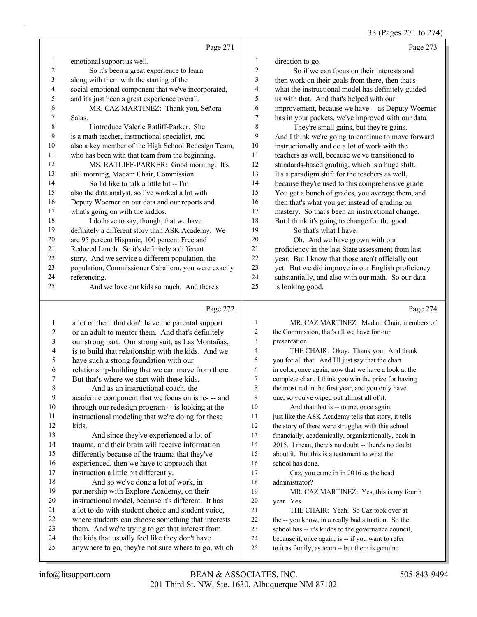33 (Pages 271 to 274)

|    | Page 271                                             |                | Page 273                                            |
|----|------------------------------------------------------|----------------|-----------------------------------------------------|
| 1  | emotional support as well.                           | 1              | direction to go.                                    |
| 2  | So it's been a great experience to learn             | $\overline{c}$ | So if we can focus on their interests and           |
| 3  | along with them with the starting of the             | 3              | then work on their goals from there, then that's    |
| 4  | social-emotional component that we've incorporated,  | $\overline{4}$ | what the instructional model has definitely guided  |
| 5  | and it's just been a great experience overall.       | 5              | us with that. And that's helped with our            |
| 6  | MR. CAZ MARTINEZ: Thank you, Señora                  | 6              | improvement, because we have -- as Deputy Woerner   |
| 7  | Salas.                                               | 7              | has in your packets, we've improved with our data.  |
| 8  | I introduce Valerie Ratliff-Parker. She              | 8              | They're small gains, but they're gains.             |
| 9  | is a math teacher, instructional specialist, and     | 9              | And I think we're going to continue to move forward |
| 10 | also a key member of the High School Redesign Team,  | 10             | instructionally and do a lot of work with the       |
| 11 | who has been with that team from the beginning.      | 11             | teachers as well, because we've transitioned to     |
| 12 | MS. RATLIFF-PARKER: Good morning. It's               | 12             | standards-based grading, which is a huge shift.     |
| 13 | still morning, Madam Chair, Commission.              | 13             | It's a paradigm shift for the teachers as well,     |
| 14 | So I'd like to talk a little bit -- I'm              | 14             | because they're used to this comprehensive grade.   |
| 15 | also the data analyst, so I've worked a lot with     | 15             | You get a bunch of grades, you average them, and    |
| 16 | Deputy Woerner on our data and our reports and       | 16             | then that's what you get instead of grading on      |
| 17 | what's going on with the kiddos.                     | 17             | mastery. So that's been an instructional change.    |
| 18 | I do have to say, though, that we have               | 18             | But I think it's going to change for the good.      |
| 19 | definitely a different story than ASK Academy. We    | 19             | So that's what I have.                              |
| 20 | are 95 percent Hispanic, 100 percent Free and        | 20             | Oh. And we have grown with our                      |
| 21 | Reduced Lunch. So it's definitely a different        | 21             | proficiency in the last State assessment from last  |
| 22 | story. And we service a different population, the    | 22             | year. But I know that those aren't officially out   |
| 23 | population, Commissioner Caballero, you were exactly | 23             | yet. But we did improve in our English proficiency  |
| 24 | referencing.                                         | 24             | substantially, and also with our math. So our data  |
| 25 | And we love our kids so much. And there's            | 25             | is looking good.                                    |
|    | Page 272                                             |                | Page 274                                            |

|--|--|

| 1  | a lot of them that don't have the parental support  | 1  | MR. CAZ MARTINEZ: Madam Chair, members of            |
|----|-----------------------------------------------------|----|------------------------------------------------------|
| 2  | or an adult to mentor them. And that's definitely   | 2  | the Commission, that's all we have for our           |
| 3  | our strong part. Our strong suit, as Las Montañas,  | 3  | presentation.                                        |
| 4  | is to build that relationship with the kids. And we | 4  | THE CHAIR: Okay. Thank you. And thank                |
| 5  | have such a strong foundation with our              | 5  | you for all that. And I'll just say that the chart   |
| 6  | relationship-building that we can move from there.  | 6  | in color, once again, now that we have a look at the |
| 7  | But that's where we start with these kids.          | 7  | complete chart, I think you win the prize for having |
| 8  | And as an instructional coach, the                  | 8  | the most red in the first year, and you only have    |
| 9  | academic component that we focus on is re--- and    | 9  | one; so you've wiped out almost all of it.           |
| 10 | through our redesign program -- is looking at the   | 10 | And that that is -- to me, once again,               |
| 11 | instructional modeling that we're doing for these   | 11 | just like the ASK Academy tells that story, it tells |
| 12 | kids.                                               | 12 | the story of there were struggles with this school   |
| 13 | And since they've experienced a lot of              | 13 | financially, academically, organizationally, back in |
| 14 | trauma, and their brain will receive information    | 14 | 2015. I mean, there's no doubt -- there's no doubt   |
| 15 | differently because of the trauma that they've      | 15 | about it. But this is a testament to what the        |
| 16 | experienced, then we have to approach that          | 16 | school has done.                                     |
| 17 | instruction a little bit differently.               | 17 | Caz, you came in in 2016 as the head                 |
| 18 | And so we've done a lot of work, in                 | 18 | administrator?                                       |
| 19 | partnership with Explore Academy, on their          | 19 | MR. CAZ MARTINEZ: Yes, this is my fourth             |
| 20 | instructional model, because it's different. It has | 20 | year. Yes.                                           |
| 21 | a lot to do with student choice and student voice,  | 21 | THE CHAIR: Yeah. So Caz took over at                 |
| 22 | where students can choose something that interests  | 22 | the -- you know, in a really bad situation. So the   |
| 23 | them. And we're trying to get that interest from    | 23 | school has -- it's kudos to the governance council,  |
| 24 | the kids that usually feel like they don't have     | 24 | because it, once again, is -- if you want to refer   |
| 25 | anywhere to go, they're not sure where to go, which | 25 | to it as family, as team -- but there is genuine     |
|    |                                                     |    |                                                      |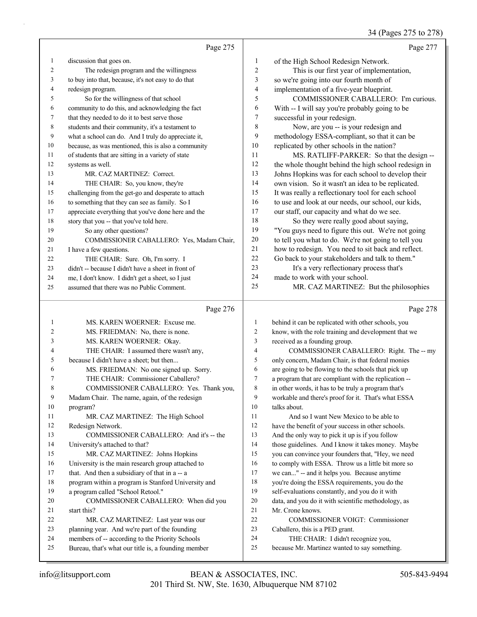# 34 (Pages 275 to 278)

|    | Page 275                                            |                | Page 277                                             |
|----|-----------------------------------------------------|----------------|------------------------------------------------------|
| 1  | discussion that goes on.                            | 1              | of the High School Redesign Network.                 |
| 2  | The redesign program and the willingness            | $\overline{2}$ | This is our first year of implementation,            |
| 3  | to buy into that, because, it's not easy to do that | 3              | so we're going into our fourth month of              |
| 4  | redesign program.                                   | $\overline{4}$ | implementation of a five-year blueprint.             |
| 5  | So for the willingness of that school               | 5              | COMMISSIONER CABALLERO: I'm curious.                 |
| 6  | community to do this, and acknowledging the fact    | 6              | With -- I will say you're probably going to be       |
| 7  | that they needed to do it to best serve those       | 7              | successful in your redesign.                         |
| 8  | students and their community, it's a testament to   | 8              | Now, are you -- is your redesign and                 |
| 9  | what a school can do. And I truly do appreciate it, | 9              | methodology ESSA-compliant, so that it can be        |
| 10 | because, as was mentioned, this is also a community | 10             | replicated by other schools in the nation?           |
| 11 | of students that are sitting in a variety of state  | 11             | MS. RATLIFF-PARKER: So that the design --            |
| 12 | systems as well.                                    | 12             | the whole thought behind the high school redesign in |
| 13 | MR. CAZ MARTINEZ: Correct.                          | 13             | Johns Hopkins was for each school to develop their   |
| 14 | THE CHAIR: So, you know, they're                    | 14             | own vision. So it wasn't an idea to be replicated.   |
| 15 | challenging from the get-go and desperate to attach | 15             | It was really a reflectionary tool for each school   |
| 16 | to something that they can see as family. So I      | 16             | to use and look at our needs, our school, our kids,  |
| 17 | appreciate everything that you've done here and the | 17             | our staff, our capacity and what do we see.          |
| 18 | story that you -- that you've told here.            | 18             | So they were really good about saying,               |
| 19 | So any other questions?                             | 19             | "You guys need to figure this out. We're not going   |
| 20 | COMMISSIONER CABALLERO: Yes, Madam Chair,           | 20             | to tell you what to do. We're not going to tell you  |
| 21 | I have a few questions.                             | 21             | how to redesign. You need to sit back and reflect.   |
| 22 | THE CHAIR: Sure. Oh, I'm sorry. I                   | 22             | Go back to your stakeholders and talk to them."      |
| 23 | didn't -- because I didn't have a sheet in front of | 23             | It's a very reflectionary process that's             |
| 24 | me, I don't know. I didn't get a sheet, so I just   | 24             | made to work with your school.                       |
| 25 | assumed that there was no Public Comment.           | 25             | MR. CAZ MARTINEZ: But the philosophies               |

# Page

|                | $\mathbf{u} \in \mathbf{C}$                         |                |
|----------------|-----------------------------------------------------|----------------|
| 1              | MS. KAREN WOERNER: Excuse me.                       | $\mathbf{1}$   |
| $\overline{c}$ | MS. FRIEDMAN: No, there is none.                    | $\overline{2}$ |
| 3              | MS. KAREN WOERNER: Okay.                            | 3              |
| $\overline{4}$ | THE CHAIR: I assumed there wasn't any,              | $\overline{4}$ |
| 5              | because I didn't have a sheet; but then             | 5              |
| 6              | MS. FRIEDMAN: No one signed up. Sorry.              | 6              |
| 7              | THE CHAIR: Commissioner Caballero?                  | 7              |
| 8              | COMMISSIONER CABALLERO: Yes. Thank you,             | 8              |
| 9              | Madam Chair. The name, again, of the redesign       | 9              |
| 10             | program?                                            | 10             |
| 11             | MR. CAZ MARTINEZ: The High School                   | 11             |
| 12             | Redesign Network.                                   | 12             |
| 13             | COMMISSIONER CABALLERO: And it's -- the             | 13             |
| 14             | University's attached to that?                      | 14             |
| 15             | MR. CAZ MARTINEZ: Johns Hopkins                     | 15             |
| 16             | University is the main research group attached to   | 16             |
| 17             | that. And then a subsidiary of that in a -- a       | 17             |
| 18             | program within a program is Stanford University and | 18             |
| 19             | a program called "School Retool."                   | 19             |
| 20             | COMMISSIONER CABALLERO: When did you                | 20             |
| 21             | start this?                                         | 21             |
| 22             | MR. CAZ MARTINEZ: Last year was our                 | 22             |
| 23             | planning year. And we're part of the founding       | 23             |
| 24             | members of -- according to the Priority Schools     | 24             |
| 25             | Bureau, that's what our title is, a founding member | 25             |

### Page 278

| $\mathbf{1}$   | behind it can be replicated with other schools, you  |
|----------------|------------------------------------------------------|
| $\overline{2}$ | know, with the role training and development that we |
| 3              | received as a founding group.                        |
| 4              | COMMISSIONER CABALLERO: Right. The -- my             |
| 5              | only concern, Madam Chair, is that federal monies    |
| 6              | are going to be flowing to the schools that pick up  |
| 7              | a program that are compliant with the replication -- |
| 8              | in other words, it has to be truly a program that's  |
| 9              | workable and there's proof for it. That's what ESSA  |
| 10             | talks about.                                         |
| 11             | And so I want New Mexico to be able to               |
| 12             | have the benefit of your success in other schools.   |
| 13             | And the only way to pick it up is if you follow      |
| 14             | those guidelines. And I know it takes money. Maybe   |
| 15             | you can convince your founders that, "Hey, we need   |
| 16             | to comply with ESSA. Throw us a little bit more so   |
| 17             | we can" -- and it helps you. Because anytime         |
| 18             | you're doing the ESSA requirements, you do the       |
| 19             | self-evaluations constantly, and you do it with      |
| 20             | data, and you do it with scientific methodology, as  |
| 21             | Mr. Crone knows.                                     |
| 22             | <b>COMMISSIONER VOIGT: Commissioner</b>              |
| 23             | Caballero, this is a PED grant.                      |
| 24             | THE CHAIR: I didn't recognize you,                   |
| 25             | because Mr. Martinez wanted to say something.        |
|                |                                                      |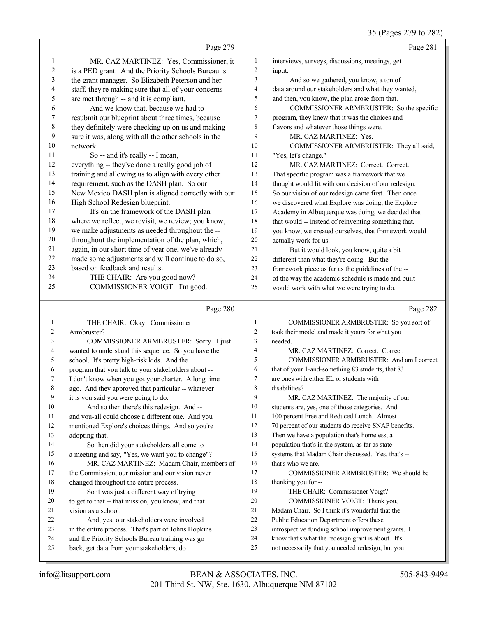|                  |                                                                                                 |                         | 35 (Pages 279 to 282)                                                                       |
|------------------|-------------------------------------------------------------------------------------------------|-------------------------|---------------------------------------------------------------------------------------------|
|                  | Page 279                                                                                        |                         | Page 281                                                                                    |
| 1                | MR. CAZ MARTINEZ: Yes, Commissioner, it                                                         | 1                       | interviews, surveys, discussions, meetings, get                                             |
| 2                | is a PED grant. And the Priority Schools Bureau is                                              | $\overline{\mathbf{c}}$ | input.                                                                                      |
| 3                | the grant manager. So Elizabeth Peterson and her                                                | 3                       | And so we gathered, you know, a ton of                                                      |
| 4                | staff, they're making sure that all of your concerns                                            | 4                       | data around our stakeholders and what they wanted,                                          |
| 5                | are met through -- and it is compliant.                                                         | 5                       | and then, you know, the plan arose from that.                                               |
| 6                | And we know that, because we had to                                                             | 6                       | COMMISSIONER ARMBRUSTER: So the specific                                                    |
| $\boldsymbol{7}$ | resubmit our blueprint about three times, because                                               | 7                       | program, they knew that it was the choices and                                              |
| 8                | they definitely were checking up on us and making                                               | 8                       | flavors and whatever those things were.                                                     |
| 9                | sure it was, along with all the other schools in the                                            | 9                       | MR. CAZ MARTINEZ: Yes.                                                                      |
| 10               | network.                                                                                        | 10                      | COMMISSIONER ARMBRUSTER: They all said,                                                     |
| 11               | So -- and it's really -- I mean,                                                                | 11                      | "Yes, let's change."                                                                        |
| 12               | everything -- they've done a really good job of                                                 | 12                      | MR. CAZ MARTINEZ: Correct. Correct.                                                         |
| 13               | training and allowing us to align with every other                                              | 13                      | That specific program was a framework that we                                               |
| 14               | requirement, such as the DASH plan. So our                                                      | 14                      | thought would fit with our decision of our redesign.                                        |
| 15               | New Mexico DASH plan is aligned correctly with our                                              | 15                      | So our vision of our redesign came first. Then once                                         |
| 16               | High School Redesign blueprint.                                                                 | 16                      | we discovered what Explore was doing, the Explore                                           |
| 17               | It's on the framework of the DASH plan                                                          | 17                      | Academy in Albuquerque was doing, we decided that                                           |
| 18               | where we reflect, we revisit, we review; you know,                                              | 18                      | that would -- instead of reinventing something that,                                        |
| 19               | we make adjustments as needed throughout the --                                                 | 19                      | you know, we created ourselves, that framework would                                        |
| $20\,$           | throughout the implementation of the plan, which,                                               | 20                      | actually work for us.                                                                       |
| 21               | again, in our short time of year one, we've already                                             | 21                      | But it would look, you know, quite a bit                                                    |
| 22               | made some adjustments and will continue to do so,                                               | $22\,$                  | different than what they're doing. But the                                                  |
| 23               | based on feedback and results.                                                                  | 23                      | framework piece as far as the guidelines of the --                                          |
| 24               | THE CHAIR: Are you good now?                                                                    | 24                      | of the way the academic schedule is made and built                                          |
| 25               | COMMISSIONER VOIGT: I'm good.                                                                   | 25                      | would work with what we were trying to do.                                                  |
|                  | Page 280                                                                                        |                         | Page 282                                                                                    |
| 1                | THE CHAIR: Okay. Commissioner                                                                   | $\mathbf{1}$            | COMMISSIONER ARMBRUSTER: So you sort of                                                     |
| 2                | Armbruster?                                                                                     | 2                       | took their model and made it yours for what you                                             |
| 3                | COMMISSIONER ARMBRUSTER: Sorry. I just                                                          | 3                       | needed.                                                                                     |
| 4                | wanted to understand this sequence. So you have the                                             | 4                       | MR. CAZ MARTINEZ: Correct. Correct.                                                         |
| 5                | school. It's pretty high-risk kids. And the                                                     | 5                       | COMMISSIONER ARMBRUSTER: And am I correct                                                   |
| 6                | program that you talk to your stakeholders about --                                             | 6                       | that of your 1-and-something 83 students, that 83                                           |
|                  | I don't know when you got your charter. A long time                                             | 7                       | are ones with either EL or students with                                                    |
| 8                | ago. And they approved that particular -- whatever                                              | 8                       | disabilities?                                                                               |
| 9                | it is you said you were going to do.                                                            | 9                       | MR. CAZ MARTINEZ: The majority of our                                                       |
| 10               | And so then there's this redesign. And --                                                       | 10                      | students are, yes, one of those categories. And                                             |
| 11               | and you-all could choose a different one. And you                                               | 11                      | 100 percent Free and Reduced Lunch. Almost                                                  |
| 12               | mentioned Explore's choices things. And so you're                                               | 12                      | 70 percent of our students do receive SNAP benefits.                                        |
| 13               | adopting that.                                                                                  | 13                      | Then we have a population that's homeless, a                                                |
| 14               | So then did your stakeholders all come to                                                       | 14                      | population that's in the system, as far as state                                            |
| 15               | a meeting and say, "Yes, we want you to change"?                                                | 15                      | systems that Madam Chair discussed. Yes, that's --                                          |
| 16               | MR. CAZ MARTINEZ: Madam Chair, members of                                                       | 16                      | that's who we are.                                                                          |
| 17               | the Commission, our mission and our vision never                                                | 17                      | COMMISSIONER ARMBRUSTER: We should be                                                       |
| 18               | changed throughout the entire process.                                                          | 18<br>19                | thanking you for --                                                                         |
| 19               | So it was just a different way of trying                                                        | 20                      | THE CHAIR: Commissioner Voigt?                                                              |
| 20<br>21         | to get to that -- that mission, you know, and that                                              | 21                      | COMMISSIONER VOIGT: Thank you,                                                              |
| 22               | vision as a school.                                                                             | 22                      | Madam Chair. So I think it's wonderful that the<br>Public Education Department offers these |
| 23               | And, yes, our stakeholders were involved<br>in the entire process. That's part of Johns Hopkins | 23                      | introspective funding school improvement grants. I                                          |
| 24               | and the Priority Schools Bureau training was go                                                 | 24                      | know that's what the redesign grant is about. It's                                          |
| 25               | back, get data from your stakeholders, do                                                       | 25                      | not necessarily that you needed redesign; but you                                           |
|                  |                                                                                                 |                         |                                                                                             |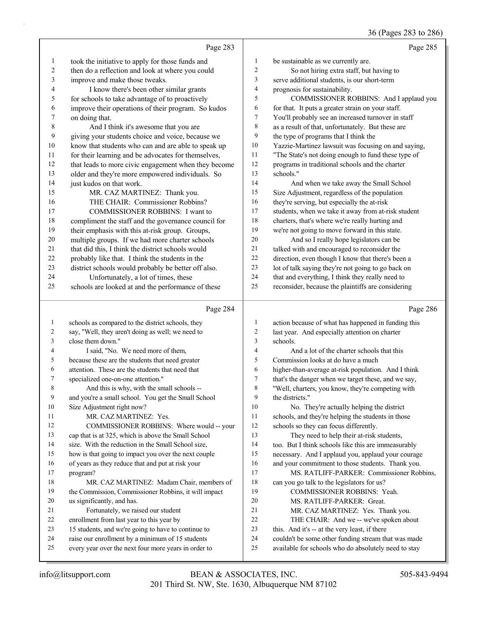36 (Pages 283 to 286)

|              | Page 283                                                                                                 |                  | Page 285                                                  |
|--------------|----------------------------------------------------------------------------------------------------------|------------------|-----------------------------------------------------------|
| $\mathbf{1}$ | took the initiative to apply for those funds and                                                         | $\mathbf{1}$     | be sustainable as we currently are.                       |
| 2            | then do a reflection and look at where you could                                                         | $\sqrt{2}$       | So not hiring extra staff, but having to                  |
| 3            | improve and make those tweaks.                                                                           | 3                | serve additional students, is our short-term              |
| 4            | I know there's been other similar grants                                                                 | $\overline{4}$   | prognosis for sustainability.                             |
| 5            | for schools to take advantage of to proactively                                                          | 5                | COMMISSIONER ROBBINS: And I applaud you                   |
| 6            | improve their operations of their program. So kudos                                                      | 6                | for that. It puts a greater strain on your staff.         |
| 7            | on doing that.                                                                                           | 7                | You'll probably see an increased turnover in staff        |
| $\,$ 8 $\,$  | And I think it's awesome that you are                                                                    | 8                | as a result of that, unfortunately. But these are         |
| 9            | giving your students choice and voice, because we                                                        | 9                | the type of programs that I think the                     |
| 10           | know that students who can and are able to speak up                                                      | 10               | Yazzie-Martinez lawsuit was focusing on and saying,       |
| 11           | for their learning and be advocates for themselves,                                                      | 11               | "The State's not doing enough to fund these type of       |
| 12           | that leads to more civic engagement when they become                                                     | 12               | programs in traditional schools and the charter           |
| 13           | older and they're more empowered individuals. So                                                         | 13               | schools."                                                 |
| 14           | just kudos on that work.                                                                                 | 14               | And when we take away the Small School                    |
| 15           | MR. CAZ MARTINEZ: Thank you.                                                                             | 15               | Size Adjustment, regardless of the population             |
| 16           | THE CHAIR: Commissioner Robbins?                                                                         | 16               | they're serving, but especially the at-risk               |
| 17           | <b>COMMISSIONER ROBBINS: I want to</b>                                                                   | 17               | students, when we take it away from at-risk student       |
| 18           | compliment the staff and the governance council for                                                      | 18               | charters, that's where we're really hurting and           |
| 19           | their emphasis with this at-risk group. Groups,                                                          | 19               | we're not going to move forward in this state.            |
| 20           | multiple groups. If we had more charter schools                                                          | 20               | And so I really hope legislators can be                   |
| 21           | that did this, I think the district schools would                                                        | 21               | talked with and encouraged to reconsider the              |
| 22           | probably like that. I think the students in the                                                          | 22               | direction, even though I know that there's been a         |
| 23           | district schools would probably be better off also.                                                      | 23               | lot of talk saying they're not going to go back on        |
| 24           | Unfortunately, a lot of times, these                                                                     | 24               | that and everything, I think they really need to          |
| 25           | schools are looked at and the performance of these                                                       | 25               | reconsider, because the plaintiffs are considering        |
|              |                                                                                                          |                  |                                                           |
|              | Page 284                                                                                                 |                  | Page 286                                                  |
| $\mathbf{1}$ | schools as compared to the district schools, they                                                        | $\mathbf{1}$     | action because of what has happened in funding this       |
| 2            | say, "Well, they aren't doing as well; we need to                                                        | $\boldsymbol{2}$ | last year. And especially attention on charter            |
| 3            | close them down."                                                                                        | 3                | schools.                                                  |
| 4            | I said, "No. We need more of them,                                                                       | 4                | And a lot of the charter schools that this                |
| 5            | because these are the students that need greater                                                         | 5                | Commission looks at do have a much                        |
| 6            | attention. These are the students that need that                                                         | 6                | higher-than-average at-risk population. And I think       |
| 7            | specialized one-on-one attention."                                                                       | $\tau$           | that's the danger when we target these, and we say,       |
| 8            | And this is why, with the small schools --                                                               | 8                | "Well, charters, you know, they're competing with         |
| 9            | and you're a small school. You get the Small School                                                      | 9                | the districts."                                           |
| 10           | Size Adjustment right now?                                                                               | 10               | No. They're actually helping the district                 |
| 11           | MR. CAZ MARTINEZ: Yes.                                                                                   | 11               | schools, and they're helping the students in those        |
| 12           | COMMISSIONER ROBBINS: Where would -- your                                                                | 12               | schools so they can focus differently.                    |
| 13           | cap that is at 325, which is above the Small School                                                      | 13               | They need to help their at-risk students,                 |
| 14           | size. With the reduction in the Small School size,                                                       | 14               | too. But I think schools like this are immeasurably       |
| 15           | how is that going to impact you over the next couple                                                     | 15<br>16         | necessary. And I applaud you, applaud your courage        |
| 16           | of years as they reduce that and put at risk your                                                        | 17               | and your commitment to those students. Thank you.         |
| 17<br>18     | program?                                                                                                 | 18               | MS. RATLIFF-PARKER: Commissioner Robbins,                 |
| 19           | MR. CAZ MARTINEZ: Madam Chair, members of<br>the Commission, Commissioner Robbins, it will impact        | 19               | can you go talk to the legislators for us?                |
| 20           | us significantly, and has.                                                                               | 20               | COMMISSIONER ROBBINS: Yeah.<br>MS. RATLIFF-PARKER: Great. |
| 21           | Fortunately, we raised our student                                                                       | 21               | MR. CAZ MARTINEZ: Yes. Thank you.                         |
| 22           | enrollment from last year to this year by                                                                | 22               | THE CHAIR: And we -- we've spoken about                   |
| 23           | 15 students, and we're going to have to continue to                                                      | 23               | this. And it's -- at the very least, if there             |
| 24           | raise our enrollment by a minimum of 15 students<br>every year over the next four more years in order to | 24               | couldn't be some other funding stream that was made       |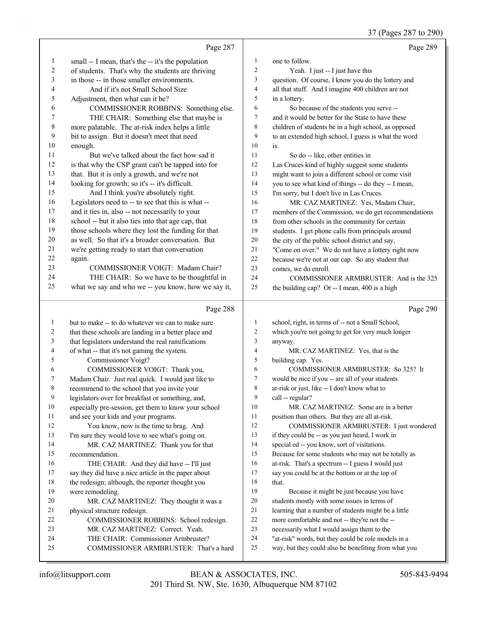37 (Pages 287 to 290)

|              | Page 287                                                                      |                          | Page 289                                                                                                    |
|--------------|-------------------------------------------------------------------------------|--------------------------|-------------------------------------------------------------------------------------------------------------|
| $\mathbf{1}$ | small -- I mean, that's the -- it's the population                            | 1                        | one to follow.                                                                                              |
| 2            | of students. That's why the students are thriving                             | $\overline{c}$           | Yeah. I just -- I just have this                                                                            |
| 3            | in those -- in those smaller environments.                                    | 3                        | question. Of course, I know you do the lottery and                                                          |
| 4            | And if it's not Small School Size                                             | $\overline{\mathcal{A}}$ | all that stuff. And I imagine 400 children are not                                                          |
| 5            | Adjustment, then what can it be?                                              | 5                        | in a lottery.                                                                                               |
| 6            | COMMISSIONER ROBBINS: Something else.                                         | 6                        | So because of the students you serve --                                                                     |
| 7            | THE CHAIR: Something else that maybe is                                       | 7                        | and it would be better for the State to have these                                                          |
| 8            | more palatable. The at-risk index helps a little                              | 8                        | children of students be in a high school, as opposed                                                        |
| 9            | bit to assign. But it doesn't meet that need                                  | 9                        | to an extended high school, I guess is what the word                                                        |
| 10           | enough.                                                                       | 10                       | is.                                                                                                         |
| 11           | But we've talked about the fact how sad it                                    | 11                       | So do -- like, other entities in                                                                            |
| 12           | is that why the CSP grant can't be tapped into for                            | 12                       | Las Cruces kind of highly suggest some students                                                             |
| 13           | that. But it is only a growth, and we're not                                  | 13                       | might want to join a different school or come visit                                                         |
| 14           | looking for growth; so it's -- it's difficult.                                | 14                       | you to see what kind of things -- do they -- I mean,                                                        |
| 15           | And I think you're absolutely right.                                          | 15                       | I'm sorry, but I don't live in Las Cruces.                                                                  |
| 16           | Legislators need to -- to see that this is what --                            | 16                       | MR. CAZ MARTINEZ: Yes, Madam Chair,                                                                         |
| 17           | and it ties in, also -- not necessarily to your                               | 17                       | members of the Commission, we do get recommendations                                                        |
| 18           | school -- but it also ties into that age cap, that                            | 18                       | from other schools in the community for certain                                                             |
| 19           | those schools where they lost the funding for that                            | 19                       | students. I get phone calls from principals around                                                          |
| 20           | as well. So that it's a broader conversation. But                             | 20                       | the city of the public school district and say,                                                             |
| 21           | we're getting ready to start that conversation                                | 21                       | "Come on over." We do not have a lottery right now                                                          |
| 22           | again.                                                                        | 22                       | because we're not at our cap. So any student that                                                           |
| 23           | COMMISSIONER VOIGT: Madam Chair?                                              | 23                       | comes, we do enroll.                                                                                        |
| 24           | THE CHAIR: So we have to be thoughtful in                                     | 24                       | COMMISSIONER ARMBRUSTER: And is the 325                                                                     |
| 25           | what we say and who we -- you know, how we say it,                            | 25                       | the building cap? Or -- I mean, 400 is a high                                                               |
|              |                                                                               |                          |                                                                                                             |
|              | Page 288                                                                      |                          | Page 290                                                                                                    |
| $\mathbf{1}$ | but to make -- to do whatever we can to make sure                             | $\mathbf{1}$             | school, right, in terms of -- not a Small School,                                                           |
| 2            | that these schools are landing in a better place and                          | $\overline{c}$           | which you're not going to get for very much longer                                                          |
| 3            | that legislators understand the real ramifications                            | 3                        | anyway.                                                                                                     |
| 4            | of what -- that it's not gaming the system.                                   | $\overline{4}$           | MR. CAZ MARTINEZ: Yes, that is the                                                                          |
| 5            | Commissioner Voigt?                                                           | 5                        | building cap. Yes.                                                                                          |
| 6            | COMMISSIONER VOIGT: Thank you,                                                | 6                        | COMMISSIONER ARMBRUSTER: So 325? It                                                                         |
| 7            | Madam Chair. Just real quick. I would just like to                            | $\tau$                   | would be nice if you -- are all of your students                                                            |
| 8            | recommend to the school that you invite your                                  | 8                        | at-risk or just, like -- I don't know what to                                                               |
| 9            | legislators over for breakfast or something, and,                             | 9                        | call -- regular?                                                                                            |
| 10           | especially pre-session, get them to know your school                          | 10                       | MR. CAZ MARTINEZ: Some are in a better                                                                      |
| 11           | and see your kids and your programs.                                          | 11                       | position than others. But they are all at-risk.                                                             |
| 12           | You know, now is the time to brag. And                                        | 12                       | COMMISSIONER ARMBRUSTER: I just wondered                                                                    |
| 13           | I'm sure they would love to see what's going on.                              | 13                       | if they could be -- as you just heard, I work in                                                            |
| 14           | MR. CAZ MARTINEZ: Thank you for that                                          | 14                       | special ed -- you know, sort of visitations.                                                                |
| 15           | recommendation.                                                               | 15                       | Because for some students who may not be totally as                                                         |
| 16           | THE CHAIR: And they did have -- I'll just                                     | 16                       | at-risk. That's a spectrum -- I guess I would just                                                          |
| 17           | say they did have a nice article in the paper about                           | 17                       | say you could be at the bottom or at the top of                                                             |
| 18           | the redesign; although, the reporter thought you                              | 18                       | that.                                                                                                       |
| 19           | were remodeling.                                                              | 19                       | Because it might be just because you have                                                                   |
| 20           | MR. CAZ MARTINEZ: They thought it was a                                       | 20                       | students mostly with some issues in terms of                                                                |
| 21           | physical structure redesign.                                                  | 21                       | learning that a number of students might be a little                                                        |
| 22           | COMMISSIONER ROBBINS: School redesign.                                        | $22\,$                   | more comfortable and not -- they're not the --                                                              |
| 23<br>24     | MR. CAZ MARTINEZ: Correct. Yeah.                                              | 23<br>24                 | necessarily what I would assign them to the                                                                 |
| 25           | THE CHAIR: Commissioner Armbruster?<br>COMMISSIONER ARMBRUSTER: That's a hard | 25                       | "at-risk" words, but they could be role models in a<br>way, but they could also be benefiting from what you |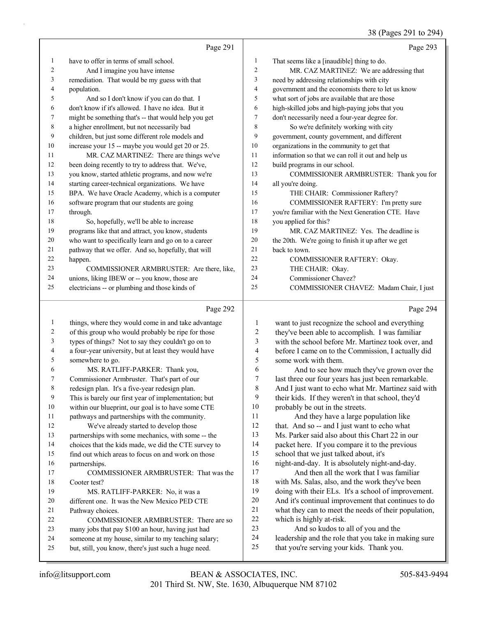# 38 (Pages 291 to 294)

|              |                                                                                                          |                  | $30 \text{ (19862)}$                                           |
|--------------|----------------------------------------------------------------------------------------------------------|------------------|----------------------------------------------------------------|
|              | Page 291                                                                                                 |                  | Page 293                                                       |
| 1            | have to offer in terms of small school.                                                                  | 1                | That seems like a [inaudible] thing to do.                     |
| 2            | And I imagine you have intense                                                                           | 2                | MR. CAZ MARTINEZ: We are addressing that                       |
| 3            | remediation. That would be my guess with that                                                            | 3                | need by addressing relationships with city                     |
| 4            | population.                                                                                              | 4                | government and the economists there to let us know             |
| 5            | And so I don't know if you can do that. I                                                                | 5                | what sort of jobs are available that are those                 |
| 6            | don't know if it's allowed. I have no idea. But it                                                       | 6                | high-skilled jobs and high-paying jobs that you                |
| 7            | might be something that's -- that would help you get                                                     | 7                | don't necessarily need a four-year degree for.                 |
| 8            | a higher enrollment, but not necessarily bad                                                             | 8                | So we're definitely working with city                          |
| 9            | children, but just some different role models and                                                        | 9                | government, county government, and different                   |
| 10           | increase your 15 -- maybe you would get 20 or 25.                                                        | 10               | organizations in the community to get that                     |
| 11           | MR. CAZ MARTINEZ: There are things we've                                                                 | 11               | information so that we can roll it out and help us             |
| 12           | been doing recently to try to address that. We've,                                                       | 12               | build programs in our school.                                  |
| 13           | you know, started athletic programs, and now we're                                                       | 13               | COMMISSIONER ARMBRUSTER: Thank you for                         |
| 14           | starting career-technical organizations. We have                                                         | 14               | all you're doing.                                              |
| 15           | BPA. We have Oracle Academy, which is a computer                                                         | 15               | THE CHAIR: Commissioner Raftery?                               |
| 16           | software program that our students are going                                                             | 16               | COMMISSIONER RAFTERY: I'm pretty sure                          |
| 17           | through.                                                                                                 | 17               | you're familiar with the Next Generation CTE. Have             |
| 18           | So, hopefully, we'll be able to increase                                                                 | 18               | you applied for this?                                          |
| 19           | programs like that and attract, you know, students                                                       | 19               | MR. CAZ MARTINEZ: Yes. The deadline is                         |
| 20           | who want to specifically learn and go on to a career                                                     | $20\,$           | the 20th. We're going to finish it up after we get             |
| 21           | pathway that we offer. And so, hopefully, that will                                                      | 21               | back to town.                                                  |
| 22           | happen.                                                                                                  | 22               | COMMISSIONER RAFTERY: Okay.                                    |
| 23           | COMMISSIONER ARMBRUSTER: Are there, like,                                                                | 23               | THE CHAIR: Okay.                                               |
| 24           | unions, liking IBEW or -- you know, those are                                                            | 24               | Commissioner Chavez?                                           |
| 25           | electricians -- or plumbing and those kinds of                                                           | 25               | COMMISSIONER CHAVEZ: Madam Chair, I just                       |
|              | Page 292                                                                                                 |                  | Page 294                                                       |
| $\mathbf{1}$ | things, where they would come in and take advantage                                                      | 1                | want to just recognize the school and everything               |
| 2            | of this group who would probably be ripe for those                                                       | $\boldsymbol{2}$ | they've been able to accomplish. I was familiar                |
| 3            | types of things? Not to say they couldn't go on to                                                       | 3                | with the school before Mr. Martinez took over, and             |
| 4            | a four-year university, but at least they would have                                                     | 4                | before I came on to the Commission, I actually did             |
| 5            | somewhere to go.                                                                                         | 5                | some work with them.                                           |
| 6            | MS. RATLIFF-PARKER: Thank you,                                                                           | 6                | And to see how much they've grown over the                     |
| 7            | Commissioner Armbruster. That's part of our                                                              | 7                | last three our four years has just been remarkable.            |
| 8            | redesign plan. It's a five-year redesign plan.                                                           | 8                | And I just want to echo what Mr. Martinez said with            |
| 9            | This is barely our first year of implementation; but                                                     | 9                | their kids. If they weren't in that school, they'd             |
| 10           | within our blueprint, our goal is to have some CTE                                                       | 10               | probably be out in the streets.                                |
| 11           | pathways and partnerships with the community.                                                            | 11               | And they have a large population like                          |
| 12           | We've already started to develop those                                                                   | 12               | that. And so -- and I just want to echo what                   |
| 13           | partnerships with some mechanics, with some -- the                                                       | 13               | Ms. Parker said also about this Chart 22 in our                |
| 14           | choices that the kids made, we did the CTE survey to                                                     | 14               | packet here. If you compare it to the previous                 |
| 15           | find out which areas to focus on and work on those                                                       | 15               | school that we just talked about, it's                         |
| 16           | partnerships.                                                                                            | 16               | night-and-day. It is absolutely night-and-day.                 |
| 17           | COMMISSIONER ARMBRUSTER: That was the                                                                    | 17               | And then all the work that I was familiar                      |
| 18           | Cooter test?                                                                                             | $18\,$           | with Ms. Salas, also, and the work they've been                |
| 19           | MS. RATLIFF-PARKER: No, it was a                                                                         | 19               | doing with their ELs. It's a school of improvement.            |
| 20           | different one. It was the New Mexico PED CTE                                                             | $20\,$<br>21     | And it's continual improvement that continues to do            |
| 21           | Pathway choices.                                                                                         | $22\,$           | what they can to meet the needs of their population,           |
| 22           | COMMISSIONER ARMBRUSTER: There are so                                                                    | 23               | which is highly at-risk.<br>And so kudos to all of you and the |
| 23<br>24     | many jobs that pay \$100 an hour, having just had<br>someone at my house, similar to my teaching salary; | 24               | leadership and the role that you take in making sure           |
|              |                                                                                                          |                  |                                                                |
| 25           | but, still, you know, there's just such a huge need.                                                     | 25               | that you're serving your kids. Thank you.                      |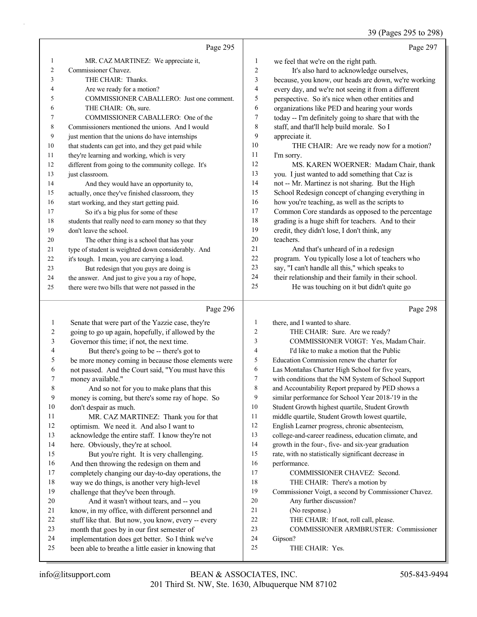#### 39 (Pages 295 to 298)

|    | Page 295                                             |                | Page 297                                             |
|----|------------------------------------------------------|----------------|------------------------------------------------------|
| 1  | MR. CAZ MARTINEZ: We appreciate it,                  | $\mathbf{1}$   | we feel that we're on the right path.                |
| 2  | Commissioner Chavez.                                 | $\overline{2}$ | It's also hard to acknowledge ourselves,             |
| 3  | THE CHAIR: Thanks.                                   | 3              | because, you know, our heads are down, we're working |
| 4  | Are we ready for a motion?                           | 4              | every day, and we're not seeing it from a different  |
| 5  | COMMISSIONER CABALLERO: Just one comment.            | 5              | perspective. So it's nice when other entities and    |
| 6  | THE CHAIR: Oh, sure.                                 | 6              | organizations like PED and hearing your words        |
|    | COMMISSIONER CABALLERO: One of the                   | 7              | today -- I'm definitely going to share that with the |
| 8  | Commissioners mentioned the unions. And I would      | 8              | staff, and that'll help build morale. So I           |
| 9  | just mention that the unions do have internships     | 9              | appreciate it.                                       |
| 10 | that students can get into, and they get paid while  | 10             | THE CHAIR: Are we ready now for a motion?            |
| 11 | they're learning and working, which is very          | 11             | I'm sorry.                                           |
| 12 | different from going to the community college. It's  | 12             | MS. KAREN WOERNER: Madam Chair, thank                |
| 13 | just classroom.                                      | 13             | you. I just wanted to add something that Caz is      |
| 14 | And they would have an opportunity to,               | 14             | not -- Mr. Martinez is not sharing. But the High     |
| 15 | actually, once they've finished classroom, they      | 15             | School Redesign concept of changing everything in    |
| 16 | start working, and they start getting paid.          | 16             | how you're teaching, as well as the scripts to       |
| 17 | So it's a big plus for some of these                 | 17             | Common Core standards as opposed to the percentage   |
| 18 | students that really need to earn money so that they | 18             | grading is a huge shift for teachers. And to their   |
| 19 | don't leave the school.                              | 19             | credit, they didn't lose, I don't think, any         |
| 20 | The other thing is a school that has your            | 20             | teachers.                                            |
| 21 | type of student is weighted down considerably. And   | 21             | And that's unheard of in a redesign                  |
| 22 | it's tough. I mean, you are carrying a load.         | 22             | program. You typically lose a lot of teachers who    |
| 23 | But redesign that you guys are doing is              | 23             | say, "I can't handle all this," which speaks to      |
| 24 | the answer. And just to give you a ray of hope,      | 24             | their relationship and their family in their school. |
| 25 | there were two bills that were not passed in the     | 25             | He was touching on it but didn't quite go            |
|    |                                                      |                |                                                      |

#### Page 296

 Senate that were part of the Yazzie case, they're going to go up again, hopefully, if allowed by the Governor this time; if not, the next time. 4 But there's going to be -- there's got to be more money coming in because those elements were not passed. And the Court said, "You must have this money available." 8 And so not for you to make plans that this money is coming, but there's some ray of hope. So don't despair as much. 11 MR. CAZ MARTINEZ: Thank you for that optimism. We need it. And also I want to acknowledge the entire staff. I know they're not here. Obviously, they're at school. 15 But you're right. It is very challenging. And then throwing the redesign on them and completely changing our day-to-day operations, the way we do things, is another very high-level challenge that they've been through. 20 And it wasn't without tears, and -- you know, in my office, with different personnel and stuff like that. But now, you know, every -- every month that goes by in our first semester of implementation does get better. So I think we've been able to breathe a little easier in knowing that Page 298 there, and I wanted to share. 2 THE CHAIR: Sure. Are we ready? 3 COMMISSIONER VOIGT: Yes, Madam Chair. 4 I'd like to make a motion that the Public Education Commission renew the charter for Las Montañas Charter High School for five years, with conditions that the NM System of School Support and Accountability Report prepared by PED shows a similar performance for School Year 2018-'19 in the Student Growth highest quartile, Student Growth middle quartile, Student Growth lowest quartile, English Learner progress, chronic absenteeism, college-and-career readiness, education climate, and growth in the four-, five- and six-year graduation rate, with no statistically significant decrease in performance. 17 COMMISSIONER CHAVEZ: Second. 18 THE CHAIR: There's a motion by Commissioner Voigt, a second by Commissioner Chavez. 20 Any further discussion? 21 (No response.) 22 THE CHAIR: If not, roll call, please. 23 COMMISSIONER ARMBRUSTER: Commissioner Gipson? 25 THE CHAIR: Yes.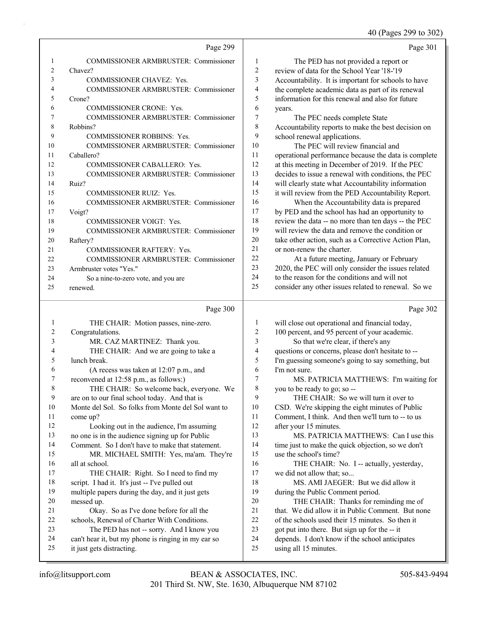40 (Pages 299 to 302)

|              |                                                    |                  | 40 (Pages $299$ to $302$                             |
|--------------|----------------------------------------------------|------------------|------------------------------------------------------|
|              | Page 299                                           |                  | Page 301                                             |
| 1            | COMMISSIONER ARMBRUSTER: Commissioner              | 1                | The PED has not provided a report or                 |
| 2            | Chavez?                                            | $\boldsymbol{2}$ | review of data for the School Year '18-'19           |
| 3            | COMMISSIONER CHAVEZ: Yes.                          | 3                | Accountability. It is important for schools to have  |
| 4            | COMMISSIONER ARMBRUSTER: Commissioner              | 4                | the complete academic data as part of its renewal    |
| 5            | Crone?                                             | 5                | information for this renewal and also for future     |
| 6            | COMMISSIONER CRONE: Yes.                           | 6                | years.                                               |
| 7            | COMMISSIONER ARMBRUSTER: Commissioner              | 7                | The PEC needs complete State                         |
| 8            | Robbins?                                           | $\,$ $\,$        | Accountability reports to make the best decision on  |
| 9            | COMMISSIONER ROBBINS: Yes.                         | 9                | school renewal applications.                         |
| 10           | COMMISSIONER ARMBRUSTER: Commissioner              | 10               | The PEC will review financial and                    |
| 11           | Caballero?                                         | 11               | operational performance because the data is complete |
| 12           | COMMISSIONER CABALLERO: Yes.                       | 12               | at this meeting in December of 2019. If the PEC      |
| 13           | COMMISSIONER ARMBRUSTER: Commissioner              | 13               | decides to issue a renewal with conditions, the PEC  |
| 14           | Ruiz?                                              | 14               | will clearly state what Accountability information   |
| 15           | COMMISSIONER RUIZ: Yes.                            | 15               | it will review from the PED Accountability Report.   |
| 16           | COMMISSIONER ARMBRUSTER: Commissioner              | 16               | When the Accountability data is prepared             |
| 17           | Voigt?                                             | 17               | by PED and the school has had an opportunity to      |
| 18           | COMMISSIONER VOIGT: Yes.                           | 18               | review the data -- no more than ten days -- the PEC  |
| 19           | COMMISSIONER ARMBRUSTER: Commissioner              | 19               | will review the data and remove the condition or     |
| 20           | Raftery?                                           | 20               | take other action, such as a Corrective Action Plan, |
| 21           | <b>COMMISSIONER RAFTERY: Yes.</b>                  | 21               | or non-renew the charter.                            |
| 22           | COMMISSIONER ARMBRUSTER: Commissioner              | 22               | At a future meeting, January or February             |
| 23           | Armbruster votes "Yes."                            | 23               | 2020, the PEC will only consider the issues related  |
| 24           | So a nine-to-zero vote, and you are                | 24               | to the reason for the conditions and will not        |
| 25           | renewed.                                           | 25               | consider any other issues related to renewal. So we  |
|              | Page 300                                           |                  | Page 302                                             |
| $\mathbf{1}$ | THE CHAIR: Motion passes, nine-zero.               | $\mathbf{1}$     | will close out operational and financial today,      |
| 2            | Congratulations.                                   | $\overline{c}$   | 100 percent, and 95 percent of your academic.        |
| 3            | MR. CAZ MARTINEZ: Thank you.                       | 3                | So that we're clear, if there's any                  |
| 4            | THE CHAIR: And we are going to take a              | $\overline{4}$   | questions or concerns, please don't hesitate to --   |
| 5            | lunch break.                                       | 5                | I'm guessing someone's going to say something, but   |
| 6            | (A recess was taken at 12:07 p.m., and             | 6                | I'm not sure.                                        |
| 7            | reconvened at 12:58 p.m., as follows:)             | 7                | MS. PATRICIA MATTHEWS: I'm waiting for               |
| 8            | THE CHAIR: So welcome back, everyone. We           | $\,$ 8 $\,$      | you to be ready to go; so --                         |
| 9            | are on to our final school today. And that is      | 9                | THE CHAIR: So we will turn it over to                |
| 10           | Monte del Sol. So folks from Monte del Sol want to | 10               | CSD. We're skipping the eight minutes of Public      |
| 11           | come up?                                           | 11               | Comment, I think. And then we'll turn to -- to us    |
| 12           | Looking out in the audience, I'm assuming          | 12               | after your 15 minutes.                               |
| 13           | no one is in the audience signing up for Public    | 13               | MS. PATRICIA MATTHEWS: Can I use this                |
| 14           | Comment. So I don't have to make that statement.   | 14               | time just to make the quick objection, so we don't   |
| 15           | MR. MICHAEL SMITH: Yes, ma'am. They're             | 15               | use the school's time?                               |
| 16           | all at school.                                     | 16               | THE CHAIR: No. I -- actually, yesterday,             |
| 17           | THE CHAIR: Right. So I need to find my             | $17$             | we did not allow that; so                            |
| 18           | script. I had it. It's just -- I've pulled out     | 18               | MS. AMI JAEGER: But we did allow it                  |

- 19 multiple papers during the day, and it just gets 18 MS. AMI JAEGER: But we did allow it 19 during the Public Comment period.
	- 20 THE CHAIR: Thanks for reminding me of
	- 21 that. We did allow it in Public Comment. But none
	- 22 of the schools used their 15 minutes. So then it
	- 23 got put into there. But sign up for the -- it
	- 24 depends. I don't know if the school anticipates
	- 25 using all 15 minutes.

25 it just gets distracting.

20 messed up.

21 Okay. So as I've done before for all the 22 schools, Renewal of Charter With Conditions. 23 The PED has not -- sorry. And I know you 24 can't hear it, but my phone is ringing in my ear so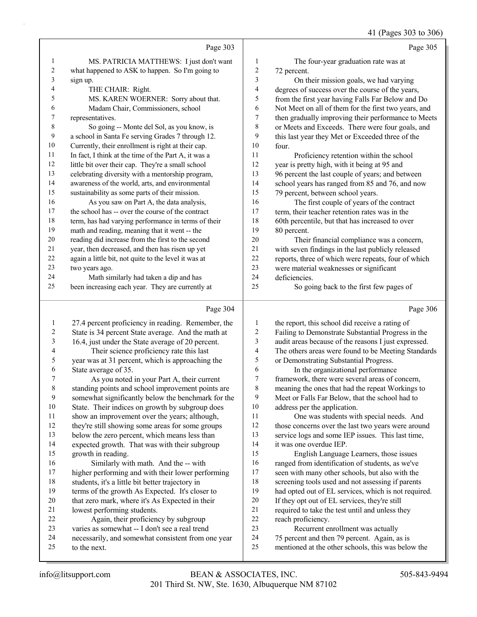|                |                                                                                |                  | 41 (Pages 303 to 306)                                                                            |
|----------------|--------------------------------------------------------------------------------|------------------|--------------------------------------------------------------------------------------------------|
|                | Page 303                                                                       |                  | Page 305                                                                                         |
| 1              | MS. PATRICIA MATTHEWS: I just don't want                                       | 1                | The four-year graduation rate was at                                                             |
| $\overline{c}$ | what happened to ASK to happen. So I'm going to                                | $\boldsymbol{2}$ | 72 percent.                                                                                      |
| 3              | sign up.                                                                       | $\mathfrak{Z}$   | On their mission goals, we had varying                                                           |
| 4              | THE CHAIR: Right.                                                              | 4                | degrees of success over the course of the years,                                                 |
| 5              | MS. KAREN WOERNER: Sorry about that.                                           | 5                | from the first year having Falls Far Below and Do                                                |
| 6              | Madam Chair, Commissioners, school                                             | 6                | Not Meet on all of them for the first two years, and                                             |
| 7              | representatives.                                                               | 7                | then gradually improving their performance to Meets                                              |
| $\,$ 8 $\,$    | So going -- Monte del Sol, as you know, is                                     | 8                | or Meets and Exceeds. There were four goals, and                                                 |
| 9              | a school in Santa Fe serving Grades 7 through 12.                              | 9                | this last year they Met or Exceeded three of the                                                 |
| $10\,$         | Currently, their enrollment is right at their cap.                             | $10\,$           | four.                                                                                            |
| $11\,$         | In fact, I think at the time of the Part A, it was a                           | 11               | Proficiency retention within the school                                                          |
| $12\,$         | little bit over their cap. They're a small school                              | 12               | year is pretty high, with it being at 95 and                                                     |
| 13             | celebrating diversity with a mentorship program,                               | 13               | 96 percent the last couple of years; and between                                                 |
| 14             | awareness of the world, arts, and environmental                                | 14               | school years has ranged from 85 and 76, and now                                                  |
| 15             | sustainability as some parts of their mission.                                 | 15               | 79 percent, between school years.                                                                |
| 16             | As you saw on Part A, the data analysis,                                       | 16               | The first couple of years of the contract                                                        |
| $17\,$         | the school has -- over the course of the contract                              | 17               | term, their teacher retention rates was in the                                                   |
| $18\,$         | term, has had varying performance in terms of their                            | 18               | 60th percentile, but that has increased to over                                                  |
| 19             | math and reading, meaning that it went -- the                                  | 19               | 80 percent.                                                                                      |
| $20\,$         | reading did increase from the first to the second                              | $20\,$           | Their financial compliance was a concern,                                                        |
| $21\,$         | year, then decreased, and then has risen up yet                                | 21               | with seven findings in the last publicly released                                                |
| $22\,$         | again a little bit, not quite to the level it was at                           | 22               | reports, three of which were repeats, four of which                                              |
| 23             | two years ago.                                                                 | 23               | were material weaknesses or significant                                                          |
| 24             | Math similarly had taken a dip and has                                         | 24               | deficiencies.                                                                                    |
| 25             | been increasing each year. They are currently at                               | 25               | So going back to the first few pages of                                                          |
|                | Page 304                                                                       |                  | Page 306                                                                                         |
| $\mathbf{1}$   | 27.4 percent proficiency in reading. Remember, the                             | $\mathbf{1}$     | the report, this school did receive a rating of                                                  |
| $\overline{c}$ | State is 34 percent State average. And the math at                             | $\boldsymbol{2}$ | Failing to Demonstrate Substantial Progress in the                                               |
| 3              | 16.4, just under the State average of 20 percent.                              | 3                | audit areas because of the reasons I just expressed.                                             |
| 4              | Their science proficiency rate this last                                       | $\overline{4}$   | The others areas were found to be Meeting Standards                                              |
| 5              | year was at 31 percent, which is approaching the                               | 5                | or Demonstrating Substantial Progress.                                                           |
| 6              | State average of 35.                                                           | 6                | In the organizational performance                                                                |
| 7              | As you noted in your Part A, their current                                     | $\tau$           | framework, there were several areas of concern,                                                  |
| 8              | standing points and school improvement points are                              | 8                | meaning the ones that had the repeat Workings to                                                 |
| 9              | somewhat significantly below the benchmark for the                             | 9                | Meet or Falls Far Below, that the school had to                                                  |
| 10             | State. Their indices on growth by subgroup does                                | 10               | address per the application.                                                                     |
| 11             | show an improvement over the years; although,                                  | 11               | One was students with special needs. And                                                         |
| 12             | they're still showing some areas for some groups                               | 12               | those concerns over the last two years were around                                               |
| 13             | below the zero percent, which means less than                                  | 13               | service logs and some IEP issues. This last time,                                                |
| 14             | expected growth. That was with their subgroup                                  | 14               | it was one overdue IEP.                                                                          |
| 15             | growth in reading.                                                             | 15               | English Language Learners, those issues                                                          |
| 16             | Similarly with math. And the -- with                                           | 16               | ranged from identification of students, as we've                                                 |
| 17             | higher performing and with their lower performing                              | 17               | seen with many other schools, but also with the                                                  |
| 18             | students, it's a little bit better trajectory in                               | 18               | screening tools used and not assessing if parents                                                |
|                | terms of the growth As Expected. It's closer to                                | 19               | had opted out of EL services, which is not required.                                             |
| 19             |                                                                                |                  |                                                                                                  |
| 20<br>21       | that zero mark, where it's As Expected in their<br>lowest performing students. | 20<br>21         | If they opt out of EL services, they're still<br>required to take the test until and unless they |

- 21 required to take the test until and unless they<br>22 reach proficiency.
- 22 reach proficiency.<br>23 Recurrent er Recurrent enrollment was actually
- 75 percent and then 79 percent. Again, as is
- mentioned at the other schools, this was below the
	-

to the next.

22 Again, their proficiency by subgroup varies as somewhat -- I don't see a real trend necessarily, and somewhat consistent from one year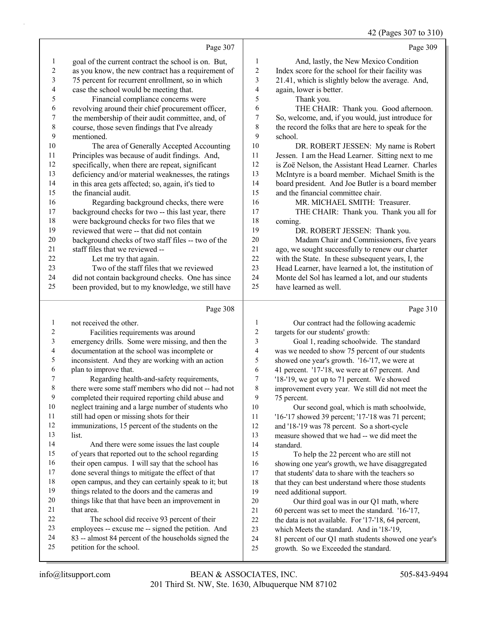42 (Pages 307 to 310)

|                          |                                                                                                    |                          | 42 (Pages $30/10$ 310                                                                             |
|--------------------------|----------------------------------------------------------------------------------------------------|--------------------------|---------------------------------------------------------------------------------------------------|
|                          | Page 307                                                                                           |                          | Page 309                                                                                          |
| 1                        | goal of the current contract the school is on. But,                                                | $\mathbf{1}$             | And, lastly, the New Mexico Condition                                                             |
| $\boldsymbol{2}$         | as you know, the new contract has a requirement of                                                 | $\overline{c}$           | Index score for the school for their facility was                                                 |
| $\mathfrak{Z}$           | 75 percent for recurrent enrollment, so in which                                                   | 3                        | 21.41, which is slightly below the average. And,                                                  |
| $\overline{\mathcal{A}}$ | case the school would be meeting that.                                                             | $\overline{\mathcal{L}}$ | again, lower is better.                                                                           |
| 5                        | Financial compliance concerns were                                                                 | 5                        | Thank you.                                                                                        |
| 6                        | revolving around their chief procurement officer,                                                  | 6                        | THE CHAIR: Thank you. Good afternoon.                                                             |
| $\boldsymbol{7}$         | the membership of their audit committee, and, of                                                   | $\boldsymbol{7}$         | So, welcome, and, if you would, just introduce for                                                |
| $\,$ $\,$                | course, those seven findings that I've already                                                     | 8                        | the record the folks that are here to speak for the                                               |
| 9                        | mentioned.                                                                                         | 9                        | school.                                                                                           |
| 10                       | The area of Generally Accepted Accounting                                                          | 10                       | DR. ROBERT JESSEN: My name is Robert                                                              |
| 11                       | Principles was because of audit findings. And,                                                     | 11                       | Jessen. I am the Head Learner. Sitting next to me                                                 |
| 12                       | specifically, when there are repeat, significant                                                   | 12                       | is Zoë Nelson, the Assistant Head Learner. Charles                                                |
| 13                       | deficiency and/or material weaknesses, the ratings                                                 | 13                       | McIntyre is a board member. Michael Smith is the                                                  |
| 14                       | in this area gets affected; so, again, it's tied to                                                | 14                       | board president. And Joe Butler is a board member                                                 |
| 15                       | the financial audit.                                                                               | 15                       | and the financial committee chair.                                                                |
| 16                       | Regarding background checks, there were                                                            | 16                       | MR. MICHAEL SMITH: Treasurer.                                                                     |
| 17                       | background checks for two -- this last year, there                                                 | 17                       | THE CHAIR: Thank you. Thank you all for                                                           |
| 18                       | were background checks for two files that we                                                       | 18                       | coming.                                                                                           |
| 19                       | reviewed that were -- that did not contain                                                         | 19                       | DR. ROBERT JESSEN: Thank you.                                                                     |
| 20                       | background checks of two staff files -- two of the                                                 | 20                       | Madam Chair and Commissioners, five years                                                         |
| 21                       | staff files that we reviewed --                                                                    | 21                       | ago, we sought successfully to renew our charter                                                  |
| 22                       | Let me try that again.                                                                             | 22                       | with the State. In these subsequent years, I, the                                                 |
| 23                       | Two of the staff files that we reviewed                                                            | 23                       | Head Learner, have learned a lot, the institution of                                              |
| 24                       | did not contain background checks. One has since                                                   | 24                       | Monte del Sol has learned a lot, and our students                                                 |
| 25                       | been provided, but to my knowledge, we still have                                                  | 25                       | have learned as well.                                                                             |
|                          |                                                                                                    |                          |                                                                                                   |
|                          | Page 308                                                                                           |                          | Page 310                                                                                          |
| 1                        |                                                                                                    | $\mathbf{1}$             |                                                                                                   |
| $\overline{c}$           | not received the other.                                                                            | $\boldsymbol{2}$         | Our contract had the following academic                                                           |
| 3                        | Facilities requirements was around                                                                 | 3                        | targets for our students' growth:                                                                 |
| 4                        | emergency drills. Some were missing, and then the                                                  | $\overline{\mathbf{4}}$  | Goal 1, reading schoolwide. The standard                                                          |
| 5                        | documentation at the school was incomplete or<br>inconsistent. And they are working with an action | 5                        | was we needed to show 75 percent of our students<br>showed one year's growth. '16-'17, we were at |
| 6                        | plan to improve that.                                                                              | 6                        | 41 percent. '17-'18, we were at 67 percent. And                                                   |
| 7                        | Regarding health-and-safety requirements,                                                          | 7                        | '18-'19, we got up to 71 percent. We showed                                                       |
| 8                        | there were some staff members who did not -- had not                                               | 8                        | improvement every year. We still did not meet the                                                 |
| 9                        | completed their required reporting child abuse and                                                 | 9                        | 75 percent.                                                                                       |
| 10                       | neglect training and a large number of students who                                                | 10                       | Our second goal, which is math schoolwide,                                                        |
| 11                       | still had open or missing shots for their                                                          | 11                       | '16-'17 showed 39 percent; '17-'18 was 71 percent;                                                |
| 12                       | immunizations, 15 percent of the students on the                                                   | 12                       | and '18-'19 was 78 percent. So a short-cycle                                                      |
| 13                       | list.                                                                                              | 13                       | measure showed that we had -- we did meet the                                                     |
| 14                       | And there were some issues the last couple                                                         | 14                       | standard.                                                                                         |
| 15                       | of years that reported out to the school regarding                                                 | 15                       | To help the 22 percent who are still not                                                          |
| 16                       | their open campus. I will say that the school has                                                  | 16                       | showing one year's growth, we have disaggregated                                                  |
| 17                       | done several things to mitigate the effect of that                                                 | 17                       | that students' data to share with the teachers so                                                 |
| 18                       | open campus, and they can certainly speak to it; but                                               | 18                       | that they can best understand where those students                                                |
| 19                       | things related to the doors and the cameras and                                                    | 19                       | need additional support.                                                                          |
| 20                       | things like that that have been an improvement in                                                  | $20\,$                   | Our third goal was in our Q1 math, where                                                          |
| 21                       | that area.                                                                                         | 21                       | 60 percent was set to meet the standard. '16-'17,                                                 |
| 22                       | The school did receive 93 percent of their                                                         | $22\,$                   | the data is not available. For '17-'18, 64 percent,                                               |
| 23                       | employees -- excuse me -- signed the petition. And                                                 | 23                       | which Meets the standard. And in '18-'19,                                                         |
| 24<br>25                 | 83 -- almost 84 percent of the households signed the<br>petition for the school.                   | 24<br>25                 | 81 percent of our Q1 math students showed one year's<br>growth. So we Exceeded the standard.      |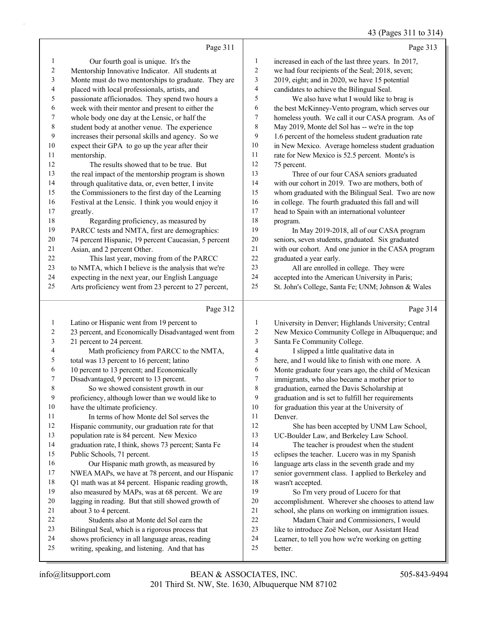### 43 (Pages 311 to 314)

|                |                                                      |                | 45 (Pages 511 to 514)                               |
|----------------|------------------------------------------------------|----------------|-----------------------------------------------------|
|                | Page 311                                             |                | Page 313                                            |
| $\mathbf{1}$   | Our fourth goal is unique. It's the                  | 1              | increased in each of the last three years. In 2017, |
| $\overline{c}$ | Mentorship Innovative Indicator. All students at     | $\overline{c}$ | we had four recipients of the Seal; 2018, seven;    |
| 3              | Monte must do two mentorships to graduate. They are  | 3              | 2019, eight; and in 2020, we have 15 potential      |
| 4              | placed with local professionals, artists, and        | 4              | candidates to achieve the Bilingual Seal.           |
| 5              | passionate afficionados. They spend two hours a      | 5              | We also have what I would like to brag is           |
| 6              | week with their mentor and present to either the     | 6              | the best McKinney-Vento program, which serves our   |
| 7              | whole body one day at the Lensic, or half the        | 7              | homeless youth. We call it our CASA program. As of  |
| 8              | student body at another venue. The experience        | 8              | May 2019, Monte del Sol has -- we're in the top     |
| 9              | increases their personal skills and agency. So we    | 9              | 1.6 percent of the homeless student graduation rate |
| 10             | expect their GPA to go up the year after their       | $10\,$         | in New Mexico. Average homeless student graduation  |
| 11             | mentorship.                                          | 11             | rate for New Mexico is 52.5 percent. Monte's is     |
| 12             | The results showed that to be true. But              | 12             | 75 percent.                                         |
| 13             | the real impact of the mentorship program is shown   | 13             | Three of our four CASA seniors graduated            |
| 14             | through qualitative data, or, even better, I invite  | 14             | with our cohort in 2019. Two are mothers, both of   |
| 15             | the Commissioners to the first day of the Learning   | 15             | whom graduated with the Bilingual Seal. Two are now |
| 16             | Festival at the Lensic. I think you would enjoy it   | 16             | in college. The fourth graduated this fall and will |
| 17             | greatly.                                             | 17             | head to Spain with an international volunteer       |
| 18             | Regarding proficiency, as measured by                | 18             | program.                                            |
| 19             | PARCC tests and NMTA, first are demographics:        | 19             | In May 2019-2018, all of our CASA program           |
| 20             | 74 percent Hispanic, 19 percent Caucasian, 5 percent | $20\,$         | seniors, seven students, graduated. Six graduated   |
| 21             | Asian, and 2 percent Other.                          | 21             | with our cohort. And one junior in the CASA program |
| 22             | This last year, moving from of the PARCC             | 22             | graduated a year early.                             |
| 23             | to NMTA, which I believe is the analysis that we're  | 23             | All are enrolled in college. They were              |
| 24             | expecting in the next year, our English Language     | 24             | accepted into the American University in Paris;     |
| 25             | Arts proficiency went from 23 percent to 27 percent, | 25             | St. John's College, Santa Fe; UNM; Johnson & Wales  |
|                | Page 312                                             |                | Page 314                                            |
| $\mathbf{1}$   | Latino or Hispanic went from 19 percent to           | 1              | University in Denver; Highlands University; Central |
| 2              | 23 percent, and Economically Disadvantaged went from | $\sqrt{2}$     | New Mexico Community College in Albuquerque; and    |
| 3              | 21 percent to 24 percent.                            | 3              | Santa Fe Community College.                         |
| 4              | Math proficiency from PARCC to the NMTA,             | $\overline{4}$ | I slipped a little qualitative data in              |
| 5              | total was 13 percent to 16 percent; latino           | 5              | here, and I would like to finish with one more. A   |
| 6              | 10 percent to 13 percent; and Economically           | 6              | Monte graduate four years ago, the child of Mexican |
|                |                                                      |                |                                                     |

Disadvantaged, 9 percent to 13 percent.

8 So we showed consistent growth in our

proficiency, although lower than we would like to

have the ultimate proficiency.

11 In terms of how Monte del Sol serves the

Hispanic community, our graduation rate for that

population rate is 84 percent. New Mexico

graduation rate, I think, shows 73 percent; Santa Fe

Public Schools, 71 percent.

16 Our Hispanic math growth, as measured by NWEA MAPs, we have at 78 percent, and our Hispanic

Q1 math was at 84 percent. Hispanic reading growth,

- also measured by MAPs, was at 68 percent. We are
- lagging in reading. But that still showed growth of
- about 3 to 4 percent.
- 22 Students also at Monte del Sol earn the
- Bilingual Seal, which is a rigorous process that
- shows proficiency in all language areas, reading
- writing, speaking, and listening. And that has
- 201 Third St. NW, Ste. 1630, Albuquerque NM 87102 info@litsupport.com BEAN & ASSOCIATES, INC. 505-843-9494
- 
- 6 Monte graduate four years ago, the child of Mexi<br>7 immigrants who also became a mother prior to immigrants, who also became a mother prior to graduation, earned the Davis Scholarship at graduation and is set to fulfill her requirements 10 for graduation this year at the University of Denver. 12 She has been accepted by UNM Law School, UC-Boulder Law, and Berkeley Law School. 14 The teacher is proudest when the student eclipses the teacher. Lucero was in my Spanish language arts class in the seventh grade and my senior government class. I applied to Berkeley and wasn't accepted. 19 So I'm very proud of Lucero for that accomplishment. Wherever she chooses to attend law school, she plans on working on immigration issues. 22 Madam Chair and Commissioners, I would 23 like to introduce Zoë Nelson, our Assistant Head
- Learner, to tell you how we're working on getting
- better.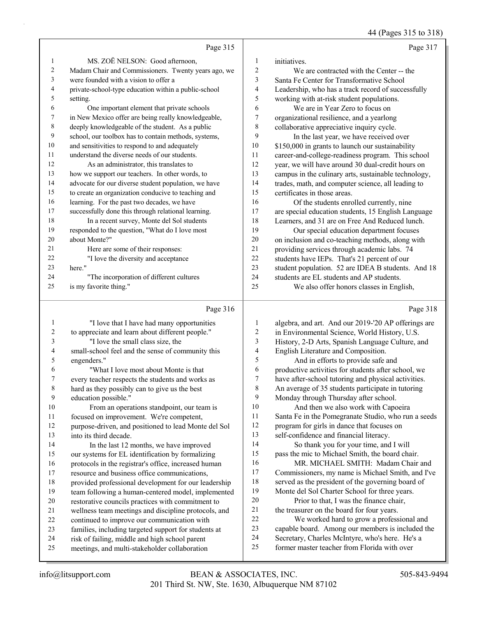44 (Pages 315 to 318)

|                |                                                      |                | -- - - - - - - - -                                   |
|----------------|------------------------------------------------------|----------------|------------------------------------------------------|
|                | Page 315                                             |                | Page 317                                             |
| 1              | MS. ZOË NELSON: Good afternoon,                      | 1              | initiatives.                                         |
| $\overline{c}$ | Madam Chair and Commissioners. Twenty years ago, we  | $\overline{c}$ | We are contracted with the Center -- the             |
| 3              | were founded with a vision to offer a                | 3              | Santa Fe Center for Transformative School            |
| $\overline{4}$ | private-school-type education within a public-school | 4              | Leadership, who has a track record of successfully   |
| 5              | setting.                                             | 5              | working with at-risk student populations.            |
| 6              | One important element that private schools           | 6              | We are in Year Zero to focus on                      |
| 7              | in New Mexico offer are being really knowledgeable,  | 7              | organizational resilience, and a yearlong            |
| 8              | deeply knowledgeable of the student. As a public     | 8              | collaborative appreciative inquiry cycle.            |
| 9              | school, our toolbox has to contain methods, systems, | 9              | In the last year, we have received over              |
| 10             | and sensitivities to respond to and adequately       | 10             | \$150,000 in grants to launch our sustainability     |
| 11             | understand the diverse needs of our students.        | 11             | career-and-college-readiness program. This school    |
| 12             | As an administrator, this translates to              | 12             | year, we will have around 30 dual-credit hours on    |
| 13             | how we support our teachers. In other words, to      | 13             | campus in the culinary arts, sustainable technology, |
| 14             | advocate for our diverse student population, we have | 14             | trades, math, and computer science, all leading to   |
| 15             | to create an organization conducive to teaching and  | 15             | certificates in those areas.                         |
| 16             | learning. For the past two decades, we have          | 16             | Of the students enrolled currently, nine             |
| 17             | successfully done this through relational learning.  | 17             | are special education students, 15 English Language  |
| 18             | In a recent survey, Monte del Sol students           | 18             | Learners, and 31 are on Free And Reduced lunch.      |
| 19             | responded to the question, "What do I love most      | 19             | Our special education department focuses             |
| 20             | about Monte?"                                        | 20             | on inclusion and co-teaching methods, along with     |
| 21             | Here are some of their responses:                    | 21             | providing services through academic labs. 74         |
| 22             | "I love the diversity and acceptance                 | 22             | students have IEPs. That's 21 percent of our         |
| 23             | here."                                               | 23             | student population. 52 are IDEA B students. And 18   |
| 24             | "The incorporation of different cultures             | 24             | students are EL students and AP students.            |
| 25             | is my favorite thing."                               | 25             | We also offer honors classes in English,             |
|                | Page 316                                             |                | Page 318                                             |
| 1              | "I love that I have had many opportunities           | 1              | algebra, and art. And our 2019-'20 AP offerings are  |

|    | "I love that I have had many opportunities           | 1  | algebra, and art. And our 2019-'20 AP offerings are |
|----|------------------------------------------------------|----|-----------------------------------------------------|
| 2  | to appreciate and learn about different people."     | 2  | in Environmental Science, World History, U.S.       |
| 3  | "I love the small class size, the                    | 3  | History, 2-D Arts, Spanish Language Culture, and    |
| 4  | small-school feel and the sense of community this    | 4  | English Literature and Composition.                 |
| 5  | engenders."                                          | 5  | And in efforts to provide safe and                  |
| 6  | "What I love most about Monte is that                | 6  | productive activities for students after school, we |
| 7  | every teacher respects the students and works as     | 7  | have after-school tutoring and physical activities. |
| 8  | hard as they possibly can to give us the best        | 8  | An average of 35 students participate in tutoring   |
| 9  | education possible."                                 | 9  | Monday through Thursday after school.               |
| 10 | From an operations standpoint, our team is           | 10 | And then we also work with Capoeira                 |
| 11 | focused on improvement. We're competent,             | 11 | Santa Fe in the Pomegranate Studio, who run a seeds |
| 12 | purpose-driven, and positioned to lead Monte del Sol | 12 | program for girls in dance that focuses on          |
| 13 | into its third decade.                               | 13 | self-confidence and financial literacy.             |
| 14 | In the last 12 months, we have improved              | 14 | So thank you for your time, and I will              |
| 15 | our systems for EL identification by formalizing     | 15 | pass the mic to Michael Smith, the board chair.     |
| 16 | protocols in the registrar's office, increased human | 16 | MR. MICHAEL SMITH: Madam Chair and                  |
| 17 | resource and business office communications,         | 17 | Commissioners, my name is Michael Smith, and I've   |
| 18 | provided professional development for our leadership | 18 | served as the president of the governing board of   |
| 19 | team following a human-centered model, implemented   | 19 | Monte del Sol Charter School for three years.       |
| 20 | restorative councils practices with commitment to    | 20 | Prior to that, I was the finance chair,             |
| 21 | wellness team meetings and discipline protocols, and | 21 | the treasurer on the board for four years.          |
| 22 | continued to improve our communication with          | 22 | We worked hard to grow a professional and           |
| 23 | families, including targeted support for students at | 23 | capable board. Among our members is included the    |
| 24 | risk of failing, middle and high school parent       | 24 | Secretary, Charles McIntyre, who's here. He's a     |
| 25 | meetings, and multi-stakeholder collaboration        | 25 | former master teacher from Florida with over        |
|    |                                                      |    |                                                     |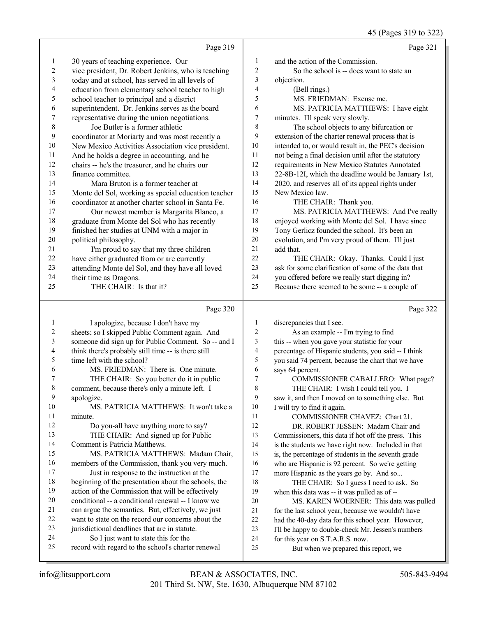# (Pages 319 to 322)

|                         |                                                                                                          |                          | 45 (Pages 519 to $322$ )                                                                     |
|-------------------------|----------------------------------------------------------------------------------------------------------|--------------------------|----------------------------------------------------------------------------------------------|
|                         | Page 319                                                                                                 |                          | Page 321                                                                                     |
| $\mathbf{1}$            | 30 years of teaching experience. Our                                                                     | 1                        | and the action of the Commission.                                                            |
| $\overline{c}$          | vice president, Dr. Robert Jenkins, who is teaching                                                      | $\sqrt{2}$               | So the school is -- does want to state an                                                    |
| 3                       | today and at school, has served in all levels of                                                         | 3                        | objection.                                                                                   |
| 4                       | education from elementary school teacher to high                                                         | $\overline{\mathbf{4}}$  | (Bell rings.)                                                                                |
| 5                       | school teacher to principal and a district                                                               | 5                        | MS. FRIEDMAN: Excuse me.                                                                     |
| 6                       | superintendent. Dr. Jenkins serves as the board                                                          | 6                        | MS. PATRICIA MATTHEWS: I have eight                                                          |
| 7                       | representative during the union negotiations.                                                            | 7                        | minutes. I'll speak very slowly.                                                             |
| $\,$ $\,$               | Joe Butler is a former athletic                                                                          | $\,8\,$                  | The school objects to any bifurcation or                                                     |
| 9                       | coordinator at Moriarty and was most recently a                                                          | 9                        | extension of the charter renewal process that is                                             |
| 10                      | New Mexico Activities Association vice president.                                                        | 10                       | intended to, or would result in, the PEC's decision                                          |
| 11                      | And he holds a degree in accounting, and he                                                              | 11                       | not being a final decision until after the statutory                                         |
| 12                      | chairs -- he's the treasurer, and he chairs our                                                          | 12                       | requirements in New Mexico Statutes Annotated                                                |
| 13                      | finance committee.                                                                                       | 13                       | 22-8B-12I, which the deadline would be January 1st,                                          |
| 14                      | Mara Bruton is a former teacher at                                                                       | 14                       | 2020, and reserves all of its appeal rights under                                            |
| 15                      | Monte del Sol, working as special education teacher                                                      | 15                       | New Mexico law.                                                                              |
| 16                      | coordinator at another charter school in Santa Fe.                                                       | 16                       | THE CHAIR: Thank you.                                                                        |
| 17                      | Our newest member is Margarita Blanco, a                                                                 | 17                       | MS. PATRICIA MATTHEWS: And I've really                                                       |
| 18                      | graduate from Monte del Sol who has recently                                                             | $18\,$                   | enjoyed working with Monte del Sol. I have since                                             |
| 19                      | finished her studies at UNM with a major in                                                              | 19                       | Tony Gerlicz founded the school. It's been an                                                |
| 20                      | political philosophy.                                                                                    | 20                       | evolution, and I'm very proud of them. I'll just                                             |
| 21                      | I'm proud to say that my three children                                                                  | 21<br>22                 | add that.                                                                                    |
| 22<br>23                | have either graduated from or are currently                                                              | 23                       | THE CHAIR: Okay. Thanks. Could I just<br>ask for some clarification of some of the data that |
| 24                      | attending Monte del Sol, and they have all loved<br>their time as Dragons.                               | 24                       | you offered before we really start digging in?                                               |
| 25                      | THE CHAIR: Is that it?                                                                                   | 25                       | Because there seemed to be some -- a couple of                                               |
|                         |                                                                                                          |                          |                                                                                              |
|                         | Page 320                                                                                                 |                          | Page 322                                                                                     |
| $\mathbf{1}$            | I apologize, because I don't have my                                                                     | $\mathbf{1}$             | discrepancies that I see.                                                                    |
| $\overline{\mathbf{c}}$ | sheets; so I skipped Public Comment again. And                                                           |                          |                                                                                              |
|                         |                                                                                                          | $\sqrt{2}$               | As an example -- I'm trying to find                                                          |
| 3                       | someone did sign up for Public Comment. So -- and I                                                      | $\mathfrak{Z}$           | this -- when you gave your statistic for your                                                |
| 4                       | think there's probably still time -- is there still                                                      | $\overline{\mathcal{A}}$ | percentage of Hispanic students, you said -- I think                                         |
| 5                       | time left with the school?                                                                               | 5                        | you said 74 percent, because the chart that we have                                          |
| 6                       | MS. FRIEDMAN: There is. One minute.                                                                      | 6                        | says 64 percent.                                                                             |
| 7                       | THE CHAIR: So you better do it in public                                                                 | 7                        | COMMISSIONER CABALLERO: What page?                                                           |
| $\,$ 8 $\,$             | comment, because there's only a minute left. I                                                           | $\,8\,$                  | THE CHAIR: I wish I could tell you. I                                                        |
| 9                       | apologize.                                                                                               | 9                        | saw it, and then I moved on to something else. But                                           |
| $10\,$                  | MS. PATRICIA MATTHEWS: It won't take a                                                                   | $10\,$                   | I will try to find it again.                                                                 |
| 11                      | minute.                                                                                                  | 11                       | COMMISSIONER CHAVEZ: Chart 21.                                                               |
| 12                      | Do you-all have anything more to say?                                                                    | 12                       | DR. ROBERT JESSEN: Madam Chair and                                                           |
| 13                      | THE CHAIR: And signed up for Public                                                                      | 13                       | Commissioners, this data if hot off the press. This                                          |
| 14                      | Comment is Patricia Matthews.                                                                            | 14                       | is the students we have right now. Included in that                                          |
| 15                      | MS. PATRICIA MATTHEWS: Madam Chair,                                                                      | 15                       | is, the percentage of students in the seventh grade                                          |
| 16                      | members of the Commission, thank you very much.                                                          | 16                       | who are Hispanic is 92 percent. So we're getting                                             |
| 17                      | Just in response to the instruction at the                                                               | 17                       | more Hispanic as the years go by. And so                                                     |
| $18\,$                  | beginning of the presentation about the schools, the                                                     | 18                       | THE CHAIR: So I guess I need to ask. So                                                      |
| 19                      | action of the Commission that will be effectively                                                        | 19                       | when this data was -- it was pulled as of --                                                 |
| 20<br>21                | conditional -- a conditional renewal -- I know we                                                        | 20                       | MS. KAREN WOERNER: This data was pulled                                                      |
| 22                      | can argue the semantics. But, effectively, we just<br>want to state on the record our concerns about the | $21\,$<br>$22\,$         | for the last school year, because we wouldn't have                                           |
| 23                      | jurisdictional deadlines that are in statute.                                                            | 23                       | had the 40-day data for this school year. However,                                           |
| 24                      | So I just want to state this for the                                                                     | 24                       | I'll be happy to double-check Mr. Jessen's numbers<br>for this year on S.T.A.R.S. now.       |
| 25                      | record with regard to the school's charter renewal                                                       | 25                       | But when we prepared this report, we                                                         |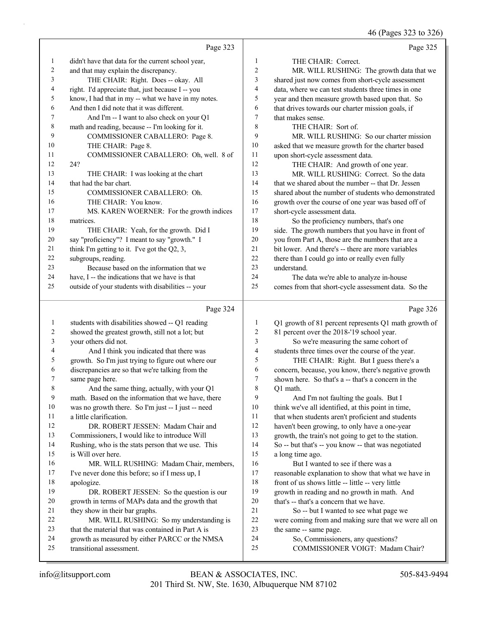46 (Pages 323 to 326)

|    | Page 323                                            |                | Page 325                                             |
|----|-----------------------------------------------------|----------------|------------------------------------------------------|
| 1  | didn't have that data for the current school year,  | 1              | THE CHAIR: Correct.                                  |
| 2  | and that may explain the discrepancy.               | 2              | MR. WILL RUSHING: The growth data that we            |
| 3  | THE CHAIR: Right. Does -- okay. All                 | 3              | shared just now comes from short-cycle assessment    |
| 4  | right. I'd appreciate that, just because I -- you   | $\overline{4}$ | data, where we can test students three times in one  |
| 5  | know, I had that in my -- what we have in my notes. | 5              | year and then measure growth based upon that. So     |
| 6  | And then I did note that it was different.          | 6              | that drives towards our charter mission goals, if    |
|    | And I'm -- I want to also check on your Q1          | $\overline{7}$ | that makes sense.                                    |
| 8  | math and reading, because -- I'm looking for it.    | 8              | THE CHAIR: Sort of.                                  |
| 9  | COMMISSIONER CABALLERO: Page 8.                     | 9              | MR. WILL RUSHING: So our charter mission             |
| 10 | THE CHAIR: Page 8.                                  | 10             | asked that we measure growth for the charter based   |
| 11 | COMMISSIONER CABALLERO: Oh, well. 8 of              | 11             | upon short-cycle assessment data.                    |
| 12 | 24?                                                 | 12             | THE CHAIR: And growth of one year.                   |
| 13 | THE CHAIR: I was looking at the chart               | 13             | MR. WILL RUSHING: Correct. So the data               |
| 14 | that had the bar chart.                             | 14             | that we shared about the number -- that Dr. Jessen   |
| 15 | COMMISSIONER CABALLERO: Oh.                         | 15             | shared about the number of students who demonstrated |
| 16 | THE CHAIR: You know.                                | 16             | growth over the course of one year was based off of  |
| 17 | MS. KAREN WOERNER: For the growth indices           | 17             | short-cycle assessment data.                         |
| 18 | matrices.                                           | 18             | So the proficiency numbers, that's one               |
| 19 | THE CHAIR: Yeah, for the growth. Did I              | 19             | side. The growth numbers that you have in front of   |
| 20 | say "proficiency"? I meant to say "growth." I       | 20             | you from Part A, those are the numbers that are a    |
| 21 | think I'm getting to it. I've got the $Q2$ , 3,     | 21             | bit lower. And there's -- there are more variables   |
| 22 | subgroups, reading.                                 | 22             | there than I could go into or really even fully      |
| 23 | Because based on the information that we            | 23             | understand.                                          |
| 24 | have, I -- the indications that we have is that     | 24             | The data we're able to analyze in-house              |
| 25 | outside of your students with disabilities -- your  | 25             | comes from that short-cycle assessment data. So the  |
|    | Page 324                                            |                | Page 326                                             |

| 1  | students with disabilities showed -- Q1 reading    | 1              | Q1 growth of 81 percent represents Q1 math growth of |
|----|----------------------------------------------------|----------------|------------------------------------------------------|
| 2  | showed the greatest growth, still not a lot; but   | 2              | 81 percent over the 2018-'19 school year.            |
| 3  | your others did not.                               | 3              | So we're measuring the same cohort of                |
| 4  | And I think you indicated that there was           | $\overline{4}$ | students three times over the course of the year.    |
| 5  | growth. So I'm just trying to figure out where our | 5              | THE CHAIR: Right. But I guess there's a              |
| 6  | discrepancies are so that we're talking from the   | 6              | concern, because, you know, there's negative growth  |
| 7  | same page here.                                    | 7              | shown here. So that's a -- that's a concern in the   |
| 8  | And the same thing, actually, with your Q1         | 8              | O1 math.                                             |
| 9  | math. Based on the information that we have, there | 9              | And I'm not faulting the goals. But I                |
| 10 | was no growth there. So I'm just -- I just -- need | 10             | think we've all identified, at this point in time,   |
| 11 | a little clarification.                            | 11             | that when students aren't proficient and students    |
| 12 | DR. ROBERT JESSEN: Madam Chair and                 | 12             | haven't been growing, to only have a one-year        |
| 13 | Commissioners, I would like to introduce Will      | 13             | growth, the train's not going to get to the station. |
| 14 | Rushing, who is the stats person that we use. This | 14             | So -- but that's -- you know -- that was negotiated  |
| 15 | is Will over here.                                 | 15             | a long time ago.                                     |
| 16 | MR. WILL RUSHING: Madam Chair, members,            | 16             | But I wanted to see if there was a                   |
| 17 | I've never done this before; so if I mess up, I    | 17             | reasonable explanation to show that what we have in  |
| 18 | apologize.                                         | 18             | front of us shows little -- little -- very little    |
| 19 | DR. ROBERT JESSEN: So the question is our          | 19             | growth in reading and no growth in math. And         |
| 20 | growth in terms of MAPs data and the growth that   | 20             | that's -- that's a concern that we have.             |
| 21 | they show in their bar graphs.                     | 2.1            | So -- but I wanted to see what page we               |
| 22 | MR. WILL RUSHING: So my understanding is           | 22             | were coming from and making sure that we were all on |
| 23 | that the material that was contained in Part A is  | 23             | the same -- same page.                               |
| 24 | growth as measured by either PARCC or the NMSA     | 24             | So, Commissioners, any questions?                    |
| 25 | transitional assessment.                           | 25             | COMMISSIONER VOIGT: Madam Chair?                     |
|    |                                                    |                |                                                      |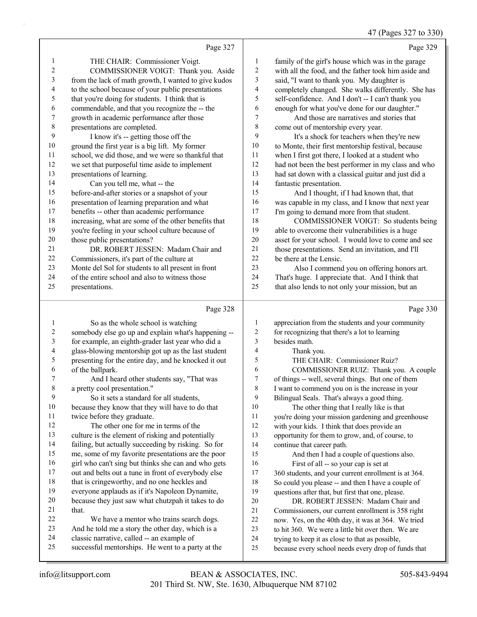47 (Pages 327 to 330)

|    | Page 327                                             |                | Page 329                                             |
|----|------------------------------------------------------|----------------|------------------------------------------------------|
| 1  | THE CHAIR: Commissioner Voigt.                       | 1              | family of the girl's house which was in the garage   |
| 2  | COMMISSIONER VOIGT: Thank you. Aside                 | 2              | with all the food, and the father took him aside and |
| 3  | from the lack of math growth, I wanted to give kudos | 3              | said, "I want to thank you. My daughter is           |
| 4  | to the school because of your public presentations   | $\overline{4}$ | completely changed. She walks differently. She has   |
| 5  | that you're doing for students. I think that is      | 5              | self-confidence. And I don't -- I can't thank you    |
| 6  | commendable, and that you recognize the -- the       | 6              | enough for what you've done for our daughter."       |
| 7  | growth in academic performance after those           | 7              | And those are narratives and stories that            |
| 8  | presentations are completed.                         | 8              | come out of mentorship every year.                   |
| 9  | I know it's -- getting those off the                 | 9              | It's a shock for teachers when they're new           |
| 10 | ground the first year is a big lift. My former       | 10             | to Monte, their first mentorship festival, because   |
| 11 | school, we did those, and we were so thankful that   | 11             | when I first got there, I looked at a student who    |
| 12 | we set that purposeful time aside to implement       | 12             | had not been the best performer in my class and who  |
| 13 | presentations of learning.                           | 13             | had sat down with a classical guitar and just did a  |
| 14 | Can you tell me, what -- the                         | 14             | fantastic presentation.                              |
| 15 | before-and-after stories or a snapshot of your       | 15             | And I thought, if I had known that, that             |
| 16 | presentation of learning preparation and what        | 16             | was capable in my class, and I know that next year   |
| 17 | benefits -- other than academic performance          | 17             | I'm going to demand more from that student.          |
| 18 | increasing, what are some of the other benefits that | 18             | COMMISSIONER VOIGT: So students being                |
| 19 | you're feeling in your school culture because of     | 19             | able to overcome their vulnerabilities is a huge     |
| 20 | those public presentations?                          | 20             | asset for your school. I would love to come and see  |
| 21 | DR. ROBERT JESSEN: Madam Chair and                   | 21             | those presentations. Send an invitation, and I'll    |
| 22 | Commissioners, it's part of the culture at           | 22.            | be there at the Lensic.                              |
| 23 | Monte del Sol for students to all present in front   | 23             | Also I commend you on offering honors art.           |
| 24 | of the entire school and also to witness those       | 24             | That's huge. I appreciate that. And I think that     |

that also lends to not only your mission, but an

presentations.

#### $D_{\text{max}}$  228

|        | Page 328                                             |    | Page 330                                             |
|--------|------------------------------------------------------|----|------------------------------------------------------|
| -1     | So as the whole school is watching                   | 1  | appreciation from the students and your community    |
| 2      | somebody else go up and explain what's happening --  | 2  | for recognizing that there's a lot to learning       |
| 3      | for example, an eighth-grader last year who did a    | 3  | besides math.                                        |
| 4      | glass-blowing mentorship got up as the last student  | 4  | Thank you.                                           |
| 5      | presenting for the entire day, and he knocked it out | 5  | THE CHAIR: Commissioner Ruiz?                        |
| 6      | of the ballpark.                                     | 6  | COMMISSIONER RUIZ: Thank you. A couple               |
| 7      | And I heard other students say, "That was            | 7  | of things -- well, several things. But one of them   |
| 8      | a pretty cool presentation."                         | 8  | I want to commend you on is the increase in your     |
| 9      | So it sets a standard for all students,              | 9  | Bilingual Seals. That's always a good thing.         |
| $10\,$ | because they know that they will have to do that     | 10 | The other thing that I really like is that           |
| 11     | twice before they graduate.                          | 11 | you're doing your mission gardening and greenhouse   |
| 12     | The other one for me in terms of the                 | 12 | with your kids. I think that does provide an         |
| 13     | culture is the element of risking and potentially    | 13 | opportunity for them to grow, and, of course, to     |
| 14     | failing, but actually succeeding by risking. So for  | 14 | continue that career path.                           |
| 15     | me, some of my favorite presentations are the poor   | 15 | And then I had a couple of questions also.           |
| 16     | girl who can't sing but thinks she can and who gets  | 16 | First of all -- so your cap is set at                |
| 17     | out and belts out a tune in front of everybody else  | 17 | 360 students, and your current enrollment is at 364. |
| 18     | that is cringeworthy, and no one heckles and         | 18 | So could you please -- and then I have a couple of   |
| 19     | everyone applauds as if it's Napoleon Dynamite,      | 19 | questions after that, but first that one, please.    |
| 20     | because they just saw what chutzpah it takes to do   | 20 | DR. ROBERT JESSEN: Madam Chair and                   |
| 21     | that.                                                | 21 | Commissioners, our current enrollment is 358 right   |
| 22     | We have a mentor who trains search dogs.             | 22 | now. Yes, on the 40th day, it was at 364. We tried   |
| 23     | And he told me a story the other day, which is a     | 23 | to hit 360. We were a little bit over then. We are   |
| 24     | classic narrative, called -- an example of           | 24 | trying to keep it as close to that as possible,      |
| 25     | successful mentorships. He went to a party at the    | 25 | because every school needs every drop of funds that  |
|        |                                                      |    |                                                      |

Page 330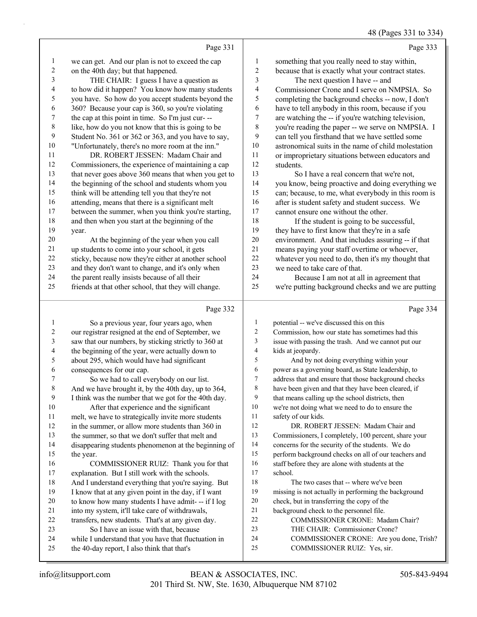48 (Pages 331 to 334)

|    | Page 331                                             |    | Page 333                                            |
|----|------------------------------------------------------|----|-----------------------------------------------------|
| 1  | we can get. And our plan is not to exceed the cap    | 1  | something that you really need to stay within,      |
| 2  | on the 40th day; but that happened.                  | 2  | because that is exactly what your contract states.  |
| 3  | THE CHAIR: I guess I have a question as              | 3  | The next question I have -- and                     |
| 4  | to how did it happen? You know how many students     | 4  | Commissioner Crone and I serve on NMPSIA. So        |
| 5  | you have. So how do you accept students beyond the   | 5  | completing the background checks -- now, I don't    |
| 6  | 360? Because your cap is 360, so you're violating    | 6  | have to tell anybody in this room, because if you   |
| 7  | the cap at this point in time. So I'm just cur---    | 7  | are watching the -- if you're watching television,  |
| 8  | like, how do you not know that this is going to be   | 8  | you're reading the paper -- we serve on NMPSIA. I   |
| 9  | Student No. 361 or 362 or 363, and you have to say,  | 9  | can tell you firsthand that we have settled some    |
| 10 | "Unfortunately, there's no more room at the inn."    | 10 | astronomical suits in the name of child molestation |
| 11 | DR. ROBERT JESSEN: Madam Chair and                   | 11 | or improprietary situations between educators and   |
| 12 | Commissioners, the experience of maintaining a cap   | 12 | students.                                           |
| 13 | that never goes above 360 means that when you get to | 13 | So I have a real concern that we're not,            |
| 14 | the beginning of the school and students whom you    | 14 | you know, being proactive and doing everything we   |
| 15 | think will be attending tell you that they're not    | 15 | can; because, to me, what everybody in this room is |
| 16 | attending, means that there is a significant melt    | 16 | after is student safety and student success. We     |
| 17 | between the summer, when you think you're starting,  | 17 | cannot ensure one without the other.                |
| 18 | and then when you start at the beginning of the      | 18 | If the student is going to be successful,           |
| 19 | year.                                                | 19 | they have to first know that they're in a safe      |
| 20 | At the beginning of the year when you call           | 20 | environment. And that includes assuring -- if that  |
| 21 | up students to come into your school, it gets        | 21 | means paying your staff overtime or whoever,        |
| 22 | sticky, because now they're either at another school | 22 | whatever you need to do, then it's my thought that  |
| 23 | and they don't want to change, and it's only when    | 23 | we need to take care of that.                       |
| 24 | the parent really insists because of all their       | 24 | Because I am not at all in agreement that           |
| 25 | friends at that other school, that they will change. | 25 | we're putting background checks and we are putting  |
|    | Page 332                                             |    | Page 334                                            |
| 1  | So a previous year, four years ago, when             | 1  | potential -- we've discussed this on this           |

#### our registrar resigned at the end of September, we saw that our numbers, by sticking strictly to 360 at the beginning of the year, were actually down to about 295, which would have had significant consequences for our cap. 7 So we had to call everybody on our list. And we have brought it, by the 40th day, up to 364, I think was the number that we got for the 40th day. 10 After that experience and the significant melt, we have to strategically invite more students in the summer, or allow more students than 360 in the summer, so that we don't suffer that melt and disappearing students phenomenon at the beginning of the year. 16 COMMISSIONER RUIZ: Thank you for that explanation. But I still work with the schools. And I understand everything that you're saying. But I know that at any given point in the day, if I want to know how many students I have admit- -- if I log into my system, it'll take care of withdrawals, transfers, new students. That's at any given day. 23 So I have an issue with that, because while I understand that you have that fluctuation in the 40-day report, I also think that that's Commission, how our state has sometimes had this issue with passing the trash. And we cannot put our kids at jeopardy. 5 And by not doing everything within your power as a governing board, as State leadership, to address that and ensure that those background checks have been given and that they have been cleared, if that means calling up the school districts, then we're not doing what we need to do to ensure the safety of our kids. 12 DR. ROBERT JESSEN: Madam Chair and Commissioners, I completely, 100 percent, share your concerns for the security of the students. We do perform background checks on all of our teachers and 16 staff before they are alone with students at the school. 18 The two cases that -- where we've been missing is not actually in performing the background check, but in transferring the copy of the background check to the personnel file. 22 COMMISSIONER CRONE: Madam Chair? 23 THE CHAIR: Commissioner Crone? 24 COMMISSIONER CRONE: Are you done, Trish? 25 COMMISSIONER RUIZ: Yes, sir.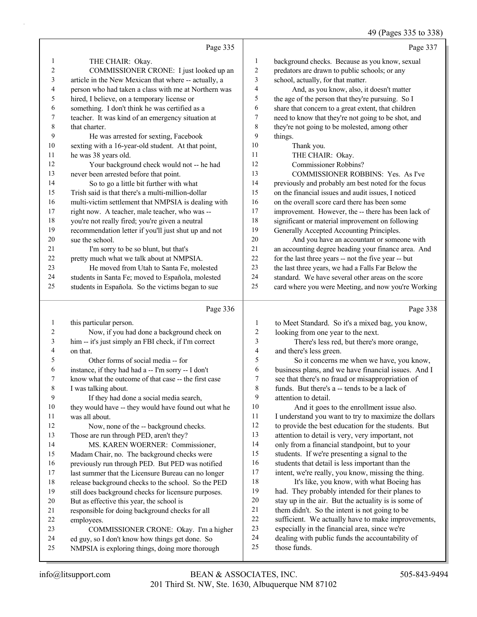# 49 (Pages 335 to 338)

|                |                                                      |                | $\tau$ ) (1 agus <i>555</i> to 556                   |
|----------------|------------------------------------------------------|----------------|------------------------------------------------------|
|                | Page 335                                             |                | Page 337                                             |
| $\mathbf{1}$   | THE CHAIR: Okay.                                     | 1              | background checks. Because as you know, sexual       |
| $\overline{2}$ | COMMISSIONER CRONE: I just looked up an              | $\overline{c}$ | predators are drawn to public schools; or any        |
| 3              | article in the New Mexican that where -- actually, a | 3              | school, actually, for that matter.                   |
| 4              | person who had taken a class with me at Northern was | 4              | And, as you know, also, it doesn't matter            |
| 5              | hired, I believe, on a temporary license or          | 5              | the age of the person that they're pursuing. So I    |
| 6              | something. I don't think he was certified as a       | 6              | share that concern to a great extent, that children  |
| 7              | teacher. It was kind of an emergency situation at    | 7              | need to know that they're not going to be shot, and  |
| 8              | that charter.                                        | 8              | they're not going to be molested, among other        |
| 9              | He was arrested for sexting, Facebook                | 9              | things.                                              |
| 10             | sexting with a 16-year-old student. At that point,   | 10             | Thank you.                                           |
| 11             | he was 38 years old.                                 | 11             | THE CHAIR: Okay.                                     |
| 12             | Your background check would not -- he had            | 12             | Commissioner Robbins?                                |
| 13             | never been arrested before that point.               | 13             | COMMISSIONER ROBBINS: Yes. As I've                   |
| 14             | So to go a little bit further with what              | 14             | previously and probably am best noted for the focus  |
| 15             | Trish said is that there's a multi-million-dollar    | 15             | on the financial issues and audit issues, I noticed  |
| 16             | multi-victim settlement that NMPSIA is dealing with  | 16             | on the overall score card there has been some        |
| 17             | right now. A teacher, male teacher, who was --       | 17             | improvement. However, the -- there has been lack of  |
| 18             | you're not really fired; you're given a neutral      | 18             | significant or material improvement on following     |
| 19             | recommendation letter if you'll just shut up and not | 19             | Generally Accepted Accounting Principles.            |
| 20             | sue the school.                                      | 20             | And you have an accountant or someone with           |
| 21             | I'm sorry to be so blunt, but that's                 | $21\,$         | an accounting degree heading your finance area. And  |
| 22             | pretty much what we talk about at NMPSIA.            | 22             | for the last three years -- not the five year -- but |
| 23             | He moved from Utah to Santa Fe, molested             | 23             | the last three years, we had a Falls Far Below the   |
| 24             | students in Santa Fe; moved to Española, molested    | 24             | standard. We have several other areas on the score   |
| 25             | students in Española. So the victims began to sue    | 25             | card where you were Meeting, and now you're Working  |
|                | Page 336                                             |                | Page 338                                             |
| $\mathbf{1}$   | this particular person.                              | $\mathbf{1}$   | to Meet Standard. So it's a mixed bag, you know,     |
| 2              | Now, if you had done a background check on           | $\overline{c}$ | looking from one year to the next.                   |
| 3              | him -- it's just simply an FBI check, if I'm correct | 3              | There's less red, but there's more orange,           |
| 4              | on that.                                             | 4              | and there's less green.                              |
| 5              | Other forms of social media -- for                   | 5              | So it concerns me when we have, you know,            |
| 6              | instance, if they had had a -- I'm sorry -- I don't  | 6              | business plans, and we have financial issues. And I  |
| 7              | know what the outcome of that case -- the first case | 7              | see that there's no fraud or misappropriation of     |
| $\,$ 8 $\,$    | I was talking about.                                 | 8              | funds. But there's a -- tends to be a lack of        |
| 9              | If they had done a social media search,              | 9              | attention to detail.                                 |
| 10             | they would have -- they would have found out what he | $10\,$         | And it goes to the enrollment issue also.            |
| 11             | was all about.                                       | 11             | I understand you want to try to maximize the dollars |
| 12             | Now, none of the -- background checks.               | 12             | to provide the best education for the students. But  |
| 13             | Those are run through PED, aren't they?              | 13             | attention to detail is very, very important, not     |
| 14             | MS. KAREN WOERNER: Commissioner,                     | 14             | only from a financial standpoint, but to your        |
| 15             | Madam Chair, no. The background checks were          | 15             | students. If we're presenting a signal to the        |
| 16             | previously run through PED. But PED was notified     | 16             | students that detail is less important than the      |
| 17             | last summer that the Licensure Bureau can no longer  | 17             | intent, we're really, you know, missing the thing.   |
| 18             | release background checks to the school. So the PED  | 18             | It's like, you know, with what Boeing has            |
| 19             | still does background checks for licensure purposes. | 19             | had. They probably intended for their planes to      |
| 20             | But as effective this year, the school is            | $20\,$         | stay up in the air. But the actuality is is some of  |
| 21             | responsible for doing background checks for all      | 21             | them didn't. So the intent is not going to be        |
| 22             | employees.                                           | 22             | sufficient. We actually have to make improvements,   |
| 23             | COMMISSIONER CRONE: Okay. I'm a higher               | 23             | especially in the financial area, since we're        |

- 24 dealing with public funds the accountability of<br>25 those funds.
	- those funds.

 ed guy, so I don't know how things get done. So NMPSIA is exploring things, doing more thorough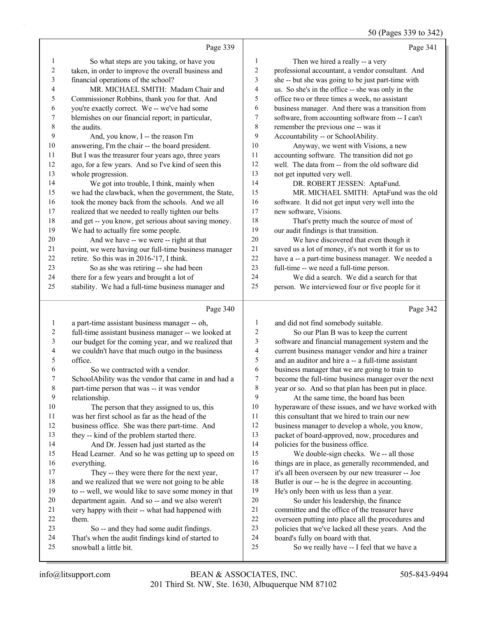|         |                                                      |                         | 50 (Pages 339 to 342)                                |
|---------|------------------------------------------------------|-------------------------|------------------------------------------------------|
|         | Page 339                                             |                         | Page 341                                             |
| 1       | So what steps are you taking, or have you            | $\mathbf{1}$            | Then we hired a really -- a very                     |
| 2       | taken, in order to improve the overall business and  | 2                       | professional accountant, a vendor consultant. And    |
| 3       | financial operations of the school?                  | 3                       | she -- but she was going to be just part-time with   |
| 4       | MR. MICHAEL SMITH: Madam Chair and                   | 4                       | us. So she's in the office -- she was only in the    |
| 5       | Commissioner Robbins, thank you for that. And        | 5                       | office two or three times a week, no assistant       |
| 6       | you're exactly correct. We -- we've had some         | 6                       | business manager. And there was a transition from    |
| 7       | blemishes on our financial report; in particular,    | 7                       | software, from accounting software from -- I can't   |
| 8       | the audits.                                          | $\,$ 8 $\,$             | remember the previous one -- was it                  |
| 9       | And, you know, I -- the reason I'm                   | 9                       | Accountability -- or SchoolAbility.                  |
| 10      | answering, I'm the chair -- the board president.     | 10                      | Anyway, we went with Visions, a new                  |
| 11      | But I was the treasurer four years ago, three years  | 11                      | accounting software. The transition did not go       |
| 12      | ago, for a few years. And so I've kind of seen this  | 12                      | well. The data from -- from the old software did     |
| 13      | whole progression.                                   | 13                      | not get inputted very well.                          |
| 14      | We got into trouble, I think, mainly when            | 14                      | DR. ROBERT JESSEN: AptaFund.                         |
| 15      | we had the clawback, when the government, the State, | 15                      | MR. MICHAEL SMITH: AptaFund was the old              |
| 16      | took the money back from the schools. And we all     | 16                      | software. It did not get input very well into the    |
| 17      | realized that we needed to really tighten our belts  | 17                      | new software, Visions.                               |
| 18      | and get -- you know, get serious about saving money. | 18                      | That's pretty much the source of most of             |
| 19      | We had to actually fire some people.                 | 19                      | our audit findings is that transition.               |
| 20      | And we have -- we were -- right at that              | 20                      | We have discovered that even though it               |
| 21      | point, we were having our full-time business manager | 21                      | saved us a lot of money, it's not worth it for us to |
| 22      | retire. So this was in 2016-'17, I think.            | 22                      | have a -- a part-time business manager. We needed a  |
| 23      | So as she was retiring -- she had been               | 23                      | full-time -- we need a full-time person.             |
| 24      | there for a few years and brought a lot of           | 24                      | We did a search. We did a search for that            |
| 25      | stability. We had a full-time business manager and   | 25                      | person. We interviewed four or five people for it    |
|         | Page 340                                             |                         | Page 342                                             |
| 1       | a part-time assistant business manager -- oh,        | 1                       | and did not find somebody suitable.                  |
| 2       | full-time assistant business manager -- we looked at | 2                       | So our Plan B was to keep the current                |
| 3       | our budget for the coming year, and we realized that | 3                       | software and financial management system and the     |
| 4       | we couldn't have that much outgo in the business     | $\overline{\mathbf{4}}$ | current business manager vendor and hire a trainer   |
| 5       | office.                                              | 5                       | and an auditor and hire a -- a full-time assistant   |
| 6       | So we contracted with a vendor.                      | 6                       | business manager that we are going to train to       |
|         | SchoolAbility was the vendor that came in and had a  | 7                       | become the full-time business manager over the next  |
| $\,8\,$ | part-time person that was -- it was vendor           | 8                       | year or so. And so that plan has been put in place.  |
| 9       | relationship.                                        | 9                       | At the same time, the board has been                 |
| 10      | The person that they assigned to us, this            | 10                      | hyperaware of these issues, and we have worked with  |
| 11      | was her first school as far as the head of the       | 11                      | this consultant that we hired to train our new       |
| 12      | business office. She was there part-time. And        | 12                      | business manager to develop a whole, you know,       |
| 13      | they -- kind of the problem started there.           | 13                      | packet of board-approved, now, procedures and        |
| 14      | And Dr. Jessen had just started as the               | 14                      | policies for the business office.                    |
| 15      | Head Learner. And so he was getting up to speed on   | 15                      | We double-sign checks. We -- all those               |
| 16      | everything.                                          | 16                      | things are in place, as generally recommended, and   |
| 17      | They -- they were there for the next year,           | 17                      | it's all been overseen by our new treasurer -- Joe   |
| 18      | and we realized that we were not going to be able    | 18                      | Butler is our -- he is the degree in accounting.     |
| 19      | to -- well, we would like to save some money in that | 19                      | He's only been with us less than a year.             |
| 20      | department again. And so -- and we also weren't      | $20\,$                  | So under his leadership, the finance                 |
| 21      | very happy with their -- what had happened with      | 21                      | committee and the office of the treasurer have       |
| 22      | them.                                                | $22\,$                  | overseen putting into place all the procedures and   |
| 23      | So -- and they had some audit findings.              | 23                      | policies that we've lacked all these years. And the  |

- 22 overseen putting into place all the procedures and<br>23 policies that we've lacked all these vears. And the policies that we've lacked all these years. And the
- 24 board's fully on board with that.<br>25 So we really have -- I feel
	- So we really have -- I feel that we have a

So -- and they had some audit findings.

24 That's when the audit findings kind of started to<br>25 snowball a little bit.

snowball a little bit.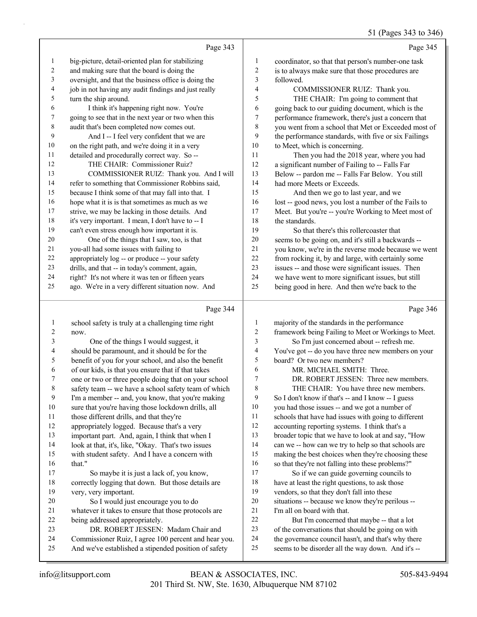# 51 (Pages 343 to 346)

|    | Page 343                                             |                | Page 345                                             |
|----|------------------------------------------------------|----------------|------------------------------------------------------|
| 1  | big-picture, detail-oriented plan for stabilizing    | $\mathbf{1}$   | coordinator, so that that person's number-one task   |
| 2  | and making sure that the board is doing the          | 2              | is to always make sure that those procedures are     |
| 3  | oversight, and that the business office is doing the | 3              | followed.                                            |
| 4  | job in not having any audit findings and just really | $\overline{4}$ | COMMISSIONER RUIZ: Thank you.                        |
| 5  | turn the ship around.                                | 5              | THE CHAIR: I'm going to comment that                 |
| 6  | I think it's happening right now. You're             | 6              | going back to our guiding document, which is the     |
| 7  | going to see that in the next year or two when this  | 7              | performance framework, there's just a concern that   |
| 8  | audit that's been completed now comes out.           | 8              | you went from a school that Met or Exceeded most of  |
| 9  | And I -- I feel very confident that we are           | 9              | the performance standards, with five or six Failings |
| 10 | on the right path, and we're doing it in a very      | 10             | to Meet, which is concerning.                        |
| 11 | detailed and procedurally correct way. So --         | 11             | Then you had the 2018 year, where you had            |
| 12 | THE CHAIR: Commissioner Ruiz?                        | 12             | a significant number of Failing to -- Falls Far      |
| 13 | COMMISSIONER RUIZ: Thank you. And I will             | 13             | Below -- pardon me -- Falls Far Below. You still     |
| 14 | refer to something that Commissioner Robbins said,   | 14             | had more Meets or Exceeds.                           |
| 15 | because I think some of that may fall into that. I   | 15             | And then we go to last year, and we                  |
| 16 | hope what it is is that sometimes as much as we      | 16             | lost -- good news, you lost a number of the Fails to |
| 17 | strive, we may be lacking in those details. And      | 17             | Meet. But you're -- you're Working to Meet most of   |
| 18 | it's very important. I mean, I don't have to -- I    | 18             | the standards.                                       |
| 19 | can't even stress enough how important it is.        | 19             | So that there's this rollercoaster that              |
| 20 | One of the things that I saw, too, is that           | 20             | seems to be going on, and it's still a backwards --  |
| 21 | you-all had some issues with failing to              | 21             | you know, we're in the reverse mode because we went  |
| 22 | appropriately log -- or produce -- your safety       | 22             | from rocking it, by and large, with certainly some   |
| 23 | drills, and that -- in today's comment, again,       | 23             | issues -- and those were significant issues. Then    |
| 24 | right? It's not where it was ten or fifteen years    | 24             | we have went to more significant issues, but still   |
| 25 | ago. We're in a very different situation now. And    | 25             | being good in here. And then we're back to the       |
|    |                                                      |                |                                                      |

# Page 344 |

|    | Page 344                                             |                | Page 346                                             |
|----|------------------------------------------------------|----------------|------------------------------------------------------|
|    | school safety is truly at a challenging time right   | 1              | majority of the standards in the performance         |
| 2  | now.                                                 | $\overline{2}$ | framework being Failing to Meet or Workings to Meet. |
| 3  | One of the things I would suggest, it                | 3              | So I'm just concerned about -- refresh me.           |
| 4  | should be paramount, and it should be for the        | 4              | You've got -- do you have three new members on your  |
| 5  | benefit of you for your school, and also the benefit | 5              | board? Or two new members?                           |
| 6  | of our kids, is that you ensure that if that takes   | 6              | MR. MICHAEL SMITH: Three.                            |
| 7  | one or two or three people doing that on your school | $\overline{7}$ | DR. ROBERT JESSEN: Three new members.                |
| 8  | safety team -- we have a school safety team of which | 8              | THE CHAIR: You have three new members.               |
| 9  | I'm a member -- and, you know, that you're making    | 9              | So I don't know if that's -- and I know -- I guess   |
| 10 | sure that you're having those lockdown drills, all   | 10             | you had those issues -- and we got a number of       |
| 11 | those different drills, and that they're             | 11             | schools that have had issues with going to different |
| 12 | appropriately logged. Because that's a very          | 12             | accounting reporting systems. I think that's a       |
| 13 | important part. And, again, I think that when I      | 13             | broader topic that we have to look at and say, "How  |
| 14 | look at that, it's, like, "Okay. That's two issues   | 14             | can we -- how can we try to help so that schools are |
| 15 | with student safety. And I have a concern with       | 15             | making the best choices when they're choosing these  |
| 16 | that."                                               | 16             | so that they're not falling into these problems?"    |
| 17 | So maybe it is just a lack of, you know,             | 17             | So if we can guide governing councils to             |
| 18 | correctly logging that down. But those details are   | 18             | have at least the right questions, to ask those      |
| 19 | very, very important.                                | 19             | vendors, so that they don't fall into these          |
| 20 | So I would just encourage you to do                  | 20             | situations -- because we know they're perilous --    |
| 21 | whatever it takes to ensure that those protocols are | 21             | I'm all on board with that.                          |
| 22 | being addressed appropriately.                       | 22             | But I'm concerned that maybe -- that a lot           |
| 23 | DR. ROBERT JESSEN: Madam Chair and                   | 23             | of the conversations that should be going on with    |
| 24 | Commissioner Ruiz, I agree 100 percent and hear you. | 24             | the governance council hasn't, and that's why there  |
| 25 | And we've established a stipended position of safety | 25             | seems to be disorder all the way down. And it's --   |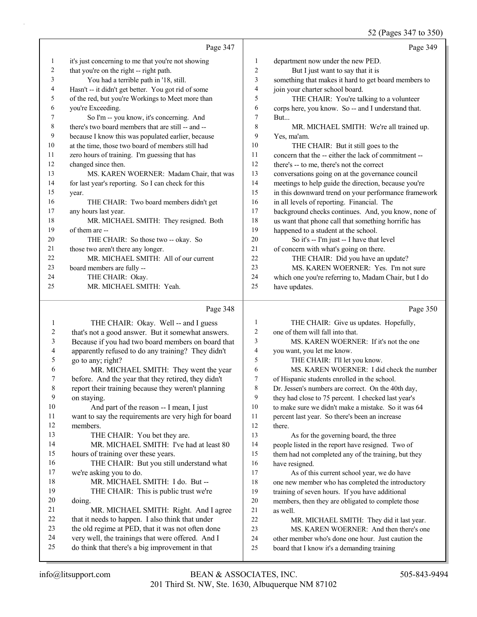52 (Pages 347 to 350)

Page 347 it's just concerning to me that you're not showing that you're on the right -- right path. 3 You had a terrible path in '18, still. Hasn't -- it didn't get better. You got rid of some of the red, but you're Workings to Meet more than you're Exceeding. 7 So I'm -- you know, it's concerning. And there's two board members that are still -- and -- because I know this was populated earlier, because at the time, those two board of members still had zero hours of training. I'm guessing that has changed since then. 13 MS. KAREN WOERNER: Madam Chair, that was for last year's reporting. So I can check for this year. 16 THE CHAIR: Two board members didn't get any hours last year. 18 MR. MICHAEL SMITH: They resigned. Both of them are -- 20 THE CHAIR: So those two -- okay. So 21 those two aren't there any longer. 22 MR. MICHAEL SMITH: All of our current board members are fully -- 24 THE CHAIR: Okay. 25 MR. MICHAEL SMITH: Yeah. Page 349 department now under the new PED. 2 But I just want to say that it is something that makes it hard to get board members to join your charter school board. 5 THE CHAIR: You're talking to a volunteer corps here, you know. So -- and I understand that. But... 8 MR. MICHAEL SMITH: We're all trained up. Yes, ma'am. 10 THE CHAIR: But it still goes to the concern that the -- either the lack of commitment -- there's -- to me, there's not the correct conversations going on at the governance council meetings to help guide the direction, because you're in this downward trend on your performance framework in all levels of reporting. Financial. The background checks continues. And, you know, none of us want that phone call that something horrific has happened to a student at the school. 20 So it's -- I'm just -- I have that level of concern with what's going on there. 22 THE CHAIR: Did you have an update? 23 MS. KAREN WOERNER: Yes. I'm not sure which one you're referring to, Madam Chair, but I do have updates.

#### Page 348

1 THE CHAIR: Okay. Well -- and I guess that's not a good answer. But it somewhat answers. Because if you had two board members on board that apparently refused to do any training? They didn't go to any; right? 6 MR. MICHAEL SMITH: They went the year before. And the year that they retired, they didn't report their training because they weren't planning on staying. 10 And part of the reason -- I mean, I just want to say the requirements are very high for board members. 13 THE CHAIR: You bet they are. 14 MR. MICHAEL SMITH: I've had at least 80 hours of training over these years. 16 THE CHAIR: But you still understand what we're asking you to do. 18 MR. MICHAEL SMITH: I do. But -- 19 THE CHAIR: This is public trust we're doing. 21 MR. MICHAEL SMITH: Right. And I agree that it needs to happen. I also think that under the old regime at PED, that it was not often done very well, the trainings that were offered. And I do think that there's a big improvement in that 1 THE CHAIR: Give us updates. Hopefully, one of them will fall into that. 3 MS. KAREN WOERNER: If it's not the one you want, you let me know. 5 THE CHAIR: I'll let you know. 6 MS. KAREN WOERNER: I did check the number of Hispanic students enrolled in the school. Dr. Jessen's numbers are correct. On the 40th day, they had close to 75 percent. I checked last year's to make sure we didn't make a mistake. So it was 64 percent last year. So there's been an increase there. 13 As for the governing board, the three people listed in the report have resigned. Two of them had not completed any of the training, but they have resigned. 17 As of this current school year, we do have one new member who has completed the introductory training of seven hours. If you have additional members, then they are obligated to complete those as well. 22 MR. MICHAEL SMITH: They did it last year. 23 MS. KAREN WOERNER: And then there's one other member who's done one hour. Just caution the board that I know it's a demanding training

Page 350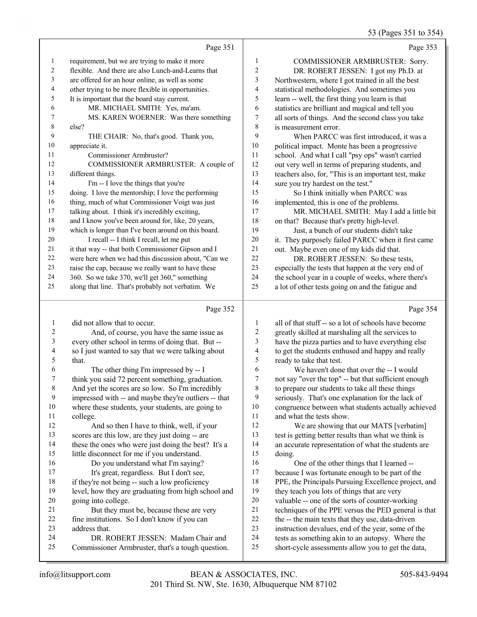53 (Pages 351 to 354)

|                |                                                      |                  | 0                                                    |
|----------------|------------------------------------------------------|------------------|------------------------------------------------------|
|                | Page 351                                             |                  | Page 353                                             |
| 1              | requirement, but we are trying to make it more       | 1                | COMMISSIONER ARMBRUSTER: Sorry.                      |
| 2              | flexible. And there are also Lunch-and-Learns that   | $\overline{c}$   | DR. ROBERT JESSEN: I got my Ph.D. at                 |
| 3              | are offered for an hour online, as well as some      | 3                | Northwestern, where I got trained in all the best    |
| 4              | other trying to be more flexible in opportunities.   | $\overline{4}$   | statistical methodologies. And sometimes you         |
| 5              | It is important that the board stay current.         | 5                | learn -- well, the first thing you learn is that     |
| 6              | MR. MICHAEL SMITH: Yes, ma'am.                       | 6                | statistics are brilliant and magical and tell you    |
| 7              | MS. KAREN WOERNER: Was there something               | $\boldsymbol{7}$ | all sorts of things. And the second class you take   |
| 8              | else?                                                | 8                | is measurement error.                                |
| 9              | THE CHAIR: No, that's good. Thank you,               | 9                | When PARCC was first introduced, it was a            |
| 10             | appreciate it.                                       | 10               | political impact. Monte has been a progressive       |
| 11             | Commissioner Armbruster?                             | 11               | school. And what I call "psy ops" wasn't carried     |
| 12             | COMMISSIONER ARMBRUSTER: A couple of                 | 12               | out very well in terms of preparing students, and    |
| 13             | different things.                                    | 13               | teachers also, for, "This is an important test, make |
| 14             | I'm -- I love the things that you're                 | 14               | sure you try hardest on the test."                   |
| 15             | doing. I love the mentorship; I love the performing  | 15               | So I think initially when PARCC was                  |
| 16             | thing, much of what Commissioner Voigt was just      | 16               | implemented, this is one of the problems.            |
| 17             | talking about. I think it's incredibly exciting,     | 17               | MR. MICHAEL SMITH: May I add a little bit            |
| 18             | and I know you've been around for, like, 20 years,   | 18               | on that? Because that's pretty high-level.           |
| 19             | which is longer than I've been around on this board. | 19               | Just, a bunch of our students didn't take            |
| 20             | I recall -- I think I recall, let me put             | 20               | it. They purposely failed PARCC when it first came   |
| 21             | it that way -- that both Commissioner Gipson and I   | 21               | out. Maybe even one of my kids did that.             |
| 22             | were here when we had this discussion about, "Can we | 22               | DR. ROBERT JESSEN: So these tests,                   |
| 23             | raise the cap, because we really want to have these  | 23               | especially the tests that happen at the very end of  |
| 24             | 360. So we take 370, we'll get 360," something       | 24               | the school year in a couple of weeks, where there's  |
| 25             | along that line. That's probably not verbatim. We    | 25               | a lot of other tests going on and the fatigue and    |
|                | Page 352                                             |                  | Page 354                                             |
| $\mathbf{1}$   | did not allow that to occur.                         | $\mathbf{1}$     | all of that stuff -- so a lot of schools have become |
| $\overline{2}$ | And, of course, you have the same issue as           | $\overline{c}$   | greatly skilled at marshaling all the services to    |
| 3              | every other school in terms of doing that. But --    | 3                | have the pizza parties and to have everything else   |
|                |                                                      |                  |                                                      |

- so I just wanted to say that we were talking about that. 6 The other thing I'm impressed by -- I think you said 72 percent something, graduation. And yet the scores are so low. So I'm incredibly impressed with -- and maybe they're outliers -- that
- where these students, your students, are going to college.

# 12 And so then I have to think, well, if your scores are this low, are they just doing -- are these the ones who were just doing the best? It's a little disconnect for me if you understand. 16 Do you understand what I'm saying? 17 It's great, regardless. But I don't see,

- if they're not being -- such a low proficiency level, how they are graduating from high school and going into college. 21 But they must be, because these are very
- fine institutions. So I don't know if you can
- address that.

# 24 DR. ROBERT JESSEN: Madam Chair and

Commissioner Armbruster, that's a tough question.

- to get the students enthused and happy and really ready to take that test. 6 We haven't done that over the -- I would
- not say "over the top" -- but that sufficient enough to prepare our students to take all these things seriously. That's one explanation for the lack of congruence between what students actually achieved and what the tests show.
- 12 We are showing that our MATS [verbatim] test is getting better results than what we think is an accurate representation of what the students are doing.

16 One of the other things that I learned -- because I was fortunate enough to be part of the PPE, the Principals Pursuing Excellence project, and 19 they teach you lots of things that are very valuable -- one of the sorts of counter-working techniques of the PPE versus the PED general is that 22 the -- the main texts that they use, data-driven instruction devalues, end of the year, some of the tests as something akin to an autopsy. Where the short-cycle assessments allow you to get the data,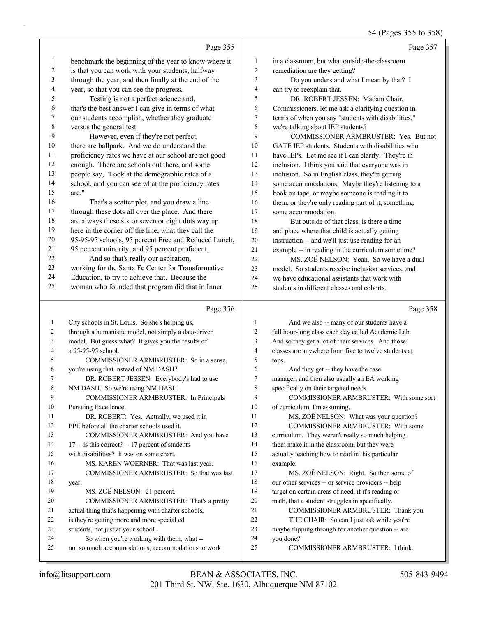### 54 (Pages 355 to 358)

|                |                                                                                                 |                | 54 (Pages 355 to 358)                                                                                      |
|----------------|-------------------------------------------------------------------------------------------------|----------------|------------------------------------------------------------------------------------------------------------|
|                | Page 355                                                                                        |                | Page 357                                                                                                   |
| $\mathbf{1}$   | benchmark the beginning of the year to know where it                                            | $\mathbf{1}$   | in a classroom, but what outside-the-classroom                                                             |
| 2              | is that you can work with your students, halfway                                                | $\overline{c}$ | remediation are they getting?                                                                              |
| 3              | through the year, and then finally at the end of the                                            | 3              | Do you understand what I mean by that? I                                                                   |
| 4              | year, so that you can see the progress.                                                         | $\overline{4}$ | can try to reexplain that.                                                                                 |
| 5              | Testing is not a perfect science and,                                                           | 5              | DR. ROBERT JESSEN: Madam Chair,                                                                            |
| 6              | that's the best answer I can give in terms of what                                              | 6              | Commissioners, let me ask a clarifying question in                                                         |
| 7              | our students accomplish, whether they graduate                                                  | 7              | terms of when you say "students with disabilities,"                                                        |
| $8\phantom{1}$ | versus the general test.                                                                        | 8              | we're talking about IEP students?                                                                          |
| 9              | However, even if they're not perfect,                                                           | 9              | COMMISSIONER ARMBRUSTER: Yes. But not                                                                      |
| 10             | there are ballpark. And we do understand the                                                    | 10             | GATE IEP students. Students with disabilities who                                                          |
| 11             | proficiency rates we have at our school are not good                                            | 11             | have IEPs. Let me see if I can clarify. They're in                                                         |
| 12             | enough. There are schools out there, and some                                                   | 12             | inclusion. I think you said that everyone was in                                                           |
| 13             | people say, "Look at the demographic rates of a                                                 | 13             | inclusion. So in English class, they're getting                                                            |
| 14             | school, and you can see what the proficiency rates                                              | 14             | some accommodations. Maybe they're listening to a                                                          |
| 15             | are."                                                                                           | 15             | book on tape, or maybe someone is reading it to                                                            |
| 16             | That's a scatter plot, and you draw a line                                                      | 16             | them, or they're only reading part of it, something,                                                       |
| 17             | through these dots all over the place. And there                                                | 17             | some accommodation.                                                                                        |
| 18             | are always these six or seven or eight dots way up                                              | 18             | But outside of that class, is there a time                                                                 |
| 19             | here in the corner off the line, what they call the                                             | 19             | and place where that child is actually getting                                                             |
| 20             | 95-95-95 schools, 95 percent Free and Reduced Lunch,                                            | 20             | instruction -- and we'll just use reading for an                                                           |
| 21             | 95 percent minority, and 95 percent proficient.                                                 | 21             | example -- in reading in the curriculum sometime?                                                          |
| 22             | And so that's really our aspiration,                                                            | 22             | MS. ZOË NELSON: Yeah. So we have a dual                                                                    |
| 23             | working for the Santa Fe Center for Transformative                                              | 23             | model. So students receive inclusion services, and                                                         |
| 24             | Education, to try to achieve that. Because the                                                  | 24             | we have educational assistants that work with                                                              |
| 25             | woman who founded that program did that in Inner                                                | 25             | students in different classes and cohorts.                                                                 |
|                |                                                                                                 |                |                                                                                                            |
|                | Page 356                                                                                        |                | Page 358                                                                                                   |
| 1              |                                                                                                 | 1              |                                                                                                            |
| 2              | City schools in St. Louis. So she's helping us,                                                 | 2              | And we also -- many of our students have a                                                                 |
| 3              | through a humanistic model, not simply a data-driven                                            | 3              | full hour-long class each day called Academic Lab.                                                         |
| 4              | model. But guess what? It gives you the results of<br>a 95-95-95 school.                        | $\overline{4}$ | And so they get a lot of their services. And those<br>classes are anywhere from five to twelve students at |
| 5              | COMMISSIONER ARMBRUSTER: So in a sense,                                                         | 5              | tops.                                                                                                      |
| 6              | you're using that instead of NM DASH?                                                           | 6              | And they get -- they have the case                                                                         |
| 7              | DR. ROBERT JESSEN: Everybody's had to use                                                       | 7              | manager, and then also usually an EA working                                                               |
| 8              | NM DASH. So we're using NM DASH.                                                                | 8              | specifically on their targeted needs.                                                                      |
| 9              | COMMISSIONER ARMBRUSTER: In Principals                                                          | 9              | COMMISSIONER ARMBRUSTER: With some sort                                                                    |
| 10             | Pursuing Excellence.                                                                            | 10             | of curriculum, I'm assuming.                                                                               |
| 11             | DR. ROBERT: Yes. Actually, we used it in                                                        | 11             | MS. ZOË NELSON: What was your question?                                                                    |
| 12             | PPE before all the charter schools used it.                                                     | 12             | COMMISSIONER ARMBRUSTER: With some                                                                         |
| 13             | COMMISSIONER ARMBRUSTER: And you have                                                           | 13             | curriculum. They weren't really so much helping                                                            |
| 14             | 17 -- is this correct? -- 17 percent of students                                                | 14             | them make it in the classroom, but they were                                                               |
| 15             | with disabilities? It was on some chart.                                                        | 15             | actually teaching how to read in this particular                                                           |
| 16             | MS. KAREN WOERNER: That was last year.                                                          | 16             | example.                                                                                                   |
| 17             | COMMISSIONER ARMBRUSTER: So that was last                                                       | 17             | MS. ZOË NELSON: Right. So then some of                                                                     |
| 18             | year.                                                                                           | 18             | our other services -- or service providers -- help                                                         |
| 19             | MS. ZOË NELSON: 21 percent.                                                                     | 19             | target on certain areas of need, if it's reading or                                                        |
| 20             | COMMISSIONER ARMBRUSTER: That's a pretty                                                        | 20             | math, that a student struggles in specifically.                                                            |
| 21             | actual thing that's happening with charter schools,                                             | 21             | COMMISSIONER ARMBRUSTER: Thank you.                                                                        |
| 22             | is they're getting more and more special ed                                                     | 22             | THE CHAIR: So can I just ask while you're                                                                  |
| 23             | students, not just at your school.                                                              | 23             | maybe flipping through for another question -- are                                                         |
| 24<br>25       | So when you're working with them, what --<br>not so much accommodations, accommodations to work | 24<br>25       | you done?<br>COMMISSIONER ARMBRUSTER: I think.                                                             |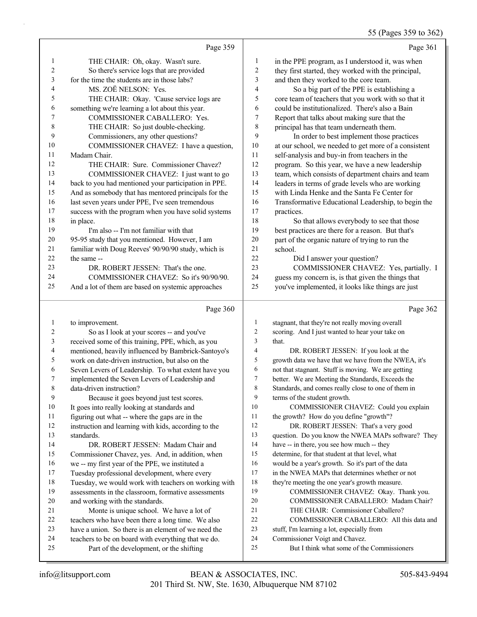55 (Pages 359 to 362)

|                  |                                                                                                 |                         | 55 (Pages 359 to 362                                                         |
|------------------|-------------------------------------------------------------------------------------------------|-------------------------|------------------------------------------------------------------------------|
|                  | Page 359                                                                                        |                         | Page 361                                                                     |
| $\mathbf{1}$     | THE CHAIR: Oh, okay. Wasn't sure.                                                               | 1                       | in the PPE program, as I understood it, was when                             |
| $\boldsymbol{2}$ | So there's service logs that are provided                                                       | $\sqrt{2}$              | they first started, they worked with the principal,                          |
| 3                | for the time the students are in those labs?                                                    | 3                       | and then they worked to the core team.                                       |
| 4                | MS. ZOË NELSON: Yes.                                                                            | $\overline{\mathbf{4}}$ | So a big part of the PPE is establishing a                                   |
| 5                | THE CHAIR: Okay. 'Cause service logs are                                                        | 5                       | core team of teachers that you work with so that it                          |
| 6                | something we're learning a lot about this year.                                                 | 6                       | could be institutionalized. There's also a Bain                              |
| 7                | COMMISSIONER CABALLERO: Yes.                                                                    | 7                       | Report that talks about making sure that the                                 |
| 8                | THE CHAIR: So just double-checking.                                                             | 8                       | principal has that team underneath them.                                     |
| 9                | Commissioners, any other questions?                                                             | 9                       | In order to best implement those practices                                   |
| 10               | COMMISSIONER CHAVEZ: I have a question,                                                         | $10\,$                  | at our school, we needed to get more of a consistent                         |
| 11               | Madam Chair.                                                                                    | $11\,$                  | self-analysis and buy-in from teachers in the                                |
| 12               | THE CHAIR: Sure. Commissioner Chavez?                                                           | 12                      | program. So this year, we have a new leadership                              |
| 13               | COMMISSIONER CHAVEZ: I just want to go                                                          | 13                      | team, which consists of department chairs and team                           |
| 14               | back to you had mentioned your participation in PPE.                                            | 14                      | leaders in terms of grade levels who are working                             |
| 15               | And as somebody that has mentored principals for the                                            | 15                      | with Linda Henke and the Santa Fe Center for                                 |
| 16               | last seven years under PPE, I've seen tremendous                                                | 16                      | Transformative Educational Leadership, to begin the                          |
| 17               | success with the program when you have solid systems                                            | $17$                    | practices.                                                                   |
| 18               | in place.                                                                                       | 18                      | So that allows everybody to see that those                                   |
| 19               | I'm also -- I'm not familiar with that                                                          | 19                      | best practices are there for a reason. But that's                            |
| 20               | 95-95 study that you mentioned. However, I am                                                   | 20                      | part of the organic nature of trying to run the                              |
| 21               | familiar with Doug Reeves' 90/90/90 study, which is                                             | 21                      | school.                                                                      |
| 22               | the same --                                                                                     | 22                      | Did I answer your question?                                                  |
| 23               | DR. ROBERT JESSEN: That's the one.                                                              | 23                      | COMMISSIONER CHAVEZ: Yes, partially. I                                       |
| 24               | COMMISSIONER CHAVEZ: So it's 90/90/90.                                                          | 24                      | guess my concern is, is that given the things that                           |
| 25               | And a lot of them are based on systemic approaches                                              | 25                      | you've implemented, it looks like things are just                            |
|                  | Page 360                                                                                        |                         | Page 362                                                                     |
| $\mathbf{1}$     | to improvement.                                                                                 | 1                       | stagnant, that they're not really moving overall                             |
| 2                | So as I look at your scores -- and you've                                                       | 2                       | scoring. And I just wanted to hear your take on                              |
| $\mathfrak{Z}$   | received some of this training, PPE, which, as you                                              | 3                       | that.                                                                        |
| 4                | mentioned, heavily influenced by Bambrick-Santoyo's                                             | 4                       | DR. ROBERT JESSEN: If you look at the                                        |
| 5                | work on date-driven instruction, but also on the                                                | 5                       | growth data we have that we have from the NWEA, it's                         |
| 6                | Seven Levers of Leadership. To what extent have you                                             | 6                       | not that stagnant. Stuff is moving. We are getting                           |
| 7                | implemented the Seven Levers of Leadership and                                                  | 7                       | better. We are Meeting the Standards, Exceeds the                            |
| 8                | data-driven instruction?                                                                        | 8                       | Standards, and comes really close to one of them in                          |
| 9                | Because it goes beyond just test scores.                                                        | 9                       | terms of the student growth.                                                 |
| 10               | It goes into really looking at standards and                                                    | 10                      | COMMISSIONER CHAVEZ: Could you explain                                       |
| 11               | figuring out what -- where the gaps are in the                                                  | 11                      | the growth? How do you define "growth"?                                      |
| 12               | instruction and learning with kids, according to the                                            | 12                      | DR. ROBERT JESSEN: That's a very good                                        |
| 13               | standards.                                                                                      | 13                      | question. Do you know the NWEA MAPs software? They                           |
| 14               | DR. ROBERT JESSEN: Madam Chair and                                                              | 14                      | have -- in there, you see how much -- they                                   |
| 15               | Commissioner Chavez, yes. And, in addition, when                                                | 15                      | determine, for that student at that level, what                              |
| 16               | we -- my first year of the PPE, we instituted a                                                 | 16                      | would be a year's growth. So it's part of the data                           |
| 17               | Tuesday professional development, where every                                                   | 17                      | in the NWEA MAPs that determines whether or not                              |
| 18               | Tuesday, we would work with teachers on working with                                            | 18                      | they're meeting the one year's growth measure.                               |
|                  |                                                                                                 |                         |                                                                              |
| 19               | assessments in the classroom, formative assessments                                             | 19                      | COMMISSIONER CHAVEZ: Okay. Thank you.                                        |
| 20               | and working with the standards.                                                                 | 20                      | COMMISSIONER CABALLERO: Madam Chair?                                         |
| 21               | Monte is unique school. We have a lot of                                                        | 21                      | THE CHAIR: Commissioner Caballero?                                           |
| 22               | teachers who have been there a long time. We also                                               | 22                      | COMMISSIONER CABALLERO: All this data and                                    |
| 23               | have a union. So there is an element of we need the                                             | 23                      | stuff, I'm learning a lot, especially from                                   |
| 24<br>25         | teachers to be on board with everything that we do.<br>Part of the development, or the shifting | 24<br>25                | Commissioner Voigt and Chavez.<br>But I think what some of the Commissioners |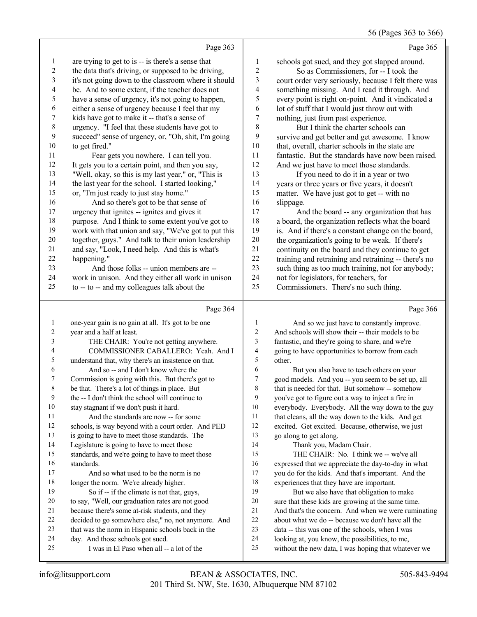## 56 (Pages 363 to 366)

|             | Page 363                                             |                  | Page 365                                             |
|-------------|------------------------------------------------------|------------------|------------------------------------------------------|
| 1           | are trying to get to is -- is there's a sense that   | $\mathbf{1}$     | schools got sued, and they got slapped around.       |
| 2           | the data that's driving, or supposed to be driving,  | $\boldsymbol{2}$ | So as Commissioners, for -- I took the               |
| 3           | it's not going down to the classroom where it should | 3                | court order very seriously, because I felt there was |
| 4           | be. And to some extent, if the teacher does not      | 4                | something missing. And I read it through. And        |
| 5           | have a sense of urgency, it's not going to happen,   | 5                | every point is right on-point. And it vindicated a   |
| 6           | either a sense of urgency because I feel that my     | 6                | lot of stuff that I would just throw out with        |
| 7           | kids have got to make it -- that's a sense of        | $\boldsymbol{7}$ | nothing, just from past experience.                  |
| $\,$ 8 $\,$ | urgency. "I feel that these students have got to     | 8                | But I think the charter schools can                  |
| 9           | succeed" sense of urgency, or, "Oh, shit, I'm going  | 9                | survive and get better and get awesome. I know       |
| 10          | to get fired."                                       | 10               | that, overall, charter schools in the state are      |
| 11          | Fear gets you nowhere. I can tell you.               | 11               | fantastic. But the standards have now been raised.   |
| 12          | It gets you to a certain point, and then you say,    | 12               | And we just have to meet those standards.            |
| 13          | "Well, okay, so this is my last year," or, "This is  | 13               | If you need to do it in a year or two                |
| 14          | the last year for the school. I started looking,"    | 14               | years or three years or five years, it doesn't       |
| 15          | or, "I'm just ready to just stay home."              | 15               | matter. We have just got to get -- with no           |
| 16          | And so there's got to be that sense of               | 16               | slippage.                                            |
| 17          | urgency that ignites -- ignites and gives it         | 17               | And the board -- any organization that has           |
| 18          | purpose. And I think to some extent you've got to    | 18               | a board, the organization reflects what the board    |
| 19          | work with that union and say, "We've got to put this | 19               | is. And if there's a constant change on the board,   |
| 20          | together, guys." And talk to their union leadership  | 20               | the organization's going to be weak. If there's      |
| 21          | and say, "Look, I need help. And this is what's      | 21               | continuity on the board and they continue to get     |
| 22          | happening."                                          | 22               | training and retraining and retraining -- there's no |
| 23          | And those folks -- union members are --              | 23               | such thing as too much training, not for anybody;    |
| 24          | work in unison. And they either all work in unison   | 24               | not for legislators, for teachers, for               |
| 25          | to -- to -- and my colleagues talk about the         | 25               | Commissioners. There's no such thing.                |
|             | Page 364                                             |                  | Page 366                                             |
| 1           | one-year gain is no gain at all. It's got to be one  | 1                | And so we just have to constantly improve.           |
| 2           | year and a half at least.                            | 2                | And schools will show their -- their models to be    |
| 3           | THE CHAIR: You're not getting anywhere.              | 3                | fantastic, and they're going to share, and we're     |
| 4           | COMMISSIONER CABALLERO: Yeah. And I                  | 4                | going to have opportunities to borrow from each      |
| 5           | understand that, why there's an insistence on that.  | 5                | other.                                               |
| 6           | And so -- and I don't know where the                 | 6                | But you also have to teach others on your            |
| 7           | Commission is going with this. But there's got to    | 7                | good models. And you -- you seem to be set up, all   |
| 8           | be that. There's a lot of things in place. But       | 8                | that is needed for that. But somehow -- somehow      |
| 9           | the -- I don't think the school will continue to     | 9                | you've got to figure out a way to inject a fire in   |
| 10          | stay stagnant if we don't push it hard.              | 10               | everybody. Everybody. All the way down to the guy    |
| 11          | And the standards are now -- for some                | 11               | that cleans, all the way down to the kids. And get   |
| 12          | schools, is way beyond with a court order. And PED   | 12               | excited. Get excited. Because, otherwise, we just    |
| 13          | is going to have to meet those standards. The        | 13               | go along to get along.                               |
| 14          | Legislature is going to have to meet those           | 14               | Thank you, Madam Chair.                              |
| 15          | standards, and we're going to have to meet those     | 15               | THE CHAIR: No. I think we -- we've all               |
| 16          | standards.                                           | 16               | expressed that we appreciate the day-to-day in what  |
| 17          | And so what used to be the norm is no                | 17               | you do for the kids. And that's important. And the   |
| 18          | longer the norm. We're already higher.               | 18               | experiences that they have are important.            |
| 19          | So if -- if the climate is not that, guys,           | 19               | But we also have that obligation to make             |
| $20\,$      | to say, "Well, our graduation rates are not good     | 20               | sure that these kids are growing at the same time.   |
| 21          | because there's some at-risk students, and they      | 21               | And that's the concern. And when we were ruminating  |
| 22          | decided to go somewhere else," no, not anymore. And  | $22\,$           | about what we do -- because we don't have all the    |
| 23          | that was the norm in Hispanic schools back in the    | 23               | data -- this was one of the schools, when I was      |

- day. And those schools got sued.
- 25 I was in El Paso when all -- a lot of the

 looking at, you know, the possibilities, to me, without the new data, I was hoping that whatever we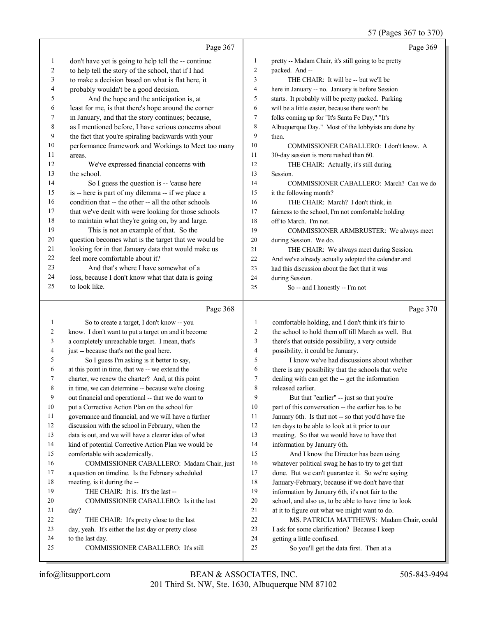|              | Page 367                                                                                             |                                | Page 369                                                                                                   |
|--------------|------------------------------------------------------------------------------------------------------|--------------------------------|------------------------------------------------------------------------------------------------------------|
| 1            | don't have yet is going to help tell the -- continue                                                 | $\mathbf{1}$                   | pretty -- Madam Chair, it's still going to be pretty                                                       |
| 2            | to help tell the story of the school, that if I had                                                  | $\overline{2}$                 | packed. And --                                                                                             |
| 3            | to make a decision based on what is flat here, it                                                    | 3                              | THE CHAIR: It will be -- but we'll be                                                                      |
| 4            | probably wouldn't be a good decision.                                                                | $\overline{4}$                 | here in January -- no. January is before Session                                                           |
| 5            | And the hope and the anticipation is, at                                                             | 5                              | starts. It probably will be pretty packed. Parking                                                         |
| 6            | least for me, is that there's hope around the corner                                                 | 6                              | will be a little easier, because there won't be                                                            |
| 7            | in January, and that the story continues; because,                                                   | $\tau$                         | folks coming up for "It's Santa Fe Day," "It's                                                             |
| 8            | as I mentioned before, I have serious concerns about                                                 | $\,$ 8 $\,$                    | Albuquerque Day." Most of the lobbyists are done by                                                        |
| 9            | the fact that you're spiraling backwards with your                                                   | 9                              | then.                                                                                                      |
| 10           | performance framework and Workings to Meet too many                                                  | 10                             | COMMISSIONER CABALLERO: I don't know. A                                                                    |
| 11           | areas.                                                                                               | 11                             | 30-day session is more rushed than 60.                                                                     |
| 12           | We've expressed financial concerns with                                                              | 12                             | THE CHAIR: Actually, it's still during                                                                     |
| 13           | the school.                                                                                          | 13                             | Session.                                                                                                   |
| 14           | So I guess the question is -- 'cause here                                                            | 14                             | COMMISSIONER CABALLERO: March? Can we do                                                                   |
| 15           | is -- here is part of my dilemma -- if we place a                                                    | 15                             | it the following month?                                                                                    |
| 16           | condition that -- the other -- all the other schools                                                 | 16                             | THE CHAIR: March? I don't think, in                                                                        |
| 17           | that we've dealt with were looking for those schools                                                 | 17                             | fairness to the school, I'm not comfortable holding                                                        |
| 18           | to maintain what they're going on, by and large.                                                     | 18                             | off to March. I'm not.                                                                                     |
| 19           | This is not an example of that. So the                                                               | 19                             | COMMISSIONER ARMBRUSTER: We always meet                                                                    |
| 20           | question becomes what is the target that we would be                                                 | 20                             | during Session. We do.                                                                                     |
| 21           | looking for in that January data that would make us                                                  | 21                             | THE CHAIR: We always meet during Session.                                                                  |
| 22           | feel more comfortable about it?                                                                      | 22                             | And we've already actually adopted the calendar and                                                        |
| 23           | And that's where I have somewhat of a                                                                | 23                             | had this discussion about the fact that it was                                                             |
| 24           | loss, because I don't know what that data is going                                                   | 24                             | during Session.                                                                                            |
| 25           | to look like.                                                                                        | 25                             | So -- and I honestly -- I'm not                                                                            |
|              |                                                                                                      |                                |                                                                                                            |
|              | Page 368                                                                                             |                                | Page 370                                                                                                   |
| $\mathbf{1}$ |                                                                                                      |                                |                                                                                                            |
| 2            | So to create a target, I don't know -- you                                                           | $\mathbf{1}$<br>$\overline{2}$ | comfortable holding, and I don't think it's fair to<br>the school to hold them off till March as well. But |
| 3            | know. I don't want to put a target on and it become                                                  | 3                              |                                                                                                            |
| 4            | a completely unreachable target. I mean, that's                                                      | 4                              | there's that outside possibility, a very outside                                                           |
| 5            | just -- because that's not the goal here.                                                            | 5                              | possibility, it could be January.<br>I know we've had discussions about whether                            |
| 6            | So I guess I'm asking is it better to say,                                                           | 6                              |                                                                                                            |
| 7            | at this point in time, that we -- we extend the<br>charter, we renew the charter? And, at this point | 7                              | there is any possibility that the schools that we're<br>dealing with can get the -- get the information    |
| 8            | in time, we can determine -- because we're closing                                                   | 8                              | released earlier.                                                                                          |
| 9            | out financial and operational -- that we do want to                                                  | 9                              | But that "earlier" -- just so that you're                                                                  |
| 10           | put a Corrective Action Plan on the school for                                                       | 10                             | part of this conversation -- the earlier has to be                                                         |
| 11           | governance and financial, and we will have a further                                                 | 11                             | January 6th. Is that not -- so that you'd have the                                                         |
| 12           | discussion with the school in February, when the                                                     | 12                             | ten days to be able to look at it prior to our                                                             |
| 13           | data is out, and we will have a clearer idea of what                                                 | 13                             | meeting. So that we would have to have that                                                                |
| 14           | kind of potential Corrective Action Plan we would be                                                 | 14                             | information by January 6th.                                                                                |
| 15           | comfortable with academically.                                                                       | 15                             | And I know the Director has been using                                                                     |
| 16           | COMMISSIONER CABALLERO: Madam Chair, just                                                            | 16                             | whatever political swag he has to try to get that                                                          |
| 17           | a question on timeline. Is the February scheduled                                                    | 17                             | done. But we can't guarantee it. So we're saying                                                           |
| 18           | meeting, is it during the --                                                                         | 18                             | January-February, because if we don't have that                                                            |
| 19           | THE CHAIR: It is. It's the last --                                                                   | 19                             | information by January 6th, it's not fair to the                                                           |
| 20           | COMMISSIONER CABALLERO: Is it the last                                                               | 20                             | school, and also us, to be able to have time to look                                                       |
| 21           | day?                                                                                                 | 21                             | at it to figure out what we might want to do.                                                              |
| 22           | THE CHAIR: It's pretty close to the last                                                             | 22                             | MS. PATRICIA MATTHEWS: Madam Chair, could                                                                  |
| 23           | day, yeah. It's either the last day or pretty close                                                  | 23                             | I ask for some clarification? Because I keep                                                               |
| 24<br>25     | to the last day.<br>COMMISSIONER CABALLERO: It's still                                               | 24<br>25                       | getting a little confused.<br>So you'll get the data first. Then at a                                      |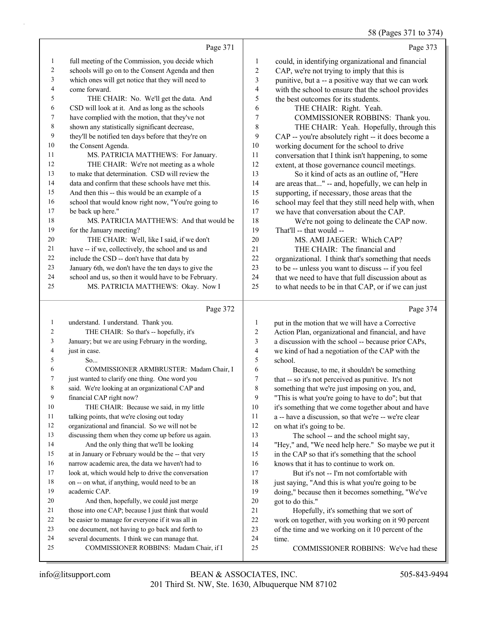#### 58 (Pages 371 to 374)

|                |                                                      |                          | $50(14505)$ 1 to $511$                               |
|----------------|------------------------------------------------------|--------------------------|------------------------------------------------------|
|                | Page 371                                             |                          | Page 373                                             |
| 1              | full meeting of the Commission, you decide which     | $\mathbf{1}$             | could, in identifying organizational and financial   |
| 2              | schools will go on to the Consent Agenda and then    | $\sqrt{2}$               | CAP, we're not trying to imply that this is          |
| 3              | which ones will get notice that they will need to    | $\mathfrak{Z}$           | punitive, but a -- a positive way that we can work   |
| 4              | come forward.                                        | $\overline{\mathcal{L}}$ | with the school to ensure that the school provides   |
| 5              | THE CHAIR: No. We'll get the data. And               | 5                        | the best outcomes for its students.                  |
| 6              | CSD will look at it. And as long as the schools      | 6                        | THE CHAIR: Right. Yeah.                              |
| 7              | have complied with the motion, that they've not      | $\boldsymbol{7}$         | COMMISSIONER ROBBINS: Thank you.                     |
| 8              | shown any statistically significant decrease,        | 8                        | THE CHAIR: Yeah. Hopefully, through this             |
| 9              | they'll be notified ten days before that they're on  | 9                        | CAP -- you're absolutely right -- it does become a   |
| 10             | the Consent Agenda.                                  | $10\,$                   | working document for the school to drive             |
| 11             | MS. PATRICIA MATTHEWS: For January.                  | $11\,$                   | conversation that I think isn't happening, to some   |
| 12             | THE CHAIR: We're not meeting as a whole              | 12                       | extent, at those governance council meetings.        |
| 13             | to make that determination. CSD will review the      | 13                       | So it kind of acts as an outline of, "Here           |
| 14             | data and confirm that these schools have met this.   | 14                       | are areas that" -- and, hopefully, we can help in    |
| 15             | And then this -- this would be an example of a       | 15                       | supporting, if necessary, those areas that the       |
| 16             | school that would know right now, "You're going to   | 16                       | school may feel that they still need help with, when |
| 17             | be back up here."                                    | 17                       | we have that conversation about the CAP.             |
| 18             | MS. PATRICIA MATTHEWS: And that would be             | 18                       | We're not going to delineate the CAP now.            |
| 19             | for the January meeting?                             | 19                       | That'll -- that would --                             |
| 20             | THE CHAIR: Well, like I said, if we don't            | $20\,$                   | MS. AMI JAEGER: Which CAP?                           |
| 21             | have -- if we, collectively, the school and us and   | 21                       | THE CHAIR: The financial and                         |
| 22             | include the CSD -- don't have that data by           | 22                       | organizational. I think that's something that needs  |
| 23             | January 6th, we don't have the ten days to give the  | 23                       | to be -- unless you want to discuss -- if you feel   |
| 24             | school and us, so then it would have to be February. | 24                       | that we need to have that full discussion about as   |
| 25             | MS. PATRICIA MATTHEWS: Okay. Now I                   | 25                       | to what needs to be in that CAP, or if we can just   |
|                | Page 372                                             |                          | Page 374                                             |
| $\mathbf{1}$   | understand. I understand. Thank you.                 | $\mathbf{1}$             | put in the motion that we will have a Corrective     |
| 2              | THE CHAIR: So that's -- hopefully, it's              | $\overline{c}$           | Action Plan, organizational and financial, and have  |
| 3              | January; but we are using February in the wording,   | 3                        | a discussion with the school -- because prior CAPs,  |
| $\overline{4}$ | just in case.                                        | $\overline{\mathcal{L}}$ | we kind of had a negotiation of the CAP with the     |
| 5              | So                                                   | 5                        | school.                                              |
| 6              | COMMISSIONER ARMBRUSTER: Madam Chair, I              | 6                        | Because, to me, it shouldn't be something            |
| $\tau$         | just wanted to clarify one thing. One word you       | 7                        | that -- so it's not perceived as punitive. It's not  |

- said. We're looking at an organizational CAP and
- financial CAP right now?
- 10 THE CHAIR: Because we said, in my little
- talking points, that we're closing out today
- organizational and financial. So we will not be

 discussing them when they come up before us again. 14 And the only thing that we'll be looking

 at in January or February would be the -- that very narrow academic area, the data we haven't had to

look at, which would help to drive the conversation

- on -- on what, if anything, would need to be an academic CAP.
- 20 And then, hopefully, we could just merge
- 21 those into one CAP; because I just think that would
- be easier to manage for everyone if it was all in
- one document, not having to go back and forth to
- several documents. I think we can manage that.
- 25 COMMISSIONER ROBBINS: Madam Chair, if I
- that -- so it's not perceived as punitive. It's not something that we're just imposing on you, and, "This is what you're going to have to do"; but that it's something that we come together about and have
- a -- have a discussion, so that we're -- we're clear on what it's going to be.
- 13 The school -- and the school might say, "Hey," and, "We need help here." So maybe we put it in the CAP so that it's something that the school knows that it has to continue to work on.

17 But it's not -- I'm not comfortable with 18 just saying, "And this is what you're going to be doing," because then it becomes something, "We've got to do this."

- 21 Hopefully, it's something that we sort of
- work on together, with you working on it 90 percent of the time and we working on it 10 percent of the
- time.
- 25 COMMISSIONER ROBBINS: We've had these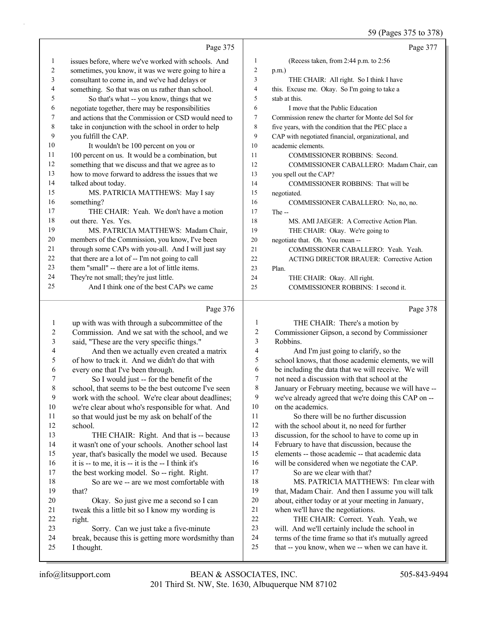59 (Pages 375 to 378)

|                |                                                      |                | $37$ (Fages $313$ to $310$ )                        |
|----------------|------------------------------------------------------|----------------|-----------------------------------------------------|
|                | Page 375                                             |                | Page 377                                            |
| $\mathbf{1}$   | issues before, where we've worked with schools. And  | $\mathbf{1}$   | (Recess taken, from 2:44 p.m. to 2:56               |
| 2              | sometimes, you know, it was we were going to hire a  | $\overline{c}$ | $p.m.$ )                                            |
| $\mathfrak{Z}$ | consultant to come in, and we've had delays or       | 3              | THE CHAIR: All right. So I think I have             |
| 4              | something. So that was on us rather than school.     | $\overline{4}$ | this. Excuse me. Okay. So I'm going to take a       |
| 5              | So that's what -- you know, things that we           | 5              | stab at this.                                       |
| 6              | negotiate together, there may be responsibilities    | 6              | I move that the Public Education                    |
| 7              | and actions that the Commission or CSD would need to | 7              | Commission renew the charter for Monte del Sol for  |
| $\,$ $\,$      | take in conjunction with the school in order to help | 8              | five years, with the condition that the PEC place a |
| 9              | you fulfill the CAP.                                 | 9              | CAP with negotiated financial, organizational, and  |
| 10             | It wouldn't be 100 percent on you or                 | 10             | academic elements.                                  |
| 11             | 100 percent on us. It would be a combination, but    | 11             | COMMISSIONER ROBBINS: Second.                       |
| 12             | something that we discuss and that we agree as to    | 12             | COMMISSIONER CABALLERO: Madam Chair, can            |
| 13             | how to move forward to address the issues that we    | 13             | you spell out the CAP?                              |
| 14             | talked about today.                                  | 14             | COMMISSIONER ROBBINS: That will be                  |
| 15             | MS. PATRICIA MATTHEWS: May I say                     | 15             | negotiated.                                         |
| 16             | something?                                           | 16             | COMMISSIONER CABALLERO: No, no, no.                 |
| 17             | THE CHAIR: Yeah. We don't have a motion              | 17             | The --                                              |
| 18             | out there. Yes. Yes.                                 | 18             | MS. AMI JAEGER: A Corrective Action Plan.           |
| 19             | MS. PATRICIA MATTHEWS: Madam Chair,                  | 19             | THE CHAIR: Okay. We're going to                     |
| 20             | members of the Commission, you know, I've been       | 20             | negotiate that. Oh. You mean --                     |
| 21             | through some CAPs with you-all. And I will just say  | 21             | COMMISSIONER CABALLERO: Yeah. Yeah.                 |
| 22             | that there are a lot of -- I'm not going to call     | 22             | <b>ACTING DIRECTOR BRAUER: Corrective Action</b>    |
| 23             | them "small" -- there are a lot of little items.     | 23             | Plan.                                               |
| 24             | They're not small; they're just little.              | 24             | THE CHAIR: Okay. All right.                         |
| 25             | And I think one of the best CAPs we came             | 25             | COMMISSIONER ROBBINS: I second it.                  |
|                | Page 376                                             |                | Page 378                                            |
| $\mathbf{1}$   | up with was with through a subcommittee of the       | $\mathbf{1}$   | THE CHAIR: There's a motion by                      |
| 2              | Commission. And we sat with the school, and we       | 2              | Commissioner Gipson, a second by Commissioner       |
| 3              | said, "These are the very specific things."          | 3              | Robbins.                                            |
| 4              | And then we actually even created a matrix           | $\overline{4}$ | And I'm just going to clarify, so the               |
| 5              | of how to track it. And we didn't do that with       | 5              | school knows, that those academic elements, we will |
| 6              | every one that I've been through.                    | 6              | be including the data that we will receive. We will |
|                | So I would just -- for the benefit of the            | 7              | not need a discussion with that school at the       |

- 7 So I would just -- for the benefit of the school, that seems to be the best outcome I've seen work with the school. We're clear about deadlines; we're clear about who's responsible for what. And
- so that would just be my ask on behalf of the school. 13 THE CHAIR: Right. And that is -- because it wasn't one of your schools. Another school last
- year, that's basically the model we used. Because it is -- to me, it is -- it is the -- I think it's
- the best working model. So -- right. Right. 18 So are we -- are we most comfortable with that?
- 20 Okay. So just give me a second so I can tweak this a little bit so I know my wording is right.
- 23 Sorry. Can we just take a five-minute
- break, because this is getting more wordsmithy than
- I thought.

 February to have that discussion, because the elements -- those academic -- that academic data will be considered when we negotiate the CAP. 17 So are we clear with that? 18 MS. PATRICIA MATTHEWS: I'm clear with that, Madam Chair. And then I assume you will talk about, either today or at your meeting in January, when we'll have the negotiations. 22 THE CHAIR: Correct. Yeah. Yeah, we will. And we'll certainly include the school in terms of the time frame so that it's mutually agreed

on the academics.

that -- you know, when we -- when we can have it.

not need a discussion with that school at the January or February meeting, because we will have -- we've already agreed that we're doing this CAP on --

11 So there will be no further discussion with the school about it, no need for further discussion, for the school to have to come up in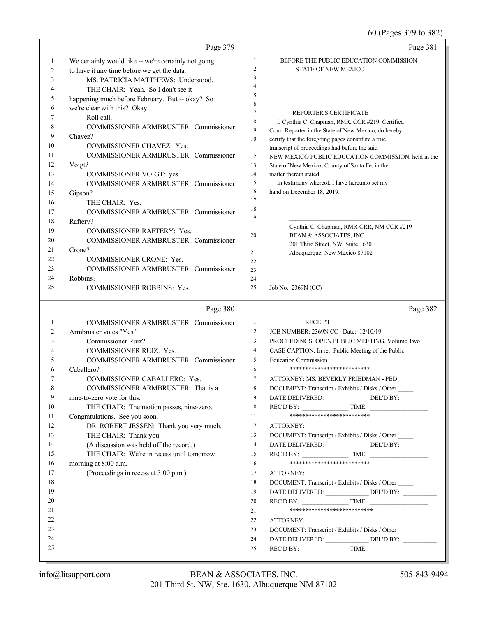60 (Pages 379 to 382)

|              | Page 379                                             |                | Page 381                                                                                                   |
|--------------|------------------------------------------------------|----------------|------------------------------------------------------------------------------------------------------------|
| $\mathbf{1}$ | We certainly would like -- we're certainly not going | 1              | BEFORE THE PUBLIC EDUCATION COMMISSION                                                                     |
| 2            | to have it any time before we get the data.          | $\overline{c}$ | STATE OF NEW MEXICO                                                                                        |
| 3            | MS. PATRICIA MATTHEWS: Understood.                   | 3              |                                                                                                            |
| 4            | THE CHAIR: Yeah. So I don't see it                   | 4              |                                                                                                            |
| 5            | happening much before February. But -- okay? So      | 5              |                                                                                                            |
| 6            | we're clear with this? Okay.                         | 6              |                                                                                                            |
| 7            | Roll call.                                           | $\tau$         | REPORTER'S CERTIFICATE                                                                                     |
| 8            | <b>COMMISSIONER ARMBRUSTER: Commissioner</b>         | 8<br>9         | I, Cynthia C. Chapman, RMR, CCR #219, Certified                                                            |
| 9            | Chavez?                                              | $10\,$         | Court Reporter in the State of New Mexico, do hereby<br>certify that the foregoing pages constitute a true |
| 10           | COMMISSIONER CHAVEZ: Yes.                            | 11             | transcript of proceedings had before the said                                                              |
| 11           | COMMISSIONER ARMBRUSTER: Commissioner                | 12             | NEW MEXICO PUBLIC EDUCATION COMMISSION, held in the                                                        |
| 12           | Voigt?                                               | 13             | State of New Mexico, County of Santa Fe, in the                                                            |
| 13           | COMMISSIONER VOIGT: yes.                             | 14             | matter therein stated.                                                                                     |
| 14           | COMMISSIONER ARMBRUSTER: Commissioner                | 15             | In testimony whereof, I have hereunto set my                                                               |
| 15           | Gipson?                                              | 16             | hand on December 18, 2019.                                                                                 |
| 16           | THE CHAIR: Yes.                                      | 17             |                                                                                                            |
| 17           | COMMISSIONER ARMBRUSTER: Commissioner                | 18             |                                                                                                            |
| 18           | Raftery?                                             | 19             |                                                                                                            |
| 19           | <b>COMMISSIONER RAFTERY: Yes.</b>                    |                | Cynthia C. Chapman, RMR-CRR, NM CCR #219                                                                   |
| 20           | <b>COMMISSIONER ARMBRUSTER: Commissioner</b>         | 20             | BEAN & ASSOCIATES, INC.                                                                                    |
| 21           | Crone?                                               | 21             | 201 Third Street, NW, Suite 1630<br>Albuquerque, New Mexico 87102                                          |
| 22           | <b>COMMISSIONER CRONE: Yes.</b>                      | 22             |                                                                                                            |
| 23           | <b>COMMISSIONER ARMBRUSTER: Commissioner</b>         | 23             |                                                                                                            |
| 24           | Robbins?                                             | 24             |                                                                                                            |
| 25           | <b>COMMISSIONER ROBBINS: Yes.</b>                    | 25             | Job No.: 2369N (CC)                                                                                        |
|              | Page 380                                             |                | Page 382                                                                                                   |
| 1            | <b>COMMISSIONER ARMBRUSTER: Commissioner</b>         | $\mathbf{1}$   | <b>RECEIPT</b>                                                                                             |
| 2            | Armbruster votes "Yes."                              | 2              | JOB NUMBER: 2369N CC Date: 12/10/19                                                                        |
| 3            | Commissioner Ruiz?                                   | 3              | PROCEEDINGS: OPEN PUBLIC MEETING, Volume Two                                                               |
| 4            | COMMISSIONER RUIZ: Yes.                              | 4              | CASE CAPTION: In re: Public Meeting of the Public                                                          |
| 5            | COMMISSIONER ARMBRUSTER: Commissioner                | 5              | <b>Education Commission</b>                                                                                |
| 6            | Caballero?                                           | 6              | **************************                                                                                 |
| 7            | COMMISSIONER CABALLERO: Yes.                         | 7              | ATTORNEY: MS. BEVERLY FRIEDMAN - PED                                                                       |
| 8            | COMMISSIONER ARMBRUSTER: That is a                   | 8              | DOCUMENT: Transcript / Exhibits / Disks / Other                                                            |
| 9            | nine-to-zero vote for this.                          | 9              | DATE DELIVERED: ________________ DEL'D BY: __________                                                      |
| 10           | THE CHAIR: The motion passes, nine-zero.             | 10             | $RECD BY:$ TIME:                                                                                           |
| 11           | Congratulations. See you soon.                       | 11             | **************************                                                                                 |
| 12           | DR. ROBERT JESSEN: Thank you very much.              | 12             | ATTORNEY:                                                                                                  |
| 13           | THE CHAIR: Thank you.                                | 13             | DOCUMENT: Transcript / Exhibits / Disks / Other                                                            |
|              |                                                      |                | DATE DELIVERED: DEL'D BY:                                                                                  |
| 14           | (A discussion was held off the record.)              | 14             |                                                                                                            |
| 15           | THE CHAIR: We're in recess until tomorrow            | 15             | $RECD BY:$ TIME:                                                                                           |
| 16           | morning at 8:00 a.m.                                 | 16             | **************************                                                                                 |
| 17           | (Proceedings in recess at 3:00 p.m.)                 | 17             | ATTORNEY:                                                                                                  |
| 18           |                                                      | 18             | DOCUMENT: Transcript / Exhibits / Disks / Other                                                            |
| 19           |                                                      | 19             | DATE DELIVERED: ________________ DEL'D BY: __________                                                      |
| 20           |                                                      | 20             |                                                                                                            |
| 21           |                                                      | 21             | **************************                                                                                 |
| 22           |                                                      | 22             | ATTORNEY:                                                                                                  |
| 23           |                                                      | 23             | DOCUMENT: Transcript / Exhibits / Disks / Other                                                            |
| 24<br>25     |                                                      | 24<br>25       | DATE DELIVERED: DEL'D BY:<br>REC'D BY: $\qquad \qquad$ TIME:                                               |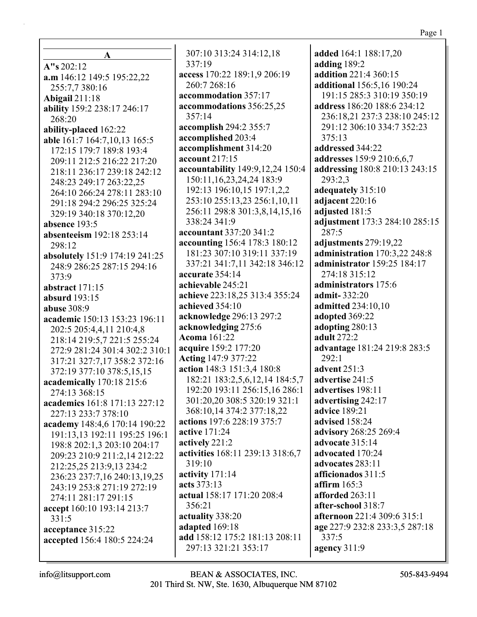$\mathbf{A}$  $A''s 202:12$ a.m 146:12 149:5 195:22,22 255:7,7 380:16 **Abigail** 211:18 ability 159:2 238:17 246:17 268:20 ability-placed 162:22 able 161:7 164:7,10,13 165:5 172:15 179:7 189:8 193:4 209:11 212:5 216:22 217:20 218:11 236:17 239:18 242:12 248:23 249:17 263:22,25 264:10 266:24 278:11 283:10 291:18 294:2 296:25 325:24 329:19 340:18 370:12,20 absence  $193:5$ absenteeism 192:18 253:14 298:12 absolutely 151:9 174:19 241:25 248:9 286:25 287:15 294:16  $373.9$ abstract  $171:15$ absurd  $193:15$ **abuse** 308:9 academic 150:13 153:23 196:11 202:5 205:4,4,11 210:4,8 218:14 219:5,7 221:5 255:24 272:9 281:24 301:4 302:2 310:1 317:21 327:7,17 358:2 372:16 372:19 377:10 378:5,15,15 academically 170:18 215:6 274:13 368:15 academics 161:8 171:13 227:12 227:13 233:7 378:10 academy 148:4,6 170:14 190:22 191:13,13 192:11 195:25 196:1 198:8 202:1,3 203:10 204:17 209:23 210:9 211:2,14 212:22 212:25,25 213:9,13 234:2 236:23 237:7,16 240:13,19,25 243:19 253:8 271:19 272:19 274:11 281:17 291:15 accept 160:10 193:14 213:7  $331:5$ acceptance 315:22 accepted 156:4 180:5 224:24

307:10 313:24 314:12,18 337:19 access 170:22 189:1,9 206:19 260:7 268:16 accommodation 357:17 accommodations 356:25,25 357:14 **accomplish** 294:2 355:7 accomplished 203:4 accomplishment 314:20 account 217:15 accountability 149:9, 12, 24 150:4 150:11, 16, 23, 24, 24 183: 9 192:13 196:10,15 197:1,2,2 253:10 255:13,23 256:1,10,11 256:11 298:8 301:3,8,14,15,16 338:24 341:9 accountant 337:20 341:2 accounting 156:4 178:3 180:12 181:23 307:10 319:11 337:19 337:21 341:7,11 342:18 346:12 accurate 354:14 achievable 245:21 achieve 223:18,25 313:4 355:24 achieved 354:10 acknowledge 296:13 297:2 acknowledging 275:6 **Acoma** 161:22 acquire 159:2 177:20 **Acting 147:9 377:22** action 148:3 151:3,4 180:8 182:21 183:2,5,6,12,14 184:5,7 192:20 193:11 256:15,16 286:1 301:20,20 308:5 320:19 321:1 368:10,14 374:2 377:18,22 actions 197:6 228:19 375:7 **active** 171:24 actively 221:2 activities 168:11 239:13 318:6,7 319:10 activity  $171:14$ acts 373:13 actual 158:17 171:20 208:4 356:21 actuality 338:20 adapted 169:18 add 158:12 175:2 181:13 208:11 297:13 321:21 353:17

added 164:1 188:17,20 adding 189:2 addition 221:4 360:15 additional 156:5,16 190:24 191:15 285:3 310:19 350:19 address 186:20 188:6 234:12 236:18.21 237:3 238:10 245:12 291:12 306:10 334:7 352:23  $375:13$ addressed 344:22 addresses 159:9 210:6,6,7 addressing 180:8 210:13 243:15 293:2,3 adequately 315:10 adjacent 220:16 adiusted 181:5 adjustment 173:3 284:10 285:15 287:5 adjustments 279:19,22 administration 170:3,22 248:8 administrator 159:25 184:17 274:18 315:12 administrators 175:6 admit-332:20 **admitted 234:10.10** adopted 369:22 adopting 280:13 **adult** 272:2 advantage 181:24 219:8 283:5  $292:1$ advent 251:3 advertise 241:5 advertises 198:11 advertising  $242:17$ **advice** 189:21 advised 158:24 advisory 268:25 269:4 advocate 315:14 advocated 170:24 advocates 283:11 afficionados  $311:5$ affirm  $165:3$ afforded 263:11 after-school 318:7 **afternoon** 221:4 309:6 315:1 age 227:9 232:8 233:3,5 287:18  $337:5$ agency 311:9

 $info@$ litsupport.com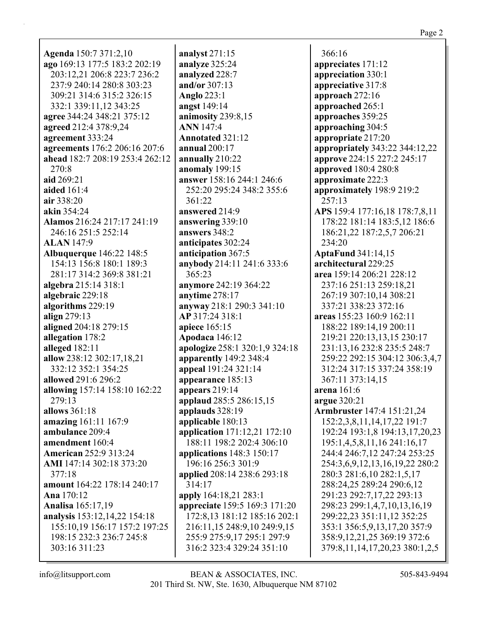| <b>Agenda</b> 150:7 371:2,10    | ana              |
|---------------------------------|------------------|
| ago 169:13 177:5 183:2 202:19   | ana              |
| 203:12,21 206:8 223:7 236:2     | ana              |
| 237:9 240:14 280:8 303:23       | and              |
| 309:21 314:6 315:2 326:15       |                  |
|                                 | $An_1$           |
| 332:1 339:11,12 343:25          | ang              |
| agree 344:24 348:21 375:12      | ani              |
| agreed 212:4 378:9,24           | AN               |
| agreement 333:24                | An <sub>i</sub>  |
| agreements 176:2 206:16 207:6   | anr              |
| ahead 182:7 208:19 253:4 262:12 | ann              |
| 270:8                           | ano              |
| aid 269:21                      | ans              |
| aided 161:4                     | $\overline{2}$   |
| air 338:20                      | $\overline{3}$   |
| akin 354:24                     | ans              |
| Alamos 216:24 217:17 241:19     | ans              |
| 246:16 251:5 252:14             | ans              |
| <b>ALAN</b> 147:9               | ant              |
| <b>Albuquerque</b> 146:22 148:5 | ant              |
| 154:13 156:8 180:1 189:3        | any              |
| 281:17 314:2 369:8 381:21       | $\mathfrak{z}_0$ |
|                                 |                  |
| algebra 215:14 318:1            | any              |
| algebraic 229:18                | any              |
| algorithms 229:19               | any              |
| align $279:13$                  | AP               |
| aligned 204:18 279:15           | api              |
| allegation 178:2                | Ap               |
| alleged 182:11                  | apo              |
| allow 238:12 302:17,18,21       | app              |
| 332:12 352:1 354:25             | app              |
| allowed 291:6 296:2             | app              |
| allowing 157:14 158:10 162:22   | app              |
| 279:13                          | app              |
| allows 361:18                   | app              |
| amazing 161:11 167:9            | app              |
| ambulance 209:4                 | app              |
| amendment 160:4                 | 1                |
| <b>American 252:9 313:24</b>    | app              |
| AMI 147:14 302:18 373:20        | $1\,$            |
| 377:18                          | app              |
| amount 164:22 178:14 240:17     | 3                |
| Ana 170:12                      | app              |
| <b>Analisa</b> 165:17,19        | app              |
| analysis 153:12,14,22 154:18    | $1^\prime$       |
| 155:10,19 156:17 157:2 197:25   | $\overline{2}$   |
| 198:15 232:3 236:7 245:8        | $\overline{2}$   |
| 303:16 311:23                   | $\overline{3}$   |
|                                 |                  |

alyst 271:15 alyze 325:24 alyzed 228:7  $d$ /or 307:13 glo 223:1 **zst** 149:14 mosity 239:8,15 **N** 147:4 notated  $321:12$ nual 200:17 nually  $210:22$ maly 199:15 wer 158:16 244:1 246:6 52:20 295:24 348:2 355:6 61:22 wered  $214:9$ wering  $339:10$ wers 348:2 icipates 302:24 icipation 367:5 ybody 214:11 241:6 333:6 65:23 rmore 242:19 364:22 time 278:17 way 218:1 290:3 341:10 317:24 318:1 ece 165:15 **odaca** 146:12 ologize 258:1 320:1,9 324:18 **parently** 149:2 348:4 peal 191:24 321:14 **pearance** 185:13 pears 219:14 plaud 285:5 286:15,15 plauds 328:19 **nlicable** 180:13 olication 171:12,21 172:10 88:11 198:2 202:4 306:10 plications 148:3 150:17 96:16 256:3 301:9 plied 208:14 238:6 293:18  $14:17$ ply 164:18,21 283:1 preciate 159:5 169:3 171:20 72:8,13 181:12 185:16 202:1 16:11,15 248:9,10 249:9,15 55:9 275:9,17 295:1 297:9 16:2 323:4 329:24 351:10

 $366:16$ appreciates 171:12 appreciation 330:1 appreciative 317:8 approach  $272:16$ approached 265:1 approaches 359:25 approaching 304:5 appropriate 217:20 **appropriately** 343:22 344:12,22 approve 224:15 227:2 245:17 **approved** 180:4 280:8 approximate 222:3 approximately 198:9 219:2 257:13 APS 159:4 177:16,18 178:7,8,11 178:22 181:14 183:5,12 186:6 186:21,22 187:2,5,7 206:21 234:20 **AptaFund 341:14,15** architectural 229:25 area 159:14 206:21 228:12 237:16 251:13 259:18,21 267:19 307:10,14 308:21 337:21 338:23 372:16 areas 155:23 160:9 162:11 188:22 189:14,19 200:11 219:21 220:13,13,15 230:17 231:13,16 232:8 235:5 248:7 259:22 292:15 304:12 306:3,4,7 312:24 317:15 337:24 358:19 367:11 373:14,15 arena  $161:6$ argue 320:21 **Armbruster** 147:4 151:21,24 152:2,3,8,11,14,17,22 191:7 192:24 193:1,8 194:13,17,20,23 195:1,4,5,8,11,16 241:16,17 244:4 246:7,12 247:24 253:25 254:3,6,9,12,13,16,19,22 280:2 280:3 281:6,10 282:1,5,17 288:24,25 289:24 290:6,12 291:23 292:7,17,22 293:13 298:23 299:1,4,7,10,13,16,19 299:22,23 351:11,12 352:25 353:1 356:5,9,13,17,20 357:9 358:9, 12, 21, 25 369: 19 372: 6 379:8, 11, 14, 17, 20, 23 380:1, 2, 5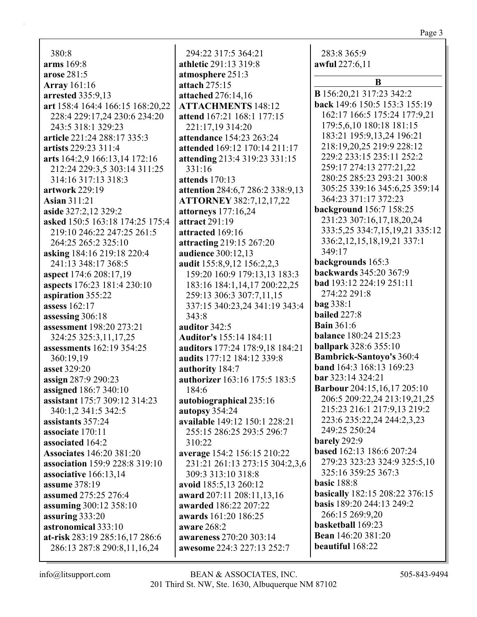| 380:8                                     | 294:22 317:5 364:21                           |
|-------------------------------------------|-----------------------------------------------|
| arms 169:8                                | athletic 291:13 319:8                         |
| arose 281:5                               | atmosphere 251:3                              |
| <b>Array</b> 161:16                       | attach 275:15                                 |
| arrested 335:9,13                         | attached 276:14,16                            |
| art 158:4 164:4 166:15 168:20,22          | <b>ATTACHMENTS 148:12</b>                     |
| 228:4 229:17,24 230:6 234:20              | attend 167:21 168:1 177:15                    |
| 243:5 318:1 329:23                        | 221:17,19 314:20                              |
| article 221:24 288:17 335:3               | attendance 154:23 263:24                      |
| artists 229:23 311:4                      | attended 169:12 170:14 211:1                  |
| arts 164:2,9 166:13,14 172:16             | attending 213:4 319:23 331:1                  |
| 212:24 229:3,5 303:14 311:25              | 331:16                                        |
| 314:16 317:13 318:3                       | attends 170:13                                |
| artwork 229:19                            | attention 284:6,7 286:2 338:9                 |
| <b>Asian 311:21</b>                       | <b>ATTORNEY 382:7,12,17,22</b>                |
| aside 327:2,12 329:2                      | attorneys 177:16,24                           |
| asked 150:5 163:18 174:25 175:4           | attract 291:19                                |
| 219:10 246:22 247:25 261:5                | attracted 169:16                              |
| 264:25 265:2 325:10                       | attracting 219:15 267:20                      |
| asking 184:16 219:18 220:4                | audience 300:12,13                            |
| 241:13 348:17 368:5                       | audit 155:8,9,12 156:2,2,3                    |
| aspect 174:6 208:17,19                    | 159:20 160:9 179:13,13 183                    |
| aspects 176:23 181:4 230:10               | 183:16 184:1,14,17 200:22,2                   |
| aspiration 355:22                         | 259:13 306:3 307:7,11,15                      |
| assess 162:17                             | 337:15 340:23,24 341:19 34                    |
| assessing 306:18                          | 343:8                                         |
| assessment 198:20 273:21                  | auditor 342:5                                 |
| 324:25 325:3,11,17,25                     | <b>Auditor's 155:14 184:11</b>                |
| assessments 162:19 354:25                 | auditors 177:24 178:9,18 184                  |
| 360:19,19                                 | audits 177:12 184:12 339:8                    |
| asset 329:20                              | authority 184:7                               |
| assign 287:9 290:23                       | authorizer 163:16 175:5 183:                  |
| assigned 186:7 340:10                     | 184:6                                         |
| assistant 175:7 309:12 314:23             | autobiographical 235:16                       |
| 340:1,2 341:5 342:5                       | autopsy 354:24                                |
| assistants 357:24                         | available 149:12 150:1 228:2                  |
| associate 170:11                          | 255:15 286:25 293:5 296:7                     |
| associated 164:2                          | 310:22                                        |
| <b>Associates</b> 146:20 381:20           | average 154:2 156:15 210:22                   |
| association 159:9 228:8 319:10            | 231:21 261:13 273:15 304:2                    |
| associative 166:13,14                     | 309:3 313:10 318:8                            |
| assume 378:19<br>assumed 275:25 276:4     | avoid 185:5,13 260:12                         |
|                                           | award 207:11 208:11,13,16                     |
| assuming 300:12 358:10<br>assuring 333:20 | awarded 186:22 207:22<br>awards 161:20 186:25 |
| astronomical 333:10                       | aware 268:2                                   |
| at-risk 283:19 285:16,17 286:6            | awareness 270:20 303:14                       |
| 286:13 287:8 290:8,11,16,24               | awesome 224:3 227:13 252:7                    |
|                                           |                                               |

**attended** 169:12 170:14 211:17 **attending** 213:4 319:23 331:15 **attention** 284:6,7 286:2 338:9,13 159:13,13 183:3 14,17 200:22,25 337:15 340:23,24 341:19 343:4 **auditors** 177:24 178:9,18 184:21 **authorizer** 163:16 175:5 183:5 **150:1 228:21** 273:15 304:2,3,6 283:8 365:9 **awful** 227:6,11 **B B** 156:20,21 317:23 342:2 **back** 149:6 150:5 153:3 155:19 162:17 166:5 175:24 177:9,21 179:5,6,10 180:18 181:15 183:21 195:9,13,24 196:21 218:19,20,25 219:9 228:12 229:2 233:15 235:11 252:2 259:17 274:13 277:21,22 280:25 285:23 293:21 300:8 305:25 339:16 345:6,25 359:14 364:23 371:17 372:23 **background** 156:7 158:25 231:23 307:16,17,18,20,24 333:5,25 334:7,15,19,21 335:12 336:2,12,15,18,19,21 337:1 349:17 **backgrounds** 165:3 **backwards** 345:20 367:9 **bad** 193:12 224:19 251:11 274:22 291:8 **bag** 338:1 **bailed** 227:8 **Bain** 361:6 **balance** 180:24 215:23 **ballpark** 328:6 355:10 **Bambrick-Santoyo's** 360:4 **band** 164:3 168:13 169:23 **bar** 323:14 324:21 **Barbour** 204:15,16,17 205:10 206:5 209:22,24 213:19,21,25 215:23 216:1 217:9,13 219:2 223:6 235:22,24 244:2,3,23 249:25 250:24 **barely** 292:9 **based** 162:13 186:6 207:24 279:23 323:23 324:9 325:5,10 325:16 359:25 367:3 **basic** 188:8 **basically** 182:15 208:22 376:15 **basis** 189:20 244:13 249:2 266:15 269:9,20 **basketball** 169:23 **Bean** 146:20 381:20 **beautiful** 168:22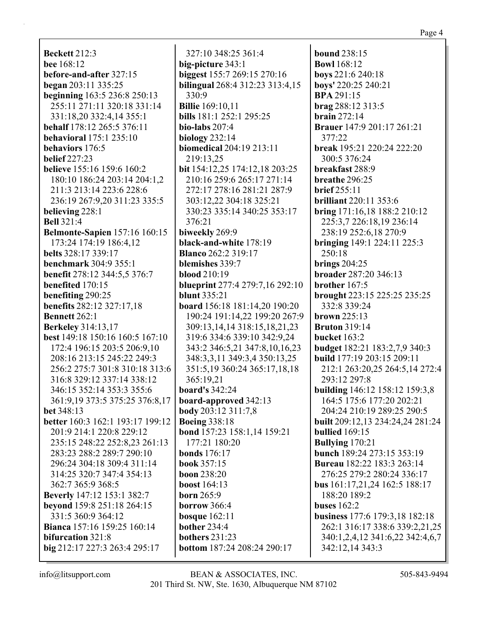**Beckett** 212:3 **bee** 168:12 **before-and-after** 327:15 **began** 203:11 335:25 **beginning** 163:5 236:8 250:13 255:11 271:11 320:18 331:14 331:18,20 332:4,14 355:1 **behalf** 178:12 265:5 376:11 **behavioral** 175:1 235:10 **behaviors** 176:5 **belief** 227:23 **believe** 155:16 159:6 160:2 180:10 186:24 203:14 204:1,2 211:3 213:14 223:6 228:6 236:19 267:9,20 311:23 335:5 **believing** 228:1 **Bell** 321:4 **Belmonte-Sapien** 157:16 160:15 173:24 174:19 186:4,12 **belts** 328:17 339:17 **benchmark** 304:9 355:1 **benefit** 278:12 344:5,5 376:7 **benefited** 170:15 **benefiting** 290:25 **benefits** 282:12 327:17,18 **Bennett** 262:1 **Berkeley** 314:13,17 **best** 149:18 150:16 160:5 167:10 172:4 196:15 203:5 206:9,10 208:16 213:15 245:22 249:3 256:2 275:7 301:8 310:18 313:6 316:8 329:12 337:14 338:12 346:15 352:14 353:3 355:6 361:9,19 373:5 375:25 376:8,17 **bet** 348:13 **better** 160:3 162:1 193:17 199:12 201:9 214:1 220:8 229:12 235:15 248:22 252:8,23 261:13 283:23 288:2 289:7 290:10 296:24 304:18 309:4 311:14 314:25 320:7 347:4 354:13 362:7 365:9 368:5 **Beverly** 147:12 153:1 382:7 **beyond** 159:8 251:18 264:15 331:5 360:9 364:12 **Bianca** 157:16 159:25 160:14 **bifurcation** 321:8 **big** 212:17 227:3 263:4 295:17

327:10 348:25 361:4 **big-picture** 343:1 **biggest** 155:7 269:15 270:16 **bilingual** 268:4 312:23 313:4,15 330:9 **Billie** 169:10,11 **bills** 181:1 252:1 295:25 **bio-labs** 207:4 **biology** 232:14 **biomedical** 204:19 213:11 219:13,25 **bit** 154:12,25 174:12,18 203:25 210:16 259:6 265:17 271:14 272:17 278:16 281:21 287:9 303:12,22 304:18 325:21 330:23 335:14 340:25 353:17 376:21 **biweekly** 269:9 **black-and-white** 178:19 **Blanco** 262:2 319:17 **blemishes** 339:7 **blood** 210:19 **blueprint** 277:4 279:7,16 292:10 **blunt** 335:21 **board** 156:18 181:14,20 190:20 190:24 191:14,22 199:20 267:9 309:13,14,14 318:15,18,21,23 319:6 334:6 339:10 342:9,24 343:2 346:5,21 347:8,10,16,23 348:3,3,11 349:3,4 350:13,25 351:5,19 360:24 365:17,18,18 365:19,21 **board's** 342:24 **board-approved** 342:13 **body** 203:12 311:7,8 **Boeing** 338:18 **bond** 157:23 158:1,14 159:21 177:21 180:20 **bonds** 176:17 **book** 357:15 **boon** 238:20 **boost** 164:13 **born** 265:9 **borrow** 366:4 **bosque** 162:11 **bother** 234:4 **bothers** 231:23 **bottom** 187:24 208:24 290:17

**bound** 238:15 **Bowl** 168:12 **boys** 221:6 240:18 **boys'** 220:25 240:21 **BPA** 291:15 **brag** 288:12 313:5 **brain** 272:14 **Brauer** 147:9 201:17 261:21 377:22 **break** 195:21 220:24 222:20 300:5 376:24 **breakfast** 288:9 **breathe** 296:25 **brief** 255:11 **brilliant** 220:11 353:6 **bring** 171:16,18 188:2 210:12 225:3,7 226:18,19 236:14 238:19 252:6,18 270:9 **bringing** 149:1 224:11 225:3 250:18 **brings** 204:25 **broader** 287:20 346:13 **brother** 167:5 **brought** 223:15 225:25 235:25 332:8 339:24 **brown** 225:13 **Bruton** 319:14 **bucket** 163:2 **budget** 182:21 183:2,7,9 340:3 **build** 177:19 203:15 209:11 212:1 263:20,25 264:5,14 272:4 293:12 297:8 **building** 146:12 158:12 159:3,8 164:5 175:6 177:20 202:21 204:24 210:19 289:25 290:5 **built** 209:12,13 234:24,24 281:24 **bullied** 169:15 **Bullying** 170:21 **bunch** 189:24 273:15 353:19 **Bureau** 182:22 183:3 263:14 276:25 279:2 280:24 336:17 **bus** 161:17,21,24 162:5 188:17 188:20 189:2 **buses** 162:2 **business** 177:6 179:3,18 182:18 262:1 316:17 338:6 339:2,21,25 340:1,2,4,12 341:6,22 342:4,6,7 342:12,14 343:3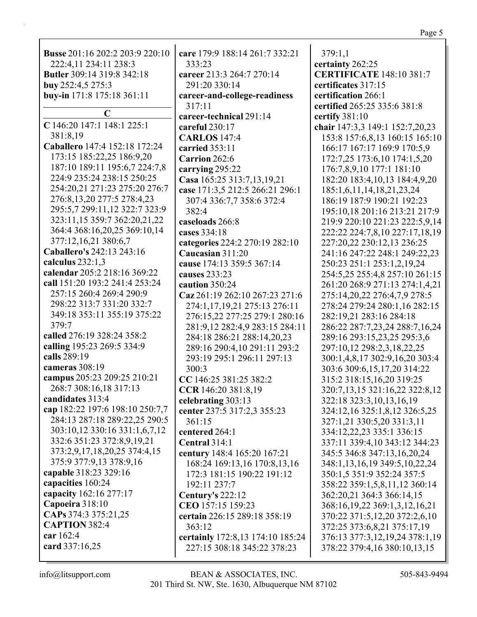| <b>Busse</b> 201:16 202:2 203:9 220:10                       | care 179:9 188:14 261:7 332:21                                                                    | 379:1,1                                                                                                                    |
|--------------------------------------------------------------|---------------------------------------------------------------------------------------------------|----------------------------------------------------------------------------------------------------------------------------|
| 222:4,11 234:11 238:3                                        | 333:23                                                                                            | certainty 262:25                                                                                                           |
| <b>Butler</b> 309:14 319:8 342:18                            | career 213:3 264:7 270:14                                                                         | <b>CERTIFICATE 148:10 381:7</b>                                                                                            |
| buy 252:4,5 275:3                                            | 291:20 330:14                                                                                     | certificates 317:15                                                                                                        |
| buy-in 171:8 175:18 361:11                                   | career-and-college-readiness                                                                      | certification 266:1                                                                                                        |
| $\mathbf C$                                                  | 317:11                                                                                            | certified 265:25 335:6 381:8                                                                                               |
| C 146:20 147:1 148:1 225:1                                   | career-technical 291:14                                                                           | certify $381:10$                                                                                                           |
| 381:8,19                                                     | careful 230:17                                                                                    | chair 147:3,3 149:1 152:7,20,23                                                                                            |
| Caballero 147:4 152:18 172:24                                | <b>CARLOS</b> 147:4                                                                               | 153:8 157:6,8,13 160:15 165:10                                                                                             |
| 173:15 185:22,25 186:9,20                                    | carried 353:11                                                                                    | 166:17 167:17 169:9 170:5,9                                                                                                |
| 187:10 189:11 195:6,7 224:7,8                                | Carrion 262:6                                                                                     | 172:7,25 173:6,10 174:1,5,20                                                                                               |
| 224:9 235:24 238:15 250:25                                   | carrying 295:22                                                                                   | 176:7,8,9,10 177:1 181:10                                                                                                  |
| 254:20,21 271:23 275:20 276:7                                | Casa 165:25 313:7,13,19,21                                                                        | 182:20 183:4, 10, 13 184:4, 9, 20                                                                                          |
| 276:8,13,20 277:5 278:4,23                                   | case 171:3,5 212:5 266:21 296:1                                                                   | 185:1,6,11,14,18,21,23,24                                                                                                  |
| 295:5,7 299:11,12 322:7 323:9                                | 307:4 336:7,7 358:6 372:4                                                                         | 186:19 187:9 190:21 192:23                                                                                                 |
| 323:11,15 359:7 362:20,21,22                                 | 382:4                                                                                             | 195:10,18 201:16 213:21 217:9                                                                                              |
| 364:4 368:16,20,25 369:10,14                                 | caseloads 266:8                                                                                   | 219:9 220:10 221:23 222:5,9,14                                                                                             |
| 377:12,16,21 380:6,7                                         | cases 334:18                                                                                      | 222:22 224:7,8,10 227:17,18,19                                                                                             |
| Caballero's 242:13 243:16                                    | categories 224:2 270:19 282:10                                                                    | 227:20,22 230:12,13 236:25                                                                                                 |
| calculus $232:1,3$                                           | Caucasian 311:20                                                                                  | 241:16 247:22 248:1 249:22,23                                                                                              |
| calendar 205:2 218:16 369:22                                 | cause 174:13 359:5 367:14                                                                         | 250:23 251:1 253:1,2,19,24                                                                                                 |
| call 151:20 193:2 241:4 253:24                               | causes 233:23                                                                                     | 254:5,25 255:4,8 257:10 261:15                                                                                             |
| 257:15 260:4 269:4 290:9                                     | caution 350:24                                                                                    | 261:20 268:9 271:13 274:1,4,21                                                                                             |
| 298:22 313:7 331:20 332:7                                    | Caz 261:19 262:10 267:23 271:6                                                                    | 275:14,20,22 276:4,7,9 278:5                                                                                               |
| 349:18 353:11 355:19 375:22                                  | 274:1,17,19,21 275:13 276:11                                                                      | 278:24 279:24 280:1,16 282:15                                                                                              |
| 379:7                                                        | 276:15,22 277:25 279:1 280:16                                                                     | 282:19,21 283:16 284:18                                                                                                    |
| calling 195:23 269:5 334:9<br>calls 289:19<br>cameras 308:19 | 284:18 286:21 288:14,20,23<br>289:16 290:4,10 291:11 293:2<br>293:19 295:1 296:11 297:13<br>300:3 | 289:16 293:15,23,25 295:3,6<br>297:10,12 298:2,3,18,22,25<br>300:1,4,8,17 302:9,16,20 303:4<br>303:6 309:6,15,17,20 314:22 |
| campus 205:23 209:25 210:21                                  | CC 146:25 381:25 382:2                                                                            | 315:2 318:15,16,20 319:25                                                                                                  |
| 268:7 308:16,18 317:13                                       | CCR 146:20 381:8,19                                                                               | 320:7,13,15 321:16,22 322:8,12                                                                                             |
| candidates 313:4                                             | celebrating 303:13                                                                                | 322:18 323:3,10,13,16,19                                                                                                   |
| cap 182:22 197:6 198:10 250:7,7                              | center 237:5 317:2,3 355:23                                                                       | 324:12,16 325:1,8,12 326:5,25                                                                                              |
| 284:13 287:18 289:22,25 290:5                                | 361:15                                                                                            | 327:1,21 330:5,20 331:3,11                                                                                                 |
| 303:10,12 330:16 331:1,6,7,12                                | centered 264:1                                                                                    | 334:12,22,23 335:1 336:15                                                                                                  |
| 332:6 351:23 372:8,9,19,21                                   | Central 314:1                                                                                     | 337:11 339:4,10 343:12 344:23                                                                                              |
| 373:2,9,17,18,20,25 374:4,15                                 | century 148:4 165:20 167:21                                                                       | 345:5 346:8 347:13,16,20,24                                                                                                |
| 375:9 377:9,13 378:9,16                                      | 168:24 169:13,16 170:8,13,16                                                                      | 348:1,13,16,19 349:5,10,22,24                                                                                              |
| capable 318:23 329:16                                        | 172:3 181:15 190:22 191:12                                                                        | 350:1,5 351:9 352:24 357:5                                                                                                 |
| capacities 160:24                                            | 192:11 237:7                                                                                      | 358:22 359:1,5,8,11,12 360:14                                                                                              |
| capacity 162:16 277:17                                       | <b>Century's 222:12</b>                                                                           | 362:20,21 364:3 366:14,15                                                                                                  |
| Capoeira 318:10                                              | CEO 157:15 159:23                                                                                 | 368:16,19,22 369:1,3,12,16,21                                                                                              |
| CAPs 374:3 375:21,25                                         | certain 226:15 289:18 358:19                                                                      | 370:22 371:5,12,20 372:2,6,10                                                                                              |
| <b>CAPTION 382:4</b>                                         | 363:12                                                                                            | 372:25 373:6,8,21 375:17,19                                                                                                |
| car 162:4                                                    | certainly 172:8,13 174:10 185:24                                                                  | 376:13 377:3,12,19,24 378:1,19                                                                                             |
| card 337:16,25                                               | 227:15 308:18 345:22 378:23                                                                       | 378:22 379:4,16 380:10,13,15                                                                                               |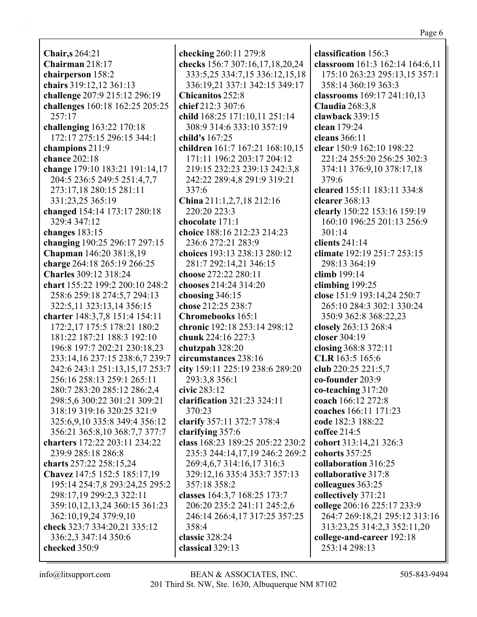**Chair,s** 264:21 **Chairman** 218:17 **chairperson** 158:2 **chairs** 319:12,12 361:13 **challenge** 207:9 215:12 296:19 **challenges** 160:18 162:25 205:25 257:17 **challenging** 163:22 170:18 172:17 275:15 296:15 344:1 **champions** 211:9 **chance** 202:18 **change** 179:10 183:21 191:14,17 204:5 236:5 249:5 251:4,7,7 273:17,18 280:15 281:11 331:23,25 365:19 **changed** 154:14 173:17 280:18 329:4 347:12 **changes** 183:15 **changing** 190:25 296:17 297:15 **Chapman** 146:20 381:8,19 **charge** 264:18 265:19 266:25 **Charles** 309:12 318:24 **chart** 155:22 199:2 200:10 248:2 258:6 259:18 274:5,7 294:13 322:5,11 323:13,14 356:15 **charter** 148:3,7,8 151:4 154:11 172:2,17 175:5 178:21 180:2 181:22 187:21 188:3 192:10 196:8 197:7 202:21 230:18,23 233:14,16 237:15 238:6,7 239:7 242:6 243:1 251:13,15,17 253:7 256:16 258:13 259:1 265:11 280:7 283:20 285:12 286:2,4 298:5,6 300:22 301:21 309:21 318:19 319:16 320:25 321:9 325:6,9,10 335:8 349:4 356:12 356:21 365:8,10 368:7,7 377:7 **charters** 172:22 203:11 234:22 239:9 285:18 286:8 **charts** 257:22 258:15,24 **Chavez** 147:5 152:5 185:17,19 195:14 254:7,8 293:24,25 295:2 298:17,19 299:2,3 322:11 359:10,12,13,24 360:15 361:23 362:10,19,24 379:9,10 **check** 323:7 334:20,21 335:12 336:2,3 347:14 350:6 **checked** 350:9

**checking** 260:11 279:8 **checks** 156:7 307:16,17,18,20,24 333:5,25 334:7,15 336:12,15,18 336:19,21 337:1 342:15 349:17 **Chicanitos** 252:8 **chief** 212:3 307:6 **child** 168:25 171:10,11 251:14 308:9 314:6 333:10 357:19 **child's** 167:25 **children** 161:7 167:21 168:10,15 171:11 196:2 203:17 204:12 219:15 232:23 239:13 242:3,8 242:22 289:4,8 291:9 319:21 337:6 **China** 211:1,2,7,18 212:16 220:20 223:3 **chocolate** 171:1 **choice** 188:16 212:23 214:23 236:6 272:21 283:9 **choices** 193:13 238:13 280:12 281:7 292:14,21 346:15 **choose** 272:22 280:11 **chooses** 214:24 314:20 **choosing** 346:15 **chose** 212:25 238:7 **Chromebooks** 165:1 **chronic** 192:18 253:14 298:12 **chunk** 224:16 227:3 **chutzpah** 328:20 **circumstances** 238:16 **city** 159:11 225:19 238:6 289:20 293:3,8 356:1 **civic** 283:12 **clarification** 321:23 324:11 370:23 **clarify** 357:11 372:7 378:4 **clarifying** 357:6 **class** 168:23 189:25 205:22 230:2 235:3 244:14,17,19 246:2 269:2 269:4,6,7 314:16,17 316:3 329:12,16 335:4 353:7 357:13 357:18 358:2 **classes** 164:3,7 168:25 173:7 206:20 235:2 241:11 245:2,6 246:14 266:4,17 317:25 357:25 358:4 **classic** 328:24 **classical** 329:13

**classification** 156:3 **classroom** 161:3 162:14 164:6,11 175:10 263:23 295:13,15 357:1 358:14 360:19 363:3 **classrooms** 169:17 241:10,13 **Claudia** 268:3,8 **clawback** 339:15 **clean** 179:24 **cleans** 366:11 **clear** 150:9 162:10 198:22 221:24 255:20 256:25 302:3 374:11 376:9,10 378:17,18 379:6 **cleared** 155:11 183:11 334:8 **clearer** 368:13 **clearly** 150:22 153:16 159:19 160:10 196:25 201:13 256:9 301:14 **clients** 241:14 **climate** 192:19 251:7 253:15 298:13 364:19 **climb** 199:14 **climbing** 199:25 **close** 151:9 193:14,24 250:7 265:10 284:3 302:1 330:24 350:9 362:8 368:22,23 **closely** 263:13 268:4 **closer** 304:19 **closing** 368:8 372:11 **CLR** 163:5 165:6 **club** 220:25 221:5,7 **co-founder** 203:9 **co-teaching** 317:20 **coach** 166:12 272:8 **coaches** 166:11 171:23 **code** 182:3 188:22 **coffee** 214:5 **cohort** 313:14,21 326:3 **cohorts** 357:25 **collaboration** 316:25 **collaborative** 317:8 **colleagues** 363:25 **collectively** 371:21 **college** 206:16 225:17 233:9 264:7 269:18,21 295:12 313:16 313:23,25 314:2,3 352:11,20 **college-and-career** 192:18 253:14 298:13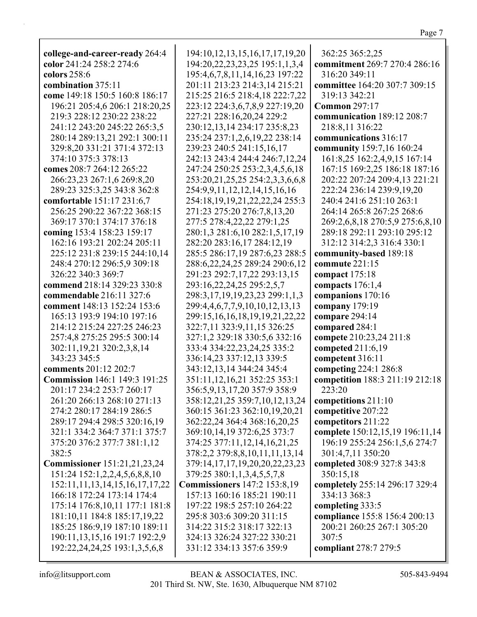| college-and-career-ready 264:4         | 194:10,12,13,15,16,17,17,19,20         | 362:25 365:2,25                 |
|----------------------------------------|----------------------------------------|---------------------------------|
| color 241:24 258:2 274:6               | 194:20,22,23,23,25 195:1,1,3,4         | commitment 269:7 270:4 286:16   |
| colors 258:6                           | 195:4,6,7,8,11,14,16,23 197:22         | 316:20 349:11                   |
| combination 375:11                     | 201:11 213:23 214:3,14 215:21          | committee 164:20 307:7 309:15   |
| come 149:18 150:5 160:8 186:17         | 215:25 216:5 218:4,18 222:7,22         | 319:13 342:21                   |
| 196:21 205:4,6 206:1 218:20,25         | 223:12 224:3,6,7,8,9 227:19,20         | <b>Common 297:17</b>            |
| 219:3 228:12 230:22 238:22             | 227:21 228:16,20,24 229:2              | communication 189:12 208:7      |
| 241:12 243:20 245:22 265:3,5           | 230:12,13,14 234:17 235:8,23           | 218:8,11 316:22                 |
| 280:14 289:13,21 292:1 300:11          | 235:24 237:1,2,6,19,22 238:14          | communications 316:17           |
| 329:8,20 331:21 371:4 372:13           | 239:23 240:5 241:15,16,17              | community 159:7,16 160:24       |
| 374:10 375:3 378:13                    | 242:13 243:4 244:4 246:7,12,24         | 161:8,25 162:2,4,9,15 167:14    |
| comes 208:7 264:12 265:22              | 247:24 250:25 253:2,3,4,5,6,18         | 167:15 169:2,25 186:18 187:16   |
| 266:23,23 267:1,6 269:8,20             | 253:20,21,25,25 254:2,3,3,6,6,8        | 202:22 207:24 209:4,13 221:21   |
| 289:23 325:3,25 343:8 362:8            | 254:9,9,11,12,12,14,15,16,16           | 222:24 236:14 239:9,19,20       |
| comfortable 151:17 231:6,7             | 254:18, 19, 19, 21, 22, 22, 24 255: 3  | 240:4 241:6 251:10 263:1        |
| 256:25 290:22 367:22 368:15            | 271:23 275:20 276:7,8,13,20            | 264:14 265:8 267:25 268:6       |
| 369:17 370:1 374:17 376:18             | 277:5 278:4,22,22 279:1,25             | 269:2,6,8,18 270:5,9 275:6,8,10 |
| coming 153:4 158:23 159:17             | 280:1,3 281:6,10 282:1,5,17,19         | 289:18 292:11 293:10 295:12     |
| 162:16 193:21 202:24 205:11            | 282:20 283:16,17 284:12,19             | 312:12 314:2,3 316:4 330:1      |
| 225:12 231:8 239:15 244:10,14          | 285:5 286:17,19 287:6,23 288:5         | community-based 189:18          |
| 248:4 270:12 296:5,9 309:18            | 288:6,22,24,25 289:24 290:6,12         | commute 221:15                  |
| 326:22 340:3 369:7                     | 291:23 292:7,17,22 293:13,15           | compact $175:18$                |
| commend 218:14 329:23 330:8            | 293:16,22,24,25 295:2,5,7              | compacts 176:1,4                |
| commendable 216:11 327:6               | 298:3,17,19,19,23,23 299:1,1,3         | companions 170:16               |
| comment 148:13 152:24 153:6            | 299:4,4,6,7,7,9,10,10,12,13,13         | company 179:19                  |
| 165:13 193:9 194:10 197:16             | 299:15, 16, 16, 18, 19, 19, 21, 22, 22 | compare 294:14                  |
| 214:12 215:24 227:25 246:23            | 322:7,11 323:9,11,15 326:25            | compared 284:1                  |
| 257:4,8 275:25 295:5 300:14            | 327:1,2 329:18 330:5,6 332:16          | compete 210:23,24 211:8         |
| 302:11,19,21 320:2,3,8,14              | 333:4 334:22,23,24,25 335:2            | competed 211:6,19               |
| 343:23 345:5                           | 336:14,23 337:12,13 339:5              | competent 316:11                |
| comments 201:12 202:7                  | 343:12,13,14 344:24 345:4              | competing 224:1 286:8           |
| <b>Commission</b> 146:1 149:3 191:25   | 351:11, 12, 16, 21 352: 25 353: 1      | competition 188:3 211:19 212:18 |
| 201:17 234:2 253:7 260:17              | 356:5,9,13,17,20 357:9 358:9           | 223:20                          |
| 261:20 266:13 268:10 271:13            | 358:12,21,25 359:7,10,12,13,24         | competitions 211:10             |
| 274:2 280:17 284:19 286:5              | 360:15 361:23 362:10,19,20,21          | competitive 207:22              |
| 289:17 294:4 298:5 320:16,19           | 362:22,24 364:4 368:16,20,25           | competitors 211:22              |
| 321:1 334:2 364:7 371:1 375:7          | 369:10,14,19 372:6,25 373:7            | complete 150:12,15,19 196:11,14 |
| 375:20 376:2 377:7 381:1,12            | 374:25 377:11,12,14,16,21,25           | 196:19 255:24 256:1,5,6 274:7   |
| 382:5                                  | 378:2,2 379:8,8,10,11,11,13,14         | 301:4,7,11 350:20               |
| <b>Commissioner</b> 151:21,21,23,24    | 379:14,17,17,19,20,20,22,23,23         | completed 308:9 327:8 343:8     |
| 151:24 152:1,2,2,4,5,6,8,8,10          | 379:25 380:1,1,3,4,5,5,7,8             | 350:15,18                       |
| 152:11, 11, 13, 14, 15, 16, 17, 17, 22 | <b>Commissioners</b> 147:2 153:8,19    | completely 255:14 296:17 329:4  |
| 166:18 172:24 173:14 174:4             | 157:13 160:16 185:21 190:11            | 334:13 368:3                    |
| 175:14 176:8,10,11 177:1 181:8         | 197:22 198:5 257:10 264:22             | completing 333:5                |
| 181:10,11 184:8 185:17,19,22           | 295:8 303:6 309:20 311:15              | compliance 155:8 156:4 200:13   |
| 185:25 186:9,19 187:10 189:11          | 314:22 315:2 318:17 322:13             | 200:21 260:25 267:1 305:20      |
| 190:11,13,15,16 191:7 192:2,9          | 324:13 326:24 327:22 330:21            | 307:5                           |
| 192:22,24,24,25 193:1,3,5,6,8          | 331:12 334:13 357:6 359:9              | compliant 278:7 279:5           |
|                                        |                                        |                                 |

 $\mathop{\mathsf{info}}\nolimits @\mathop{\mathsf{litsupport.com}}$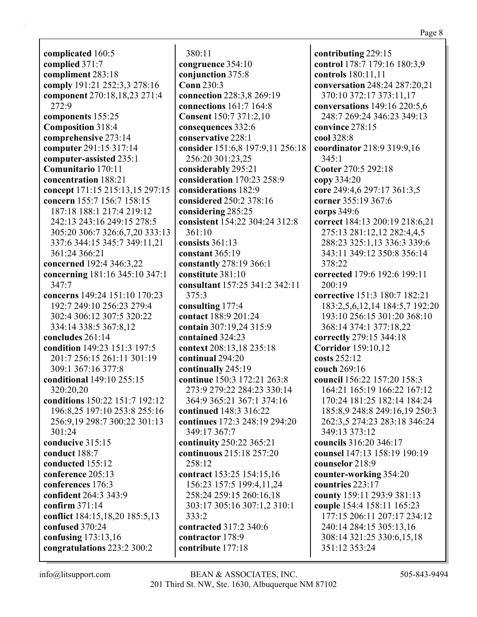**complicated** 160:5 **complied** 371:7 **compliment** 283:18 **comply** 191:21 252:3,3 278:16 **component** 270:18,18,23 271:4 272:9 **components** 155:25 **Composition** 318:4 **comprehensive** 273:14 **computer** 291:15 317:14 **computer-assisted** 235:1 **Comunitario** 170:11 **concentration** 188:21 **concept** 171:15 215:13,15 297:15 **concern** 155:7 156:7 158:15 187:18 188:1 217:4 219:12 242:13 243:16 249:15 278:5 305:20 306:7 326:6,7,20 333:13 337:6 344:15 345:7 349:11,21 361:24 366:21 **concerned** 192:4 346:3,22 **concerning** 181:16 345:10 347:1 347:7 **concerns** 149:24 151:10 170:23 192:7 249:10 256:23 279:4 302:4 306:12 307:5 320:22 334:14 338:5 367:8,12 **concludes** 261:14 **condition** 149:23 151:3 197:5 201:7 256:15 261:11 301:19 309:1 367:16 377:8 **conditional** 149:10 255:15 320:20,20 **conditions** 150:22 151:7 192:12 196:8,25 197:10 253:8 255:16 256:9,19 298:7 300:22 301:13 301:24 **conducive** 315:15 **conduct** 188:7 **conducted** 155:12 **conference** 205:13 **conferences** 176:3 **confident** 264:3 343:9 **confirm** 371:14 **conflict** 184:15,18,20 185:5,13 **confused** 370:24 **confusing** 173:13,16 **congratulations** 223:2 300:2

380:11 **congruence** 354:10 **conjunction** 375:8 **Conn** 230:3 **connection** 228:3,8 269:19 **connections** 161:7 164:8 **Consent** 150:7 371:2,10 **consequences** 332:6 **conservative** 228:1 **consider** 151:6,8 197:9,11 256:18 256:20 301:23,25 **considerably** 295:21 **consideration** 170:23 258:9 **considerations** 182:9 **considered** 250:2 378:16 **considering** 285:25 **consistent** 154:22 304:24 312:8 361:10 **consists** 361:13 **constant** 365:19 **constantly** 278:19 366:1 **constitute** 381:10 **consultant** 157:25 341:2 342:11 375:3 **consulting** 177:4 **contact** 188:9 201:24 **contain** 307:19,24 315:9 **contained** 324:23 **context** 208:13,18 235:18 **continual** 294:20 **continually** 245:19 **continue** 150:3 172:21 263:8 273:9 279:22 284:23 330:14 364:9 365:21 367:1 374:16 **continued** 148:3 316:22 **continues** 172:3 248:19 294:20 349:17 367:7 **continuity** 250:22 365:21 **continuous** 215:18 257:20 258:12 **contract** 153:25 154:15,16 156:23 157:5 199:4,11,24 258:24 259:15 260:16,18 303:17 305:16 307:1,2 310:1 333:2 **contracted** 317:2 340:6 **contractor** 178:9 **contribute** 177:18

**contributing** 229:15 **control** 178:7 179:16 180:3,9 **controls** 180:11,11 **conversation** 248:24 287:20,21 370:10 372:17 373:11,17 **conversations** 149:16 220:5,6 248:7 269:24 346:23 349:13 **convince** 278:15 **cool** 328:8 **coordinator** 218:9 319:9,16 345:1 **Cooter** 270:5 292:18 **copy** 334:20 **core** 249:4,6 297:17 361:3,5 **corner** 355:19 367:6 **corps** 349:6 **correct** 184:13 200:19 218:6,21 275:13 281:12,12 282:4,4,5 288:23 325:1,13 336:3 339:6 343:11 349:12 350:8 356:14 378:22 **corrected** 179:6 192:6 199:11 200:19 **corrective** 151:3 180:7 182:21 183:2,5,6,12,14 184:5,7 192:20 193:10 256:15 301:20 368:10 368:14 374:1 377:18,22 **correctly** 279:15 344:18 **Corridor** 159:10,12 **costs** 252:12 **couch** 269:16 **council** 156:22 157:20 158:3 164:21 165:19 166:22 167:12 170:24 181:25 182:14 184:24 185:8,9 248:8 249:16,19 250:3 262:3,5 274:23 283:18 346:24 349:13 373:12 **councils** 316:20 346:17 **counsel** 147:13 158:19 190:19 **counselor** 218:9 **counter-working** 354:20 **countries** 223:17 **county** 159:11 293:9 381:13 **couple** 154:4 158:11 165:23 177:15 206:11 207:17 234:12 240:14 284:15 305:13,16 308:14 321:25 330:6,15,18 351:12 353:24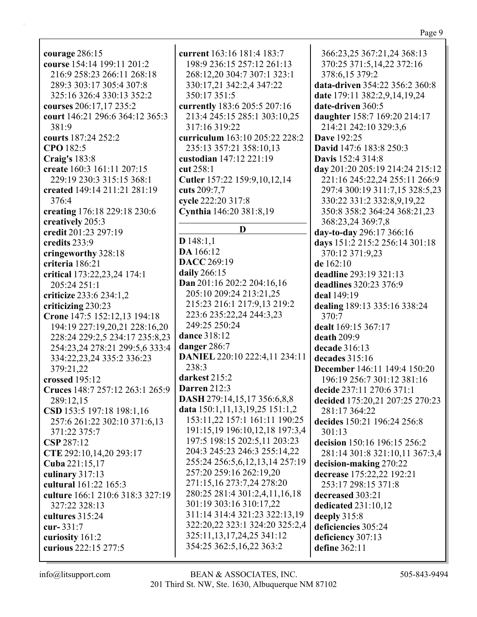**courage** 286:15 **course** 154:14 199:11 201:2 216:9 258:23 266:11 268:18 289:3 303:17 305:4 307:8 325:16 326:4 330:13 352:2 **courses** 206:17,17 235:2 **court** 146:21 296:6 364:12 365:3 381:9 **courts** 187:24 252:2 **CPO** 182:5 **Craig's** 183:8 **create** 160:3 161:11 207:15 229:19 230:3 315:15 368:1 **created** 149:14 211:21 281:19 376:4 **creating** 176:18 229:18 230:6 **creatively** 205:3 **credit** 201:23 297:19 **credits** 233:9 **cringeworthy** 328:18 **criteria** 186:21 **critical** 173:22,23,24 174:1 205:24 251:1 **criticize** 233:6 234:1,2 **criticizing** 230:23 **Crone** 147:5 152:12,13 194:18 194:19 227:19,20,21 228:16,20 228:24 229:2,5 234:17 235:8,23 254:23,24 278:21 299:5,6 333:4 334:22,23,24 335:2 336:23 379:21,22 **crossed** 195:12 **Cruces** 148:7 257:12 263:1 265:9 289:12,15 **CSD** 153:5 197:18 198:1,16 257:6 261:22 302:10 371:6,13 371:22 375:7 **CSP** 287:12 **CTE** 292:10,14,20 293:17 **Cuba** 221:15,17 **culinary** 317:13 **cultural** 161:22 165:3 **culture** 166:1 210:6 318:3 327:19 327:22 328:13 **cultures** 315:24 **cur-** 331:7 **curiosity** 161:2 **curious** 222:15 277:5

**current** 163:16 181:4 183:7 198:9 236:15 257:12 261:13 268:12,20 304:7 307:1 323:1 330:17,21 342:2,4 347:22 350:17 351:5 **currently** 183:6 205:5 207:16 213:4 245:15 285:1 303:10,25 317:16 319:22 **curriculum** 163:10 205:22 228:2 235:13 357:21 358:10,13 **custodian** 147:12 221:19 **cut** 258:1 **Cutler** 157:22 159:9,10,12,14 **cuts** 209:7,7 **cycle** 222:20 317:8 **Cynthia** 146:20 381:8,19 **D D** 148:1,1 **DA** 166:12 **DACC** 269:19 **daily** 266:15 **Dan** 201:16 202:2 204:16,16 205:10 209:24 213:21,25 215:23 216:1 217:9,13 219:2 223:6 235:22,24 244:3,23 249:25 250:24 **dance** 318:12 **danger** 286:7 **DANIEL** 220:10 222:4,11 234:11 238:3 **darkest** 215:2 **Darren** 212:3 **DASH** 279:14,15,17 356:6,8,8 **data** 150:1,11,13,19,25 151:1,2 153:11,22 157:1 161:11 190:25 191:15,19 196:10,12,18 197:3,4 197:5 198:15 202:5,11 203:23 204:3 245:23 246:3 255:14,22 255:24 256:5,6,12,13,14 257:19 257:20 259:16 262:19,20 271:15,16 273:7,24 278:20 280:25 281:4 301:2,4,11,16,18 301:19 303:16 310:17,22 311:14 314:4 321:23 322:13,19 322:20,22 323:1 324:20 325:2,4 325:11,13,17,24,25 341:12 354:25 362:5,16,22 363:2

366:23,25 367:21,24 368:13 370:25 371:5,14,22 372:16 378:6,15 379:2 **data-driven** 354:22 356:2 360:8 **date** 179:11 382:2,9,14,19,24 **date-driven** 360:5 **daughter** 158:7 169:20 214:17 214:21 242:10 329:3,6 **Dave** 192:25 **David** 147:6 183:8 250:3 **Davis** 152:4 314:8 **day** 201:20 205:19 214:24 215:12 221:16 245:22,24 255:11 266:9 297:4 300:19 311:7,15 328:5,23 330:22 331:2 332:8,9,19,22 350:8 358:2 364:24 368:21,23 368:23,24 369:7,8 **day-to-day** 296:17 366:16 **days** 151:2 215:2 256:14 301:18 370:12 371:9,23 **de** 162:10 **deadline** 293:19 321:13 **deadlines** 320:23 376:9 **deal** 149:19 **dealing** 189:13 335:16 338:24 370:7 **dealt** 169:15 367:17 **death** 209:9 **decade** 316:13 **decades** 315:16 **December** 146:11 149:4 150:20 196:19 256:7 301:12 381:16 **decide** 237:11 270:6 371:1 **decided** 175:20,21 207:25 270:23 281:17 364:22 **decides** 150:21 196:24 256:8 301:13 **decision** 150:16 196:15 256:2 281:14 301:8 321:10,11 367:3,4 **decision-making** 270:22 **decrease** 175:22,22 192:21 253:17 298:15 371:8 **decreased** 303:21 **dedicated** 231:10,12 **deeply** 315:8 **deficiencies** 305:24 **deficiency** 307:13 **define** 362:11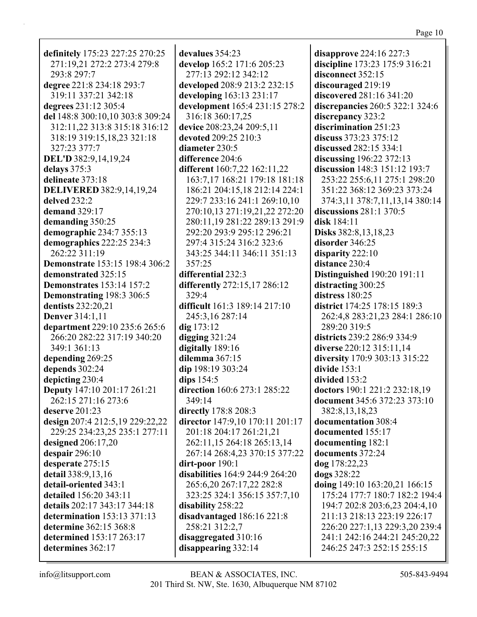definitely 175:23 227:25 270:25 271:19,21 272:2 273:4 279:8 293:8 297:7 degree 221:8 234:18 293:7 319:11 337:21 342:18 degrees 231:12 305:4 del 148:8 300:10.10 303:8 309:24 312:11,22 313:8 315:18 316:12 318:19 319:15,18,23 321:18 327:23 377:7 DEL'D 382:9,14,19,24 delays 375:3 delineate 373:18 **DELIVERED 382:9,14,19,24** delved 232:2 demand  $329:17$ demanding 350:25 demographic 234:7 355:13 demographics 222:25 234:3 262:22 311:19 **Demonstrate** 153:15 198:4 306:2 demonstrated 325:15 **Demonstrates** 153:14 157:2 Demonstrating 198:3 306:5 dentists 232:20.21 **Denver** 314:1,11 department 229:10 235:6 265:6 266:20 282:22 317:19 340:20 349:1 361:13 depending 269:25 depends 302:24 depicting 230:4 Deputy 147:10 201:17 261:21 262:15 271:16 273:6 deserve  $201:23$ design 207:4 212:5,19 229:22,22 229:25 234:23,25 235:1 277:11 designed  $206:17,20$ despair  $296:10$ desperate 275:15 detail 338:9,13,16 detail-oriented 343:1 detailed 156:20 343:11 details 202:17 343:17 344:18 determination  $153:13\,371:13$ determine 362:15 368:8 determined 153:17 263:17 determines 362:17

devalues 354:23 develop 165:2 171:6 205:23 277:13 292:12 342:12 developed 208:9 213:2 232:15 developing 163:13 231:17 development 165:4 231:15 278:2 316:18 360:17.25 device 208:23,24 209:5,11 devoted 209:25 210:3 **diameter** 230:5 difference 204:6 different 160:7,22 162:11,22 163:7,17 168:21 179:18 181:18 186:21 204:15.18 212:14 224:1 229:7 233:16 241:1 269:10,10 270:10,13 271:19,21,22 272:20 280:11,19 281:22 289:13 291:9 292:20 293:9 295:12 296:21 297:4 315:24 316:2 323:6 343:25 344:11 346:11 351:13  $357:25$ differential 232:3 differently 272:15,17 286:12 329:4 difficult 161:3 189:14 217:10 245:3.16 287:14  $\text{d}$ ig 173:12 digging  $321:24$ digitally 189:16 dilemma 367:15 dip 198:19 303:24 dips  $154:5$ direction 160:6 273:1 285:22  $349:14$ directly 178:8 208:3 director 147:9,10 170:11 201:17 201:18 204:17 261:21,21 262:11,15 264:18 265:13,14 267:14 268:4,23 370:15 377:22  $dirt$ -poor  $190:1$ disabilities 164:9 244:9 264:20 265:6,20 267:17,22 282:8 323:25 324:1 356:15 357:7,10 disability 258:22 disadvantaged 186:16 221:8 258:21 312:2,7 disaggregated 310:16 disappearing  $332:14$ 

disapprove  $224:16\,227:3$ discipline 173:23 175:9 316:21 disconnect 352:15 discouraged 219:19 discovered 281:16 341:20 discrepancies  $260:5\,322:1\,324:6$ discrepancy 323:2 discrimination 251:23 discuss 373:23 375:12 discussed 282:15 334:1 discussing  $196:22\,372:13$ discussion 148:3 151:12 193:7 253:22 255:6,11 275:1 298:20 351:22 368:12 369:23 373:24 374:3,11 378:7,11,13,14 380:14 discussions  $281:1$  370:5 disk 184:11 Disks 382:8, 13, 18, 23 disorder 346:25 disparity  $222:10$ distance 230:4 **Distinguished** 190:20 191:11 distracting 300:25 distress 180:25 district 174:25 178:15 189:3 262:4,8 283:21,23 284:1 286:10 289:20 319:5 districts 239:2 286:9 334:9 diverse 220:12 315:11,14 diversity 170:9 303:13 315:22 divide  $153:1$ divided 153:2 doctors 190:1 221:2 232:18,19 document 345:6 372:23 373:10 382:8,13,18,23 documentation 308:4 documented 155:17 documenting 182:1 documents 372:24 dog 178:22,23 dogs 328:22 doing 149:10 163:20,21 166:15 175:24 177:7 180:7 182:2 194:4 194:7 202:8 203:6,23 204:4,10 211:13 218:13 223:19 226:17 226:20 227:1,13 229:3,20 239:4 241:1 242:16 244:21 245:20,22 246:25 247:3 252:15 255:15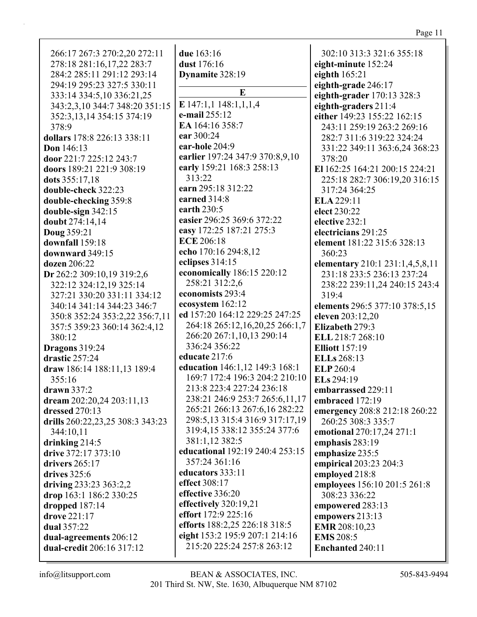| 266:17 267:3 270:2,20 272:11     | due 163:16                       | 302:10 313:3 321:6 355:18       |
|----------------------------------|----------------------------------|---------------------------------|
| 278:18 281:16,17,22 283:7        | dust 176:16                      | eight-minute 152:24             |
|                                  |                                  |                                 |
| 284:2 285:11 291:12 293:14       | Dynamite 328:19                  | eighth $165:21$                 |
| 294:19 295:23 327:5 330:11       | E                                | eighth-grade 246:17             |
| 333:14 334:5,10 336:21,25        |                                  | eighth-grader 170:13 328:3      |
| 343:2,3,10 344:7 348:20 351:15   | E $147:1,1$ $148:1,1,1,4$        | eighth-graders 211:4            |
| 352:3, 13, 14 354: 15 374: 19    | e-mail 255:12                    | either 149:23 155:22 162:15     |
| 378:9                            | EA 164:16 358:7                  | 243:11 259:19 263:2 269:16      |
| dollars 178:8 226:13 338:11      | ear 300:24                       | 282:7 311:6 319:22 324:24       |
| <b>Don</b> 146:13                | ear-hole 204:9                   | 331:22 349:11 363:6,24 368:23   |
| door 221:7 225:12 243:7          | earlier 197:24 347:9 370:8,9,10  | 378:20                          |
| doors 189:21 221:9 308:19        | early 159:21 168:3 258:13        | El 162:25 164:21 200:15 224:21  |
| dots 355:17,18                   | 313:22                           | 225:18 282:7 306:19,20 316:15   |
| double-check 322:23              | earn 295:18 312:22               | 317:24 364:25                   |
| double-checking 359:8            | earned 314:8                     | ELA 229:11                      |
| double-sign 342:15               | earth 230:5                      | elect 230:22                    |
| doubt 274:14,14                  | easier 296:25 369:6 372:22       | elective 232:1                  |
| <b>Doug 359:21</b>               | easy 172:25 187:21 275:3         | electricians 291:25             |
| downfall 159:18                  | <b>ECE 206:18</b>                | element 181:22 315:6 328:13     |
| downward 349:15                  | echo 170:16 294:8,12             | 360:23                          |
| dozen 206:22                     | eclipses 314:15                  | elementary 210:1 231:1,4,5,8,11 |
| Dr 262:2 309:10,19 319:2,6       | economically 186:15 220:12       | 231:18 233:5 236:13 237:24      |
| 322:12 324:12,19 325:14          | 258:21 312:2,6                   | 238:22 239:11,24 240:15 243:4   |
| 327:21 330:20 331:11 334:12      | economists 293:4                 | 319:4                           |
| 340:14 341:14 344:23 346:7       | ecosystem 162:12                 | elements 296:5 377:10 378:5,15  |
| 350:8 352:24 353:2,22 356:7,11   | ed 157:20 164:12 229:25 247:25   | eleven 203:12,20                |
| 357:5 359:23 360:14 362:4,12     | 264:18 265:12,16,20,25 266:1,7   | Elizabeth 279:3                 |
| 380:12                           | 266:20 267:1,10,13 290:14        | ELL 218:7 268:10                |
| <b>Dragons</b> 319:24            | 336:24 356:22                    | <b>Elliott</b> 157:19           |
| drastic 257:24                   | educate 217:6                    | ELLs 268:13                     |
| draw 186:14 188:11,13 189:4      | education 146:1,12 149:3 168:1   | ELP 260:4                       |
| 355:16                           | 169:7 172:4 196:3 204:2 210:10   | ELs 294:19                      |
| drawn 337:2                      | 213:8 223:4 227:24 236:18        | embarrassed 229:11              |
| dream 202:20,24 203:11,13        | 238:21 246:9 253:7 265:6,11,17   | embraced 172:19                 |
| <b>dressed</b> 270:13            | 265:21 266:13 267:6,16 282:22    | emergency 208:8 212:18 260:22   |
| drills 260:22,23,25 308:3 343:23 | 298:5, 13 315:4 316:9 317:17, 19 | 260:25 308:3 335:7              |
| 344:10,11                        | 319:4,15 338:12 355:24 377:6     | emotional 270:17,24 271:1       |
| drinking $214:5$                 | 381:1,12 382:5                   | emphasis 283:19                 |
| drive 372:17 373:10              | educational 192:19 240:4 253:15  | emphasize 235:5                 |
| <b>drivers</b> 265:17            | 357:24 361:16                    | empirical 203:23 204:3          |
| drives 325:6                     | educators 333:11                 | employed 218:8                  |
| driving 233:23 363:2,2           | effect 308:17                    | employees 156:10 201:5 261:8    |
| drop 163:1 186:2 330:25          | effective 336:20                 | 308:23 336:22                   |
| dropped $187:14$                 | effectively 320:19,21            | empowered 283:13                |
| drove 221:17                     | effort 172:9 225:16              | empowers 213:13                 |
| dual 357:22                      | efforts 188:2,25 226:18 318:5    | <b>EMR</b> 208:10,23            |
| dual-agreements 206:12           | eight 153:2 195:9 207:1 214:16   | <b>EMS</b> 208:5                |
| dual-credit 206:16 317:12        | 215:20 225:24 257:8 263:12       | <b>Enchanted 240:11</b>         |
|                                  |                                  |                                 |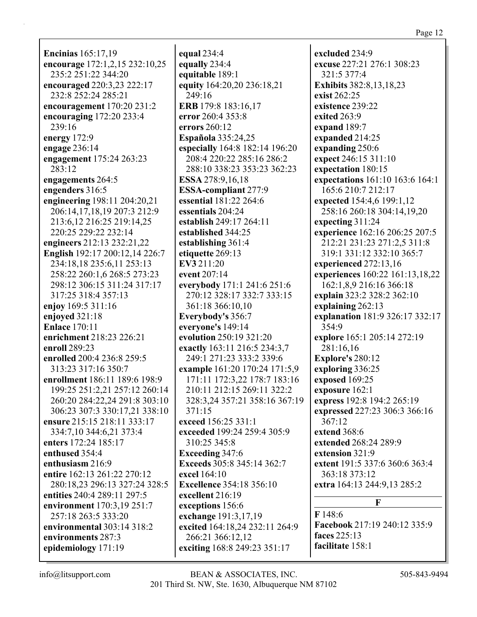**Encinias** 165:17,19 **encourage** 172:1,2,15 232:10,25 235:2 251:22 344:20 **encouraged** 220:3,23 222:17 232:8 252:24 285:21 **encouragement** 170:20 231:2 **encouraging** 172:20 233:4 239:16 **energy** 172:9 **engage** 236:14 **engagement** 175:24 263:23 283:12 **engagements** 264:5 **engenders** 316:5 **engineering** 198:11 204:20,21 206:14,17,18,19 207:3 212:9 213:6,12 216:25 219:14,25 220:25 229:22 232:14 **engineers** 212:13 232:21,22 **English** 192:17 200:12,14 226:7 234:18,18 235:6,11 253:13 258:22 260:1,6 268:5 273:23 298:12 306:15 311:24 317:17 317:25 318:4 357:13 **enjoy** 169:5 311:16 **enjoyed** 321:18 **Enlace** 170:11 **enrichment** 218:23 226:21 **enroll** 289:23 **enrolled** 200:4 236:8 259:5 313:23 317:16 350:7 **enrollment** 186:11 189:6 198:9 199:25 251:2,21 257:12 260:14 260:20 284:22,24 291:8 303:10 306:23 307:3 330:17,21 338:10 **ensure** 215:15 218:11 333:17 334:7,10 344:6,21 373:4 **enters** 172:24 185:17 **enthused** 354:4 **enthusiasm** 216:9 **entire** 162:13 261:22 270:12 280:18,23 296:13 327:24 328:5 **entities** 240:4 289:11 297:5 **environment** 170:3,19 251:7 257:18 263:5 333:20 **environmental** 303:14 318:2 **environments** 287:3 **epidemiology** 171:19

**equal** 234:4 **equally** 234:4 **equitable** 189:1 **equity** 164:20,20 236:18,21 249:16 **ERB** 179:8 183:16,17 **error** 260:4 353:8 **errors** 260:12 **Española** 335:24,25 **especially** 164:8 182:14 196:20 208:4 220:22 285:16 286:2 288:10 338:23 353:23 362:23 **ESSA** 278:9,16,18 **ESSA-compliant** 277:9 **essential** 181:22 264:6 **essentials** 204:24 **establish** 249:17 264:11 **established** 344:25 **establishing** 361:4 **etiquette** 269:13 **EV3** 211:20 **event** 207:14 **everybody** 171:1 241:6 251:6 270:12 328:17 332:7 333:15 361:18 366:10,10 **Everybody's** 356:7 **everyone's** 149:14 **evolution** 250:19 321:20 **exactly** 163:11 216:5 234:3,7 249:1 271:23 333:2 339:6 **example** 161:20 170:24 171:5,9 171:11 172:3,22 178:7 183:16 210:11 212:15 269:11 322:2 328:3,24 357:21 358:16 367:19 371:15 **exceed** 156:25 331:1 **exceeded** 199:24 259:4 305:9 310:25 345:8 **Exceeding** 347:6 **Exceeds** 305:8 345:14 362:7 **excel** 164:10 **Excellence** 354:18 356:10 **excellent** 216:19 **exceptions** 156:6 **exchange** 191:3,17,19 **excited** 164:18,24 232:11 264:9 266:21 366:12,12 **exciting** 168:8 249:23 351:17

**excluded** 234:9 **excuse** 227:21 276:1 308:23 321:5 377:4 **Exhibits** 382:8,13,18,23 **exist** 262:25 **existence** 239:22 **exited** 263:9 **expand** 189:7 **expanded** 214:25 **expanding** 250:6 **expect** 246:15 311:10 **expectation** 180:15 **expectations** 161:10 163:6 164:1 165:6 210:7 212:17 **expected** 154:4,6 199:1,12 258:16 260:18 304:14,19,20 **expecting** 311:24 **experience** 162:16 206:25 207:5 212:21 231:23 271:2,5 311:8 319:1 331:12 332:10 365:7 **experienced** 272:13,16 **experiences** 160:22 161:13,18,22 162:1,8,9 216:16 366:18 **explain** 323:2 328:2 362:10 **explaining** 262:13 **explanation** 181:9 326:17 332:17 354:9 **explore** 165:1 205:14 272:19 281:16,16 **Explore's** 280:12 **exploring** 336:25 **exposed** 169:25 **exposure** 162:1 **express** 192:8 194:2 265:19 **expressed** 227:23 306:3 366:16 367:12 **extend** 368:6 **extended** 268:24 289:9 **extension** 321:9 **extent** 191:5 337:6 360:6 363:4 363:18 373:12 **extra** 164:13 244:9,13 285:2 **F F** 148:6 **Facebook** 217:19 240:12 335:9 **faces** 225:13

**facilitate** 158:1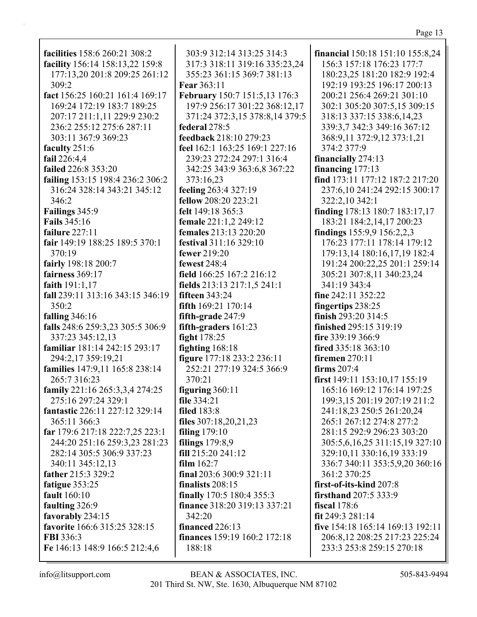**facilities** 158:6 260:21 308:2 **facility** 156:14 158:13,22 159:8 177:13,20 201:8 209:25 261:12 309:2 **fact** 156:25 160:21 161:4 169:17 169:24 172:19 183:7 189:25 207:17 211:1,11 229:9 230:2 236:2 255:12 275:6 287:11 303:11 367:9 369:23 **faculty** 251:6 **fail** 226:4,4 **failed** 226:8 353:20 **failing** 153:15 198:4 236:2 306:2 316:24 328:14 343:21 345:12 346:2 **Failings** 345:9 **Fails** 345:16 **failure** 227:11 **fair** 149:19 188:25 189:5 370:1 370:19 **fairly** 198:18 200:7 **fairness** 369:17 **faith** 191:1,17 **fall** 239:11 313:16 343:15 346:19 350:2 **falling** 346:16 **falls** 248:6 259:3,23 305:5 306:9 337:23 345:12,13 **familiar** 181:14 242:15 293:17 294:2,17 359:19,21 **families** 147:9,11 165:8 238:14 265:7 316:23 **family** 221:16 265:3,3,4 274:25 275:16 297:24 329:1 **fantastic** 226:11 227:12 329:14 365:11 366:3 **far** 179:6 217:18 222:7,25 223:1 244:20 251:16 259:3,23 281:23 282:14 305:5 306:9 337:23 340:11 345:12,13 **father** 215:3 329:2 **fatigue** 353:25 **fault** 160:10 **faulting** 326:9 **favorably** 234:15 **favorite** 166:6 315:25 328:15 **FBI** 336:3 **Fe** 146:13 148:9 166:5 212:4,6

303:9 312:14 313:25 314:3 317:3 318:11 319:16 335:23,24 355:23 361:15 369:7 381:13 **Fear** 363:11 **February** 150:7 151:5,13 176:3 197:9 256:17 301:22 368:12,17 371:24 372:3,15 378:8,14 379:5 **federal** 278:5 **feedback** 218:10 279:23 **feel** 162:1 163:25 169:1 227:16 239:23 272:24 297:1 316:4 342:25 343:9 363:6,8 367:22 373:16,23 **feeling** 263:4 327:19 **fellow** 208:20 223:21 **felt** 149:18 365:3 **female** 221:1,2 249:12 **females** 213:13 220:20 **festival** 311:16 329:10 **fewer** 219:20 **fewest** 248:4 **field** 166:25 167:2 216:12 **fields** 213:13 217:1,5 241:1 **fifteen** 343:24 **fifth** 169:21 170:14 **fifth-grade** 247:9 **fifth-graders** 161:23 **fight** 178:25 **fighting** 168:18 **figure** 177:18 233:2 236:11 252:21 277:19 324:5 366:9 370:21 **figuring** 360:11 **file** 334:21 **filed** 183:8 **files** 307:18,20,21,23 **filing** 179:10 **filings** 179:8,9 **fill** 215:20 241:12 **film** 162:7 **final** 203:6 300:9 321:11 **finalists** 208:15 **finally** 170:5 180:4 355:3 **finance** 318:20 319:13 337:21 342:20 **financed** 226:13 **finances** 159:19 160:2 172:18 188:18

**financial** 150:18 151:10 155:8,24 156:3 157:18 176:23 177:7 180:23,25 181:20 182:9 192:4 192:19 193:25 196:17 200:13 200:21 256:4 269:21 301:10 302:1 305:20 307:5,15 309:15 318:13 337:15 338:6,14,23 339:3,7 342:3 349:16 367:12 368:9,11 372:9,12 373:1,21 374:2 377:9 **financially** 274:13 **financing** 177:13 **find** 173:11 177:12 187:2 217:20 237:6,10 241:24 292:15 300:17 322:2,10 342:1 **finding** 178:13 180:7 183:17,17 183:21 184:2,14,17 200:23 **findings** 155:9,9 156:2,2,3 176:23 177:11 178:14 179:12 179:13,14 180:16,17,19 182:4 191:24 200:22,25 201:1 259:14 305:21 307:8,11 340:23,24 341:19 343:4 **fine** 242:11 352:22 **fingertips** 238:25 **finish** 293:20 314:5 **finished** 295:15 319:19 **fire** 339:19 366:9 **fired** 335:18 363:10 **firemen** 270:11 **firms** 207:4 **first** 149:11 153:10,17 155:19 165:16 169:12 176:14 197:25 199:3,15 201:19 207:19 211:2 241:18,23 250:5 261:20,24 265:1 267:12 274:8 277:2 281:15 292:9 296:23 303:20 305:5,6,16,25 311:15,19 327:10 329:10,11 330:16,19 333:19 336:7 340:11 353:5,9,20 360:16 361:2 370:25 **first-of-its-kind** 207:8 **firsthand** 207:5 333:9 **fiscal** 178:6 **fit** 249:3 281:14 **five** 154:18 165:14 169:13 192:11 206:8,12 208:25 217:23 225:24 233:3 253:8 259:15 270:18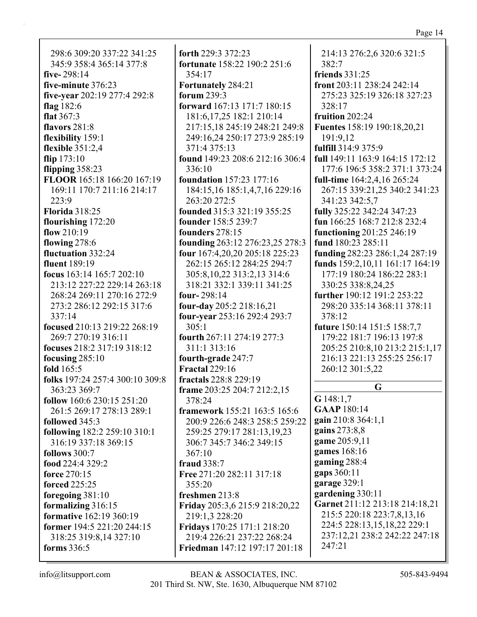298:6 309:20 337:22 341:25 345:9 358:4 365:14 377:8 **five-** 298:14 **five-minute** 376:23 **five-year** 202:19 277:4 292:8 **flag** 182:6 **flat** 367:3 **flavors** 281:8 **flexibility** 159:1 **flexible** 351:2,4 **flip** 173:10 **flipping** 358:23 **FLOOR** 165:18 166:20 167:19 169:11 170:7 211:16 214:17 223:9 **Florida** 318:25 **flourishing** 172:20 **flow** 210:19 **flowing** 278:6 **fluctuation** 332:24 **fluent** 189:19 **focus** 163:14 165:7 202:10 213:12 227:22 229:14 263:18 268:24 269:11 270:16 272:9 273:2 286:12 292:15 317:6 337:14 **focused** 210:13 219:22 268:19 269:7 270:19 316:11 **focuses** 218:2 317:19 318:12 **focusing** 285:10 **fold** 165:5 **folks** 197:24 257:4 300:10 309:8 363:23 369:7 **follow** 160:6 230:15 251:20 261:5 269:17 278:13 289:1 **followed** 345:3 **following** 182:2 259:10 310:1 316:19 337:18 369:15 **follows** 300:7 **food** 224:4 329:2 **force** 270:15 **forced** 225:25 **foregoing** 381:10 **formalizing** 316:15 **formative** 162:19 360:19 **former** 194:5 221:20 244:15 318:25 319:8,14 327:10

**forth** 229:3 372:23 **fortunate** 158:22 190:2 251:6 354:17 **Fortunately** 284:21 **forum** 239:3 **forward** 167:13 171:7 180:15 181:6,17,25 182:1 210:14 217:15,18 245:19 248:21 249:8 249:16,24 250:17 273:9 285:19 371:4 375:13 **found** 149:23 208:6 212:16 306:4 336:10 **foundation** 157:23 177:16 184:15,16 185:1,4,7,16 229:16 263:20 272:5 **founded** 315:3 321:19 355:25 **founder** 158:5 239:7 **founders** 278:15 **founding** 263:12 276:23,25 278:3 **four** 167:4,20,20 205:18 225:23 262:15 265:12 284:25 294:7 305:8,10,22 313:2,13 314:6 318:21 332:1 339:11 341:25 **four-** 298:14 **four-day** 205:2 218:16,21 **four-year** 253:16 292:4 293:7 305:1 **fourth** 267:11 274:19 277:3 311:1 313:16 **fourth-grade** 247:7 **Fractal** 229:16 **fractals** 228:8 229:19 **frame** 203:25 204:7 212:2,15 378:24 **framework** 155:21 163:5 165:6 200:9 226:6 248:3 258:5 259:22 259:25 279:17 281:13,19,23 306:7 345:7 346:2 349:15 367:10 **fraud** 338:7 **Free** 271:20 282:11 317:18 355:20 **freshmen** 213:8 **Friday** 205:3,6 215:9 218:20,22 219:1,3 228:20 **Fridays** 170:25 171:1 218:20 219:4 226:21 237:22 268:24 **Friedman** 147:12 197:17 201:18

214:13 276:2,6 320:6 321:5 382:7 **friends** 331:25 **front** 203:11 238:24 242:14 275:23 325:19 326:18 327:23 328:17 **fruition** 202:24 **Fuentes** 158:19 190:18,20,21 191:9,12 **fulfill** 314:9 375:9 **full** 149:11 163:9 164:15 172:12 177:6 196:5 358:2 371:1 373:24 **full-time** 164:2,4,16 265:24 267:15 339:21,25 340:2 341:23 341:23 342:5,7 **fully** 325:22 342:24 347:23 **fun** 166:25 168:7 212:8 232:4 **functioning** 201:25 246:19 **fund** 180:23 285:11 **funding** 282:23 286:1,24 287:19 **funds** 159:2,10,11 161:17 164:19 177:19 180:24 186:22 283:1 330:25 338:8,24,25 **further** 190:12 191:2 253:22 298:20 335:14 368:11 378:11 378:12 **future** 150:14 151:5 158:7,7 179:22 181:7 196:13 197:8 205:25 210:8,10 213:2 215:1,17 216:13 221:13 255:25 256:17 260:12 301:5,22 **G G** 148:1,7 **GAAP** 180:14 **gain** 210:8 364:1,1 **gains** 273:8,8 **game** 205:9,11 **games** 168:16 **gaming** 288:4 **gaps** 360:11 **garage** 329:1 **gardening** 330:11 **Garnet** 211:12 213:18 214:18,21 215:5 220:18 223:7,8,13,16 224:5 228:13,15,18,22 229:1 237:12,21 238:2 242:22 247:18

**forms** 336:5

247:21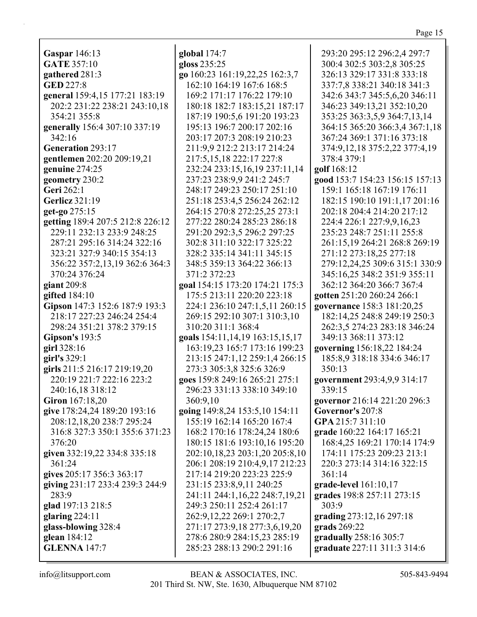**Gaspar** 146:13 **GATE** 357:10 **gathered** 281:3 **GED** 227:8 **general** 159:4,15 177:21 183:19 202:2 231:22 238:21 243:10,18 354:21 355:8 **generally** 156:4 307:10 337:19 342:16 **Generation** 293:17 **gentlemen** 202:20 209:19,21 **genuine** 274:25 **geometry** 230:2 **Geri** 262:1 **Gerlicz** 321:19 **get-go** 275:15 **getting** 189:4 207:5 212:8 226:12 229:11 232:13 233:9 248:25 287:21 295:16 314:24 322:16 323:21 327:9 340:15 354:13 356:22 357:2,13,19 362:6 364:3 370:24 376:24 **giant** 209:8 **gifted** 184:10 **Gipson** 147:3 152:6 187:9 193:3 218:17 227:23 246:24 254:4 298:24 351:21 378:2 379:15 **Gipson's** 193:5 **girl** 328:16 **girl's** 329:1 **girls** 211:5 216:17 219:19,20 220:19 221:7 222:16 223:2 240:16,18 318:12 **Giron** 167:18,20 **give** 178:24,24 189:20 193:16 208:12,18,20 238:7 295:24 316:8 327:3 350:1 355:6 371:23 376:20 **given** 332:19,22 334:8 335:18 361:24 **gives** 205:17 356:3 363:17 **giving** 231:17 233:4 239:3 244:9 283:9 **glad** 197:13 218:5 **glaring** 224:11 **glass-blowing** 328:4 **glean** 184:12 **GLENNA** 147:7

**global** 174:7 **gloss** 235:25 **go** 160:23 161:19,22,25 162:3,7 162:10 164:19 167:6 168:5 169:2 171:17 176:22 179:10 180:18 182:7 183:15,21 187:17 187:19 190:5,6 191:20 193:23 195:13 196:7 200:17 202:16 203:17 207:3 208:19 210:23 211:9,9 212:2 213:17 214:24 217:5,15,18 222:17 227:8 232:24 233:15,16,19 237:11,14 237:23 238:9,9 241:2 245:7 248:17 249:23 250:17 251:10 251:18 253:4,5 256:24 262:12 264:15 270:8 272:25,25 273:1 277:22 280:24 285:23 286:18 291:20 292:3,5 296:2 297:25 302:8 311:10 322:17 325:22 328:2 335:14 341:11 345:15 348:5 359:13 364:22 366:13 371:2 372:23 **goal** 154:15 173:20 174:21 175:3 175:5 213:11 220:20 223:18 224:1 236:10 247:1,5,11 260:15 269:15 292:10 307:1 310:3,10 310:20 311:1 368:4 **goals** 154:11,14,19 163:15,15,17 163:19,23 165:7 173:16 199:23 213:15 247:1,12 259:1,4 266:15 273:3 305:3,8 325:6 326:9 **goes** 159:8 249:16 265:21 275:1 296:23 331:13 338:10 349:10 360:9,10 **going** 149:8,24 153:5,10 154:11 155:19 162:14 165:20 167:4 168:2 170:16 178:24,24 180:6 180:15 181:6 193:10,16 195:20 202:10,18,23 203:1,20 205:8,10 206:1 208:19 210:4,9,17 212:23 217:14 219:20 223:23 225:9 231:15 233:8,9,11 240:25 241:11 244:1,16,22 248:7,19,21 249:3 250:11 252:4 261:17 262:9,12,22 269:1 270:2,7 271:17 273:9,18 277:3,6,19,20 278:6 280:9 284:15,23 285:19 285:23 288:13 290:2 291:16

293:20 295:12 296:2,4 297:7 300:4 302:5 303:2,8 305:25 326:13 329:17 331:8 333:18 337:7,8 338:21 340:18 341:3 342:6 343:7 345:5,6,20 346:11 346:23 349:13,21 352:10,20 353:25 363:3,5,9 364:7,13,14 364:15 365:20 366:3,4 367:1,18 367:24 369:1 371:16 373:18 374:9,12,18 375:2,22 377:4,19 378:4 379:1 **golf** 168:12 **good** 153:7 154:23 156:15 157:13 159:1 165:18 167:19 176:11 182:15 190:10 191:1,17 201:16 202:18 204:4 214:20 217:12 224:4 226:1 227:9,9,16,23 235:23 248:7 251:11 255:8 261:15,19 264:21 268:8 269:19 271:12 273:18,25 277:18 279:12,24,25 309:6 315:1 330:9 345:16,25 348:2 351:9 355:11 362:12 364:20 366:7 367:4 **gotten** 251:20 260:24 266:1 **governance** 158:3 181:20,25 182:14,25 248:8 249:19 250:3 262:3,5 274:23 283:18 346:24 349:13 368:11 373:12 **governing** 156:18,22 184:24 185:8,9 318:18 334:6 346:17 350:13 **government** 293:4,9,9 314:17 339:15 **governor** 216:14 221:20 296:3 **Governor's** 207:8 **GPA** 215:7 311:10 **grade** 160:22 164:17 165:21 168:4,25 169:21 170:14 174:9 174:11 175:23 209:23 213:1 220:3 273:14 314:16 322:15 361:14 **grade-level** 161:10,17 **grades** 198:8 257:11 273:15 303:9 **grading** 273:12,16 297:18 **grads** 269:22 **gradually** 258:16 305:7 **graduate** 227:11 311:3 314:6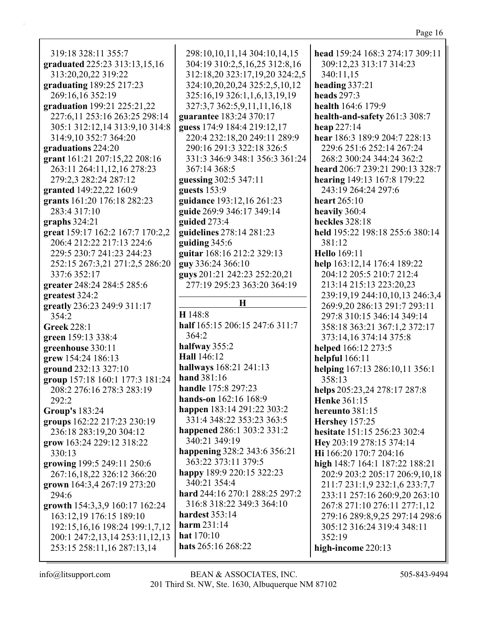| 319:18 328:11 355:7                                         | $\tilde{z}$                                    |
|-------------------------------------------------------------|------------------------------------------------|
| graduated 225:23 313:13,15,16                               |                                                |
| 313:20,20,22 319:22                                         |                                                |
| graduating 189:25 217:23                                    | $\begin{pmatrix} 1 & 1 \\ 1 & 1 \end{pmatrix}$ |
| 269:16,16 352:19                                            | $\ddot{\cdot}$                                 |
| graduation 199:21 225:21,22                                 | $\tilde{z}$                                    |
| 227:6,11 253:16 263:25 298:14                               | gu                                             |
| 305:1 312:12,14 313:9,10 314:8                              | gu                                             |
| 314:9,10 352:7 364:20                                       |                                                |
| graduations 224:20                                          | $\tilde{ }$                                    |
| grant 161:21 207:15,22 208:16<br>263:11 264:11,12,16 278:23 | Ê                                              |
| 279:2,3 282:24 287:12                                       |                                                |
| granted 149:22,22 160:9                                     | gu<br>gu                                       |
| grants 161:20 176:18 282:23                                 | gu                                             |
| 283:4 317:10                                                | gu                                             |
| graphs $324:21$                                             | gu                                             |
| great 159:17 162:2 167:7 170:2,2                            | gu                                             |
| 206:4 212:22 217:13 224:6                                   | gu                                             |
| 229:5 230:7 241:23 244:23                                   | gu                                             |
| 252:15 267:3,21 271:2,5 286:20                              | gu                                             |
| 337:6 352:17                                                | gu                                             |
| greater 248:24 284:5 285:6                                  | 2                                              |
| greatest 324:2                                              |                                                |
| greatly 236:23 249:9 311:17<br>354:2                        | Н                                              |
| <b>Greek 228:1</b>                                          | ha                                             |
| green 159:13 338:4                                          |                                                |
| greenhouse 330:11                                           | ha                                             |
| grew 154:24 186:13                                          | H٤                                             |
| ground 232:13 327:10                                        | ha                                             |
| group 157:18 160:1 177:3 181:24                             | ha                                             |
| 208:2 276:16 278:3 283:19                                   | ha                                             |
| 292:2                                                       | ha                                             |
| <b>Group's 183:24</b>                                       | ha                                             |
| groups 162:22 217:23 230:19                                 | ha                                             |
| 236:18 283:19,20 304:12                                     | 2                                              |
| grow 163:24 229:12 318:22<br>330:13                         | ha                                             |
| growing 199:5 249:11 250:6                                  |                                                |
| 267:16,18,22 326:12 366:20                                  | ha                                             |
| grown 164:3,4 267:19 273:20                                 | Ê                                              |
| 294:6                                                       | ha                                             |
| growth 154:3,3,9 160:17 162:24                              |                                                |
| 163:12,19 176:15 189:10                                     | ha                                             |
| 192:15, 16, 16 198: 24 199: 1, 7, 12                        | ha                                             |
| 200:1 247:2,13,14 253:11,12,13                              | ha                                             |
| 253:15 258:11,16 287:13,14                                  | ha                                             |
|                                                             |                                                |

298:10,10,11,14 304:10,14,15 304:19 310:2,5,16,25 312:8,16 312:18,20 323:17,19,20 324:2,5 324:10,20,20,24 325:2,5,10,12 325:16,19 326:1,1,6,13,19,19 327:3,7 362:5,9,11,11,16,18 **guarantee** 183:24 370:17 **guess** 174:9 184:4 219:12,17 220:4 232:18,20 249:11 289:9 290:16 291:3 322:18 326:5 331:3 346:9 348:1 356:3 361:24 367:14 368:5 **guessing** 302:5 347:11 **guests** 153:9 **guidance** 193:12,16 261:23 **guide** 269:9 346:17 349:14 **guided** 273:4 **guidelines** 278:14 281:23 **guiding** 345:6 **guitar** 168:16 212:2 329:13 **guy** 336:24 366:10 **guys** 201:21 242:23 252:20,21 277:19 295:23 363:20 364:19

# **H**

**H** 148:8 **half** 165:15 206:15 247:6 311:7 364:2 **halfway** 355:2 **Hall** 146:12 **hallways** 168:21 241:13 **hand** 381:16 **handle** 175:8 297:23 **hands-on** 162:16 168:9 **happen** 183:14 291:22 303:2 331:4 348:22 353:23 363:5 **happened** 286:1 303:2 331:2 340:21 349:19 **ppening** 328:2 343:6 356:21 363:22 373:11 379:5 **happy** 189:9 220:15 322:23 340:21 354:4 **hard** 244:16 270:1 288:25 297:2 316:8 318:22 349:3 364:10 **hardest** 353:14 **harm** 231:14 **hat** 170:10 **hats** 265:16 268:22

**head** 159:24 168:3 274:17 309:11 309:12,23 313:17 314:23 340:11,15 **heading** 337:21 **heads** 297:3 **health** 164:6 179:9 **health-and-safety** 261:3 308:7 **heap** 227:14 **hear** 186:3 189:9 204:7 228:13 229:6 251:6 252:14 267:24 268:2 300:24 344:24 362:2 **heard** 206:7 239:21 290:13 328:7 **hearing** 149:13 167:8 179:22 243:19 264:24 297:6 **heart** 265:10 **heavily** 360:4 **heckles** 328:18 **held** 195:22 198:18 255:6 380:14 381:12 **Hello** 169:11 **help** 163:12,14 176:4 189:22 204:12 205:5 210:7 212:4 213:14 215:13 223:20,23 239:19,19 244:10,10,13 246:3,4 269:9,20 286:13 291:7 293:11 297:8 310:15 346:14 349:14 358:18 363:21 367:1,2 372:17 373:14,16 374:14 375:8 **helped** 166:12 273:5 **helpful** 166:11 **helping** 167:13 286:10,11 356:1 358:13 **helps** 205:23,24 278:17 287:8 **Henke** 361:15 **hereunto** 381:15 **Hershey** 157:25 **hesitate** 151:15 256:23 302:4 **Hey** 203:19 278:15 374:14 **Hi** 166:20 170:7 204:16 **high** 148:7 164:1 187:22 188:21 202:9 203:2 205:17 206:9,10,18 211:7 231:1,9 232:1,6 233:7,7 233:11 257:16 260:9,20 263:10 267:8 271:10 276:11 277:1,12 279:16 289:8,9,25 297:14 298:6 305:12 316:24 319:4 348:11 352:19 **high-income** 220:13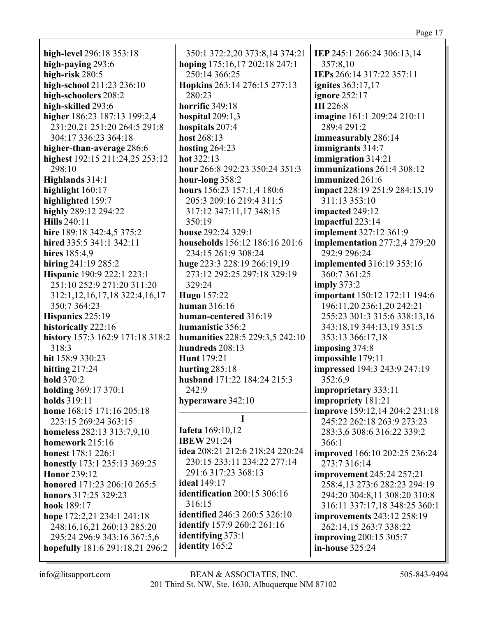**high-level** 296:18 353:18 **high-paying** 293:6 **high-risk** 280:5 **high-school** 211:23 236:10 **high-schoolers** 208:2 **high-skilled** 293:6 **higher** 186:23 187:13 199:2,4 231:20,21 251:20 264:5 291:8 304:17 336:23 364:18 **higher-than-average** 286:6 **highest** 192:15 211:24,25 253:12 298:10 **Highlands** 314:1 **highlight** 160:17 **highlighted** 159:7 **highly** 289:12 294:22 **Hills** 240:11 **hire** 189:18 342:4,5 375:2 **hired** 335:5 341:1 342:11 **hires** 185:4,9 **hiring** 241:19 285:2 **Hispanic** 190:9 222:1 223:1 251:10 252:9 271:20 311:20 312:1,12,16,17,18 322:4,16,17 350:7 364:23 **Hispanics** 225:19 **historically** 222:16 **history** 157:3 162:9 171:18 318:2 318:3 **hit** 158:9 330:23 **hitting** 217:24 **hold** 370:2 **holding** 369:17 370:1 **holds** 319:11 **home** 168:15 171:16 205:18 223:15 269:24 363:15 **homeless** 282:13 313:7,9,10 **homework** 215:16 **honest** 178:1 226:1 **honestly** 173:1 235:13 369:25 **Honor** 239:12 **honored** 171:23 206:10 265:5 **honors** 317:25 329:23 **hook** 189:17 **hope** 172:2,21 234:1 241:18 248:16,16,21 260:13 285:20 295:24 296:9 343:16 367:5,6 **hopefully** 181:6 291:18,21 296:2

350:1 372:2,20 373:8,14 374:21 **hoping** 175:16,17 202:18 247:1 250:14 366:25 **Hopkins** 263:14 276:15 277:13 280:23 **horrific** 349:18 **hospital** 209:1,3 **hospitals** 207:4 **host** 268:13 **hosting** 264:23 **hot** 322:13 **hour** 266:8 292:23 350:24 351:3 **hour-long** 358:2 **hours** 156:23 157:1,4 180:6 205:3 209:16 219:4 311:5 317:12 347:11,17 348:15 350:19 **house** 292:24 329:1 **households** 156:12 186:16 201:6 234:15 261:9 308:24 **huge** 223:3 228:19 266:19,19 273:12 292:25 297:18 329:19 329:24 **Hugo** 157:22 **human** 316:16 **human-centered** 316:19 **humanistic** 356:2 **humanities** 228:5 229:3,5 242:10 **hundreds** 208:13 **Hunt** 179:21 **hurting** 285:18 **husband** 171:22 184:24 215:3 242:9 **hyperaware** 342:10 **I Iafeta** 169:10,12 **IBEW** 291:24 **idea** 208:21 212:6 218:24 220:24 230:15 233:11 234:22 277:14 291:6 317:23 368:13 **ideal** 149:17 **identification** 200:15 306:16 316:15 **identified** 246:3 260:5 326:10 **identify** 157:9 260:2 261:16 **identifying** 373:1

**IEP** 245:1 266:24 306:13,14 357:8,10 **IEPs** 266:14 317:22 357:11 **ignites** 363:17,17 **ignore** 252:17 **III** 226:8 **imagine** 161:1 209:24 210:11 289:4 291:2 **immeasurably** 286:14 **immigrants** 314:7 **immigration** 314:21 **immunizations** 261:4 308:12 **immunized** 261:6 **impact** 228:19 251:9 284:15,19 311:13 353:10 **impacted** 249:12 **impactful** 223:14 **implement** 327:12 361:9 **implementation** 277:2,4 279:20 292:9 296:24 **implemented** 316:19 353:16 360:7 361:25 **imply** 373:2 **important** 150:12 172:11 194:6 196:11,20 236:1,20 242:21 255:23 301:3 315:6 338:13,16 343:18,19 344:13,19 351:5 353:13 366:17,18 **imposing** 374:8 **impossible** 179:11 **impressed** 194:3 243:9 247:19 352:6,9 **improprietary** 333:11 **impropriety** 181:21 **improve** 159:12,14 204:2 231:18 245:22 262:18 263:9 273:23 283:3,6 308:6 316:22 339:2 366:1 **improved** 166:10 202:25 236:24 273:7 316:14 **improvement** 245:24 257:21 258:4,13 273:6 282:23 294:19 294:20 304:8,11 308:20 310:8 316:11 337:17,18 348:25 360:1 **improvements** 243:12 258:19 262:14,15 263:7 338:22 **improving** 200:15 305:7 **in-house** 325:24

**identity** 165:2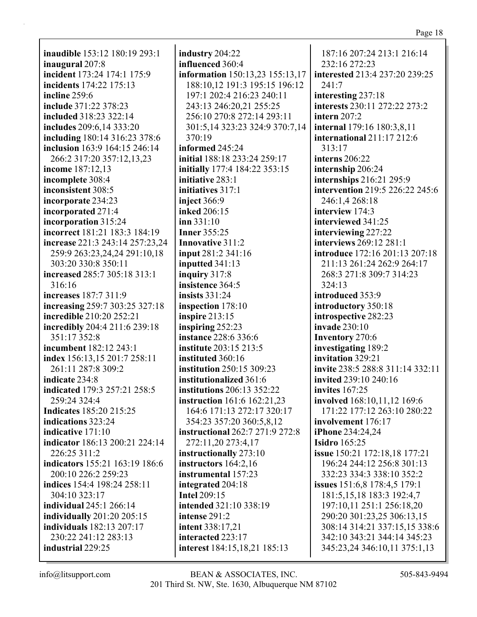| "<br>иν |  |
|---------|--|
|         |  |

**inaudible** 153:12 180:19 293:1 **inaugural** 207:8 **incident** 173:24 174:1 175:9 **incidents** 174:22 175:13 **incline** 259:6 **include** 371:22 378:23 **included** 318:23 322:14 **includes** 209:6,14 333:20 **including** 180:14 316:23 378:6 **inclusion** 163:9 164:15 246:14 266:2 317:20 357:12,13,23 **income** 187:12,13 **incomplete** 308:4 **inconsistent** 308:5 **incorporate** 234:23 **incorporated** 271:4 **incorporation** 315:24 **incorrect** 181:21 183:3 184:19 **increase** 221:3 243:14 257:23,24 259:9 263:23,24,24 291:10,18 303:20 330:8 350:11 **increased** 285:7 305:18 313:1 316:16 **increases** 187:7 311:9 **increasing** 259:7 303:25 327:18 **incredible** 210:20 252:21 **incredibly** 204:4 211:6 239:18 351:17 352:8 **incumbent** 182:12 243:1 **index** 156:13,15 201:7 258:11 261:11 287:8 309:2 **indicate** 234:8 **indicated** 179:3 257:21 258:5 259:24 324:4 **Indicates** 185:20 215:25 **indications** 323:24 **indicative** 171:10 **indicator** 186:13 200:21 224:14 226:25 311:2 **indicators** 155:21 163:19 186:6 200:10 226:2 259:23 **indices** 154:4 198:24 258:11 304:10 323:17 **individual** 245:1 266:14 **individually** 201:20 205:15 **individuals** 182:13 207:17 230:22 241:12 283:13 **industrial** 229:25

**industry** 204:22 **influenced** 360:4 **information** 150:13,23 155:13,17 188:10,12 191:3 195:15 196:12 197:1 202:4 216:23 240:11 243:13 246:20,21 255:25 256:10 270:8 272:14 293:11 301:5,14 323:23 324:9 370:7,14 370:19 **informed** 245:24 **initial** 188:18 233:24 259:17 **initially** 177:4 184:22 353:15 **initiative** 283:1 **initiatives** 317:1 **inject** 366:9 **inked** 206:15 **inn** 331:10 **Inner** 355:25 **Innovative** 311:2 **input** 281:2 341:16 **inputted** 341:13 **inquiry** 317:8 **insistence** 364:5 **insists** 331:24 **inspection** 178:10 **inspire** 213:15 **inspiring** 252:23 **instance** 228:6 336:6 **institute** 203:15 213:5 **instituted** 360:16 **institution** 250:15 309:23 **institutionalized** 361:6 **institutions** 206:13 352:22 **instruction** 161:6 162:21,23 164:6 171:13 272:17 320:17 354:23 357:20 360:5,8,12 **instructional** 262:7 271:9 272:8 272:11,20 273:4,17 **instructionally** 273:10 **instructors** 164:2,16 **instrumental** 157:23 **integrated** 204:18 **Intel** 209:15 **intended** 321:10 338:19 **intense** 291:2 **intent** 338:17,21 **interacted** 223:17 **interest** 184:15,18,21 185:13

187:16 207:24 213:1 216:14 232:16 272:23 **interested** 213:4 237:20 239:25 241:7 **interesting** 237:18 **interests** 230:11 272:22 273:2 **intern** 207:2 **internal** 179:16 180:3,8,11 **international** 211:17 212:6 313:17 **interns** 206:22 **internship** 206:24 **internships** 216:21 295:9 **intervention** 219:5 226:22 245:6 246:1,4 268:18 **interview** 174:3 **interviewed** 341:25 **interviewing** 227:22 **interviews** 269:12 281:1 **introduce** 172:16 201:13 207:18 211:13 261:24 262:9 264:17 268:3 271:8 309:7 314:23 324:13 **introduced** 353:9 **introductory** 350:18 **introspective** 282:23 **invade** 230:10 **Inventory** 270:6 **investigating** 189:2 **invitation** 329:21 **invite** 238:5 288:8 311:14 332:11 **invited** 239:10 240:16 **invites** 167:25 **involved** 168:10,11,12 169:6 171:22 177:12 263:10 280:22 **involvement** 176:17 **iPhone** 234:24,24 **Isidro** 165:25 **issue** 150:21 172:18,18 177:21 196:24 244:12 256:8 301:13 332:23 334:3 338:10 352:2 **issues** 151:6,8 178:4,5 179:1 181:5,15,18 183:3 192:4,7 197:10,11 251:1 256:18,20 290:20 301:23,25 306:13,15 308:14 314:21 337:15,15 338:6 342:10 343:21 344:14 345:23 345:23,24 346:10,11 375:1,13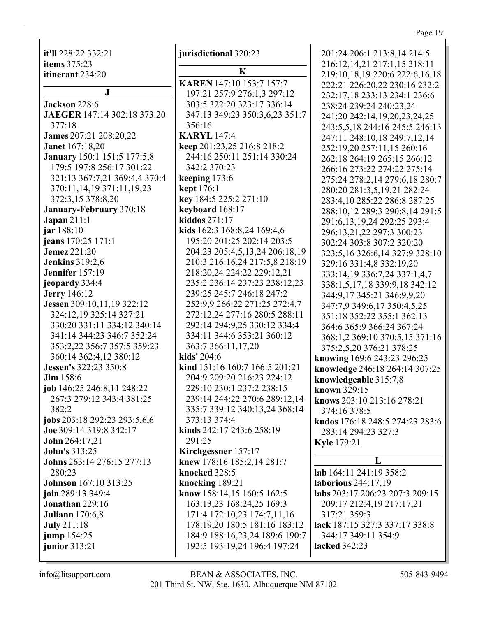it'll 228:22 332:21 items  $375:23$ itinerant 234:20

 $\mathbf I$ **Jackson** 228:6 **JAEGER** 147:14 302:18 373:20 377:18 James 207:21 208:20,22 **Janet** 167:18.20 **January** 150:1 151:5 177:5,8 179:5 197:8 256:17 301:22 321:13 367:7,21 369:4,4 370:4 370:11,14,19 371:11,19,23 372:3,15 378:8,20 January-February 370:18  $Japan 211:1$ jar 188:10 jeans 170:25 171:1 **Jemez** 221:20 **Jenkins** 319:2.6 Jennifer 157:19 jeopardy 334:4 **Jerry** 146:12 Jessen 309:10,11,19 322:12 324:12.19 325:14 327:21 330:20 331:11 334:12 340:14 341:14 344:23 346:7 352:24 353:2,22 356:7 357:5 359:23 360:14 362:4,12 380:12 Jessen's 322:23 350:8  $Jim$  158:6 job  $146:25\,246:8,11\,248:22$ 267:3 279:12 343:4 381:25  $382:2$ jobs 203:18 292:23 293:5,6,6 Joe 309:14 319:8 342:17 **John** 264:17,21 **John's 313:25** Johns 263:14 276:15 277:13 280:23 **Johnson** 167:10 313:25 ioin 289:13 349:4 **Jonathan** 229:16 **Juliann** 170:6,8 **July** 211:18 jump 154:25 junior 313:21

iurisdictional 320:23

K **KAREN** 147:10 153:7 157:7 197:21 257:9 276:1,3 297:12 303:5 322:20 323:17 336:14 347:13 349:23 350:3,6,23 351:7 356:16 **KARYL** 147:4 keep 201:23,25 216:8 218:2 244:16 250:11 251:14 330:24 342:2 370:23 keeping 173:6 **kept** 176:1 key 184:5 225:2 271:10 keyboard  $168:17$ kiddos  $271:17$ kids 162:3 168:8,24 169:4,6 195:20 201:25 202:14 203:5 204:23 205:4,5,13,24 206:18,19 210:3 216:16,24 217:5,8 218:19 218:20,24 224:22 229:12,21 235:2 236:14 237:23 238:12,23 239:25 245:7 246:18 247:2 252:9,9 266:22 271:25 272:4,7 272:12.24 277:16 280:5 288:11 292:14 294:9,25 330:12 334:4 334:11 344:6 353:21 360:12 363:7 366:11,17,20 kids' 204:6 kind 151:16 160:7 166:5 201:21 204:9 209:20 216:23 224:12 229:10 230:1 237:2 238:15 239:14 244:22 270:6 289:12,14 335:7 339:12 340:13,24 368:14 373:13 374:4 kinds 242:17 243:6 258:19 291:25 Kirchgessner 157:17 knew 178:16 185:2,14 281:7 knocked 328:5 knocking  $189:21$ know 158:14,15 160:5 162:5 163:13,23 168:24,25 169:3 171:4 172:10,23 174:7,11,16 178:19,20 180:5 181:16 183:12 184:9 188:16,23,24 189:6 190:7 192:5 193:19,24 196:4 197:24

201:24 206:1 213:8.14 214:5 216:12,14,21 217:1,15 218:11 219:10,18,19 220:6 222:6,16,18 222:21 226:20,22 230:16 232:2 232:17,18 233:13 234:1 236:6 238:24 239:24 240:23,24 241:20 242:14.19.20.23.24.25 243:5,5,18 244:16 245:5 246:13 247:11 248:10,18 249:7,12,14 252:19,20 257:11,15 260:16 262:18 264:19 265:15 266:12 266:16 273:22 274:22 275:14 275:24 278:2,14 279:6,18 280:7 280:20 281:3,5,19,21 282:24 283:4,10 285:22 286:8 287:25 288:10.12 289:3 290:8.14 291:5 291:6, 13, 19, 24 292: 25 293: 4 296:13.21.22 297:3 300:23 302:24 303:8 307:2 320:20 323:5,16 326:6,14 327:9 328:10 329:16 331:4,8 332:19,20 333:14,19 336:7,24 337:1,4,7 338:1,5,17,18 339:9,18 342:12 344:9,17 345:21 346:9,9,20 347:7,9 349:6,17 350:4,5,25 351:18 352:22 355:1 362:13 364:6 365:9 366:24 367:24 368:1,2 369:10 370:5,15 371:16 375:2,5,20 376:21 378:25 knowing 169:6 243:23 296:25 knowledge 246:18 264:14 307:25 knowledgeable 315:7,8 known 329:15 knows 203:10 213:16 278:21 374:16 378:5 kudos 176:18 248:5 274:23 283:6 283:14 294:23 327:3 **Kyle** 179:21 L lab 164:11 241:19 358:2 laborious 244:17.19 labs 203:17 206:23 207:3 209:15 209:17 212:4,19 217:17,21 317:21 359:3

lack 187:15 327:3 337:17 338:8 344:17 349:11 354:9 lacked 342:23

 $info@$ litsupport.com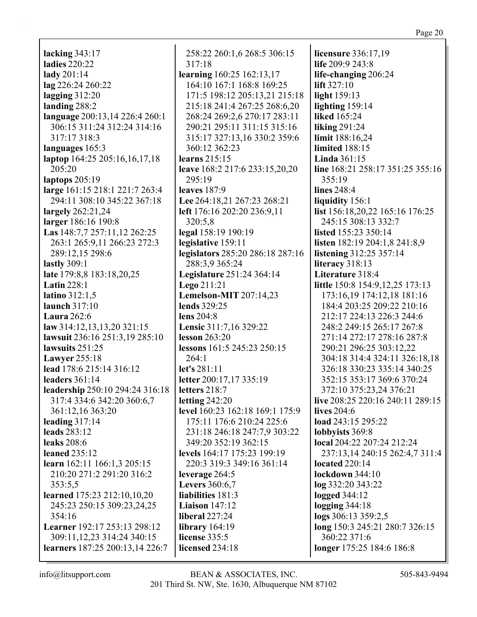**lacking** 343:17 **ladies** 220:22 **lady** 201:14 **lag** 226:24 260:22 **lagging** 312:20 **landing** 288:2 **language** 200:13,14 226:4 260:1 306:15 311:24 312:24 314:16 317:17 318:3 **languages** 165:3 **laptop** 164:25 205:16,16,17,18 205:20 **laptops** 205:19 **large** 161:15 218:1 221:7 263:4 294:11 308:10 345:22 367:18 **largely** 262:21,24 **larger** 186:16 190:8 **Las** 148:7,7 257:11,12 262:25 263:1 265:9,11 266:23 272:3 289:12,15 298:6 **lastly** 309:1 **late** 179:8,8 183:18,20,25 **Latin** 228:1 **latino** 312:1,5 **launch** 317:10 **Laura** 262:6 **law** 314:12,13,13,20 321:15 **lawsuit** 236:16 251:3,19 285:10 **lawsuits** 251:25 **Lawyer** 255:18 **lead** 178:6 215:14 316:12 **leaders** 361:14 **leadership** 250:10 294:24 316:18 317:4 334:6 342:20 360:6,7 361:12,16 363:20 **leading** 317:14 **leads** 283:12 **leaks** 208:6 **leaned** 235:12 **learn** 162:11 166:1,3 205:15 210:20 271:2 291:20 316:2 353:5,5 **learned** 175:23 212:10,10,20 245:23 250:15 309:23,24,25 354:16 **Learner** 192:17 253:13 298:12 309:11,12,23 314:24 340:15 **learners** 187:25 200:13,14 226:7

258:22 260:1,6 268:5 306:15 317:18 **learning** 160:25 162:13,17 164:10 167:1 168:8 169:25 171:5 198:12 205:13,21 215:18 215:18 241:4 267:25 268:6,20 268:24 269:2,6 270:17 283:11 290:21 295:11 311:15 315:16 315:17 327:13,16 330:2 359:6 360:12 362:23 **learns** 215:15 **leave** 168:2 217:6 233:15,20,20 295:19 **leaves** 187:9 **Lee** 264:18,21 267:23 268:21 **left** 176:16 202:20 236:9,11 320:5,8 **legal** 158:19 190:19 **legislative** 159:11 **legislators** 285:20 286:18 287:16 288:3,9 365:24 **Legislature** 251:24 364:14 **Lego** 211:21 **Lemelson-MIT** 207:14,23 **lends** 329:25 **lens** 204:8 **Lensic** 311:7,16 329:22 **lesson** 263:20 **lessons** 161:5 245:23 250:15 264:1 **let's** 281:11 **letter** 200:17,17 335:19 **letters** 218:7 **letting** 242:20 **level** 160:23 162:18 169:1 175:9 175:11 176:6 210:24 225:6 231:18 246:18 247:7,9 303:22 349:20 352:19 362:15 **levels** 164:17 175:23 199:19 220:3 319:3 349:16 361:14 **leverage** 264:5 **Levers** 360:6,7 **liabilities** 181:3 **Liaison** 147:12 **liberal** 227:24 **library** 164:19 **license** 335:5 **licensed** 234:18

**licensure** 336:17,19 **life** 209:9 243:8 **life-changing** 206:24 **lift** 327:10 **light** 159:13 **lighting** 159:14 **liked** 165:24 **liking** 291:24 **limit** 188:16,24 **limited** 188:15 **Linda** 361:15 **line** 168:21 258:17 351:25 355:16 355:19 **lines** 248:4 **liquidity** 156:1 **list** 156:18,20,22 165:16 176:25 245:15 308:13 332:7 **listed** 155:23 350:14 **listen** 182:19 204:1,8 241:8,9 **listening** 312:25 357:14 **literacy** 318:13 **Literature** 318:4 **little** 150:8 154:9,12,25 173:13 173:16,19 174:12,18 181:16 184:4 203:25 209:22 210:16 212:17 224:13 226:3 244:6 248:2 249:15 265:17 267:8 271:14 272:17 278:16 287:8 290:21 296:25 303:12,22 304:18 314:4 324:11 326:18,18 326:18 330:23 335:14 340:25 352:15 353:17 369:6 370:24 372:10 375:23,24 376:21 **live** 208:25 220:16 240:11 289:15 **lives** 204:6 **load** 243:15 295:22 **lobbyists** 369:8 **local** 204:22 207:24 212:24 237:13,14 240:15 262:4,7 311:4 **located** 220:14 **lockdown** 344:10 **log** 332:20 343:22 **logged** 344:12 **logging** 344:18 **logs** 306:13 359:2,5 **long** 150:3 245:21 280:7 326:15 360:22 371:6 **longer** 175:25 184:6 186:8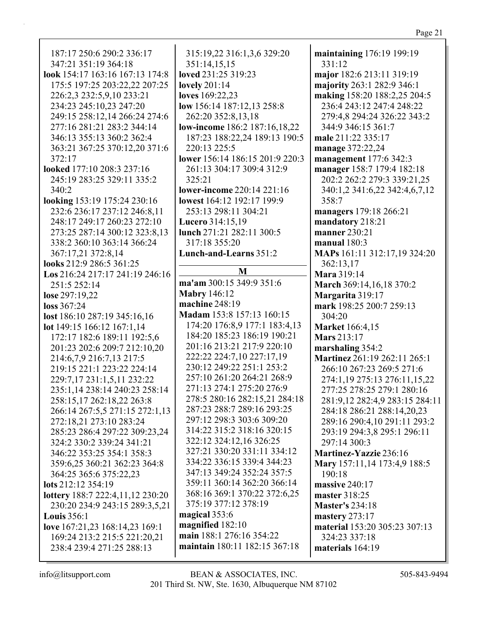187:17 250:6 290:2 336:17 347:21 351:19 364:18 look 154:17 163:16 167:13 174:8 175:5 197:25 203:22,22 207:25 226:2,3 232:5,9,10 233:21 234:23 245:10,23 247:20 249:15 258:12.14 266:24 274:6 277:16 281:21 283:2 344:14 346:13 355:13 360:2 362:4 363:21 367:25 370:12,20 371:6 372:17 looked 177:10 208:3 237:16 245:19 283:25 329:11 335:2 340:2 looking 153:19 175:24 230:16 232:6 236:17 237:12 246:8.11 248:17 249:17 260:23 272:10 273:25 287:14 300:12 323:8.13 338:2 360:10 363:14 366:24 367:17,21 372:8,14 looks 212:9 286:5 361:25 Los 216:24 217:17 241:19 246:16 251:5 252:14 lose 297:19,22  $loss 367:24$ lost 186:10 287:19 345:16,16 lot  $149:15$  166:12 167:1,14 172:17 182:6 189:11 192:5,6 201:23 202:6 209:7 212:10,20 214:6,7,9 216:7,13 217:5 219:15 221:1 223:22 224:14 229:7,17 231:1,5,11 232:22 235:1,14 238:14 240:23 258:14 258:15,17 262:18,22 263:8 266:14 267:5,5 271:15 272:1,13 272:18,21 273:10 283:24 285:23 286:4 297:22 309:23,24 324:2 330:2 339:24 341:21 346:22 353:25 354:1 358:3 359:6.25 360:21 362:23 364:8 364:25 365:6 375:22,23 lots 212:12 354:19 **lottery**  $188:7 222:4,11,12 230:20$ 230:20 234:9 243:15 289:3,5,21 **Louis**  $356:1$ love 167:21,23 168:14,23 169:1 169:24 213:2 215:5 221:20,21 238:4 239:4 271:25 288:13

315:19,22 316:1,3,6 329:20 351:14,15,15 loved 231:25 319:23 **lovely** 201:14 loves 169:22,23 low 156:14 187:12,13 258:8 262:20 352:8.13.18 **low-income** 186:2 187:16,18,22 187:23 188:22,24 189:13 190:5 220:13 225:5 lower 156:14 186:15 201:9 220:3 261:13 304:17 309:4 312:9 325:21 lower-income 220:14 221:16 lowest 164:12 192:17 199:9 253:13 298:11 304:21 **Lucero** 314:15.19 lunch 271:21 282:11 300:5 317:18 355:20 Lunch-and-Learns 351:2 M

ma'am 300:15 349:9 351:6 **Mabry 146:12** machine  $248:19$ Madam 153:8 157:13 160:15 174:20 176:8,9 177:1 183:4,13 184:20 185:23 186:19 190:21 201:16 213:21 217:9 220:10 222:22 224:7.10 227:17.19 230:12 249:22 251:1 253:2 257:10 261:20 264:21 268:9 271:13 274:1 275:20 276:9 278:5 280:16 282:15,21 284:18 287:23 288:7 289:16 293:25 297:12 298:3 303:6 309:20 314:22 315:2 318:16 320:15 322:12 324:12,16 326:25 327:21 330:20 331:11 334:12 334:22 336:15 339:4 344:23 347:13 349:24 352:24 357:5 359:11 360:14 362:20 366:14 368:16 369:1 370:22 372:6,25 375:19 377:12 378:19 magical 353:6 magnified 182:10 main 188:1 276:16 354:22 maintain 180:11 182:15 367:18

maintaining 176:19 199:19 331:12 major 182:6 213:11 319:19 majority 263:1 282:9 346:1 making 158:20 188:2,25 204:5 236:4 243:12 247:4 248:22 279:4.8 294:24 326:22 343:2 344:9 346:15 361:7 male 211:22 335:17 manage 372:22,24 management 177:6 342:3 manager 158:7 179:4 182:18 202:2 262:2 279:3 339:21,25 340:1,2 341:6,22 342:4,6,7,12 358:7 managers 179:18 266:21 mandatory 218:21 **manner** 230:21 manual  $180:3$ MAPs 161:11 312:17,19 324:20 362:13,17 Mara 319:14 March 369:14,16,18 370:2 Margarita 319:17 mark 198:25 200:7 259:13 304:20 **Market** 166:4.15 **Mars** 213:17 marshaling 354:2 Martinez 261:19 262:11 265:1 266:10 267:23 269:5 271:6 274:1,19 275:13 276:11,15,22 277:25 278:25 279:1 280:16 281:9,12 282:4,9 283:15 284:11 284:18 286:21 288:14,20,23 289:16 290:4,10 291:11 293:2 293:19 294:3,8 295:1 296:11  $297:14300:3$ Martinez-Yazzie 236:16 Mary 157:11,14 173:4,9 188:5 190:18 massive 240:17 master 318:25 **Master's 234:18** mastery  $273:17$ material 153:20 305:23 307:13 324:23 337:18 materials 164:19

 $info@$ litsupport.com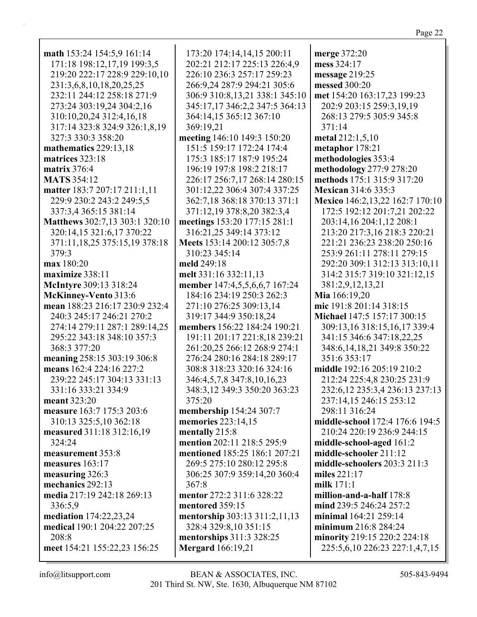| math 153:24 154:5,9 161:14       | 173:20 174:14,14,15 200:11     | merge 372:20                     |
|----------------------------------|--------------------------------|----------------------------------|
| 171:18 198:12,17,19 199:3,5      | 202:21 212:17 225:13 226:4,9   | mess 324:17                      |
| 219:20 222:17 228:9 229:10,10    | 226:10 236:3 257:17 259:23     | message 219:25                   |
| 231:3,6,8,10,18,20,25,25         | 266:9,24 287:9 294:21 305:6    | messed 300:20                    |
| 232:11 244:12 258:18 271:9       | 306:9 310:8,13,21 338:1 345:10 | met 154:20 163:17,23 199:23      |
| 273:24 303:19,24 304:2,16        | 345:17,17 346:2,2 347:5 364:13 | 202:9 203:15 259:3,19,19         |
| 310:10,20,24 312:4,16,18         | 364:14,15 365:12 367:10        | 268:13 279:5 305:9 345:8         |
| 317:14 323:8 324:9 326:1,8,19    | 369:19,21                      | 371:14                           |
| 327:3 330:3 358:20               | meeting 146:10 149:3 150:20    | metal 212:1,5,10                 |
| mathematics 229:13,18            | 151:5 159:17 172:24 174:4      | metaphor 178:21                  |
|                                  | 175:3 185:17 187:9 195:24      | methodologies 353:4              |
| matrices 323:18                  |                                |                                  |
| matrix $376:4$                   | 196:19 197:8 198:2 218:17      | methodology 277:9 278:20         |
| <b>MATS</b> 354:12               | 226:17 256:7,17 268:14 280:15  | methods 175:1 315:9 317:20       |
| matter 183:7 207:17 211:1,11     | 301:12,22 306:4 307:4 337:25   | <b>Mexican 314:6 335:3</b>       |
| 229:9 230:2 243:2 249:5,5        | 362:7,18 368:18 370:13 371:1   | Mexico 146:2,13,22 162:7 170:10  |
| 337:3,4 365:15 381:14            | 371:12,19 378:8,20 382:3,4     | 172:5 192:12 201:7,21 202:22     |
| Matthews 302:7,13 303:1 320:10   | meetings 153:20 177:15 281:1   | 203:14,16 204:1,12 208:1         |
| 320:14,15 321:6,17 370:22        | 316:21,25 349:14 373:12        | 213:20 217:3,16 218:3 220:21     |
| 371:11, 18, 25 375:15, 19 378:18 | Meets 153:14 200:12 305:7,8    | 221:21 236:23 238:20 250:16      |
| 379:3                            | 310:23 345:14                  | 253:9 261:11 278:11 279:15       |
| max 180:20                       | meld 249:18                    | 292:20 309:1 312:13 313:10,11    |
| maximize 338:11                  | melt 331:16 332:11,13          | 314:2 315:7 319:10 321:12,15     |
| McIntyre 309:13 318:24           | member 147:4,5,5,6,6,7 167:24  | 381:2,9,12,13,21                 |
| McKinney-Vento 313:6             | 184:16 234:19 250:3 262:3      | Mia 166:19,20                    |
| mean 188:23 216:17 230:9 232:4   | 271:10 276:25 309:13,14        | mic 191:8 201:14 318:15          |
| 240:3 245:17 246:21 270:2        | 319:17 344:9 350:18,24         | Michael 147:5 157:17 300:15      |
| 274:14 279:11 287:1 289:14,25    | members 156:22 184:24 190:21   | 309:13,16 318:15,16,17 339:4     |
| 295:22 343:18 348:10 357:3       | 191:11 201:17 221:8,18 239:21  | 341:15 346:6 347:18,22,25        |
| 368:3 377:20                     | 261:20,25 266:12 268:9 274:1   | 348:6, 14, 18, 21 349:8 350:22   |
| meaning 258:15 303:19 306:8      | 276:24 280:16 284:18 289:17    | 351:6 353:17                     |
| means 162:4 224:16 227:2         | 308:8 318:23 320:16 324:16     | middle 192:16 205:19 210:2       |
| 239:22 245:17 304:13 331:13      | 346:4,5,7,8 347:8,10,16,23     | 212:24 225:4,8 230:25 231:9      |
| 331:16 333:21 334:9              | 348:3,12 349:3 350:20 363:23   | 232:6, 12 235:3, 4 236:13 237:13 |
| meant 323:20                     | 375:20                         | 237:14,15 246:15 253:12          |
| measure 163:7 175:3 203:6        | membership 154:24 307:7        | 298:11 316:24                    |
| 310:13 325:5,10 362:18           | memories 223:14,15             | middle-school 172:4 176:6 194:5  |
| measured 311:18 312:16,19        | mentally 215:8                 | 210:24 220:19 236:9 244:15       |
| 324:24                           | mention 202:11 218:5 295:9     | middle-school-aged 161:2         |
|                                  |                                |                                  |
| measurement 353:8                | mentioned 185:25 186:1 207:21  | middle-schooler 211:12           |
| measures 163:17                  | 269:5 275:10 280:12 295:8      | middle-schoolers 203:3 211:3     |
| measuring 326:3                  | 306:25 307:9 359:14,20 360:4   | miles 221:17                     |
| mechanics 292:13                 | 367:8                          | milk $171:1$                     |
| media 217:19 242:18 269:13       | mentor 272:2 311:6 328:22      | million-and-a-half 178:8         |
| 336:5,9                          | mentored 359:15                | mind 239:5 246:24 257:2          |
| mediation 174:22,23,24           | mentorship 303:13 311:2,11,13  | minimal 164:21 259:14            |
| medical 190:1 204:22 207:25      | 328:4 329:8,10 351:15          | minimum 216:8 284:24             |
| 208:8                            | mentorships 311:3 328:25       | minority 219:15 220:2 224:18     |
| meet 154:21 155:22,23 156:25     | <b>Mergard</b> 166:19,21       | 225:5,6,10 226:23 227:1,4,7,15   |
|                                  |                                |                                  |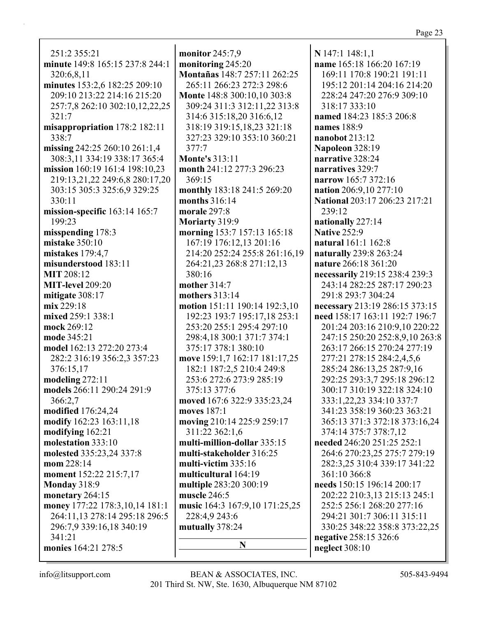251:2 355:21 **minute** 149:8 165:15 237:8 244:1 320:6,8,11 **minutes** 153:2,6 182:25 209:10 209:10 213:22 214:16 215:20 257:7,8 262:10 302:10,12,22,25 321:7 **misappropriation** 178:2 182:11 338:7 **missing** 242:25 260:10 261:1,4 308:3,11 334:19 338:17 365:4 **mission** 160:19 161:4 198:10,23 219:13,21,22 249:6,8 280:17,20 303:15 305:3 325:6,9 329:25 330:11 **mission-specific** 163:14 165:7 199:23 **misspending** 178:3 **mistake** 350:10 **mistakes** 179:4,7 **misunderstood** 183:11 **MIT** 208:12 **MIT-level** 209:20 **mitigate** 308:17 **mix** 229:18 **mixed** 259:1 338:1 **mock** 269:12 **mode** 345:21 **model** 162:13 272:20 273:4 282:2 316:19 356:2,3 357:23 376:15,17 **modeling** 272:11 **models** 266:11 290:24 291:9 366:2,7 **modified** 176:24,24 **modify** 162:23 163:11,18 **modifying** 162:21 **molestation** 333:10 **molested** 335:23,24 337:8 **mom** 228:14 **moment** 152:22 215:7,17 **Monday** 318:9 **monetary** 264:15 **money** 177:22 178:3,10,14 181:1 264:11,13 278:14 295:18 296:5 296:7,9 339:16,18 340:19 341:21 **monies** 164:21 278:5

**monitor** 245:7,9 **monitoring** 245:20 **Montañas** 148:7 257:11 262:25 265:11 266:23 272:3 298:6 **Monte** 148:8 300:10,10 303:8 309:24 311:3 312:11,22 313:8 314:6 315:18,20 316:6,12 318:19 319:15,18,23 321:18 327:23 329:10 353:10 360:21 377:7 **Monte's** 313:11 **month** 241:12 277:3 296:23 369:15 **monthly** 183:18 241:5 269:20 **months** 316:14 **morale** 297:8 **Moriarty** 319:9 **morning** 153:7 157:13 165:18 167:19 176:12,13 201:16 214:20 252:24 255:8 261:16,19 264:21,23 268:8 271:12,13 380:16 **mother** 314:7 **mothers** 313:14 **motion** 151:11 190:14 192:3,10 192:23 193:7 195:17,18 253:1 253:20 255:1 295:4 297:10 298:4,18 300:1 371:7 374:1 375:17 378:1 380:10 **move** 159:1,7 162:17 181:17,25 182:1 187:2,5 210:4 249:8 253:6 272:6 273:9 285:19 375:13 377:6 **moved** 167:6 322:9 335:23,24 **moves** 187:1 **moving** 210:14 225:9 259:17 311:22 362:1,6 **multi-million-dollar** 335:15 **multi-stakeholder** 316:25 **multi-victim** 335:16 **multicultural** 164:19 **multiple** 283:20 300:19 **muscle** 246:5 **music** 164:3 167:9,10 171:25,25 228:4,9 243:6 **mutually** 378:24 **N**

**N** 147:1 148:1,1 **name** 165:18 166:20 167:19 169:11 170:8 190:21 191:11 195:12 201:14 204:16 214:20 228:24 247:20 276:9 309:10 318:17 333:10 **named** 184:23 185:3 206:8 **names** 188:9 **nanobot** 213:12 **Napoleon** 328:19 **narrative** 328:24 **narratives** 329:7 **narrow** 165:7 372:16 **nation** 206:9,10 277:10 **National** 203:17 206:23 217:21 239:12 **nationally** 227:14 **Native** 252:9 **natural** 161:1 162:8 **naturally** 239:8 263:24 **nature** 266:18 361:20 **necessarily** 219:15 238:4 239:3 243:14 282:25 287:17 290:23 291:8 293:7 304:24 **necessary** 213:19 286:15 373:15 **need** 158:17 163:11 192:7 196:7 201:24 203:16 210:9,10 220:22 247:15 250:20 252:8,9,10 263:8 263:17 266:15 270:24 277:19 277:21 278:15 284:2,4,5,6 285:24 286:13,25 287:9,16 292:25 293:3,7 295:18 296:12 300:17 310:19 322:18 324:10 333:1,22,23 334:10 337:7 341:23 358:19 360:23 363:21 365:13 371:3 372:18 373:16,24 374:14 375:7 378:7,12 **needed** 246:20 251:25 252:1 264:6 270:23,25 275:7 279:19 282:3,25 310:4 339:17 341:22 361:10 366:8 **needs** 150:15 196:14 200:17 202:22 210:3,13 215:13 245:1 252:5 256:1 268:20 277:16 294:21 301:7 306:11 315:11 330:25 348:22 358:8 373:22,25 **negative** 258:15 326:6 **neglect** 308:10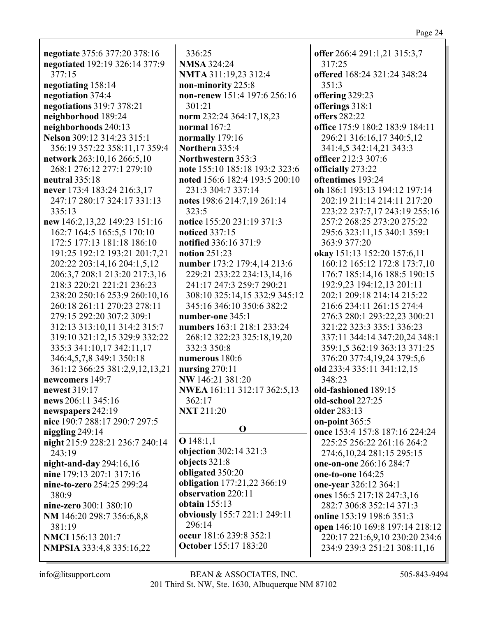**negotiate** 375:6 377:20 378:16 **negotiated** 192:19 326:14 377:9 377:15 **negotiating** 158:14 **negotiation** 374:4 **negotiations** 319:7 378:21 **neighborhood** 189:24 **neighborhoods** 240:13 **Nelson** 309:12 314:23 315:1 356:19 357:22 358:11,17 359:4 **network** 263:10,16 266:5,10 268:1 276:12 277:1 279:10 **neutral** 335:18 **never** 173:4 183:24 216:3,17 247:17 280:17 324:17 331:13 335:13 **new** 146:2,13,22 149:23 151:16 162:7 164:5 165:5,5 170:10 172:5 177:13 181:18 186:10 191:25 192:12 193:21 201:7,21 202:22 203:14,16 204:1,5,12 206:3,7 208:1 213:20 217:3,16 218:3 220:21 221:21 236:23 238:20 250:16 253:9 260:10,16 260:18 261:11 270:23 278:11 279:15 292:20 307:2 309:1 312:13 313:10,11 314:2 315:7 319:10 321:12,15 329:9 332:22 335:3 341:10,17 342:11,17 346:4,5,7,8 349:1 350:18 361:12 366:25 381:2,9,12,13,21 **newcomers** 149:7 **newest** 319:17 **news** 206:11 345:16 **newspapers** 242:19 **nice** 190:7 288:17 290:7 297:5 **niggling** 249:14 **night** 215:9 228:21 236:7 240:14 243:19 **night-and-day** 294:16,16 **nine** 179:13 207:1 317:16 **nine-to-zero** 254:25 299:24 380:9 **nine-zero** 300:1 380:10 **NM** 146:20 298:7 356:6,8,8 381:19 **NMCI** 156:13 201:7 **NMPSIA** 333:4,8 335:16,22

336:25 **NMSA** 324:24 **NMTA** 311:19,23 312:4 **non-minority** 225:8 **non-renew** 151:4 197:6 256:16 301:21 **norm** 232:24 364:17,18,23 **normal** 167:2 **normally** 179:16 **Northern** 335:4 **Northwestern** 353:3 **note** 155:10 185:18 193:2 323:6 **noted** 156:6 182:4 193:5 200:10 231:3 304:7 337:14 **notes** 198:6 214:7,19 261:14 323:5 **notice** 155:20 231:19 371:3 **noticed** 337:15 **notified** 336:16 371:9 **notion** 251:23 **number** 173:2 179:4,14 213:6 229:21 233:22 234:13,14,16 241:17 247:3 259:7 290:21 308:10 325:14,15 332:9 345:12 345:16 346:10 350:6 382:2 **number-one** 345:1 **numbers** 163:1 218:1 233:24 268:12 322:23 325:18,19,20 332:3 350:8 **numerous** 180:6 **nursing** 270:11 **NW** 146:21 381:20 **NWEA** 161:11 312:17 362:5,13 362:17 **NXT** 211:20 **O O** 148:1,1 **objection** 302:14 321:3 **objects** 321:8 **obligated** 350:20 **obligation** 177:21,22 366:19 **observation** 220:11

**offer** 266:4 291:1,21 315:3,7 317:25 **offered** 168:24 321:24 348:24 351:3 **offering** 329:23 **offerings** 318:1 **offers** 282:22 **office** 175:9 180:2 183:9 184:11 296:21 316:16,17 340:5,12 341:4,5 342:14,21 343:3 **officer** 212:3 307:6 **officially** 273:22 **oftentimes** 193:24 **oh** 186:1 193:13 194:12 197:14 202:19 211:14 214:11 217:20 223:22 237:7,17 243:19 255:16 257:2 268:25 273:20 275:22 295:6 323:11,15 340:1 359:1 363:9 377:20 **okay** 151:13 152:20 157:6,11 160:12 165:12 172:8 173:7,10 176:7 185:14,16 188:5 190:15 192:9,23 194:12,13 201:11 202:1 209:18 214:14 215:22 216:6 234:11 261:15 274:4 276:3 280:1 293:22,23 300:21 321:22 323:3 335:1 336:23 337:11 344:14 347:20,24 348:1 359:1,5 362:19 363:13 371:25 376:20 377:4,19,24 379:5,6 **old** 233:4 335:11 341:12,15 348:23 **old-fashioned** 189:15 **old-school** 227:25 **older** 283:13 **on-point** 365:5 **once** 153:4 157:8 187:16 224:24 225:25 256:22 261:16 264:2 274:6,10,24 281:15 295:15 **one-on-one** 266:16 284:7 **one-to-one** 164:25 **one-year** 326:12 364:1 **ones** 156:5 217:18 247:3,16 282:7 306:8 352:14 371:3 **online** 153:19 198:6 351:3 **open** 146:10 169:8 197:14 218:12 220:17 221:6,9,10 230:20 234:6 234:9 239:3 251:21 308:11,16

**obviously** 155:7 221:1 249:11

**occur** 181:6 239:8 352:1 **October** 155:17 183:20

**obtain** 155:13

296:14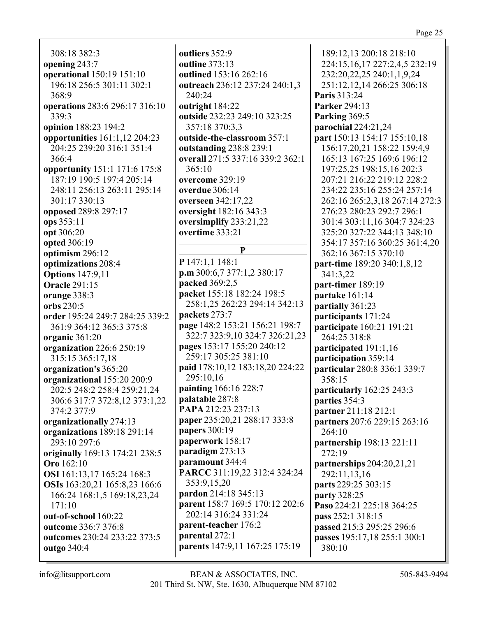308:18 382:3 **opening** 243:7 **operational** 150:19 151:10 196:18 256:5 301:11 302:1 368:9 **operations** 283:6 296:17 316:10 339:3 **opinion** 188:23 194:2 **opportunities** 161:1,12 204:23 204:25 239:20 316:1 351:4 366:4 **opportunity** 151:1 171:6 175:8 187:19 190:5 197:4 205:14 248:11 256:13 263:11 295:14 301:17 330:13 **opposed** 289:8 297:17 **ops** 353:11 **opt** 306:20 **opted** 306:19 **optimism** 296:12 **optimizations** 208:4 **Options** 147:9,11 **Oracle** 291:15 **orange** 338:3 **orbs** 230:5 **order** 195:24 249:7 284:25 339:2 361:9 364:12 365:3 375:8 **organic** 361:20 **organization** 226:6 250:19 315:15 365:17,18 **organization's** 365:20 **organizational** 155:20 200:9 202:5 248:2 258:4 259:21,24 306:6 317:7 372:8,12 373:1,22 374:2 377:9 **organizationally** 274:13 **organizations** 189:18 291:14 293:10 297:6 **originally** 169:13 174:21 238:5 **Oro** 162:10 **OSI** 161:13,17 165:24 168:3 **OSIs** 163:20,21 165:8,23 166:6 166:24 168:1,5 169:18,23,24 171:10 **out-of-school** 160:22 **outcome** 336:7 376:8 **outcomes** 230:24 233:22 373:5 **outgo** 340:4

**outliers** 352:9 **outline** 373:13 **outlined** 153:16 262:16 **outreach** 236:12 237:24 240:1,3 240:24 **outright** 184:22 **outside** 232:23 249:10 323:25 357:18 370:3,3 **outside-the-classroom** 357:1 **outstanding** 238:8 239:1 **overall** 271:5 337:16 339:2 362:1 365:10 **overcome** 329:19 **overdue** 306:14 **overseen** 342:17,22 **oversight** 182:16 343:3 **oversimplify** 233:21,22 **overtime** 333:21 **P P** 147:1,1 148:1 **p.m** 300:6,7 377:1,2 380:17 **packed** 369:2,5 **packet** 155:18 182:24 198:5 258:1,25 262:23 294:14 342:13 **packets** 273:7 **page** 148:2 153:21 156:21 198:7 322:7 323:9,10 324:7 326:21,23 **pages** 153:17 155:20 240:12 259:17 305:25 381:10 **paid** 178:10,12 183:18,20 224:22 295:10,16 **painting** 166:16 228:7 **palatable** 287:8 **PAPA** 212:23 237:13 **paper** 235:20,21 288:17 333:8 **papers** 300:19 **paperwork** 158:17 **paradigm** 273:13 **paramount** 344:4 **PARCC** 311:19,22 312:4 324:24 353:9,15,20 **pardon** 214:18 345:13 **parent** 158:7 169:5 170:12 202:6 202:14 316:24 331:24 **parent-teacher** 176:2 **parental** 272:1 **parents** 147:9,11 167:25 175:19

189:12,13 200:18 218:10 224:15,16,17 227:2,4,5 232:19 232:20,22,25 240:1,1,9,24 251:12,12,14 266:25 306:18 **Paris** 313:24 **Parker** 294:13 **Parking** 369:5 **parochial** 224:21,24 **part** 150:13 154:17 155:10,18 156:17,20,21 158:22 159:4,9 165:13 167:25 169:6 196:12 197:25,25 198:15,16 202:3 207:21 216:22 219:12 228:2 234:22 235:16 255:24 257:14 262:16 265:2,3,18 267:14 272:3 276:23 280:23 292:7 296:1 301:4 303:11,16 304:7 324:23 325:20 327:22 344:13 348:10 354:17 357:16 360:25 361:4,20 362:16 367:15 370:10 **part-time** 189:20 340:1,8,12 341:3,22 **part-timer** 189:19 **partake** 161:14 **partially** 361:23 **participants** 171:24 **participate** 160:21 191:21 264:25 318:8 **participated** 191:1,16 **participation** 359:14 **particular** 280:8 336:1 339:7 358:15 **particularly** 162:25 243:3 **parties** 354:3 **partner** 211:18 212:1 **partners** 207:6 229:15 263:16 264:10 **partnership** 198:13 221:11 272:19 **partnerships** 204:20,21,21 292:11,13,16 **parts** 229:25 303:15 **party** 328:25 **Paso** 224:21 225:18 364:25 **pass** 252:1 318:15 **passed** 215:3 295:25 296:6 **passes** 195:17,18 255:1 300:1 380:10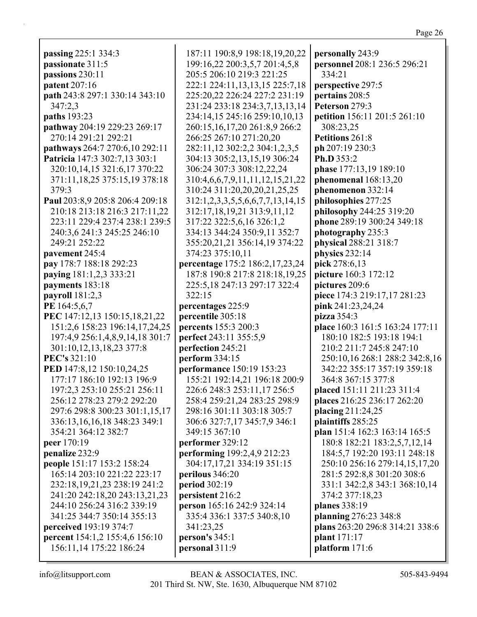| passing 225:1 334:3              | 187:11 190:8,9 198:18,19,20,22   | personally 243:9                |
|----------------------------------|----------------------------------|---------------------------------|
| passionate 311:5                 | 199:16,22 200:3,5,7 201:4,5,8    | personnel 208:1 236:5 296:21    |
| passions 230:11                  | 205:5 206:10 219:3 221:25        | 334:21                          |
| patent 207:16                    | 222:1 224:11,13,13,15 225:7,18   | perspective 297:5               |
| path 243:8 297:1 330:14 343:10   | 225:20,22 226:24 227:2 231:19    | pertains 208:5                  |
| 347:2,3                          | 231:24 233:18 234:3,7,13,13,14   | Peterson 279:3                  |
| paths 193:23                     | 234:14,15 245:16 259:10,10,13    | petition 156:11 201:5 261:10    |
| pathway 204:19 229:23 269:17     | 260:15,16,17,20 261:8,9 266:2    | 308:23,25                       |
| 270:14 291:21 292:21             | 266:25 267:10 271:20,20          | Petitions 261:8                 |
| pathways 264:7 270:6,10 292:11   | 282:11,12 302:2,2 304:1,2,3,5    | ph 207:19 230:3                 |
| Patricia 147:3 302:7,13 303:1    | 304:13 305:2,13,15,19 306:24     | Ph.D 353:2                      |
| 320:10,14,15 321:6,17 370:22     | 306:24 307:3 308:12,22,24        | phase 177:13,19 189:10          |
| 371:11, 18, 25 375:15, 19 378:18 | 310:4,6,6,7,9,11,11,12,15,21,22  | phenomenal 168:13,20            |
| 379:3                            | 310:24 311:20,20,20,21,25,25     | phenomenon 332:14               |
| Paul 203:8,9 205:8 206:4 209:18  | 312:1,2,3,3,5,5,6,6,7,7,13,14,15 | philosophies 277:25             |
| 210:18 213:18 216:3 217:11,22    | 312:17,18,19,21 313:9,11,12      | philosophy 244:25 319:20        |
| 223:11 229:4 237:4 238:1 239:5   | 317:22 322:5,6,16 326:1,2        | phone 289:19 300:24 349:18      |
| 240:3,6 241:3 245:25 246:10      | 334:13 344:24 350:9,11 352:7     | photography 235:3               |
| 249:21 252:22                    | 355:20,21,21 356:14,19 374:22    | physical 288:21 318:7           |
| pavement 245:4                   | 374:23 375:10,11                 | physics 232:14                  |
| pay 178:7 188:18 292:23          | percentage 175:2 186:2,17,23,24  | pick 278:6,13                   |
| paying 181:1,2,3 333:21          | 187:8 190:8 217:8 218:18,19,25   | picture 160:3 172:12            |
| payments 183:18                  | 225:5,18 247:13 297:17 322:4     | pictures 209:6                  |
| payroll 181:2,3                  | 322:15                           | piece 174:3 219:17,17 281:23    |
| PE 164:5,6,7                     | percentages 225:9                | pink 241:23,24,24               |
| PEC 147:12,13 150:15,18,21,22    | percentile 305:18                | pizza 354:3                     |
| 151:2,6 158:23 196:14,17,24,25   | percents 155:3 200:3             | place 160:3 161:5 163:24 177:11 |
| 197:4,9 256:1,4,8,9,14,18 301:7  | perfect 243:11 355:5,9           | 180:10 182:5 193:18 194:1       |
| 301:10,12,13,18,23 377:8         | perfection 245:21                | 210:2 211:7 245:8 247:10        |
| <b>PEC's 321:10</b>              | perform 334:15                   | 250:10,16 268:1 288:2 342:8,16  |
| PED 147:8,12 150:10,24,25        | performance 150:19 153:23        | 342:22 355:17 357:19 359:18     |
| 177:17 186:10 192:13 196:9       | 155:21 192:14,21 196:18 200:9    | 364:8 367:15 377:8              |
| 197:2,3 253:10 255:21 256:11     | 226:6 248:3 253:11,17 256:5      | placed 151:11 211:23 311:4      |
| 256:12 278:23 279:2 292:20       | 258:4 259:21,24 283:25 298:9     | places 216:25 236:17 262:20     |
| 297:6 298:8 300:23 301:1,15,17   | 298:16 301:11 303:18 305:7       | placing 211:24,25               |
| 336:13,16,16,18 348:23 349:1     | 306:6 327:7,17 345:7,9 346:1     | plaintiffs 285:25               |
| 354:21 364:12 382:7              | 349:15 367:10                    | plan 151:4 162:3 163:14 165:5   |
| peer 170:19                      | performer 329:12                 | 180:8 182:21 183:2,5,7,12,14    |
| penalize 232:9                   | performing 199:2,4,9 212:23      | 184:5,7 192:20 193:11 248:18    |
| people 151:17 153:2 158:24       | 304:17,17,21 334:19 351:15       | 250:10 256:16 279:14,15,17,20   |
| 165:14 203:10 221:22 223:17      | perilous 346:20                  | 281:5 292:8,8 301:20 308:6      |
| 232:18,19,21,23 238:19 241:2     | period 302:19                    | 331:1 342:2,8 343:1 368:10,14   |
| 241:20 242:18,20 243:13,21,23    | persistent 216:2                 | 374:2 377:18,23                 |
| 244:10 256:24 316:2 339:19       | person 165:16 242:9 324:14       | planes 338:19                   |
| 341:25 344:7 350:14 355:13       | 335:4 336:1 337:5 340:8,10       | planning 276:23 348:8           |
| <b>perceived</b> 193:19 374:7    | 341:23,25                        | plans 263:20 296:8 314:21 338:6 |
| percent 154:1,2 155:4,6 156:10   | person's 345:1                   | plant 171:17                    |
| 156:11,14 175:22 186:24          | personal 311:9                   | platform 171:6                  |
|                                  |                                  |                                 |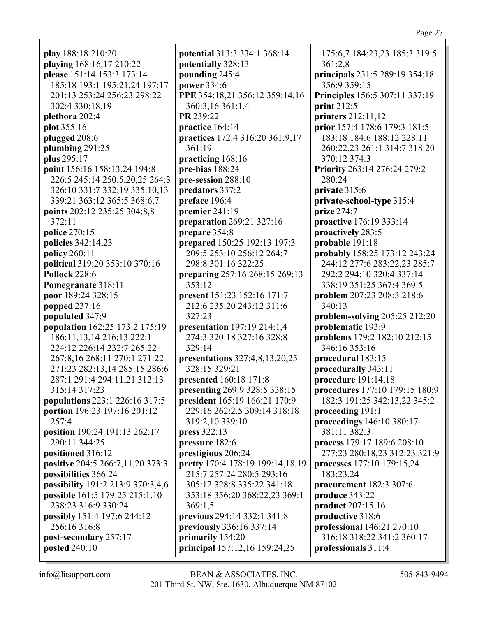**play** 188:18 210:20 **playing** 168:16,17 210:22 **please** 151:14 153:3 173:14 185:18 193:1 195:21,24 197:17 201:13 253:24 256:23 298:22 302:4 330:18,19 **plethora** 202:4 **plot** 355:16 **plugged** 208:6 **plumbing** 291:25 **plus** 295:17 **point** 156:16 158:13,24 194:8 226:5 245:14 250:5,20,25 264:3 326:10 331:7 332:19 335:10,13 339:21 363:12 365:5 368:6,7 **points** 202:12 235:25 304:8,8 372:11 **police** 270:15 **policies** 342:14,23 **policy** 260:11 **political** 319:20 353:10 370:16 **Pollock** 228:6 **Pomegranate** 318:11 **poor** 189:24 328:15 **popped** 237:16 **populated** 347:9 **population** 162:25 173:2 175:19 186:11,13,14 216:13 222:1 224:12 226:14 232:7 265:22 267:8,16 268:11 270:1 271:22 271:23 282:13,14 285:15 286:6 287:1 291:4 294:11,21 312:13 315:14 317:23 **populations** 223:1 226:16 317:5 **portion** 196:23 197:16 201:12 257:4 **position** 190:24 191:13 262:17 290:11 344:25 **positioned** 316:12 **positive** 204:5 266:7,11,20 373:3 **possibilities** 366:24 **possibility** 191:2 213:9 370:3,4,6 **possible** 161:5 179:25 215:1,10 238:23 316:9 330:24 **possibly** 151:4 197:6 244:12 256:16 316:8 **post-secondary** 257:17 **posted** 240:10

**potential** 313:3 334:1 368:14 **potentially** 328:13 **pounding** 245:4 **power** 334:6 **PPE** 354:18,21 356:12 359:14,16 360:3,16 361:1,4 **PR** 239:22 **practice** 164:14 **practices** 172:4 316:20 361:9,17 361:19 **practicing** 168:16 **pre-bias** 188:24 **pre-session** 288:10 **predators** 337:2 **preface** 196:4 **premier** 241:19 **preparation** 269:21 327:16 **prepare** 354:8 **prepared** 150:25 192:13 197:3 209:5 253:10 256:12 264:7 298:8 301:16 322:25 **preparing** 257:16 268:15 269:13 353:12 **present** 151:23 152:16 171:7 212:6 235:20 243:12 311:6 327:23 **presentation** 197:19 214:1,4 274:3 320:18 327:16 328:8 329:14 **presentations** 327:4,8,13,20,25 328:15 329:21 **presented** 160:18 171:8 **presenting** 269:9 328:5 338:15 **president** 165:19 166:21 170:9 229:16 262:2,5 309:14 318:18 319:2,10 339:10 **press** 322:13 **pressure** 182:6 **prestigious** 206:24 **pretty** 170:4 178:19 199:14,18,19 215:7 257:24 280:5 293:16 305:12 328:8 335:22 341:18 353:18 356:20 368:22,23 369:1 369:1,5 **previous** 294:14 332:1 341:8 **previously** 336:16 337:14 **primarily** 154:20 **principal** 157:12,16 159:24,25

175:6,7 184:23,23 185:3 319:5 361:2,8 **principals** 231:5 289:19 354:18 356:9 359:15 **Principles** 156:5 307:11 337:19 **print** 212:5 **printers** 212:11,12 **prior** 157:4 178:6 179:3 181:5 183:18 184:6 188:12 228:11 260:22,23 261:1 314:7 318:20 370:12 374:3 **Priority** 263:14 276:24 279:2 280:24 **private** 315:6 **private-school-type** 315:4 **prize** 274:7 **proactive** 176:19 333:14 **proactively** 283:5 **probable** 191:18 **probably** 158:25 173:12 243:24 244:12 277:6 283:22,23 285:7 292:2 294:10 320:4 337:14 338:19 351:25 367:4 369:5 **problem** 207:23 208:3 218:6 340:13 **problem-solving** 205:25 212:20 **problematic** 193:9 **problems** 179:2 182:10 212:15 346:16 353:16 **procedural** 183:15 **procedurally** 343:11 **procedure** 191:14,18 **procedures** 177:10 179:15 180:9 182:3 191:25 342:13,22 345:2 **proceeding** 191:1 **proceedings** 146:10 380:17 381:11 382:3 **process** 179:17 189:6 208:10 277:23 280:18,23 312:23 321:9 **processes** 177:10 179:15,24 183:23,24 **procurement** 182:3 307:6 **produce** 343:22 **product** 207:15,16 **productive** 318:6 **professional** 146:21 270:10 316:18 318:22 341:2 360:17 **professionals** 311:4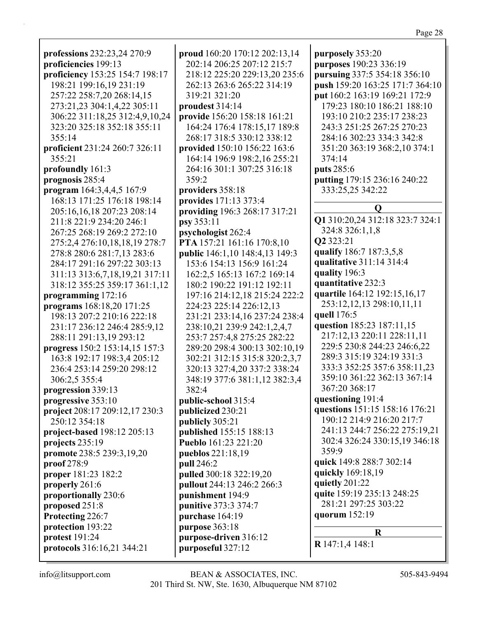**professions** 232:23,24 270:9 **proficiencies** 199:13 **proficiency** 153:25 154:7 198:17 198:21 199:16,19 231:19 257:22 258:7,20 268:14,15 273:21,23 304:1,4,22 305:11 306:22 311:18,25 312:4,9,10,24 323:20 325:18 352:18 355:11 355:14 **proficient** 231:24 260:7 326:11 355:21 **profoundly** 161:3 **prognosis** 285:4 **program** 164:3,4,4,5 167:9 168:13 171:25 176:18 198:14 205:16,16,18 207:23 208:14 211:8 221:9 234:20 246:1 267:25 268:19 269:2 272:10 275:2,4 276:10,18,18,19 278:7 278:8 280:6 281:7,13 283:6 284:17 291:16 297:22 303:13 311:13 313:6,7,18,19,21 317:11 318:12 355:25 359:17 361:1,12 **programming** 172:16 **programs** 168:18,20 171:25 198:13 207:2 210:16 222:18 231:17 236:12 246:4 285:9,12 288:11 291:13,19 293:12 **progress** 150:2 153:14,15 157:3 163:8 192:17 198:3,4 205:12 236:4 253:14 259:20 298:12 306:2,5 355:4 **progression** 339:13 **progressive** 353:10 **project** 208:17 209:12,17 230:3 250:12 354:18 **project-based** 198:12 205:13 **projects** 235:19 **promote** 238:5 239:3,19,20 **proof** 278:9 **proper** 181:23 182:2 **properly** 261:6 **proportionally** 230:6 **proposed** 251:8 **Protecting** 226:7 **protection** 193:22 **protest** 191:24 **protocols** 316:16,21 344:21

**proud** 160:20 170:12 202:13,14 202:14 206:25 207:12 215:7 218:12 225:20 229:13,20 235:6 262:13 263:6 265:22 314:19 319:21 321:20 **proudest** 314:14 **provide** 156:20 158:18 161:21 164:24 176:4 178:15,17 189:8 268:17 318:5 330:12 338:12 **provided** 150:10 156:22 163:6 164:14 196:9 198:2,16 255:21 264:16 301:1 307:25 316:18 359:2 **providers** 358:18 **provides** 171:13 373:4 **providing** 196:3 268:17 317:21 **psy** 353:11 **psychologist** 262:4 **PTA** 157:21 161:16 170:8,10 **public** 146:1,10 148:4,13 149:3 153:6 154:13 156:9 161:24 162:2,5 165:13 167:2 169:14 180:2 190:22 191:12 192:11 197:16 214:12,18 215:24 222:2 224:23 225:14 226:12,13 231:21 233:14,16 237:24 238:4 238:10,21 239:9 242:1,2,4,7 253:7 257:4,8 275:25 282:22 289:20 298:4 300:13 302:10,19 302:21 312:15 315:8 320:2,3,7 320:13 327:4,20 337:2 338:24 348:19 377:6 381:1,12 382:3,4 382:4 **public-school** 315:4 **publicized** 230:21 **publicly** 305:21 **published** 155:15 188:13 **Pueblo** 161:23 221:20 **pueblos** 221:18,19 **pull** 246:2 **pulled** 300:18 322:19,20 **pullout** 244:13 246:2 266:3 **punishment** 194:9 **punitive** 373:3 374:7 **purchase** 164:19 **purpose** 363:18 **purpose-driven** 316:12 **purposeful** 327:12

**purposely** 353:20 **purposes** 190:23 336:19 **pursuing** 337:5 354:18 356:10 **push** 159:20 163:25 171:7 364:10 **put** 160:2 163:19 169:21 172:9 179:23 180:10 186:21 188:10 193:10 210:2 235:17 238:23 243:3 251:25 267:25 270:23 284:16 302:23 334:3 342:8 351:20 363:19 368:2,10 374:1 374:14 **puts** 285:6 **putting** 179:15 236:16 240:22 333:25,25 342:22 **Q Q1** 310:20,24 312:18 323:7 324:1 324:8 326:1,1,8 **Q2** 323:21 **qualify** 186:7 187:3,5,8 **qualitative** 311:14 314:4 **quality** 196:3 **quantitative** 232:3 **quartile** 164:12 192:15,16,17 253:12,12,13 298:10,11,11 **quell** 176:5 **question** 185:23 187:11,15 217:12,13 220:11 228:11,11 229:5 230:8 244:23 246:6,22 289:3 315:19 324:19 331:3 333:3 352:25 357:6 358:11,23 359:10 361:22 362:13 367:14 367:20 368:17 **questioning** 191:4 **questions** 151:15 158:16 176:21 190:12 214:9 216:20 217:7 241:13 244:7 256:22 275:19,21 302:4 326:24 330:15,19 346:18 359:9 **quick** 149:8 288:7 302:14 **quickly** 169:18,19 **quietly** 201:22 **quite** 159:19 235:13 248:25 281:21 297:25 303:22 **quorum** 152:19 **R R** 147:1,4 148:1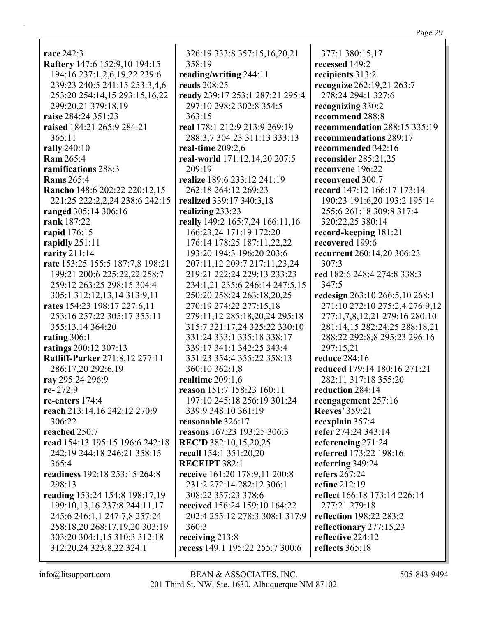**race** 242:3 **Raftery** 147:6 152:9,10 194:15 194:16 237:1,2,6,19,22 239:6 239:23 240:5 241:15 253:3,4,6 253:20 254:14,15 293:15,16,22 299:20,21 379:18,19 **raise** 284:24 351:23 **raised** 184:21 265:9 284:21 365:11 **rally** 240:10 **Ram** 265:4 **ramifications** 288:3 **Rams** 265:4 **Rancho** 148:6 202:22 220:12,15 221:25 222:2,2,24 238:6 242:15 **ranged** 305:14 306:16 **rank** 187:22 **rapid** 176:15 **rapidly** 251:11 **rarity** 211:14 **rate** 153:25 155:5 187:7,8 198:21 199:21 200:6 225:22,22 258:7 259:12 263:25 298:15 304:4 305:1 312:12,13,14 313:9,11 **rates** 154:23 198:17 227:6,11 253:16 257:22 305:17 355:11 355:13,14 364:20 **rating** 306:1 **ratings** 200:12 307:13 **Ratliff-Parker** 271:8,12 277:11 286:17,20 292:6,19 **ray** 295:24 296:9 **re-** 272:9 **re-enters** 174:4 **reach** 213:14,16 242:12 270:9 306:22 **reached** 250:7 **read** 154:13 195:15 196:6 242:18 242:19 244:18 246:21 358:15 365:4 **readiness** 192:18 253:15 264:8 298:13 **reading** 153:24 154:8 198:17,19 199:10,13,16 237:8 244:11,17 245:6 246:1,1 247:7,8 257:24 258:18,20 268:17,19,20 303:19 303:20 304:1,15 310:3 312:18 312:20,24 323:8,22 324:1

326:19 333:8 357:15,16,20,21 358:19 **reading/writing** 244:11 **reads** 208:25 **ready** 239:17 253:1 287:21 295:4 297:10 298:2 302:8 354:5 363:15 **real** 178:1 212:9 213:9 269:19 288:3,7 304:23 311:13 333:13 **real-time** 209:2,6 **real-world** 171:12,14,20 207:5 209:19 **realize** 189:6 233:12 241:19 262:18 264:12 269:23 **realized** 339:17 340:3,18 **realizing** 233:23 **really** 149:2 165:7,24 166:11,16 166:23,24 171:19 172:20 176:14 178:25 187:11,22,22 193:20 194:3 196:20 203:6 207:11,12 209:7 217:11,23,24 219:21 222:24 229:13 233:23 234:1,21 235:6 246:14 247:5,15 250:20 258:24 263:18,20,25 270:19 274:22 277:15,18 279:11,12 285:18,20,24 295:18 315:7 321:17,24 325:22 330:10 331:24 333:1 335:18 338:17 339:17 341:1 342:25 343:4 351:23 354:4 355:22 358:13 360:10 362:1,8 **realtime** 209:1,6 **reason** 151:7 158:23 160:11 197:10 245:18 256:19 301:24 339:9 348:10 361:19 **reasonable** 326:17 **reasons** 167:23 193:25 306:3 **REC'D** 382:10,15,20,25 **recall** 154:1 351:20,20 **RECEIPT** 382:1 **receive** 161:20 178:9,11 200:8 231:2 272:14 282:12 306:1 308:22 357:23 378:6 **received** 156:24 159:10 164:22 202:4 255:12 278:3 308:1 317:9 360:3 **receiving** 213:8 **recess** 149:1 195:22 255:7 300:6

377:1 380:15,17 **recessed** 149:2 **recipients** 313:2 **recognize** 262:19,21 263:7 278:24 294:1 327:6 **recognizing** 330:2 **recommend** 288:8 **recommendation** 288:15 335:19 **recommendations** 289:17 **recommended** 342:16 **reconsider** 285:21,25 **reconvene** 196:22 **reconvened** 300:7 **record** 147:12 166:17 173:14 190:23 191:6,20 193:2 195:14 255:6 261:18 309:8 317:4 320:22,25 380:14 **record-keeping** 181:21 **recovered** 199:6 **recurrent** 260:14,20 306:23 307:3 **red** 182:6 248:4 274:8 338:3 347:5 **redesign** 263:10 266:5,10 268:1 271:10 272:10 275:2,4 276:9,12 277:1,7,8,12,21 279:16 280:10 281:14,15 282:24,25 288:18,21 288:22 292:8,8 295:23 296:16 297:15,21 **reduce** 284:16 **reduced** 179:14 180:16 271:21 282:11 317:18 355:20 **reduction** 284:14 **reengagement** 257:16 **Reeves'** 359:21 **reexplain** 357:4 **refer** 274:24 343:14 **referencing** 271:24 **referred** 173:22 198:16 **referring** 349:24 **refers** 267:24 **refine** 212:19 **reflect** 166:18 173:14 226:14 277:21 279:18 **reflection** 198:22 283:2 **reflectionary** 277:15,23 **reflective** 224:12 **reflects** 365:18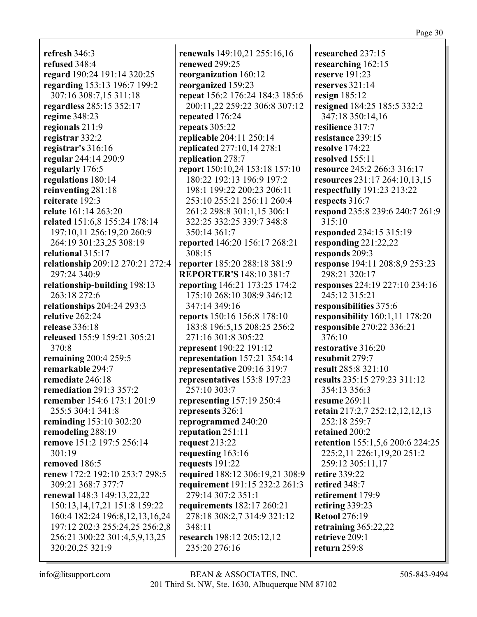**refresh** 346:3 **refused** 348:4 **regard** 190:24 191:14 320:25 **regarding** 153:13 196:7 199:2 307:16 308:7,15 311:18 **regardless** 285:15 352:17 **regime** 348:23 **regionals** 211:9 **registrar** 332:2 **registrar's** 316:16 **regular** 244:14 290:9 **regularly** 176:5 **regulations** 180:14 **reinventing** 281:18 **reiterate** 192:3 **relate** 161:14 263:20 **related** 151:6,8 155:24 178:14 197:10,11 256:19,20 260:9 264:19 301:23,25 308:19 **relational** 315:17 **relationship** 209:12 270:21 272:4 297:24 340:9 **relationship-building** 198:13 263:18 272:6 **relationships** 204:24 293:3 **relative** 262:24 **release** 336:18 **released** 155:9 159:21 305:21 370:8 **remaining** 200:4 259:5 **remarkable** 294:7 **remediate** 246:18 **remediation** 291:3 357:2 **remember** 154:6 173:1 201:9 255:5 304:1 341:8 **reminding** 153:10 302:20 **remodeling** 288:19 **remove** 151:2 197:5 256:14 301:19 **removed** 186:5 **renew** 172:2 192:10 253:7 298:5 309:21 368:7 377:7 **renewal** 148:3 149:13,22,22 150:13,14,17,21 151:8 159:22 160:4 182:24 196:8,12,13,16,24 197:12 202:3 255:24,25 256:2,8 256:21 300:22 301:4,5,9,13,25 320:20,25 321:9

**renewals** 149:10,21 255:16,16 **renewed** 299:25 **reorganization** 160:12 **reorganized** 159:23 **repeat** 156:2 176:24 184:3 185:6 200:11,22 259:22 306:8 307:12 **repeated** 176:24 **repeats** 305:22 **replicable** 204:11 250:14 **replicated** 277:10,14 278:1 **replication** 278:7 **report** 150:10,24 153:18 157:10 180:22 192:13 196:9 197:2 198:1 199:22 200:23 206:11 253:10 255:21 256:11 260:4 261:2 298:8 301:1,15 306:1 322:25 332:25 339:7 348:8 350:14 361:7 **reported** 146:20 156:17 268:21 308:15 **reporter** 185:20 288:18 381:9 **REPORTER'S** 148:10 381:7 **reporting** 146:21 173:25 174:2 175:10 268:10 308:9 346:12 347:14 349:16 **reports** 150:16 156:8 178:10 183:8 196:5,15 208:25 256:2 271:16 301:8 305:22 **represent** 190:22 191:12 **representation** 157:21 354:14 **representative** 209:16 319:7 **representatives** 153:8 197:23 257:10 303:7 **representing** 157:19 250:4 **represents** 326:1 **reprogrammed** 240:20 **reputation** 251:11 **request** 213:22 **requesting** 163:16 **requests** 191:22 **required** 188:12 306:19,21 308:9 **requirement** 191:15 232:2 261:3 279:14 307:2 351:1 **requirements** 182:17 260:21 278:18 308:2,7 314:9 321:12 348:11 **research** 198:12 205:12,12 235:20 276:16

**researched** 237:15 **researching** 162:15 **reserve** 191:23 **reserves** 321:14 **resign** 185:12 **resigned** 184:25 185:5 332:2 347:18 350:14,16 **resilience** 317:7 **resistance** 239:15 **resolve** 174:22 **resolved** 155:11 **resource** 245:2 266:3 316:17 **resources** 231:17 264:10,13,15 **respectfully** 191:23 213:22 **respects** 316:7 **respond** 235:8 239:6 240:7 261:9 315:10 **responded** 234:15 315:19 **responding** 221:22,22 **responds** 209:3 **response** 194:11 208:8,9 253:23 298:21 320:17 **responses** 224:19 227:10 234:16 245:12 315:21 **responsibilities** 375:6 **responsibility** 160:1,11 178:20 **responsible** 270:22 336:21 376:10 **restorative** 316:20 **resubmit** 279:7 **result** 285:8 321:10 **results** 235:15 279:23 311:12 354:13 356:3 **resume** 269:11 **retain** 217:2,7 252:12,12,12,13 252:18 259:7 **retained** 200:2 **retention** 155:1,5,6 200:6 224:25 225:2,11 226:1,19,20 251:2 259:12 305:11,17 **retire** 339:22 **retired** 348:7 **retirement** 179:9 **retiring** 339:23 **Retool** 276:19 **retraining** 365:22,22 **retrieve** 209:1 **return** 259:8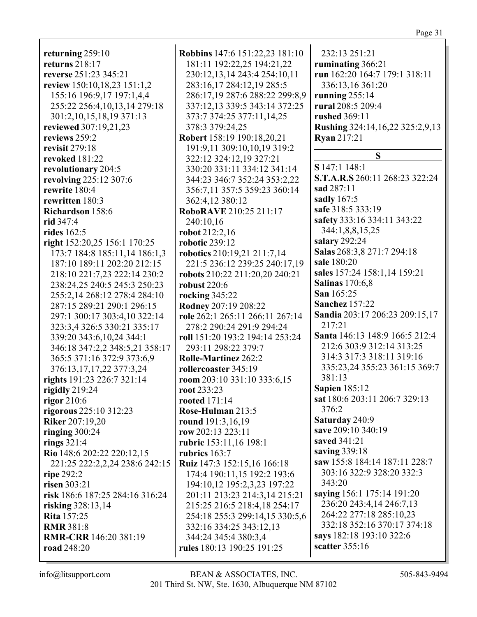**returning** 259:10 **returns** 218:17 **reverse** 251:23 345:21 **review** 150:10,18,23 151:1,2 155:16 196:9,17 197:1,4,4 255:22 256:4,10,13,14 279:18 301:2,10,15,18,19 371:13 **reviewed** 307:19,21,23 **reviews** 259:2 **revisit** 279:18 **revoked** 181:22 **revolutionary** 204:5 **revolving** 225:12 307:6 **rewrite** 180:4 **rewritten** 180:3 **Richardson** 158:6 **rid** 347:4 **rides** 162:5 **right** 152:20,25 156:1 170:25 173:7 184:8 185:11,14 186:1,3 187:10 189:11 202:20 212:15 218:10 221:7,23 222:14 230:2 238:24,25 240:5 245:3 250:23 255:2,14 268:12 278:4 284:10 287:15 289:21 290:1 296:15 297:1 300:17 303:4,10 322:14 323:3,4 326:5 330:21 335:17 339:20 343:6,10,24 344:1 346:18 347:2,2 348:5,21 358:17 365:5 371:16 372:9 373:6,9 376:13,17,17,22 377:3,24 **rights** 191:23 226:7 321:14 **rigidly** 219:24 **rigor** 210:6 **rigorous** 225:10 312:23 **Riker** 207:19,20 **ringing** 300:24 **rings** 321:4 **Rio** 148:6 202:22 220:12,15 221:25 222:2,2,24 238:6 242:15 **ripe** 292:2 **risen** 303:21 **risk** 186:6 187:25 284:16 316:24 **risking** 328:13,14 **Rita** 157:25 **RMR** 381:8 **RMR-CRR** 146:20 381:19 **road** 248:20

**Robbins** 147:6 151:22,23 181:10 181:11 192:22,25 194:21,22 230:12,13,14 243:4 254:10,11 283:16,17 284:12,19 285:5 286:17,19 287:6 288:22 299:8,9 337:12,13 339:5 343:14 372:25 373:7 374:25 377:11,14,25 378:3 379:24,25 **Robert** 158:19 190:18,20,21 191:9,11 309:10,10,19 319:2 322:12 324:12,19 327:21 330:20 331:11 334:12 341:14 344:23 346:7 352:24 353:2,22 356:7,11 357:5 359:23 360:14 362:4,12 380:12 **RoboRAVE** 210:25 211:17 240:10,16 **robot** 212:2,16 **robotic** 239:12 **robotics** 210:19,21 211:7,14 221:5 236:12 239:25 240:17,19 **robots** 210:22 211:20,20 240:21 **robust** 220:6 **rocking** 345:22 **Rodney** 207:19 208:22 **role** 262:1 265:11 266:11 267:14 278:2 290:24 291:9 294:24 **roll** 151:20 193:2 194:14 253:24 293:11 298:22 379:7 **Rolle-Martinez** 262:2 **rollercoaster** 345:19 **room** 203:10 331:10 333:6,15 **root** 233:23 **rooted** 171:14 **Rose-Hulman** 213:5 **round** 191:3,16,19 **row** 202:13 223:11 **rubric** 153:11,16 198:1 **rubrics** 163:7 **Ruiz** 147:3 152:15,16 166:18 174:4 190:11,15 192:2 193:6 194:10,12 195:2,3,23 197:22 201:11 213:23 214:3,14 215:21 215:25 216:5 218:4,18 254:17 254:18 255:3 299:14,15 330:5,6 332:16 334:25 343:12,13 344:24 345:4 380:3,4 **rules** 180:13 190:25 191:25

232:13 251:21 **ruminating** 366:21 **run** 162:20 164:7 179:1 318:11 336:13,16 361:20 **running** 255:14 **rural** 208:5 209:4 **rushed** 369:11 **Rushing** 324:14,16,22 325:2,9,13 **Ryan** 217:21 **S S** 147:1 148:1 **S.T.A.R.S** 260:11 268:23 322:24 **sad** 287:11 **sadly** 167:5 **safe** 318:5 333:19 **safety** 333:16 334:11 343:22 344:1,8,8,15,25 **salary** 292:24 **Salas** 268:3,8 271:7 294:18 **sale** 180:20 **sales** 157:24 158:1,14 159:21 **Salinas** 170:6,8 **San** 165:25 **Sanchez** 157:22 **Sandia** 203:17 206:23 209:15,17 217:21 **Santa** 146:13 148:9 166:5 212:4 212:6 303:9 312:14 313:25 314:3 317:3 318:11 319:16 335:23,24 355:23 361:15 369:7 381:13 **Sapien** 185:12 **sat** 180:6 203:11 206:7 329:13 376:2 **Saturday** 240:9 **save** 209:10 340:19 **saved** 341:21 **saving** 339:18 **saw** 155:8 184:14 187:11 228:7 303:16 322:9 328:20 332:3 343:20 **saying** 156:1 175:14 191:20 236:20 243:4,14 246:7,13 264:22 277:18 285:10,23 332:18 352:16 370:17 374:18 **says** 182:18 193:10 322:6 **scatter** 355:16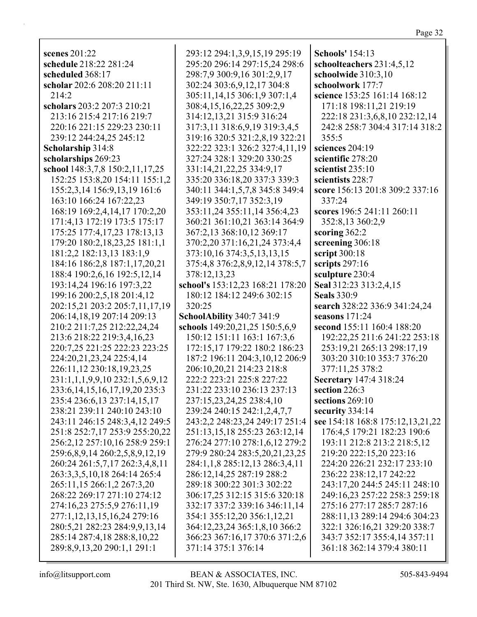| scenes 201:22                       | 293:12 294:1,3,9,15,19 295:19    | <b>Schools'</b> 154:13           |
|-------------------------------------|----------------------------------|----------------------------------|
| schedule 218:22 281:24              | 295:20 296:14 297:15,24 298:6    | schoolteachers 231:4,5,12        |
| scheduled 368:17                    | 298:7,9 300:9,16 301:2,9,17      | schoolwide 310:3,10              |
| scholar 202:6 208:20 211:11         | 302:24 303:6,9,12,17 304:8       | schoolwork 177:7                 |
| 214:2                               | 305:11,14,15 306:1,9 307:1,4     | science 153:25 161:14 168:12     |
| scholars 203:2 207:3 210:21         | 308:4,15,16,22,25 309:2,9        | 171:18 198:11,21 219:19          |
| 213:16 215:4 217:16 219:7           | 314:12,13,21 315:9 316:24        | 222:18 231:3,6,8,10 232:12,14    |
| 220:16 221:15 229:23 230:11         | 317:3,11 318:6,9,19 319:3,4,5    | 242:8 258:7 304:4 317:14 318:2   |
| 239:12 244:24,25 245:12             | 319:16 320:5 321:2,8,19 322:21   | 355:5                            |
| Scholarship 314:8                   | 322:22 323:1 326:2 327:4,11,19   | sciences 204:19                  |
| scholarships 269:23                 | 327:24 328:1 329:20 330:25       | scientific 278:20                |
| school 148:3,7,8 150:2,11,17,25     | 331:14,21,22,25 334:9,17         | scientist 235:10                 |
| 152:25 153:8,20 154:11 155:1,2      | 335:20 336:18,20 337:3 339:3     | scientists 228:7                 |
| 155:2,3,14 156:9,13,19 161:6        | 340:11 344:1,5,7,8 345:8 349:4   | score 156:13 201:8 309:2 337:16  |
| 163:10 166:24 167:22,23             | 349:19 350:7,17 352:3,19         | 337:24                           |
| 168:19 169:2,4,14,17 170:2,20       | 353:11,24 355:11,14 356:4,23     | scores 196:5 241:11 260:11       |
| 171:4,13 172:19 173:5 175:17        | 360:21 361:10,21 363:14 364:9    | 352:8,13 360:2,9                 |
| 175:25 177:4,17,23 178:13,13        | 367:2,13 368:10,12 369:17        | scoring $362:2$                  |
| 179:20 180:2,18,23,25 181:1,1       | 370:2,20 371:16,21,24 373:4,4    | screening 306:18                 |
| 181:2,2 182:13,13 183:1,9           | 373:10,16 374:3,5,13,13,15       | script 300:18                    |
| 184:16 186:2,8 187:1,17,20,21       | 375:4,8 376:2,8,9,12,14 378:5,7  | scripts 297:16                   |
| 188:4 190:2,6,16 192:5,12,14        | 378:12,13,23                     | sculpture 230:4                  |
| 193:14,24 196:16 197:3,22           | school's 153:12,23 168:21 178:20 | Seal 312:23 313:2,4,15           |
| 199:16 200:2,5,18 201:4,12          | 180:12 184:12 249:6 302:15       | <b>Seals</b> 330:9               |
| 202:15,21 203:2 205:7,11,17,19      | 320:25                           | search 328:22 336:9 341:24,24    |
| 206:14,18,19 207:14 209:13          | SchoolAbility 340:7 341:9        | seasons $171:24$                 |
| 210:2 211:7,25 212:22,24,24         | schools 149:20,21,25 150:5,6,9   | second 155:11 160:4 188:20       |
|                                     |                                  |                                  |
| 213:6 218:22 219:3,4,16,23          | 150:12 151:11 163:1 167:3,6      | 192:22,25 211:6 241:22 253:18    |
| 220:7,25 221:25 222:23 223:25       | 172:15,17 179:22 180:2 186:23    | 253:19,21 265:13 298:17,19       |
| 224:20,21,23,24 225:4,14            | 187:2 196:11 204:3,10,12 206:9   | 303:20 310:10 353:7 376:20       |
| 226:11,12 230:18,19,23,25           | 206:10,20,21 214:23 218:8        | 377:11,25 378:2                  |
| 231:1,1,1,9,9,10 232:1,5,6,9,12     | 222:2 223:21 225:8 227:22        | Secretary 147:4 318:24           |
| 233:6, 14, 15, 16, 17, 19, 20 235:3 | 231:22 233:10 236:13 237:13      | section 226:3                    |
| 235:4 236:6,13 237:14,15,17         | 237:15,23,24,25 238:4,10         | sections 269:10                  |
| 238:21 239:11 240:10 243:10         | 239:24 240:15 242:1,2,4,7,7      | security 334:14                  |
| 243:11 246:15 248:3,4,12 249:5      | 243:2,2 248:23,24 249:17 251:4   | see 154:18 168:8 175:12,13,21,22 |
| 251:8 252:7,17 253:9 255:20,22      | 251:13,15,18 255:23 263:12,14    | 176:4,5 179:21 182:23 190:6      |
| 256:2,12 257:10,16 258:9 259:1      | 276:24 277:10 278:1,6,12 279:2   | 193:11 212:8 213:2 218:5,12      |
| 259:6,8,9,14 260:2,5,8,9,12,19      | 279:9 280:24 283:5,20,21,23,25   | 219:20 222:15,20 223:16          |
| 260:24 261:5,7,17 262:3,4,8,11      | 284:1,1,8 285:12,13 286:3,4,11   | 224:20 226:21 232:17 233:10      |
| 263:3,3,5,10,18 264:14 265:4        | 286:12,14,25 287:19 288:2        | 236:22 238:12,17 242:22          |
| 265:11,15 266:1,2 267:3,20          | 289:18 300:22 301:3 302:22       | 243:17,20 244:5 245:11 248:10    |
| 268:22 269:17 271:10 274:12         | 306:17,25 312:15 315:6 320:18    | 249:16,23 257:22 258:3 259:18    |
| 274:16,23 275:5,9 276:11,19         | 332:17 337:2 339:16 346:11,14    | 275:16 277:17 285:7 287:16       |
| 277:1,12,13,15,16,24 279:16         | 354:1 355:12,20 356:1,12,21      | 288:11,13 289:14 294:6 304:23    |
| 280:5,21 282:23 284:9,9,13,14       | 364:12,23,24 365:1,8,10 366:2    | 322:1 326:16,21 329:20 338:7     |
| 285:14 287:4,18 288:8,10,22         | 366:23 367:16,17 370:6 371:2,6   | 343:7 352:17 355:4,14 357:11     |
| 289:8, 9, 13, 20 290:1, 1 291:1     | 371:14 375:1 376:14              | 361:18 362:14 379:4 380:11       |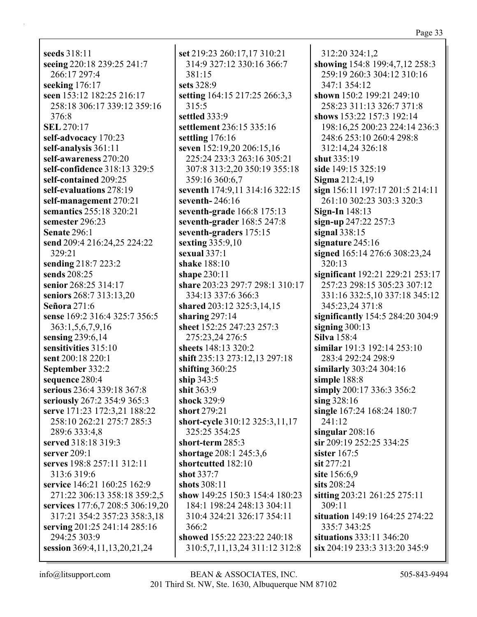**seeds** 318:11 **seeing** 220:18 239:25 241:7 266:17 297:4 **seeking** 176:17 **seen** 153:12 182:25 216:17 258:18 306:17 339:12 359:16 376:8 **SEL** 270:17 **self-advocacy** 170:23 **self-analysis** 361:11 **self-awareness** 270:20 **self-confidence** 318:13 329:5 **self-contained** 209:25 **self-evaluations** 278:19 **self-management** 270:21 **semantics** 255:18 320:21 **semester** 296:23 **Senate** 296:1 **send** 209:4 216:24,25 224:22 329:21 **sending** 218:7 223:2 **sends** 208:25 **senior** 268:25 314:17 **seniors** 268:7 313:13,20 **Señora** 271:6 **sense** 169:2 316:4 325:7 356:5 363:1,5,6,7,9,16 **sensing** 239:6,14 **sensitivities** 315:10 **sent** 200:18 220:1 **September** 332:2 **sequence** 280:4 **serious** 236:4 339:18 367:8 **seriously** 267:2 354:9 365:3 **serve** 171:23 172:3,21 188:22 258:10 262:21 275:7 285:3 289:6 333:4,8 **served** 318:18 319:3 **server** 209:1 **serves** 198:8 257:11 312:11 313:6 319:6 **service** 146:21 160:25 162:9 271:22 306:13 358:18 359:2,5 **services** 177:6,7 208:5 306:19,20 317:21 354:2 357:23 358:3,18 **serving** 201:25 241:14 285:16 294:25 303:9 **session** 369:4,11,13,20,21,24

**set** 219:23 260:17,17 310:21 314:9 327:12 330:16 366:7 381:15 **sets** 328:9 **setting** 164:15 217:25 266:3,3 315:5 **settled** 333:9 **settlement** 236:15 335:16 **settling** 176:16 **seven** 152:19,20 206:15,16 225:24 233:3 263:16 305:21 307:8 313:2,20 350:19 355:18 359:16 360:6,7 **seventh** 174:9,11 314:16 322:15 **seventh-** 246:16 **seventh-grade** 166:8 175:13 **seventh-grader** 168:5 247:8 **seventh-graders** 175:15 **sexting** 335:9,10 **sexual** 337:1 **shake** 188:10 **shape** 230:11 **share** 203:23 297:7 298:1 310:17 334:13 337:6 366:3 **shared** 203:12 325:3,14,15 **sharing** 297:14 **sheet** 152:25 247:23 257:3 275:23,24 276:5 **sheets** 148:13 320:2 **shift** 235:13 273:12,13 297:18 **shifting** 360:25 **ship** 343:5 **shit** 363:9 **shock** 329:9 **short** 279:21 **short-cycle** 310:12 325:3,11,17 325:25 354:25 **short-term** 285:3 **shortage** 208:1 245:3,6 **shortcutted** 182:10 **shot** 337:7 **shots** 308:11 **show** 149:25 150:3 154:4 180:23 184:1 198:24 248:13 304:11 310:4 324:21 326:17 354:11 366:2 **showed** 155:22 223:22 240:18 310:5,7,11,13,24 311:12 312:8

312:20 324:1,2 **showing** 154:8 199:4,7,12 258:3 259:19 260:3 304:12 310:16 347:1 354:12 **shown** 150:2 199:21 249:10 258:23 311:13 326:7 371:8 **shows** 153:22 157:3 192:14 198:16,25 200:23 224:14 236:3 248:6 253:10 260:4 298:8 312:14,24 326:18 **shut** 335:19 **side** 149:15 325:19 **Sigma** 212:4,19 **sign** 156:11 197:17 201:5 214:11 261:10 302:23 303:3 320:3 **Sign-In** 148:13 **sign-up** 247:22 257:3 **signal** 338:15 **signature** 245:16 **signed** 165:14 276:6 308:23,24 320:13 **significant** 192:21 229:21 253:17 257:23 298:15 305:23 307:12 331:16 332:5,10 337:18 345:12 345:23,24 371:8 **significantly** 154:5 284:20 304:9 **signing** 300:13 **Silva** 158:4 **similar** 191:3 192:14 253:10 283:4 292:24 298:9 **similarly** 303:24 304:16 **simple** 188:8 **simply** 200:17 336:3 356:2 **sing** 328:16 **single** 167:24 168:24 180:7 241:12 **singular** 208:16 **sir** 209:19 252:25 334:25 **sister** 167:5 **sit** 277:21 **site** 156:6,9 **sits** 208:24 **sitting** 203:21 261:25 275:11 309:11 **situation** 149:19 164:25 274:22 335:7 343:25 **situations** 333:11 346:20 **six** 204:19 233:3 313:20 345:9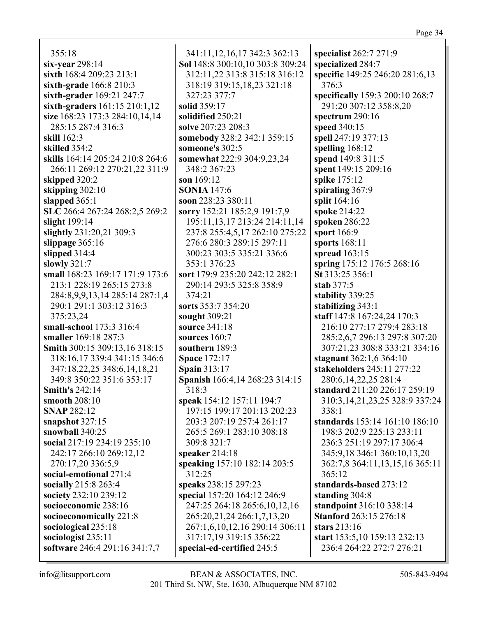355:18 **six-year** 298:14 **sixth** 168:4 209:23 213:1 **sixth-grade** 166:8 210:3 **sixth-grader** 169:21 247:7 **sixth-graders** 161:15 210:1,12 **size** 168:23 173:3 284:10,14,14 285:15 287:4 316:3 **skill** 162:3 **skilled** 354:2 **skills** 164:14 205:24 210:8 264:6 266:11 269:12 270:21,22 311:9 **skipped** 320:2 **skipping** 302:10 **slapped** 365:1 **SLC** 266:4 267:24 268:2,5 269:2 **slight** 199:14 **slightly** 231:20,21 309:3 **slippage** 365:16 **slipped** 314:4 **slowly** 321:7 **small** 168:23 169:17 171:9 173:6 213:1 228:19 265:15 273:8 284:8,9,9,13,14 285:14 287:1,4 290:1 291:1 303:12 316:3 375:23,24 **small-school** 173:3 316:4 **smaller** 169:18 287:3 **Smith** 300:15 309:13,16 318:15 318:16,17 339:4 341:15 346:6 347:18,22,25 348:6,14,18,21 349:8 350:22 351:6 353:17 **Smith's** 242:14 **smooth** 208:10 **SNAP** 282:12 **snapshot** 327:15 **snowball** 340:25 **social** 217:19 234:19 235:10 242:17 266:10 269:12,12 270:17,20 336:5,9 **social-emotional** 271:4 **socially** 215:8 263:4 **society** 232:10 239:12 **socioeconomic** 238:16 **socioeconomically** 221:8 **sociological** 235:18 **sociologist** 235:11 **software** 246:4 291:16 341:7,7

341:11,12,16,17 342:3 362:13 **Sol** 148:8 300:10,10 303:8 309:24 312:11,22 313:8 315:18 316:12 318:19 319:15,18,23 321:18 327:23 377:7 **solid** 359:17 **solidified** 250:21 **solve** 207:23 208:3 **somebody** 328:2 342:1 359:15 **someone's** 302:5 **somewhat** 222:9 304:9,23,24 348:2 367:23 **son** 169:12 **SONIA** 147:6 **soon** 228:23 380:11 **sorry** 152:21 185:2,9 191:7,9 195:11,13,17 213:24 214:11,14 237:8 255:4,5,17 262:10 275:22 276:6 280:3 289:15 297:11 300:23 303:5 335:21 336:6 353:1 376:23 **sort** 179:9 235:20 242:12 282:1 290:14 293:5 325:8 358:9 374:21 **sorts** 353:7 354:20 **sought** 309:21 **source** 341:18 **sources** 160:7 **southern** 189:3 **Space** 172:17 **Spain** 313:17 **Spanish** 166:4,14 268:23 314:15 318:3 **speak** 154:12 157:11 194:7 197:15 199:17 201:13 202:23 203:3 207:19 257:4 261:17 265:5 269:1 283:10 308:18 309:8 321:7 **speaker** 214:18 **speaking** 157:10 182:14 203:5 312:25 **speaks** 238:15 297:23 **special** 157:20 164:12 246:9 247:25 264:18 265:6,10,12,16 265:20,21,24 266:1,7,13,20 267:1,6,10,12,16 290:14 306:11 317:17,19 319:15 356:22 **special-ed-certified** 245:5

**specialist** 262:7 271:9 **specialized** 284:7 **specific** 149:25 246:20 281:6,13 376:3 **specifically** 159:3 200:10 268:7 291:20 307:12 358:8,20 **spectrum** 290:16 **speed** 340:15 **spell** 247:19 377:13 **spelling** 168:12 **spend** 149:8 311:5 **spent** 149:15 209:16 **spike** 175:12 **spiraling** 367:9 **split** 164:16 **spoke** 214:22 **spoken** 286:22 **sport** 166:9 **sports** 168:11 **spread** 163:15 **spring** 175:12 176:5 268:16 **St** 313:25 356:1 **stab** 377:5 **stability** 339:25 **stabilizing** 343:1 **staff** 147:8 167:24,24 170:3 216:10 277:17 279:4 283:18 285:2,6,7 296:13 297:8 307:20 307:21,23 308:8 333:21 334:16 **stagnant** 362:1,6 364:10 **stakeholders** 245:11 277:22 280:6,14,22,25 281:4 **standard** 211:20 226:17 259:19 310:3,14,21,23,25 328:9 337:24 338:1 **standards** 153:14 161:10 186:10 198:3 202:9 225:13 233:11 236:3 251:19 297:17 306:4 345:9,18 346:1 360:10,13,20 362:7,8 364:11,13,15,16 365:11 365:12 **standards-based** 273:12 **standing** 304:8 **standpoint** 316:10 338:14 **Stanford** 263:15 276:18 **stars** 213:16 **start** 153:5,10 159:13 232:13 236:4 264:22 272:7 276:21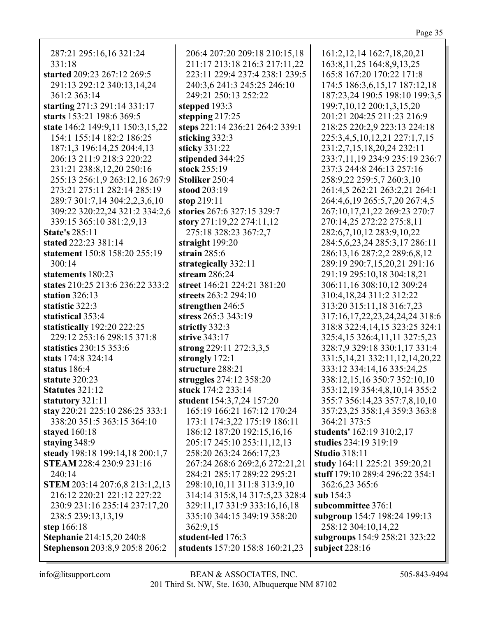| 287:21 295:16,16 321:24          | 206:4 207:20 209:18 210:15,18   | 161:2, 12, 14 162: 7, 18, 20, 21      |
|----------------------------------|---------------------------------|---------------------------------------|
| 331:18                           | 211:17 213:18 216:3 217:11,22   | 163:8, 11, 25 164:8, 9, 13, 25        |
| started 209:23 267:12 269:5      | 223:11 229:4 237:4 238:1 239:5  | 165:8 167:20 170:22 171:8             |
| 291:13 292:12 340:13,14,24       | 240:3,6 241:3 245:25 246:10     | 174:5 186:3,6,15,17 187:12,18         |
| 361:2 363:14                     | 249:21 250:13 252:22            | 187:23,24 190:5 198:10 199:3,5        |
| starting 271:3 291:14 331:17     | stepped 193:3                   | 199:7, 10, 12 200:1, 3, 15, 20        |
| starts 153:21 198:6 369:5        | stepping $217:25$               | 201:21 204:25 211:23 216:9            |
| state 146:2 149:9,11 150:3,15,22 | steps 221:14 236:21 264:2 339:1 | 218:25 220:2,9 223:13 224:18          |
| 154:1 155:14 182:2 186:25        | sticking 332:3                  | 225:3,4,5,10,12,21 227:1,7,15         |
| 187:1,3 196:14,25 204:4,13       | sticky 331:22                   | 231:2,7,15,18,20,24 232:11            |
| 206:13 211:9 218:3 220:22        | stipended 344:25                | 233:7,11,19 234:9 235:19 236:7        |
| 231:21 238:8,12,20 250:16        | stock 255:19                    | 237:3 244:8 246:13 257:16             |
| 255:13 256:1,9 263:12,16 267:9   | Stoliker 250:4                  | 258:9,22 259:5,7 260:3,10             |
| 273:21 275:11 282:14 285:19      | stood 203:19                    | 261:4,5 262:21 263:2,21 264:1         |
| 289:7 301:7,14 304:2,2,3,6,10    | stop $219:11$                   | 264:4,6,19 265:5,7,20 267:4,5         |
| 309:22 320:22,24 321:2 334:2,6   | stories 267:6 327:15 329:7      | 267:10,17,21,22 269:23 270:7          |
| 339:15 365:10 381:2,9,13         | story 271:19,22 274:11,12       | 270:14,25 272:22 275:8,11             |
| <b>State's 285:11</b>            | 275:18 328:23 367:2,7           | 282:6,7,10,12 283:9,10,22             |
| stated 222:23 381:14             | straight 199:20                 | 284:5,6,23,24 285:3,17 286:11         |
| statement 150:8 158:20 255:19    | strain $285:6$                  | 286:13,16 287:2,2 289:6,8,12          |
| 300:14                           | strategically 332:11            | 289:19 290:7,15,20,21 291:16          |
| statements 180:23                | stream $286:24$                 | 291:19 295:10,18 304:18,21            |
| states 210:25 213:6 236:22 333:2 | street 146:21 224:21 381:20     | 306:11,16 308:10,12 309:24            |
| station 326:13                   | streets 263:2 294:10            | 310:4,18,24 311:2 312:22              |
| statistic 322:3                  | strengthen 246:5                | 313:20 315:11,18 316:7,23             |
| statistical 353:4                | stress 265:3 343:19             | 317:16,17,22,23,24,24,24 318:6        |
| statistically 192:20 222:25      | strictly 332:3                  | 318:8 322:4,14,15 323:25 324:1        |
| 229:12 253:16 298:15 371:8       | strive 343:17                   | 325:4,15 326:4,11,11 327:5,23         |
| statistics 230:15 353:6          | strong 229:11 272:3,3,5         | 328:7,9 329:18 330:1,17 331:4         |
| stats 174:8 324:14               | strongly 172:1                  | 331:5, 14, 21 332: 11, 12, 14, 20, 22 |
| status 186:4                     | structure 288:21                | 333:12 334:14,16 335:24,25            |
| statute 320:23                   | struggles 274:12 358:20         | 338:12,15,16 350:7 352:10,10          |
| <b>Statutes</b> 321:12           | stuck 174:2 233:14              | 353:12,19 354:4,8,10,14 355:2         |
| statutory 321:11                 | student 154:3,7,24 157:20       | 355:7 356:14,23 357:7,8,10,10         |
| stay 220:21 225:10 286:25 333:1  | 165:19 166:21 167:12 170:24     | 357:23,25 358:1,4 359:3 363:8         |
| 338:20 351:5 363:15 364:10       | 173:1 174:3,22 175:19 186:11    | 364:21 373:5                          |
| stayed 160:18                    | 186:12 187:20 192:15,16,16      | students' 162:19 310:2,17             |
| staying 348:9                    | 205:17 245:10 253:11,12,13      | studies 234:19 319:19                 |
| steady 198:18 199:14,18 200:1,7  | 258:20 263:24 266:17,23         | <b>Studio 318:11</b>                  |
| <b>STEAM 228:4 230:9 231:16</b>  | 267:24 268:6 269:2,6 272:21,21  | study 164:11 225:21 359:20,21         |
| 240:14                           | 284:21 285:17 289:22 295:21     | stuff 179:10 289:4 296:22 354:1       |
| STEM 203:14 207:6,8 213:1,2,13   | 298:10,10,11 311:8 313:9,10     | 362:6,23 365:6                        |
| 216:12 220:21 221:12 227:22      | 314:14 315:8,14 317:5,23 328:4  | sub $154:3$                           |
| 230:9 231:16 235:14 237:17,20    | 329:11,17 331:9 333:16,16,18    | subcommittee 376:1                    |
| 238:5 239:13,13,19               | 335:10 344:15 349:19 358:20     | subgroup 154:7 198:24 199:13          |
| step 166:18                      | 362:9,15                        | 258:12 304:10,14,22                   |
| Stephanie 214:15,20 240:8        | student-led 176:3               | subgroups 154:9 258:21 323:22         |
| Stephenson 203:8,9 205:8 206:2   | students 157:20 158:8 160:21,23 | subject $228:16$                      |
|                                  |                                 |                                       |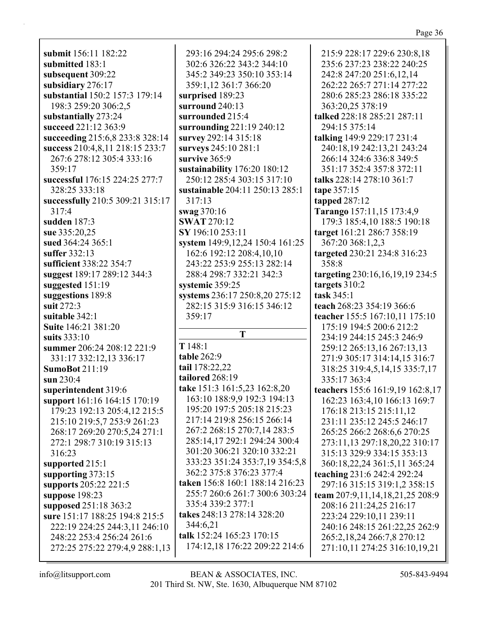submit 156:11 182:22 submitted 183:1 subsequent 309:22 subsidiary 276:17 substantial 150:2 157:3 179:14 198:3 259:20 306:2,5 substantially 273:24 succeed 221:12 363:9 succeeding 215:6,8 233:8 328:14 success 210:4,8,11 218:15 233:7 267:6 278:12 305:4 333:16  $359:17$ successful 176:15 224:25 277:7 328:25 333:18 successfully 210:5 309:21 315:17  $317:4$ sudden  $187:3$ sue 335:20.25 sued  $364:24365:1$ suffer 332:13 sufficient 338:22 354:7 suggest 189:17 289:12 344:3 suggested  $151:19$ suggestions 189:8 suit  $272:3$ suitable 342:1 **Suite 146:21 381:20** suits  $333:10$ summer 206:24 208:12 221:9 331:17 332:12,13 336:17 **SumoBot 211:19** sun 230:4 superintendent 319:6 support 161:16 164:15 170:19 179:23 192:13 205:4,12 215:5 215:10 219:5,7 253:9 261:23 268:17 269:20 270:5,24 271:1 272:1 298:7 310:19 315:13 316:23 supported 215:1 supporting  $373:15$ supports 205:22 221:5 suppose  $198:23$ supposed 251:18 363:2 sure 151:17 188:25 194:8 215:5 222:19 224:25 244:3,11 246:10 248:22 253:4 256:24 261:6 272:25 275:22 279:4,9 288:1,13

293:16 294:24 295:6 298:2 302:6 326:22 343:2 344:10 345:2 349:23 350:10 353:14 359:1,12 361:7 366:20 surprised 189:23 surround 240:13 surrounded 215:4 surrounding  $221:19240:12$ survey 292:14 315:18 surveys 245:10 281:1 survive 365:9 sustainability  $176:20$  180:12 250:12 285:4 303:15 317:10 sustainable 204:11 250:13 285:1  $317:13$ swag  $370:16$ **SWAT 270:12** SY 196:10 253:11 system 149:9,12,24 150:4 161:25 162:6 192:12 208:4,10,10 243:22 253:9 255:13 282:14 288:4 298:7 332:21 342:3 systemic 359:25 systems 236:17 250:8,20 275:12 282:15 315:9 316:15 346:12 359:17 T  $T148:1$ table 262:9 tail 178:22,22 tailored 268:19 take 151:3 161:5,23 162:8,20 163:10 188:9,9 192:3 194:13 195:20 197:5 205:18 215:23 217:14 219:8 256:15 266:14 267:2 268:15 270:7,14 283:5 285:14,17 292:1 294:24 300:4 301:20 306:21 320:10 332:21 333:23 351:24 353:7,19 354:5,8 362:2 375:8 376:23 377:4 taken 156:8 160:1 188:14 216:23 255:7 260:6 261:7 300:6 303:24 335:4 339:2 377:1 takes 248:13 278:14 328:20

344:6,21 talk 152:24 165:23 170:15 174:12,18 176:22 209:22 214:6

242:8 247:20 251:6,12,14 262:22 265:7 271:14 277:22 280:6 285:23 286:18 335:22 363:20,25 378:19 talked 228:18 285:21 287:11 294:15 375:14 talking 149:9 229:17 231:4 240:18,19 242:13,21 243:24 266:14 324:6 336:8 349:5 351:17 352:4 357:8 372:11 talks 228:14 278:10 361:7 tape 357:15 tapped  $287:12$ Tarango 157:11,15 173:4,9 179:3 185:4,10 188:5 190:18 target 161:21 286:7 358:19 367:20 368:1,2,3 targeted 230:21 234:8 316:23 358:8 targeting 230:16,16,19,19 234:5 targets  $310:2$ task 345:1 teach 268:23 354:19 366:6 teacher 155:5 167:10,11 175:10 175:19 194:5 200:6 212:2 234:19 244:15 245:3 246:9 259:12 265:13,16 267:13,13 271:9 305:17 314:14,15 316:7 318:25 319:4,5,14,15 335:7,17 335:17 363:4 teachers 155:6 161:9,19 162:8,17

215:9 228:17 229:6 230:8,18

235:6 237:23 238:22 240:25

162:23 163:4,10 166:13 169:7 176:18 213:15 215:11,12 231:11 235:12 245:5 246:17 265:25 266:2 268:6,6 270:25 273:11,13 297:18,20,22 310:17 315:13 329:9 334:15 353:13 360:18,22,24 361:5,11 365:24 teaching 231:6 242:4 292:24 297:16 315:15 319:1,2 358:15 team 207:9,11,14,18,21,25 208:9 208:16 211:24,25 216:17 223:24 229:10,11 239:11 240:16 248:15 261:22,25 262:9 265:2,18,24 266:7,8 270:12 271:10,11 274:25 316:10,19,21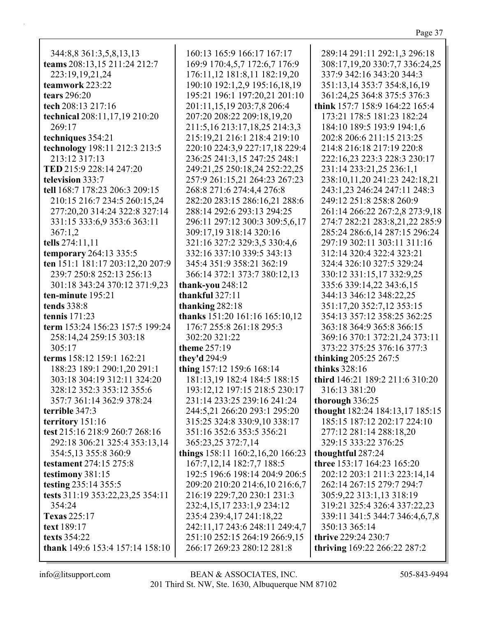| 344:8,8 361:3,5,8,13,13                | 160:13 165:9 166:17 167:17        | 289:14 291:11 292:1,3 296:18      |
|----------------------------------------|-----------------------------------|-----------------------------------|
| teams 208:13,15 211:24 212:7           | 169:9 170:4,5,7 172:6,7 176:9     | 308:17,19,20 330:7,7 336:24,25    |
| 223:19,19,21,24                        | 176:11,12 181:8,11 182:19,20      | 337:9 342:16 343:20 344:3         |
| teamwork 223:22                        | 190:10 192:1,2,9 195:16,18,19     | 351:13,14 353:7 354:8,16,19       |
|                                        |                                   |                                   |
| tears $296:20$                         | 195:21 196:1 197:20,21 201:10     | 361:24,25 364:8 375:5 376:3       |
| tech 208:13 217:16                     | 201:11,15,19 203:7,8 206:4        | think 157:7 158:9 164:22 165:4    |
| technical 208:11,17,19 210:20          | 207:20 208:22 209:18,19,20        | 173:21 178:5 181:23 182:24        |
| 269:17                                 | 211:5, 16 213:17, 18, 25 214:3, 3 | 184:10 189:5 193:9 194:1,6        |
| techniques 354:21                      | 215:19,21 216:1 218:4 219:10      | 202:8 206:6 211:15 213:25         |
| technology 198:11 212:3 213:5          | 220:10 224:3,9 227:17,18 229:4    | 214:8 216:18 217:19 220:8         |
| 213:12 317:13                          | 236:25 241:3,15 247:25 248:1      | 222:16,23 223:3 228:3 230:17      |
| TED 215:9 228:14 247:20                | 249:21,25 250:18,24 252:22,25     | 231:14 233:21,25 236:1,1          |
| television 333:7                       | 257:9 261:15,21 264:23 267:23     | 238:10,11,20 241:23 242:18,21     |
| tell 168:7 178:23 206:3 209:15         | 268:8 271:6 274:4,4 276:8         | 243:1,23 246:24 247:11 248:3      |
| 210:15 216:7 234:5 260:15,24           | 282:20 283:15 286:16,21 288:6     | 249:12 251:8 258:8 260:9          |
|                                        |                                   |                                   |
| 277:20,20 314:24 322:8 327:14          | 288:14 292:6 293:13 294:25        | 261:14 266:22 267:2,8 273:9,18    |
| 331:15 333:6,9 353:6 363:11            | 296:11 297:12 300:3 309:5,6,17    | 274:7 282:21 283:8,21,22 285:9    |
| 367:1,2                                | 309:17,19 318:14 320:16           | 285:24 286:6,14 287:15 296:24     |
| tells 274:11,11                        | 321:16 327:2 329:3,5 330:4,6      | 297:19 302:11 303:11 311:16       |
| temporary 264:13 335:5                 | 332:16 337:10 339:5 343:13        | 312:14 320:4 322:4 323:21         |
| ten 151:1 181:17 203:12,20 207:9       | 345:4 351:9 358:21 362:19         | 324:4 326:10 327:5 329:24         |
| 239:7 250:8 252:13 256:13              | 366:14 372:1 373:7 380:12,13      | 330:12 331:15,17 332:9,25         |
| 301:18 343:24 370:12 371:9,23          | thank-you 248:12                  | 335:6 339:14,22 343:6,15          |
| ten-minute 195:21                      | thankful $327:11$                 | 344:13 346:12 348:22,25           |
|                                        |                                   |                                   |
| tends 338:8                            | thanking 282:18                   | 351:17,20 352:7,12 353:15         |
| tennis $171:23$                        |                                   |                                   |
|                                        | thanks 151:20 161:16 165:10,12    | 354:13 357:12 358:25 362:25       |
| term 153:24 156:23 157:5 199:24        | 176:7 255:8 261:18 295:3          | 363:18 364:9 365:8 366:15         |
| 258:14,24 259:15 303:18                | 302:20 321:22                     | 369:16 370:1 372:21,24 373:11     |
| 305:17                                 | theme 257:19                      | 373:22 375:25 376:16 377:3        |
| terms 158:12 159:1 162:21              | they'd 294:9                      |                                   |
|                                        |                                   | thinking 205:25 267:5             |
| 188:23 189:1 290:1,20 291:1            | thing 157:12 159:6 168:14         | thinks $328:16$                   |
| 303:18 304:19 312:11 324:20            | 181:13,19 182:4 184:5 188:15      | third 146:21 189:2 211:6 310:20   |
| 328:12 352:3 353:12 355:6              | 193:12,12 197:15 218:5 230:17     | 316:13 381:20                     |
| 357:7 361:14 362:9 378:24              | 231:14 233:25 239:16 241:24       | thorough 336:25                   |
| terrible 347:3                         | 244:5,21 266:20 293:1 295:20      | thought 182:24 184:13,17 185:15   |
| territory 151:16                       | 315:25 324:8 330:9,10 338:17      | 185:15 187:12 202:17 224:10       |
| test 215:16 218:9 260:7 268:16         | 351:16 352:6 353:5 356:21         | 277:12 281:14 288:18,20           |
| 292:18 306:21 325:4 353:13,14          | 365:23,25 372:7,14                | 329:15 333:22 376:25              |
| 354:5,13 355:8 360:9                   | things 158:11 160:2,16,20 166:23  | thoughtful 287:24                 |
| testament 274:15 275:8                 | 167:7, 12, 14 182:7, 7 188:5      | <b>three</b> 153:17 164:23 165:20 |
|                                        | 192:5 196:6 198:14 204:9 206:5    |                                   |
| testimony 381:15                       |                                   | 202:12 203:1 211:3 223:14,14      |
| testing 235:14 355:5                   | 209:20 210:20 214:6,10 216:6,7    | 262:14 267:15 279:7 294:7         |
| tests 311:19 353:22,23,25 354:11       | 216:19 229:7,20 230:1 231:3       | 305:9,22 313:1,13 318:19          |
| 354:24                                 | 232:4,15,17 233:1,9 234:12        | 319:21 325:4 326:4 337:22,23      |
| <b>Texas</b> 225:17                    | 235:4 239:4,17 241:18,22          | 339:11 341:5 344:7 346:4,6,7,8    |
| text 189:17                            | 242:11,17 243:6 248:11 249:4,7    | 350:13 365:14                     |
| <b>texts</b> 354:22                    | 251:10 252:15 264:19 266:9,15     | thrive 229:24 230:7               |
| <b>thank</b> 149:6 153:4 157:14 158:10 | 266:17 269:23 280:12 281:8        | thriving 169:22 266:22 287:2      |

 $\mathsf{info@listsupport.com}$ 

Page 37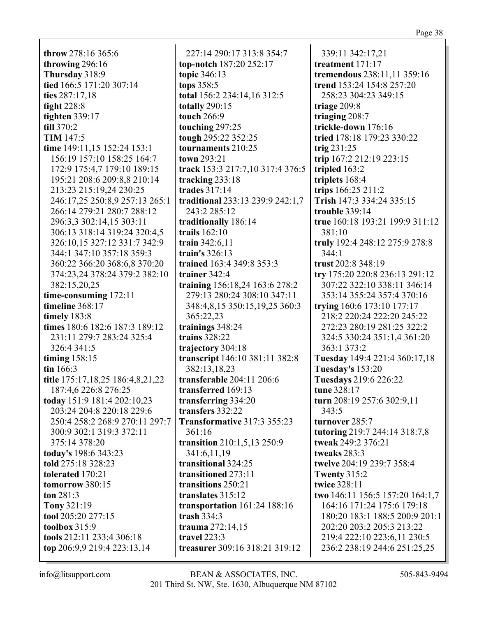throw 278:16 365:6 throwing 296:16 Thursday 318:9 tied 166:5 171:20 307:14 ties 287:17.18 tight  $228:8$ tighten  $339:17$ till  $370:2$ **TIM 147:5** time 149:11,15 152:24 153:1 156:19 157:10 158:25 164:7 172:9 175:4,7 179:10 189:15 195:21 208:6 209:8,8 210:14 213:23 215:19,24 230:25 246:17,25 250:8,9 257:13 265:1 266:14 279:21 280:7 288:12 296:3,3 302:14,15 303:11 306:13 318:14 319:24 320:4.5 326:10,15 327:12 331:7 342:9 344:1 347:10 357:18 359:3 360:22 366:20 368:6,8 370:20 374:23,24 378:24 379:2 382:10 382:15,20,25 time-consuming 172:11 timeline 368:17 timely 183:8 times 180:6 182:6 187:3 189:12 231:11 279:7 283:24 325:4 326:4 341:5 timing  $158:15$  $\text{tin } 166:3$ title 175:17,18,25 186:4,8,21,22 187:4,6 226:8 276:25 today 151:9 181:4 202:10,23 203:24 204:8 220:18 229:6 250:4 258:2 268:9 270:11 297:7 300:9 302:1 319:3 372:11 375:14 378:20 today's 198:6 343:23 told 275:18 328:23 tolerated 170:21 tomorrow 380:15 ton  $281:3$ Tony 321:19 tool 205:20 277:15 toolbox  $315:9$ tools 212:11 233:4 306:18 top 206:9,9 219:4 223:13,14

227:14 290:17 313:8 354:7 top-notch 187:20 252:17 topic 346:13 tops 358:5 total 156:2 234:14,16 312:5 totally  $290:15$ **touch** 266:9 touching 297:25 tough 295:22 352:25 tournaments 210:25 town 293:21 track 153:3 217:7,10 317:4 376:5 tracking 233:18 trades  $317:14$ traditional 233:13 239:9 242:1,7 243:2 285:12 traditionally 186:14 trails  $162:10$ train  $342:6.11$ train's  $326:13$ trained 163:4 349:8 353:3 trainer 342:4 training 156:18,24 163:6 278:2 279:13 280:24 308:10 347:11 348:4,8,15 350:15,19,25 360:3 365:22.23 trainings 348:24 trains  $328:22$ trajectory 304:18 transcript 146:10 381:11 382:8 382:13,18,23 transferable  $204:11$   $206:6$ transferred 169:13 transferring 334:20 transfers 332:22 **Transformative 317:3 355:23**  $361:16$ transition 210:1,5,13 250:9 341:6,11,19 transitional 324:25 transitioned 273:11 transitions 250:21 translates  $315:12$ transportation  $161:24$  188:16 trash  $334:3$ trauma 272:14,15 travel  $223:3$ treasurer 309:16 318:21 319:12

339:11 342:17.21 treatment 171:17 tremendous 238:11,11 359:16 trend 153:24 154:8 257:20 258:23 304:23 349:15 triage  $209:8$ triaging 208:7 trickle-down 176:16 tried 178:18 179:23 330:22 trig  $231:25$ trip  $167:2 212:19 223:15$ tripled 163:2 triplets 168:4 trips 166:25 211:2 Trish 147:3 334:24 335:15 trouble  $339:14$ true 160:18 193:21 199:9 311:12 381:10 truly 192:4 248:12 275:9 278:8  $344:1$ trust 202:8 348:19 try 175:20 220:8 236:13 291:12 307:22 322:10 338:11 346:14 353:14 355:24 357:4 370:16 trying  $160:6$  173:10 177:17 218:2 220:24 222:20 245:22 272:23 280:19 281:25 322:2 324:5 330:24 351:1,4 361:20 363:1 373:2 Tuesday 149:4 221:4 360:17,18 **Tuesday's 153:20** Tuesdays 219:6 226:22 tune 328:17 turn 208:19 257:6 302:9,11  $343:5$ turnover  $285:7$ tutoring 219:7 244:14 318:7,8 tweak 249:2 376:21 tweaks 283:3 twelve 204:19 239:7 358:4 **Twenty 315:2** twice 328:11 two 146:11 156:5 157:20 164:1,7 164:16 171:24 175:6 179:18 180:20 183:1 188:5 200:9 201:1 202:20 203:2 205:3 213:22 219:4 222:10 223:6,11 230:5 236:2 238:19 244:6 251:25,25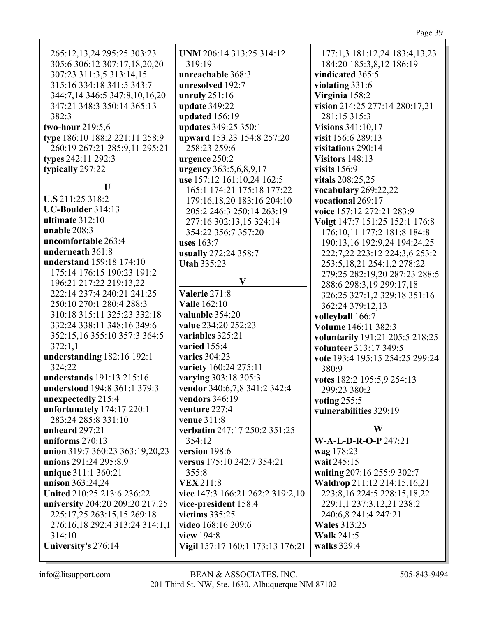| יי<br>O<br>., |  |
|---------------|--|
|               |  |

| 265:12,13,24 295:25 303:23      | UNM 206:14 313:25 314:12                   | 177:1,3 181:12,24 183:4,13,23   |
|---------------------------------|--------------------------------------------|---------------------------------|
| 305:6 306:12 307:17,18,20,20    | 319:19                                     | 184:20 185:3,8,12 186:19        |
| 307:23 311:3,5 313:14,15        | unreachable 368:3                          | vindicated 365:5                |
| 315:16 334:18 341:5 343:7       | unresolved 192:7                           | violating 331:6                 |
| 344:7,14 346:5 347:8,10,16,20   | unruly $251:16$                            | Virginia 158:2                  |
| 347:21 348:3 350:14 365:13      |                                            | vision 214:25 277:14 280:17,21  |
| 382:3                           | update 349:22                              | 281:15 315:3                    |
|                                 | updated 156:19                             | <b>Visions 341:10,17</b>        |
| two-hour 219:5,6                | updates 349:25 350:1                       | visit 156:6 289:13              |
| type 186:10 188:2 221:11 258:9  | upward 153:23 154:8 257:20<br>258:23 259:6 |                                 |
| 260:19 267:21 285:9,11 295:21   |                                            | visitations 290:14              |
| types 242:11 292:3              | urgence 250:2                              | Visitors 148:13                 |
| typically 297:22                | urgency 363:5,6,8,9,17                     | visits $156:9$                  |
| U                               | use 157:12 161:10,24 162:5                 | vitals 208:25,25                |
| U.S 211:25 318:2                | 165:1 174:21 175:18 177:22                 | vocabulary 269:22,22            |
| UC-Boulder 314:13               | 179:16,18,20 183:16 204:10                 | vocational 269:17               |
| ultimate $312:10$               | 205:2 246:3 250:14 263:19                  | voice 157:12 272:21 283:9       |
| unable 208:3                    | 277:16 302:13,15 324:14                    | Voigt 147:7 151:25 152:1 176:8  |
| uncomfortable 263:4             | 354:22 356:7 357:20                        | 176:10,11 177:2 181:8 184:8     |
| underneath 361:8                | <b>uses</b> 163:7                          | 190:13,16 192:9,24 194:24,25    |
| understand 159:18 174:10        | usually 272:24 358:7                       | 222:7,22 223:12 224:3,6 253:2   |
| 175:14 176:15 190:23 191:2      | <b>Utah 335:23</b>                         | 253:5, 18, 21 254:1, 2 278: 22  |
| 196:21 217:22 219:13,22         | $\mathbf{V}$                               | 279:25 282:19,20 287:23 288:5   |
|                                 | Valerie 271:8                              | 288:6 298:3,19 299:17,18        |
| 222:14 237:4 240:21 241:25      | <b>Valle</b> 162:10                        | 326:25 327:1,2 329:18 351:16    |
| 250:10 270:1 280:4 288:3        |                                            | 362:24 379:12,13                |
| 310:18 315:11 325:23 332:18     | valuable 354:20                            | volleyball 166:7                |
| 332:24 338:11 348:16 349:6      | value 234:20 252:23                        | Volume 146:11 382:3             |
| 352:15,16 355:10 357:3 364:5    | variables 325:21                           | voluntarily 191:21 205:5 218:25 |
| 372:1,1                         | varied 155:4                               | volunteer 313:17 349:5          |
| understanding 182:16 192:1      | varies 304:23                              | vote 193:4 195:15 254:25 299:24 |
| 324:22                          | variety 160:24 275:11                      | 380:9                           |
| understands 191:13 215:16       | varying 303:18 305:3                       | votes 182:2 195:5,9 254:13      |
| understood 194:8 361:1 379:3    | vendor 340:6,7,8 341:2 342:4               | 299:23 380:2                    |
| unexpectedly 215:4              | vendors 346:19                             | voting 255:5                    |
| unfortunately 174:17 220:1      | venture 227:4                              | vulnerabilities 329:19          |
| 283:24 285:8 331:10             | <b>venue</b> 311:8                         | W                               |
| unheard 297:21                  | verbatim 247:17 250:2 351:25               |                                 |
| uniforms $270:13$               | 354:12                                     | W-A-L-D-R-O-P 247:21            |
| union 319:7 360:23 363:19,20,23 | version 198:6                              | wag 178:23                      |
| unions 291:24 295:8,9           | versus 175:10 242:7 354:21                 | wait 245:15                     |
| unique 311:1 360:21             | 355:8                                      | waiting 207:16 255:9 302:7      |
| unison 363:24,24                | <b>VEX 211:8</b>                           | Waldrop 211:12 214:15,16,21     |
| United 210:25 213:6 236:22      | vice 147:3 166:21 262:2 319:2,10           | 223:8, 16 224:5 228:15, 18, 22  |
| university 204:20 209:20 217:25 | vice-president 158:4                       | 229:1,1 237:3,12,21 238:2       |
| 225:17,25 263:15,15 269:18      | victims 335:25                             | 240:6,8 241:4 247:21            |
| 276:16,18 292:4 313:24 314:1,1  | video 168:16 209:6                         | <b>Wales 313:25</b>             |
| 314:10                          | view 194:8                                 | <b>Walk 241:5</b>               |
| University's 276:14             | Vigil 157:17 160:1 173:13 176:21           | walks 329:4                     |
|                                 |                                            |                                 |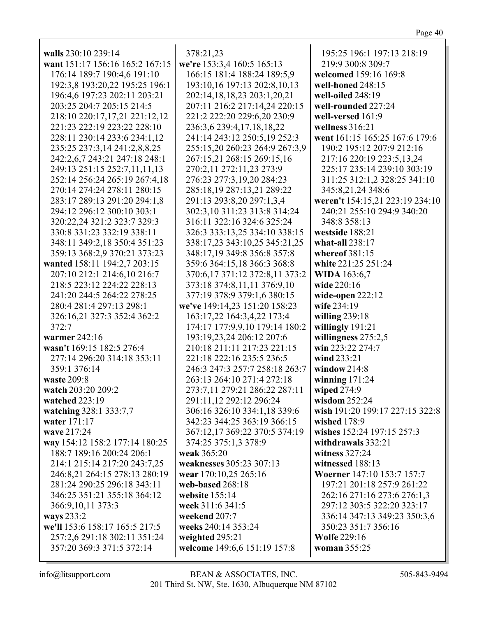| walls 230:10 239:14             | 378:21,23                      | 195:25 196:1 197:13 218:19        |
|---------------------------------|--------------------------------|-----------------------------------|
| want 151:17 156:16 165:2 167:15 | we're 153:3,4 160:5 165:13     | 219:9 300:8 309:7                 |
| 176:14 189:7 190:4,6 191:10     | 166:15 181:4 188:24 189:5,9    | welcomed 159:16 169:8             |
| 192:3,8 193:20,22 195:25 196:1  | 193:10,16 197:13 202:8,10,13   | well-honed 248:15                 |
| 196:4,6 197:23 202:11 203:21    | 202:14,18,18,23 203:1,20,21    | well-oiled 248:19                 |
| 203:25 204:7 205:15 214:5       | 207:11 216:2 217:14,24 220:15  | well-rounded 227:24               |
| 218:10 220:17,17,21 221:12,12   | 221:2 222:20 229:6,20 230:9    | well-versed 161:9                 |
| 221:23 222:19 223:22 228:10     | 236:3,6 239:4,17,18,18,22      | wellness $316:21$                 |
| 228:11 230:14 233:6 234:1,12    | 241:14 243:12 250:5,19 252:3   | went 161:15 165:25 167:6 179:6    |
| 235:25 237:3,14 241:2,8,8,25    | 255:15,20 260:23 264:9 267:3,9 | 190:2 195:12 207:9 212:16         |
| 242:2,6,7 243:21 247:18 248:1   | 267:15,21 268:15 269:15,16     | 217:16 220:19 223:5,13,24         |
| 249:13 251:15 252:7,11,11,13    | 270:2,11 272:11,23 273:9       | 225:17 235:14 239:10 303:19       |
| 252:14 256:24 265:19 267:4,18   | 276:23 277:3,19,20 284:23      | 311:25 312:1,2 328:25 341:10      |
| 270:14 274:24 278:11 280:15     | 285:18,19 287:13,21 289:22     | 345:8,21,24 348:6                 |
| 283:17 289:13 291:20 294:1,8    | 291:13 293:8,20 297:1,3,4      | weren't 154:15,21 223:19 234:10   |
| 294:12 296:12 300:10 303:1      | 302:3,10 311:23 313:8 314:24   | 240:21 255:10 294:9 340:20        |
| 320:22,24 321:2 323:7 329:3     | 316:11 322:16 324:6 325:24     | 348:8 358:13                      |
| 330:8 331:23 332:19 338:11      | 326:3 333:13,25 334:10 338:15  | westside 188:21                   |
| 348:11 349:2,18 350:4 351:23    | 338:17,23 343:10,25 345:21,25  | what-all $238:17$                 |
| 359:13 368:2,9 370:21 373:23    | 348:17,19 349:8 356:8 357:8    | whereof $381:15$                  |
| wanted 158:11 194:2,7 203:15    | 359:6 364:15,18 366:3 368:8    | white 221:25 251:24               |
| 207:10 212:1 214:6,10 216:7     | 370:6,17 371:12 372:8,11 373:2 | <b>WIDA</b> 163:6,7               |
| 218:5 223:12 224:22 228:13      | 373:18 374:8,11,11 376:9,10    | wide 220:16                       |
| 241:20 244:5 264:22 278:25      | 377:19 378:9 379:1,6 380:15    | wide-open $222:12$                |
| 280:4 281:4 297:13 298:1        |                                | wife 234:19                       |
|                                 | we've 149:14,23 151:20 158:23  |                                   |
| 326:16,21 327:3 352:4 362:2     | 163:17,22 164:3,4,22 173:4     | willing $239:18$                  |
| 372:7                           | 174:17 177:9,9,10 179:14 180:2 | willingly 191:21                  |
| warmer 242:16                   | 193:19,23,24 206:12 207:6      | willingness 275:2,5               |
| wasn't 169:15 182:5 276:4       | 210:18 211:11 217:23 221:15    | win 223:22 274:7                  |
| 277:14 296:20 314:18 353:11     | 221:18 222:16 235:5 236:5      | wind 233:21                       |
| 359:1 376:14                    | 246:3 247:3 257:7 258:18 263:7 | window $214:8$                    |
| waste 209:8                     | 263:13 264:10 271:4 272:18     | winning $171:24$                  |
| watch 203:20 209:2              | 273:7,11 279:21 286:22 287:11  | wiped 274:9                       |
| watched 223:19                  | 291:11,12 292:12 296:24        | wisdom $252:24$                   |
| watching 328:1 333:7,7          | 306:16 326:10 334:1,18 339:6   | wish 191:20 199:17 227:15 322:8   |
| water 171:17                    | 342:23 344:25 363:19 366:15    | wished 178:9                      |
| wave 217:24                     | 367:12,17 369:22 370:5 374:19  | wishes 152:24 197:15 257:3        |
| way 154:12 158:2 177:14 180:25  | 374:25 375:1,3 378:9           | withdrawals 332:21                |
| 188:7 189:16 200:24 206:1       | weak 365:20                    | witness 327:24                    |
| 214:1 215:14 217:20 243:7,25    | weaknesses 305:23 307:13       | witnessed 188:13                  |
| 246:8,21 264:15 278:13 280:19   | wear 170:10,25 265:16          | <b>Woerner</b> 147:10 153:7 157:7 |
| 281:24 290:25 296:18 343:11     | web-based 268:18               | 197:21 201:18 257:9 261:22        |
| 346:25 351:21 355:18 364:12     | website $155:14$               | 262:16 271:16 273:6 276:1,3       |
| 366:9,10,11 373:3               | week 311:6 341:5               | 297:12 303:5 322:20 323:17        |
| ways 233:2                      | weekend 207:7                  | 336:14 347:13 349:23 350:3,6      |
| we'll 153:6 158:17 165:5 217:5  | weeks 240:14 353:24            | 350:23 351:7 356:16               |
| 257:2,6 291:18 302:11 351:24    | weighted 295:21                | <b>Wolfe 229:16</b>               |
| 357:20 369:3 371:5 372:14       | welcome 149:6,6 151:19 157:8   | <b>woman</b> 355:25               |
|                                 |                                |                                   |

Г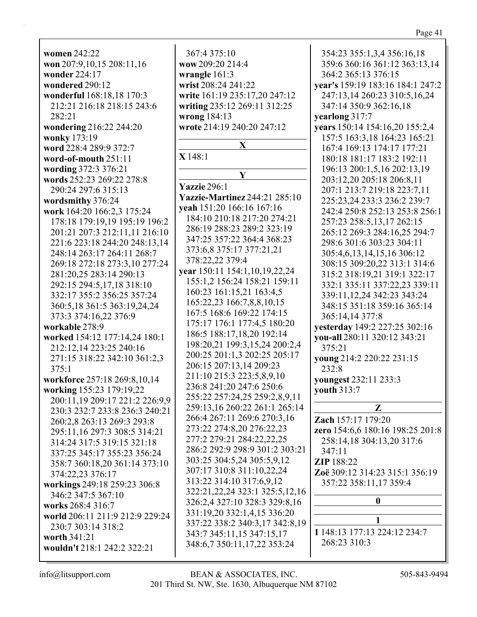| <b>women 242:22</b>                     | 367:4 375:10                         |
|-----------------------------------------|--------------------------------------|
| won 207:9,10,15 208:11,16               | wow 209:20 214:4                     |
| wonder 224:17                           | wrangle 161:3                        |
| wondered 290:12                         | wrist 208:24 241:22                  |
| wonderful 168:18,18 170:3               | write 161:19 235:17,20 247:12        |
| 212:21 216:18 218:15 243:6              | writing 235:12 269:11 312:25         |
| 282:21                                  | wrong 184:13                         |
| wondering 216:22 244:20<br>wonky 173:19 | wrote 214:19 240:20 247:12           |
| word 228:4 289:9 372:7                  | X                                    |
| word-of-mouth 251:11                    | $X$ 148:1                            |
| wording 372:3 376:21                    |                                      |
| words 252:23 269:22 278:8               | Y                                    |
| 290:24 297:6 315:13                     | <b>Yazzie</b> 296:1                  |
| wordsmithy 376:24                       | <b>Yazzie-Martinez</b> 244:21 285:10 |
| work 164:20 166:2,3 175:24              | yeah 151:20 166:16 167:16            |
| 178:18 179:19,19 195:19 196:2           | 184:10 210:18 217:20 274:21          |
| 201:21 207:3 212:11,11 216:10           | 286:19 288:23 289:2 323:19           |
| 221:6 223:18 244:20 248:13,14           | 347:25 357:22 364:4 368:23           |
| 248:14 263:17 264:11 268:7              | 373:6,8 375:17 377:21,21             |
| 269:18 272:18 273:3,10 277:24           | 378:22,22 379:4                      |
| 281:20,25 283:14 290:13                 | year 150:11 154:1,10,19,22,24        |
| 292:15 294:5,17,18 318:10               | 155:1,2 156:24 158:21 159:11         |
| 332:17 355:2 356:25 357:24              | 160:23 161:15,21 163:4,5             |
| 360:5,18 361:5 363:19,24,24             | 165:22,23 166:7,8,8,10,15            |
| 373:3 374:16,22 376:9                   | 167:5 168:6 169:22 174:15            |
| workable 278:9                          | 175:17 176:1 177:4,5 180:20          |
| worked 154:12 177:14,24 180:1           | 186:5 188:17,18,20 192:14            |
| 212:12,14 223:25 240:16                 | 198:20,21 199:3,15,24 200:2,4        |
| 271:15 318:22 342:10 361:2,3            | 200:25 201:1,3 202:25 205:17         |
| 375:1                                   | 206:15 207:13,14 209:23              |
| workforce 257:18 269:8,10,14            | 211:10 215:3 223:5,8,9,10            |
| working 155:23 179:19,22                | 236:8 241:20 247:6 250:6             |
| 200:11,19 209:17 221:2 226:9,9          | 255:22 257:24,25 259:2,8,9,11        |
| 230:3 232:7 233:8 236:3 240:21          | 259:13,16 260:22 261:1 265:14        |
| 260:2,8 263:13 269:3 293:8              | 266:4 267:11 269:6 270:3,16          |
| 295:11,16 297:3 308:5 314:21            | 273:22 274:8,20 276:22,23            |
| 314:24 317:5 319:15 321:18              | 277:2 279:21 284:22,22,25            |
| 337:25 345:17 355:23 356:24             | 286:2 292:9 298:9 301:2 303:2        |
| 358:7 360:18,20 361:14 373:10           | 303:25 304:5,24 305:5,9,12           |
| 374:22,23 376:17                        | 307:17 310:8 311:10,22,24            |
| workings 249:18 259:23 306:8            | 313:22 314:10 317:6,9,12             |
| 346:2 347:5 367:10                      | 322:21, 22, 24 323:1 325: 5, 12, 1   |
| works 268:4 316:7                       | 326:2,4 327:10 328:3 329:8,16        |
| world 206:11 211:9 212:9 229:24         | 331:19,20 332:1,4,15 336:20          |
| 230:7 303:14 318:2                      | 337:22 338:2 340:3,17 342:8,1        |
| worth 341:21                            | 343:7 345:11,15 347:15,17            |
| wouldn't 218:1 242:2 322:21             | 348:6,7 350:11,17,22 353:24          |
|                                         |                                      |

 $265:14$  $303:21$  $3,12,16$  $3.16$  $-2:8,19$ 354:23 355:1,3,4 356:16,18 359:6 360:16 361:12 363:13,14 364:2 365:13 376:15 **year's** 159:19 183:16 184:1 247:2 247:13,14 260:23 310:5,16,24 347:14 350:9 362:16,18 **yearlong** 317:7 **years** 150:14 154:16,20 155:2,4 157:5 163:3,18 164:23 165:21 167:4 169:13 174:17 177:21 180:18 181:17 183:2 192:11 196:13 200:1,5,16 202:13,19 203:12,20 205:18 206:8,11 207:1 213:7 219:18 223:7,11 225:23,24 233:3 236:2 239:7 242:4 250:8 252:13 253:8 256:1 257:23 258:5,13,17 262:15 265:12 269:3 284:16,25 294:7 298:6 301:6 303:23 304:11 305:4,6,13,14,15,16 306:12 308:15 309:20,22 313:1 314:6 315:2 318:19,21 319:1 322:17 332:1 335:11 337:22,23 339:11 339:11,12,24 342:23 343:24 348:15 351:18 359:16 365:14 365:14,14 377:8 **yesterday** 149:2 227:25 302:16 **you-all** 280:11 320:12 343:21 375:21 **young** 214:2 220:22 231:15 232:8 **youngest** 232:11 233:3 **youth** 313:7 **Z Zach** 157:17 179:20 **zero** 154:6,6 180:16 198:25 201:8 258:14,18 304:13,20 317:6 347:11 **ZIP** 188:22 **Zoë** 309:12 314:23 315:1 356:19 357:22 358:11,17 359:4 **0 1 1** 148:13 177:13 224:12 234:7 268:23 310:3

Page 41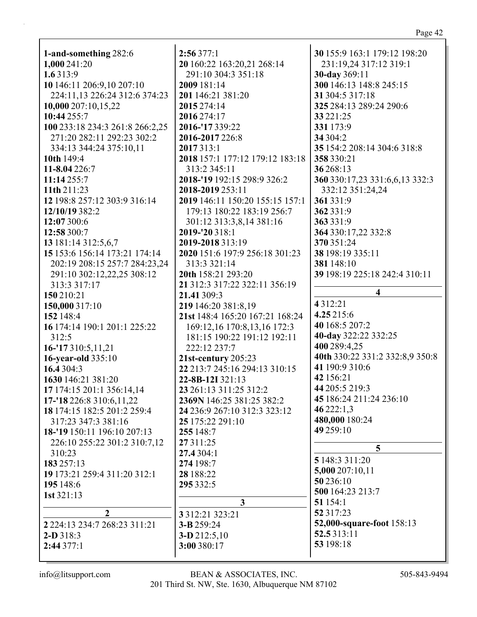|                                       | 2:56377:1                       | 30 155:9 163:1 179:12 198:20             |
|---------------------------------------|---------------------------------|------------------------------------------|
| 1-and-something 282:6<br>1,000 241:20 | 20 160:22 163:20,21 268:14      |                                          |
| 1.6 313:9                             | 291:10 304:3 351:18             | 231:19,24 317:12 319:1                   |
| 10 146:11 206:9,10 207:10             | 2009 181:14                     | 30-day 369:11<br>300 146:13 148:8 245:15 |
| 224:11,13 226:24 312:6 374:23         |                                 |                                          |
|                                       | 201 146:21 381:20               | 31 304:5 317:18                          |
| 10,000 207:10,15,22                   | 2015 274:14                     | 325 284:13 289:24 290:6                  |
| 10:44 255:7                           | 2016 274:17                     | 33 22 1:25                               |
| 100 233:18 234:3 261:8 266:2,25       | 2016-'17 339:22                 | 331 173:9                                |
| 271:20 282:11 292:23 302:2            | 2016-2017 226:8                 | 34 304:2                                 |
| 334:13 344:24 375:10,11               | 2017 313:1                      | 35 154:2 208:14 304:6 318:8              |
| 10th 149:4                            | 2018 157:1 177:12 179:12 183:18 | 358 330:21                               |
| 11-8.04 226:7                         | 313:2 345:11                    | 36 268:13                                |
| 11:14 255:7                           | 2018-'19 192:15 298:9 326:2     | 360 330:17,23 331:6,6,13 332:3           |
| 11th 211:23                           | 2018-2019 253:11                | 332:12 351:24,24                         |
| 12 198:8 257:12 303:9 316:14          | 2019 146:11 150:20 155:15 157:1 | 361 331:9                                |
| 12/10/19 382:2                        | 179:13 180:22 183:19 256:7      | 362 331:9                                |
| 12:07 300:6                           | 301:12 313:3,8,14 381:16        | 363 331:9                                |
| 12:58 300:7                           | 2019-'20 318:1                  | 364 330:17,22 332:8                      |
| 13 181:14 312:5,6,7                   | 2019-2018 313:19                | 370 351:24                               |
| 15 153:6 156:14 173:21 174:14         | 2020 151:6 197:9 256:18 301:23  | 38 198:19 335:11                         |
| 202:19 208:15 257:7 284:23,24         | 313:3 321:14                    | 381 148:10                               |
| 291:10 302:12,22,25 308:12            | 20th 158:21 293:20              | 39 198:19 225:18 242:4 310:11            |
| 313:3 317:17                          | 21 312:3 317:22 322:11 356:19   | 4                                        |
| 150 210:21                            | 21.41 309:3                     |                                          |
| 150,000 317:10                        | 219 146:20 381:8,19             | 4312:21                                  |
| 152 148:4                             | 21st 148:4 165:20 167:21 168:24 | 4.25 215:6                               |
| 16 174:14 190:1 201:1 225:22          | 169:12,16 170:8,13,16 172:3     | 40 168:5 207:2                           |
| 312:5                                 | 181:15 190:22 191:12 192:11     | 40-day 322:22 332:25                     |
| $16 - 17310:5,11,21$                  | 222:12 237:7                    | 400 289:4,25                             |
| 16-year-old 335:10                    | 21st-century 205:23             | 40th 330:22 331:2 332:8,9 350:8          |
| 16.4 304:3                            | 22 213:7 245:16 294:13 310:15   | 41 190:9 310:6                           |
| 1630 146:21 381:20                    | 22-8B-12I 321:13                | 42 156:21                                |
| 17 174:15 201:1 356:14,14             | 23 261:13 311:25 312:2          | 44 205:5 219:3                           |
| 17-'18 226:8 310:6,11,22              | 2369N 146:25 381:25 382:2       | 45 186:24 211:24 236:10                  |
| 18 174:15 182:5 201:2 259:4           | 24 236:9 267:10 312:3 323:12    | 46 222:1,3                               |
| 317:23 347:3 381:16                   | 25 175:22 291:10                | 480,000 180:24                           |
| 18-'19 150:11 196:10 207:13           | 255 148:7                       | 49 259:10                                |
| 226:10 255:22 301:2 310:7,12          | 27 311:25                       | 5                                        |
| 310:23                                | 27.4 304:1                      |                                          |
| 183 257:13                            | 274 198:7                       | 5 148:3 311:20                           |
| 19 173:21 259:4 311:20 312:1          | 28 188:22                       | 5,000 207:10,11                          |
| 195 148:6                             | 295 332:5                       | 50 236:10                                |
| 1st $321:13$                          |                                 | 500 164:23 213:7                         |
|                                       | $\mathbf{3}$                    | 51 154:1                                 |
| $\boldsymbol{2}$                      | 3 3 1 2 : 2 1 3 2 3 : 2 1       | 52 317:23                                |
| 2 224:13 234:7 268:23 311:21          | 3-B 259:24                      | <b>52,000-square-foot</b> 158:13         |
| $2-D$ 318:3                           | $3-D$ 212:5,10                  | 52.5313:11                               |
| 2:44377:1                             | 3:00 380:17                     | 53 198:18                                |